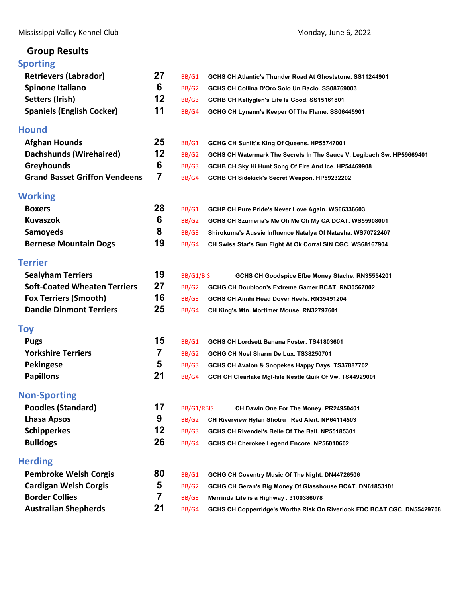Mississippi Valley Kennel Club **Mississippi Valley Kennel Club Accord 2022** Monday, June 6, 2022

# **Group Results**

# **[Sporting](#page-1-0)**

| <b>Retrievers (Labrador)</b>         | 27 | BB/G1        | GCHS CH Atlantic's Thunder Road At Ghoststone. SS11244901               |
|--------------------------------------|----|--------------|-------------------------------------------------------------------------|
| <b>Spinone Italiano</b>              | 6  | BB/G2        | GCHS CH Collina D'Oro Solo Un Bacio. SS08769003                         |
| Setters (Irish)                      | 12 | BB/G3        | GCHB CH Kellyglen's Life Is Good. SS15161801                            |
| <b>Spaniels (English Cocker)</b>     | 11 | BB/G4        | GCHG CH Lynann's Keeper Of The Flame. SS06445901                        |
| <b>Hound</b>                         |    |              |                                                                         |
| <b>Afghan Hounds</b>                 | 25 | BB/G1        | GCHG CH Sunlit's King Of Queens. HP55747001                             |
| <b>Dachshunds (Wirehaired)</b>       | 12 | BB/G2        | GCHS CH Watermark The Secrets In The Sauce V. Legibach Sw. HP59669401   |
| <b>Greyhounds</b>                    | 6  | BB/G3        | GCHB CH Sky Hi Hunt Song Of Fire And Ice. HP54469908                    |
| <b>Grand Basset Griffon Vendeens</b> | 7  | BB/G4        | GCHB CH Sidekick's Secret Weapon. HP59232202                            |
| Working                              |    |              |                                                                         |
| <b>Boxers</b>                        | 28 | BB/G1        | GCHP CH Pure Pride's Never Love Again. WS66336603                       |
| <b>Kuvaszok</b>                      | 6  | BB/G2        | GCHS CH Szumeria's Me Oh Me Oh My CA DCAT. WS55908001                   |
| <b>Samoyeds</b>                      | 8  | BB/G3        | Shirokuma's Aussie Influence Natalya Of Natasha. WS70722407             |
| <b>Bernese Mountain Dogs</b>         | 19 | BB/G4        | CH Swiss Star's Gun Fight At Ok Corral SIN CGC. WS68167904              |
| Terrier                              |    |              |                                                                         |
| <b>Sealyham Terriers</b>             | 19 | BB/G1/BIS    | GCHS CH Goodspice Efbe Money Stache. RN35554201                         |
| <b>Soft-Coated Wheaten Terriers</b>  | 27 | BB/G2        | GCHG CH Doubloon's Extreme Gamer BCAT. RN30567002                       |
| <b>Fox Terriers (Smooth)</b>         | 16 | BB/G3        | GCHS CH Aimhi Head Dover Heels. RN35491204                              |
| <b>Dandie Dinmont Terriers</b>       | 25 | BB/G4        | CH King's Mtn. Mortimer Mouse. RN32797601                               |
| Toy                                  |    |              |                                                                         |
| <b>Pugs</b>                          | 15 | BB/G1        | GCHS CH Lordsett Banana Foster. TS41803601                              |
| <b>Yorkshire Terriers</b>            | 7  | BB/G2        | GCHG CH Noel Sharm De Lux. TS38250701                                   |
| <b>Pekingese</b>                     | 5  | BB/G3        | GCHS CH Avalon & Snopekes Happy Days. TS37887702                        |
| <b>Papillons</b>                     | 21 | BB/G4        | GCH CH Clearlake MgI-Isle Nestle Quik Of Vw. TS44929001                 |
| <b>Non-Sporting</b>                  |    |              |                                                                         |
| <b>Poodles (Standard)</b>            | 17 | BB/G1/RBIS   | CH Dawin One For The Money. PR24950401                                  |
| <b>Lhasa Apsos</b>                   | 9  | <b>BB/G2</b> | CH Riverview Hylan Shotru Red Alert. NP64114503                         |
| <b>Schipperkes</b>                   | 12 | BB/G3        | GCHS CH Rivendel's Belle Of The Ball. NP55185301                        |
| <b>Bulldogs</b>                      | 26 | BB/G4        | GCHS CH Cherokee Legend Encore. NP56010602                              |
| <b>Herding</b>                       |    |              |                                                                         |
| <b>Pembroke Welsh Corgis</b>         | 80 | BB/G1        | GCHG CH Coventry Music Of The Night. DN44726506                         |
| <b>Cardigan Welsh Corgis</b>         | 5  | BB/G2        | GCHG CH Geran's Big Money Of Glasshouse BCAT. DN61853101                |
| <b>Border Collies</b>                | 7  | BB/G3        | Merrinda Life is a Highway . 3100386078                                 |
| <b>Australian Shepherds</b>          | 21 | BB/G4        | GCHS CH Copperridge's Wortha Risk On Riverlook FDC BCAT CGC. DN55429708 |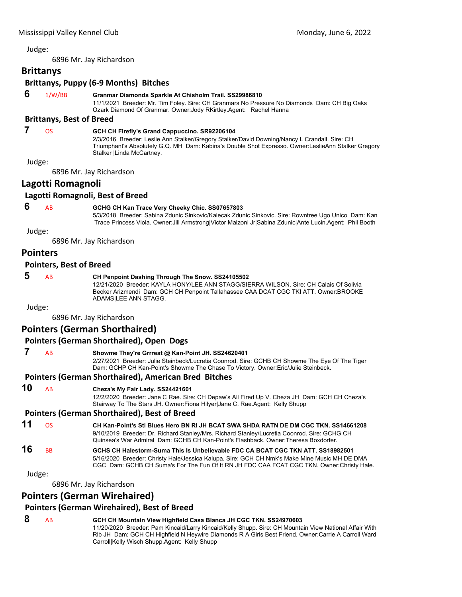<span id="page-1-0"></span>6896 Mr. Jay Richardson

# **Brittanys**

## **Brittanys, Puppy (6‐9 Months) Bitches**

# **6** 1/W/BB **Granmar Diamonds Sparkle At Chisholm Trail. SS29986810**

11/1/2021 Breeder: Mr. Tim Foley. Sire: CH Granmars No Pressure No Diamonds Dam: CH Big Oaks Ozark Diamond Of Granmar. Owner:Jody RKirtley.Agent: Rachel Hanna

## **Brittanys, Best of Breed**

# **7** OS **GCH CH Firefly's Grand Cappuccino. SR92206104**

2/3/2016 Breeder: Leslie Ann Stalker/Gregory Stalker/David Downing/Nancy L Crandall. Sire: CH Triumphant's Absolutely G.Q. MH Dam: Kabina's Double Shot Expresso. Owner:LeslieAnn Stalker|Gregory Stalker |Linda McCartney.

Judge:

6896 Mr. Jay Richardson

# **Lagotti Romagnoli**

#### **Lagotti Romagnoli, Best of Breed**

# **6** AB **GCHG CH Kan Trace Very Cheeky Chic. SS07657803**

5/3/2018 Breeder: Sabina Zdunic Sinkovic/Kalecak Zdunic Sinkovic. Sire: Rowntree Ugo Unico Dam: Kan Trace Princess Viola. Owner:Jill Armstrong|Victor Malzoni Jr|Sabina Zdunic|Ante Lucin.Agent: Phil Booth

Judge:

6896 Mr. Jay Richardson

# **Pointers**

#### **Pointers, Best of Breed**

#### **5** AB **CH Penpoint Dashing Through The Snow. SS24105502** 12/21/2020 Breeder: KAYLA HONY/LEE ANN STAGG/SIERRA WILSON. Sire: CH Calais Of Solivia Becker Arizmendi Dam: GCH CH Penpoint Tallahassee CAA DCAT CGC TKI ATT. Owner:BROOKE ADAMS|LEE ANN STAGG.

Judge:

6896 Mr. Jay Richardson

# **Pointers (German Shorthaired)**

# **Pointers (German Shorthaired), Open Dogs**

 **7** AB **Showme They're Grrreat @ Kan-Point JH. SS24620401**

2/27/2021 Breeder: Julie Steinbeck/Lucretia Coonrod. Sire: GCHB CH Showme The Eye Of The Tiger Dam: GCHP CH Kan-Point's Showme The Chase To Victory. Owner:Eric/Julie Steinbeck.

# **Pointers (German Shorthaired), American Bred Bitches**

**10** AB **Cheza's My Fair Lady. SS24421601**

12/2/2020 Breeder: Jane C Rae. Sire: CH Depaw's All Fired Up V. Cheza JH Dam: GCH CH Cheza's Stairway To The Stars JH. Owner:Fiona Hilyer|Jane C. Rae.Agent: Kelly Shupp

#### **Pointers (German Shorthaired), Best of Breed**

**11** OS **CH Kan-Point's Stl Blues Hero BN RI JH BCAT SWA SHDA RATN DE DM CGC TKN. SS14661208** 9/10/2019 Breeder: Dr. Richard Stanley/Mrs. Richard Stanley/Lucretia Coonrod. Sire: GCHG CH Quinsea's War Admiral Dam: GCHB CH Kan-Point's Flashback. Owner:Theresa Boxdorfer.

#### **16** BB **GCHS CH Halestorm-Suma This Is Unbelievable FDC CA BCAT CGC TKN ATT. SS18982501** 5/16/2020 Breeder: Christy Hale/Jessica Kalupa. Sire: GCH CH Nmk's Make Mine Music MH DE DMA CGC Dam: GCHB CH Suma's For The Fun Of It RN JH FDC CAA FCAT CGC TKN. Owner:Christy Hale.

Judge:

6896 Mr. Jay Richardson

# **Pointers (German Wirehaired)**

#### **Pointers (German Wirehaired), Best of Breed**

# **8** AB **GCH CH Mountain View Highfield Casa Blanca JH CGC TKN. SS24970603**

11/20/2020 Breeder: Pam Kincaid/Larry Kincaid/Kelly Shupp. Sire: CH Mountain View National Affair With Rlb JH Dam: GCH CH Highfield N Heywire Diamonds R A Girls Best Friend. Owner:Carrie A Carroll|Ward Carroll|Kelly Wisch Shupp.Agent: Kelly Shupp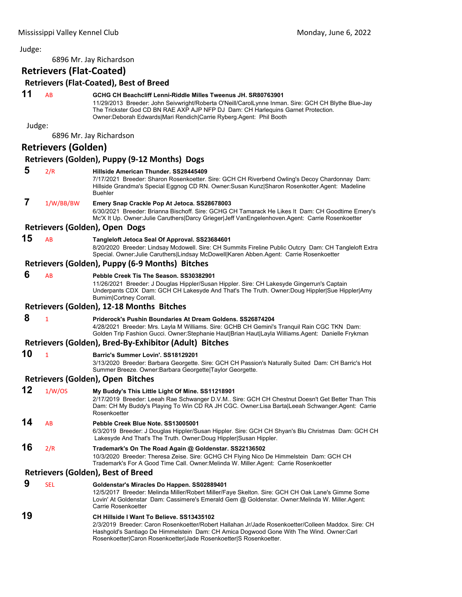### Judge: 6896 Mr. Jay Richardson **Retrievers (Flat‐Coated) Retrievers (Flat‐Coated), Best of Breed 11** AB **GCHG CH Beachcliff Lenni-Riddle Milles Tweenus JH. SR80763901** 11/29/2013 Breeder: John Seivwright/Roberta O'Neill/CarolLynne Inman. Sire: GCH CH Blythe Blue-Jay The Trickster God CD BN RAE AXP AJP NFP DJ Dam: CH Harlequins Garnet Protection. Owner:Deborah Edwards|Mari Rendich|Carrie Ryberg.Agent: Phil Booth Judge: 6896 Mr. Jay Richardson **Retrievers (Golden) Retrievers (Golden), Puppy (9‐12 Months) Dogs 5** 2/R **Hillside American Thunder. SS28445409** 7/17/2021 Breeder: Sharon Rosenkoetter. Sire: GCH CH Riverbend Owling's Decoy Chardonnay Dam: Hillside Grandma's Special Eggnog CD RN. Owner:Susan Kunz|Sharon Rosenkotter.Agent: Madeline Buehler  **7** 1/W/BB/BW **Emery Snap Crackle Pop At Jetoca. SS28678003** 6/30/2021 Breeder: Brianna Bischoff. Sire: GCHG CH Tamarack He Likes It Dam: CH Goodtime Emery's Mc'X It Up. Owner:Julie Caruthers|Darcy Grieger|Jeff VanEngelenhoven.Agent: Carrie Rosenkoetter **Retrievers (Golden), Open Dogs 15** AB **Tangleloft Jetoca Seal Of Approval. SS23684601** 8/20/2020 Breeder: Lindsay Mcdowell. Sire: CH Summits Fireline Public Outcry Dam: CH Tangleloft Extra Special. Owner:Julie Caruthers|Lindsay McDowell|Karen Abben.Agent: Carrie Rosenkoetter **Retrievers (Golden), Puppy (6‐9 Months) Bitches 6** AB **Pebble Creek Tis The Season. SS30382901** 11/26/2021 Breeder: J Douglas Hippler/Susan Hippler. Sire: CH Lakesyde Gingerrun's Captain Underpants CDX Dam: GCH CH Lakesyde And That's The Truth. Owner:Doug Hippler|Sue Hippler|Amy Burnim|Cortney Corrall. **Retrievers (Golden), 12‐18 Months Bitches 8** <sup>1</sup> **Priderock's Pushin Boundaries At Dream Goldens. SS26874204** 4/28/2021 Breeder: Mrs. Layla M Williams. Sire: GCHB CH Gemini's Tranquil Rain CGC TKN Dam: Golden Trip Fashion Gucci. Owner:Stephanie Haut|Brian Haut|Layla Williams.Agent: Danielle Frykman **Retrievers (Golden), Bred‐By‐Exhibitor (Adult) Bitches 10** <sup>1</sup> **Barric's Summer Lovin'. SS18129201** 3/13/2020 Breeder: Barbara Georgette. Sire: GCH CH Passion's Naturally Suited Dam: CH Barric's Hot Summer Breeze. Owner:Barbara Georgette|Taylor Georgette. **Retrievers (Golden), Open Bitches 12** 1/W/OS **My Buddy's This Little Light Of Mine. SS11218901** 2/17/2019 Breeder: Leeah Rae Schwanger D.V.M.. Sire: GCH CH Chestnut Doesn't Get Better Than This Dam: CH My Buddy's Playing To Win CD RA JH CGC. Owner:Lisa Barta|Leeah Schwanger.Agent: Carrie Rosenkoetter **14** AB **Pebble Creek Blue Note. SS13005001** 6/3/2019 Breeder: J Douglas Hippler/Susan Hippler. Sire: GCH CH Shyan's Blu Christmas Dam: GCH CH Lakesyde And That's The Truth. Owner:Doug Hippler|Susan Hippler. **16** 2/R **Trademark's On The Road Again @ Goldenstar. SS22136502** 10/3/2020 Breeder: Theresa Zeise. Sire: GCHG CH Flying Nico De Himmelstein Dam: GCH CH Trademark's For A Good Time Call. Owner:Melinda W. Miller.Agent: Carrie Rosenkoetter **Retrievers (Golden), Best of Breed 9** SEL **Goldenstar's Miracles Do Happen. SS02889401** 12/5/2017 Breeder: Melinda Miller/Robert Miller/Faye Skelton. Sire: GCH CH Oak Lane's Gimme Some Lovin' At Goldenstar Dam: Cassimere's Emerald Gem @ Goldenstar. Owner:Melinda W. Miller.Agent: Carrie Rosenkoetter **19 CH Hillside I Want To Believe. SS13435102** 2/3/2019 Breeder: Caron Rosenkoetter/Robert Hallahan Jr/Jade Rosenkoetter/Colleen Maddox. Sire: CH Hashgold's Santiago De Himmelstein Dam: CH Amica Dogwood Gone With The Wind. Owner:Carl Rosenkoetter|Caron Rosenkoetter|Jade Rosenkoetter|S Rosenkoetter.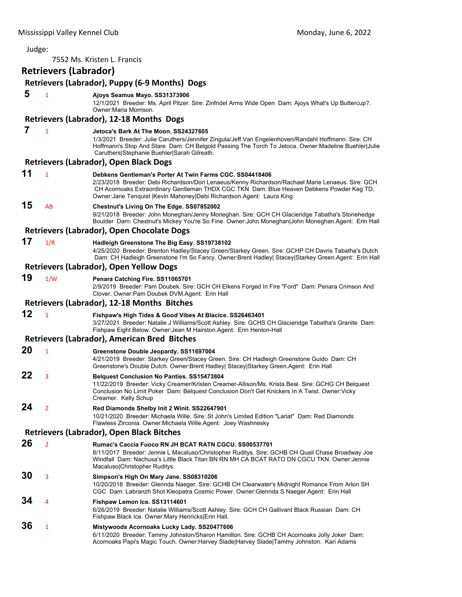| Judge: |                              |                                                                                                                                                                                                                                                                                                                                         |
|--------|------------------------------|-----------------------------------------------------------------------------------------------------------------------------------------------------------------------------------------------------------------------------------------------------------------------------------------------------------------------------------------|
|        |                              | 7552 Ms. Kristen L. Francis                                                                                                                                                                                                                                                                                                             |
|        | <b>Retrievers (Labrador)</b> |                                                                                                                                                                                                                                                                                                                                         |
|        |                              | Retrievers (Labrador), Puppy (6-9 Months) Dogs                                                                                                                                                                                                                                                                                          |
| 5      | 1                            | Ajoys Seamus Mayo. SS31373906<br>12/1/2021 Breeder: Ms. April Pitzer. Sire: Zinfndel Arms Wide Open Dam: Ajoys What's Up Buttercup?.<br>Owner: Maria Morrison.                                                                                                                                                                          |
|        |                              | Retrievers (Labrador), 12-18 Months Dogs                                                                                                                                                                                                                                                                                                |
| 7      | $\mathbf{1}$                 | Jetoca's Bark At The Moon. SS24327605<br>1/3/2021 Breeder: Julie Caruthers/Jennifer Zingula/Jeff Van Engelenhoven/Randahl Hoffmann. Sire: CH<br>Hoffmann's Stop And Stare Dam: CH Belgold Passing The Torch To Jetoca. Owner:Madeline Buehler Julie<br>Caruthers Stephanie Buehler Sarah Gilreath.                                      |
|        |                              | <b>Retrievers (Labrador), Open Black Dogs</b>                                                                                                                                                                                                                                                                                           |
| 11     | $\mathbf{1}$                 | Debkens Gentleman's Porter At Twin Farms CGC. SS04418406<br>2/23/2018  Breeder: Debi Richardson/Dori Lenaeus/Kenny Richardson/Rachael Marie Lenaeus. Sire: GCH<br>CH Acornoaks Extraordinary Gentleman THDX CGC TKN Dam: Blue Heaven Debkens Powder Keg TD.<br>Owner: Jane Tenquist   Kevin Mahoney  Debi Richardson. Agent: Laura King |
| 15     | AB                           | Chestnut's Living On The Edge. SS07852002<br>9/21/2018 Breeder: John Moneghan/Jenny Moneghan. Sire: GCH CH Glacieridge Tabatha's Stonehedge<br>Boulder Dam: Chestnut's Mickey You're So Fine. Owner: John Moneghan John Moneghan. Agent: Erin Hall                                                                                      |
|        |                              | Retrievers (Labrador), Open Chocolate Dogs                                                                                                                                                                                                                                                                                              |
| 17     | 1/R                          | Hadleigh Greenstone The Big Easy. SS19738102<br>4/25/2020 Breeder: Brenton Hadley/Stacey Green/Starkey Green. Sire: GCHP CH Davris Tabatha's Dutch<br>Dam: CH Hadleigh Greenstone I'm So Fancy. Owner:Brent Hadley  Stacey Starkey Green.Agent: Erin Hall                                                                               |
|        |                              | Retrievers (Labrador), Open Yellow Dogs                                                                                                                                                                                                                                                                                                 |
| 19     | 1/W                          | Penara Catching Fire. SS11065701<br>2/9/2019 Breeder: Pam Doubek. Sire: GCH CH Elkens Forged In Fire "Ford" Dam: Penara Crimson And<br>Clover. Owner: Pam Doubek DVM. Agent: Erin Hall                                                                                                                                                  |
|        |                              | <b>Retrievers (Labrador), 12-18 Months Bitches</b>                                                                                                                                                                                                                                                                                      |
| 12     | $\mathbf{1}$                 | Fishpaw's High Tides & Good Vibes At Blacice. SS26463401<br>3/27/2021 Breeder: Natalie J Williams/Scott Ashley. Sire: GCHS CH Glacieridge Tabatha's Granite Dam:<br>Fishpaw Eight Below. Owner: Jean M Hairston. Agent: Erin Henlon-Hall                                                                                                |
|        |                              | <b>Retrievers (Labrador), American Bred Bitches</b>                                                                                                                                                                                                                                                                                     |
| 20     | $\mathbf{1}$                 | Greenstone Double Jeopardy. SS11697004<br>4/21/2019 Breeder: Starkey Green/Stacey Green. Sire: CH Hadleigh Greenstone Guido Dam: CH<br>Greenstone's Double Dutch. Owner:Brent Hadley  Stacey Starkey Green.Agent: Erin Hall                                                                                                             |
| 22     | з                            | <b>Belauest Conclusion No Panties, SS15473804</b><br>11/22/2019 Breeder: Vicky Creamer/Kristen Creamer-Allison/Ms. Krista Beal. Sire: GCHG CH Belquest<br>Conclusion No Limit Poker Dam: Belquest Conclusion Don't Get Knickers In A Twist. Owner: Vicky<br>Creamer. Kelly Schup                                                        |
| 24     | $\overline{2}$               | Red Diamonds Shelby Init 2 Winit. SS22647901<br>10/21/2020 Breeder: Michaela Wille. Sire: St John's Limited Edition "Lariat" Dam: Red Diamonds<br>Flawless Zirconia. Owner: Michaela Wille. Agent: Joey Washnesky                                                                                                                       |
|        |                              | <b>Retrievers (Labrador), Open Black Bitches</b>                                                                                                                                                                                                                                                                                        |
| 26     | $\overline{2}$               | Rumac's Caccia Fuoco RN JH BCAT RATN CGCU, SS00537701<br>8/11/2017 Breeder: Jennie L Macaluso/Christopher Ruditys. Sire: GCHB CH Quail Chase Broadway Joe<br>Windfall Dam: Nachusa's Little Black Titan BN RN MH CA BCAT RATO DN CGCU TKN. Owner: Jennie<br>Macaluso Christopher Ruditys.                                               |
| 30     | 3                            | Simpson's High On Mary Jane. SS08310206<br>10/20/2018 Breeder: Glennda Naeger. Sire: GCHB CH Clearwater's Midnight Romance From Arlon SH<br>CGC Dam: Labranzh Shot Kleopatra Cosmic Power. Owner: Glennda S Naeger Agent: Erin Hall                                                                                                     |
| 34     | 4                            | Fishpaw Lemon Ice. SS13114601<br>6/26/2019 Breeder: Natalie Williams/Scott Ashley. Sire: GCH CH Gallivant Black Russian Dam: CH<br>Fishpaw Black Ice. Owner: Mary Henricks Erin Hall.                                                                                                                                                   |
| 36     | 1                            | Mistywoods Acornoaks Lucky Lady. SS20477606<br>6/11/2020 Breeder: Tammy Johnston/Sharon Hamilton. Sire: GCHB CH Acornoaks Jolly Joker Dam:<br>Acornoaks Papi's Magic Touch. Owner:Harvey Slade Harvey Slade Tammy Johnston. Kari Adams                                                                                                  |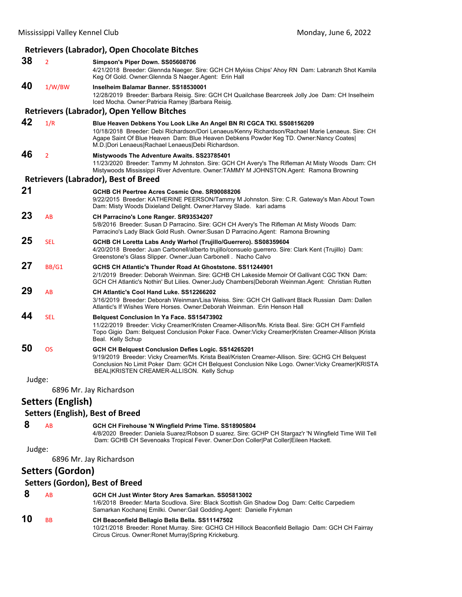|        |                          | <b>Retrievers (Labrador), Open Chocolate Bitches</b>                                                                                                                                                                                                                                                                            |
|--------|--------------------------|---------------------------------------------------------------------------------------------------------------------------------------------------------------------------------------------------------------------------------------------------------------------------------------------------------------------------------|
| 38     | $\overline{2}$           | Simpson's Piper Down. SS05608706<br>4/21/2018 Breeder: Glennda Naeger. Sire: GCH CH Mykiss Chips' Ahoy RN Dam: Labranzh Shot Kamila<br>Keg Of Gold. Owner: Glennda S Naeger Agent: Erin Hall                                                                                                                                    |
| 40     | 1/W/BW                   | Inselheim Balamar Banner, SS18530001<br>12/28/2019 Breeder: Barbara Reisig. Sire: GCH CH Quailchase Bearcreek Jolly Joe Dam: CH Inselheim<br>Iced Mocha. Owner: Patricia Ramey Barbara Reisig.                                                                                                                                  |
|        |                          | <b>Retrievers (Labrador), Open Yellow Bitches</b>                                                                                                                                                                                                                                                                               |
| 42     | 1/R                      | Blue Heaven Debkens You Look Like An Angel BN RI CGCA TKI. SS08156209<br>10/18/2018 Breeder: Debi Richardson/Dori Lenaeus/Kenny Richardson/Rachael Marie Lenaeus. Sire: CH<br>Agape Saint Of Blue Heaven Dam: Blue Heaven Debkens Powder Keg TD. Owner: Nancy Coates <br>M.D.   Dori Lenaeus  Rachael Lenaeus  Debi Richardson. |
| 46     | $\overline{2}$           | <b>Mistywoods The Adventure Awaits. SS23785401</b><br>11/23/2020 Breeder: Tammy M Johnston. Sire: GCH CH Avery's The Rifleman At Misty Woods Dam: CH<br>Mistywoods Mississippi River Adventure. Owner:TAMMY M JOHNSTON.Agent: Ramona Browning                                                                                   |
|        |                          | <b>Retrievers (Labrador), Best of Breed</b>                                                                                                                                                                                                                                                                                     |
| 21     |                          | GCHB CH Peertree Acres Cosmic One, SR90088206<br>9/22/2015 Breeder: KATHERINE PEERSON/Tammy M Johnston. Sire: C.R. Gateway's Man About Town<br>Dam: Misty Woods Dixieland Delight. Owner: Harvey Slade. kari adams                                                                                                              |
| 23     | AB                       | CH Parracino's Lone Ranger. SR93534207<br>5/8/2016 Breeder: Susan D Parracino. Sire: GCH CH Avery's The Rifleman At Misty Woods Dam:<br>Parracino's Lady Black Gold Rush. Owner: Susan D Parracino. Agent: Ramona Browning                                                                                                      |
| 25     | <b>SEL</b>               | GCHB CH Loretta Labs Andy Warhol (Trujillo/Guerrero). SS08359604<br>4/20/2018 Breeder: Juan Carbonell/alberto trujillo/consuelo querrero. Sire: Clark Kent (Trujillo) Dam:<br>Greenstone's Glass Slipper. Owner: Juan Carbonell. Nacho Calvo                                                                                    |
| 27     | BB/G1                    | GCHS CH Atlantic's Thunder Road At Ghoststone, SS11244901<br>2/1/2019 Breeder: Deborah Weinman. Sire: GCHB CH Lakeside Memoir Of Gallivant CGC TKN Dam:<br>GCH CH Atlantic's Nothin' But Lilies. Owner: Judy Chambers   Deborah Weinman. Agent: Christian Rutten                                                                |
| 29     | AB                       | CH Atlantic's Cool Hand Luke. SS12266202<br>3/16/2019 Breeder: Deborah Weinman/Lisa Weiss. Sire: GCH CH Gallivant Black Russian Dam: Dallen<br>Atlantic's If Wishes Were Horses. Owner:Deborah Weinman. Erin Henson Hall                                                                                                        |
| 44     | <b>SEL</b>               | <b>Belquest Conclusion In Ya Face. SS15473902</b><br>11/22/2019 Breeder: Vicky Creamer/Kristen Creamer-Allison/Ms. Krista Beal. Sire: GCH CH Farnfield<br>Topo Gigio Dam: Belquest Conclusion Poker Face. Owner: Vicky Creamer Kristen Creamer-Allison  Krista<br>Beal. Kelly Schup                                             |
| 50     | <b>OS</b>                | GCH CH Belquest Conclusion Defies Logic. SS14265201<br>9/19/2019 Breeder: Vicky Creamer/Ms. Krista Beal/Kristen Creamer-Allison. Sire: GCHG CH Belquest<br>Conclusion No Limit Poker Dam: GCH CH Belquest Conclusion Nike Logo. Owner: Vicky Creamer KRISTA<br>BEAL KRISTEN CREAMER-ALLISON. Kelly Schup                        |
| Judge: |                          | 6896 Mr. Jay Richardson                                                                                                                                                                                                                                                                                                         |
|        | <b>Setters (English)</b> |                                                                                                                                                                                                                                                                                                                                 |
|        |                          | <b>Setters (English), Best of Breed</b>                                                                                                                                                                                                                                                                                         |
| 8      | AB                       | GCH CH Firehouse 'N Wingfield Prime Time. SS18905804<br>4/8/2020 Breeder: Daniela Suarez/Robson D suarez. Sire: GCHP CH Stargaz'r 'N Wingfield Time Will Tell<br>Dam: GCHB CH Sevenoaks Tropical Fever. Owner:Don Coller Pat Coller Eileen Hackett.                                                                             |
| Judge: |                          | 6896 Mr. Jay Richardson                                                                                                                                                                                                                                                                                                         |
|        | <b>Setters (Gordon)</b>  |                                                                                                                                                                                                                                                                                                                                 |
|        |                          | <b>Setters (Gordon), Best of Breed</b>                                                                                                                                                                                                                                                                                          |
| 8      | AB                       | GCH CH Just Winter Story Ares Samarkan. SS05813002<br>1/6/2018 Breeder: Marta Scudlova. Sire: Black Scottish Gin Shadow Dog Dam: Celtic Carpediem<br>Samarkan Kochanej Emilki. Owner: Gail Godding. Agent: Danielle Frykman                                                                                                     |
| 10     | <b>BB</b>                | CH Beaconfield Bellagio Bella Bella. SS11147502<br>10/21/2018 Breeder: Ronet Murray. Sire: GCHG CH Hillock Beaconfield Bellagio Dam: GCH CH Fairray<br>Circus Circus. Owner: Ronet Murray Spring Krickeburg.                                                                                                                    |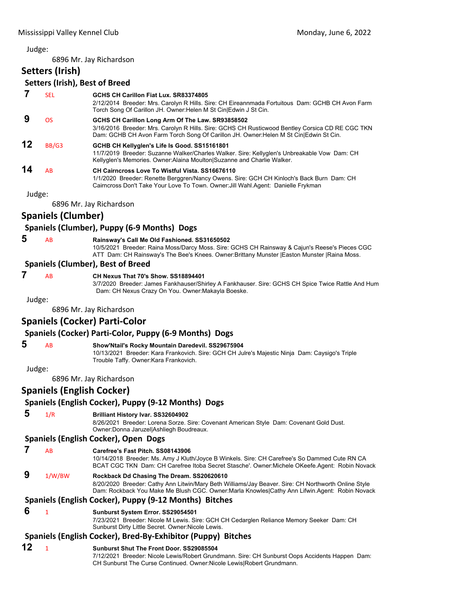6896 Mr. Jay Richardson

# **Setters (Irish)**

# **Setters (Irish), Best of Breed**

## **7** SEL **GCHS CH Carillon Fiat Lux. SR83374805** 2/12/2014 Breeder: Mrs. Carolyn R Hills. Sire: CH Eireannmada Fortuitous Dam: GCHB CH Avon Farm Torch Song Of Carillon JH. Owner:Helen M St Cin|Edwin J St Cin.  **9** OS **GCHS CH Carillon Long Arm Of The Law. SR93858502** 3/16/2016 Breeder: Mrs. Carolyn R Hills. Sire: GCHS CH Rusticwood Bentley Corsica CD RE CGC TKN Dam: GCHB CH Avon Farm Torch Song Of Carillon JH. Owner:Helen M St Cin|Edwin St Cin. **12** BB/G3 **GCHB CH Kellyglen's Life Is Good. SS15161801** 11/7/2019 Breeder: Suzanne Walker/Charles Walker. Sire: Kellyglen's Unbreakable Vow Dam: CH Kellyglen's Memories. Owner:Alaina Moulton|Suzanne and Charlie Walker. **14** AB **CH Cairncross Love To Wistful Vista. SS16676110** 1/1/2020 Breeder: Renette Berggren/Nancy Owens. Sire: GCH CH Kinloch's Back Burn Dam: CH Cairncross Don't Take Your Love To Town. Owner:Jill Wahl.Agent: Danielle Frykman

Judge:

6896 Mr. Jay Richardson

# **Spaniels (Clumber)**

# **Spaniels (Clumber), Puppy (6‐9 Months) Dogs**

## **5** AB **Rainsway's Call Me Old Fashioned. SS31650502**

10/5/2021 Breeder: Raina Moss/Darcy Moss. Sire: GCHS CH Rainsway & Cajun's Reese's Pieces CGC ATT Dam: CH Rainsway's The Bee's Knees. Owner:Brittany Munster |Easton Munster |Raina Moss.

#### **Spaniels (Clumber), Best of Breed**

# **7** AB **CH Nexus That 70's Show. SS18894401**

3/7/2020 Breeder: James Fankhauser/Shirley A Fankhauser. Sire: GCHS CH Spice Twice Rattle And Hum Dam: CH Nexus Crazy On You. Owner:Makayla Boeske.

Judge:

6896 Mr. Jay Richardson

# **Spaniels (Cocker) Parti‐Color**

# **Spaniels (Cocker) Parti‐Color, Puppy (6‐9 Months) Dogs**

#### **5** AB **Show'Ntail's Rocky Mountain Daredevil. SS29675904**

10/13/2021 Breeder: Kara Frankovich. Sire: GCH CH Julre's Majestic Ninja Dam: Caysigo's Triple Trouble Taffy. Owner:Kara Frankovich.

Judge:

6896 Mr. Jay Richardson

# **Spaniels (English Cocker)**

# **Spaniels (English Cocker), Puppy (9‐12 Months) Dogs**

# **5** 1/R **Brilliant History Ivar. SS32604902**

8/26/2021 Breeder: Lorena Sorze. Sire: Covenant American Style Dam: Covenant Gold Dust. Owner:Donna Jaruzel|Ashliegh Boudreaux.

## **Spaniels (English Cocker), Open Dogs**

- **7** AB **Carefree's Fast Pitch. SS08143906**
	- 10/14/2018 Breeder: Ms. Amy J Kluth/Joyce B Winkels. Sire: CH Carefree's So Dammed Cute RN CA BCAT CGC TKN Dam: CH Carefree Itoba Secret Stasche'. Owner:Michele OKeefe.Agent: Robin Novack
- **9** 1/W/BW **Rockback Dd Chasing The Dream. SS20620610**

8/20/2020 Breeder: Cathy Ann Litwin/Mary Beth Williams/Jay Beaver. Sire: CH Northworth Online Style Dam: Rockback You Make Me Blush CGC. Owner:Marla Knowles|Cathy Ann Lifwin.Agent: Robin Novack

#### **Spaniels (English Cocker), Puppy (9‐12 Months) Bitches**

## **6** <sup>1</sup> **Sunburst System Error. SS29054501**

7/23/2021 Breeder: Nicole M Lewis. Sire: GCH CH Cedarglen Reliance Memory Seeker Dam: CH Sunburst Dirty Little Secret. Owner:Nicole Lewis.

#### **Spaniels (English Cocker), Bred‐By‐Exhibitor (Puppy) Bitches**

# **12** <sup>1</sup> **Sunburst Shut The Front Door. SS29085504**

7/12/2021 Breeder: Nicole Lewis/Robert Grundmann. Sire: CH Sunburst Oops Accidents Happen Dam: CH Sunburst The Curse Continued. Owner:Nicole Lewis|Robert Grundmann.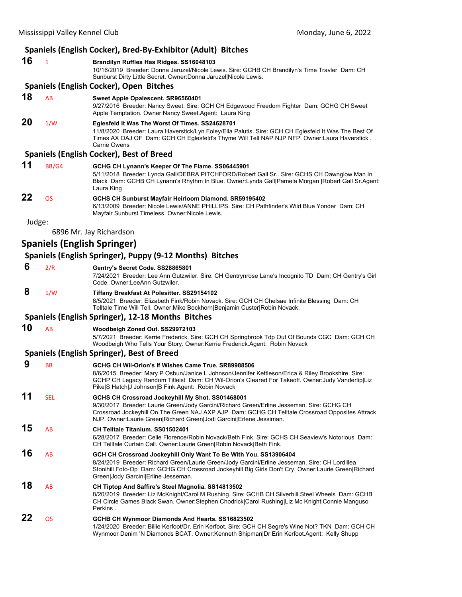|        |              | Spaniels (English Cocker), Bred-By-Exhibitor (Adult) Bitches                                                                                                                                                                                                                    |
|--------|--------------|---------------------------------------------------------------------------------------------------------------------------------------------------------------------------------------------------------------------------------------------------------------------------------|
| 16     | $\mathbf{1}$ | Brandilyn Ruffles Has Ridges. SS16048103<br>10/16/2019 Breeder: Donna Jaruzel/Nicole Lewis. Sire: GCHB CH Brandilyn's Time Travler Dam: CH<br>Sunburst Dirty Little Secret. Owner: Donna Jaruzel Nicole Lewis.                                                                  |
|        |              | Spaniels (English Cocker), Open Bitches                                                                                                                                                                                                                                         |
| 18     | AB           | Sweet Apple Opalescent. SR96560401<br>9/27/2016 Breeder: Nancy Sweet. Sire: GCH CH Edgewood Freedom Fighter Dam: GCHG CH Sweet<br>Apple Temptation. Owner: Nancy Sweet. Agent: Laura King                                                                                       |
| 20     | 1/W          | Eglesfeld It Was The Worst Of Times. SS24628701<br>11/8/2020 Breeder: Laura Haverstick/Lyn Foley/Ella Palutis. Sire: GCH CH Eglesfeld It Was The Best Of<br>Times AX OAJ OF Dam: GCH CH Eglesfeld's Thyme Will Tell NAP NJP NFP. Owner:Laura Haverstick.<br><b>Carrie Owens</b> |
|        |              | <b>Spaniels (English Cocker), Best of Breed</b>                                                                                                                                                                                                                                 |
| 11     | BB/G4        | GCHG CH Lynann's Keeper Of The Flame. SS06445901<br>5/11/2018 Breeder: Lynda Gall/DEBRA PITCHFORD/Robert Gall Sr., Sire: GCHS CH Dawnglow Man In<br>Black Dam: GCHB CH Lynann's Rhythm In Blue. Owner: Lynda Gall Pamela Morgan   Robert Gall Sr. Agent:<br>Laura King          |
| 22     | <b>OS</b>    | GCHS CH Sunburst Mayfair Heirloom Diamond. SR59195402<br>6/13/2009 Breeder: Nicole Lewis/ANNE PHILLIPS. Sire: CH Pathfinder's Wild Blue Yonder Dam: CH<br>Mayfair Sunburst Timeless. Owner: Nicole Lewis.                                                                       |
| Judge: |              |                                                                                                                                                                                                                                                                                 |
|        |              | 6896 Mr. Jay Richardson                                                                                                                                                                                                                                                         |
|        |              | <b>Spaniels (English Springer)</b>                                                                                                                                                                                                                                              |
|        |              | Spaniels (English Springer), Puppy (9-12 Months) Bitches                                                                                                                                                                                                                        |
| 6      | 2/R          | Gentry's Secret Code. SS28865801<br>7/24/2021 Breeder: Lee Ann Gutzwiler. Sire: CH Gentrynrose Lane's Incognito TD Dam: CH Gentry's Girl<br>Code, Owner: LeeAnn Gutzwiler.                                                                                                      |
| 8      | 1/W          | Tiffany Breakfast At Polesitter. SS29154102<br>8/5/2021 Breeder: Elizabeth Fink/Robin Novack. Sire: GCH CH Chelsae Infinite Blessing Dam: CH<br>Telltale Time Will Tell. Owner: Mike Bockhorn   Benjamin Custer   Robin Novack.                                                 |
|        |              | Spaniels (English Springer), 12-18 Months Bitches                                                                                                                                                                                                                               |
| 10     | AB           | Woodbeigh Zoned Out. SS29972103<br>5/7/2021 Breeder: Kerrie Frederick. Sire: GCH CH Springbrook Tdp Out Of Bounds CGC Dam: GCH CH<br>Woodbeigh Who Tells Your Story. Owner: Kerrie Frederick. Agent: Robin Novack                                                               |
|        |              | Spaniels (English Springer), Best of Breed                                                                                                                                                                                                                                      |
| 9      | <b>BB</b>    | GCHG CH Wil-Orion's If Wishes Came True, SR89988506<br>8/6/2015 Breeder: Mary P Osbun/Janice L Johnson/Jennifer Kettleson/Erica & Riley Brookshire. Sire:<br>CCUD CULAGROV Dendem Titleigt, Dami CUNG Orionia Cleared For Tokeoff, Quiner Iudu Venderlinll in                   |

#### GCHP CH Legacy Random Titleist Dam: CH Wil-Orion's Cleared For Takeoff. Owner:Judy Vanderlip|Liz Pike|S Hatch|J Johnson|B Fink.Agent: Robin Novack **11** SEL **GCHS CH Crossroad Jockeyhill My Shot. SS01468001** 9/30/2017 Breeder: Laurie Green/Jody Garcini/Richard Green/Erline Jesseman. Sire: GCHG CH Crossroad Jockeyhill On The Green NAJ AXP AJP Dam: GCHG CH Telltale Crossroad Opposites Attrack NJP. Owner:Laurie Green|Richard Green|Jodi Garcini|Erlene Jessiman. **15** AB **CH Telltale Titanium. SS01502401** 6/28/2017 Breeder: Celie Florence/Robin Novack/Beth Fink. Sire: GCHS CH Seaview's Notorious Dam: CH Telltale Curtain Call. Owner:Laurie Green|Robin Novack|Beth Fink. **16** AB **GCH CH Crossroad Jockeyhill Only Want To Be With You. SS13906404** 8/24/2019 Breeder: Richard Green/Laurie Green/Jody Garcini/Erline Jesseman. Sire: CH Lordillea Stonihill Foto-Op Dam: GCHG CH Crossroad Jockeyhill Big Girls Don't Cry. Owner:Laurie Green|Richard Green|Jody Garcini|Erline Jesseman. **18** AB **CH Tiptop And Saffire's Steel Magnolia. SS14813502**

8/20/2019 Breeder: Liz McKnight/Carol M Rushing. Sire: GCHB CH Silverhill Steel Wheels Dam: GCHB CH Circle Games Black Swan. Owner:Stephen Chodrick|Carol Rushing|Liz Mc Knight|Connie Manguso Perkins . **22** OS **GCHB CH Wynmoor Diamonds And Hearts. SS16823502** 1/24/2020 Breeder: Billie Kerfoot/Dr. Erin Kerfoot. Sire: GCH CH Segre's Wine Not? TKN Dam: GCH CH

Wynmoor Denim 'N Diamonds BCAT. Owner:Kenneth Shipman|Dr Erin Kerfoot.Agent: Kelly Shupp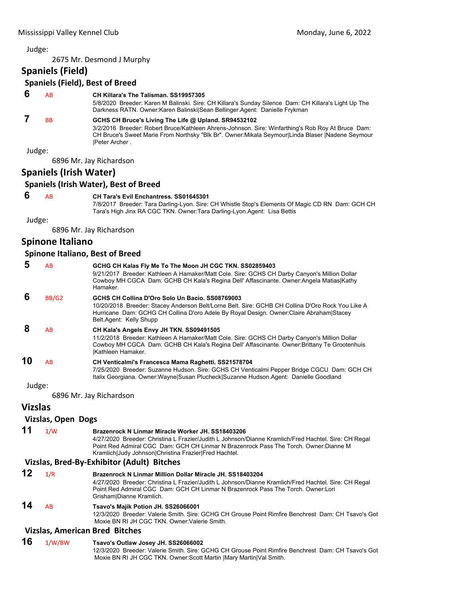2675 Mr. Desmond J Murphy

# **Spaniels (Field)**

| <b>Spaniels (Field), Best of Breed</b> |  |  |  |
|----------------------------------------|--|--|--|
|----------------------------------------|--|--|--|

# **6** AB **CH Killara's The Talisman. SS19957305**

5/8/2020 Breeder: Karen M Balinski. Sire: CH Killara's Sunday Silence Dam: CH Killara's Light Up The Darkness RATN. Owner:Karen Balinski|Sean Bellinger.Agent: Danielle Frykman

# **7** BB **GCHS CH Bruce's Living The Life @ Upland. SR94532102**

3/2/2016 Breeder: Robert Bruce/Kathleen Ahrens-Johnson. Sire: Winfarthing's Rob Roy At Bruce Dam: CH Bruce's Sweet Marie From Northsky "Blk Br". Owner:Mikala Seymour|Linda Blaser |Nadene Seymour |Peter Archer .

Judge:

6896 Mr. Jay Richardson

# **Spaniels (Irish Water)**

#### **Spaniels (Irish Water), Best of Breed**

 **6** AB **CH Tara's Evil Enchantress. SS01645301**

7/8/2017 Breeder: Tara Darling-Lyon. Sire: CH Whistle Stop's Elements Of Magic CD RN Dam: GCH CH Tara's High Jinx RA CGC TKN. Owner:Tara Darling-Lyon.Agent: Lisa Bettis

Judge:

6896 Mr. Jay Richardson

# **Spinone Italiano**

#### **Spinone Italiano, Best of Breed**

| 5      | AB    | GCHG CH Kalas Fly Me To The Moon JH CGC TKN. SS02859403<br>9/21/2017 Breeder: Kathleen A Hamaker/Matt Cole. Sire: GCHS CH Darby Canyon's Million Dollar<br>Cowboy MH CGCA Dam: GCHB CH Kala's Regina Dell' Affascinante. Owner: Angela Matias Kathy<br>Hamaker.            |
|--------|-------|----------------------------------------------------------------------------------------------------------------------------------------------------------------------------------------------------------------------------------------------------------------------------|
| 6      | BB/G2 | GCHS CH Collina D'Oro Solo Un Bacio, SS08769003<br>10/20/2018 Breeder: Stacey Anderson Belt/Lorne Belt. Sire: GCHB CH Collina D'Oro Rock You Like A<br>Hurricane Dam: GCHG CH Collina D'oro Adele By Royal Design. Owner: Claire Abraham Stacey<br>Belt.Agent: Kelly Shupp |
| 8      | AB    | CH Kala's Angels Envy JH TKN. SS09491505<br>11/2/2018 Breeder: Kathleen A Hamaker/Matt Cole. Sire: GCHS CH Darby Canyon's Million Dollar<br>Cowboy MH CGCA Dam: GCHB CH Kala's Regina Dell' Affascinante. Owner: Brittany Te Grootenhuis<br>Kathleen Hamaker.              |
| 10     | AB    | CH Venticalmi's Francesca Mama Raghetti. SS21578704<br>7/25/2020 Breeder: Suzanne Hudson. Sire: GCHS CH Venticalmi Pepper Bridge CGCU Dam: GCH CH<br>Italix Georgiana. Owner:Wayne Susan Plucheck Suzanne Hudson.Agent: Danielle Goodland                                  |
| Judge: |       |                                                                                                                                                                                                                                                                            |

6896 Mr. Jay Richardson

# **Vizslas**

**Vizslas, Open Dogs**

**11** 1/W **Brazenrock N Linmar Miracle Worker JH. SS18403206**

4/27/2020 Breeder: Christina L Frazier/Judith L Johnson/Dianne Kramlich/Fred Hachtel. Sire: CH Regal Point Red Admiral CGC Dam: GCH CH Linmar N Brazenrock Pass The Torch. Owner:Dianne M Kramlich|Judy Johnson|Christina Frazier|Fred Hachtel.

#### **Vizslas, Bred‐By‐Exhibitor (Adult) Bitches**

- **12** 1/R **Brazenrock N Linmar Million Dollar Miracle JH. SS18403204** 4/27/2020 Breeder: Christina L Frazier/Judith L Johnson/Dianne Kramlich/Fred Hachtel. Sire: CH Regal Point Red Admiral CGC Dam: GCH CH Linmar N Brazenrock Pass The Torch. Owner:Lori Grisham|Dianne Kramlich. **14** AB **Tsavo's Majik Potion JH. SS26066001** 12/3/2020 Breeder: Valerie Smith. Sire: GCHG CH Grouse Point Rimfire Benchrest Dam: CH Tsavo's Got Moxie BN RI JH CGC TKN. Owner:Valerie Smith. **Vizslas, American Bred Bitches 16** 1/W/BW **Tsavo's Outlaw Josey JH. SS26066002**
- 12/3/2020 Breeder: Valerie Smith. Sire: GCHG CH Grouse Point Rimfire Benchrest Dam: CH Tsavo's Got Moxie BN RI JH CGC TKN. Owner:Scott Martin |Mary Martin|Val Smith.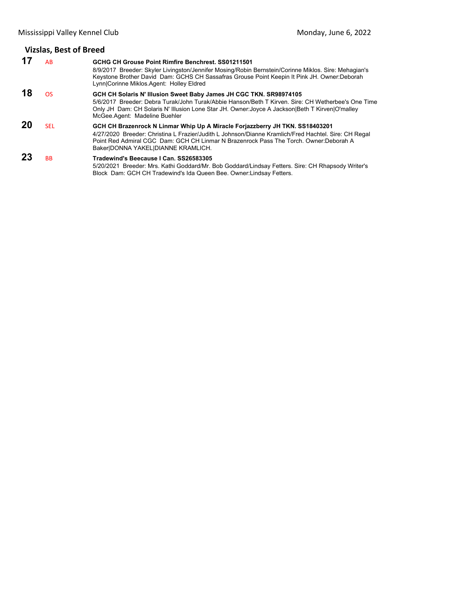# **Vizslas, Best of Breed**

| 17 | AB.        | GCHG CH Grouse Point Rimfire Benchrest, SS01211501<br>8/9/2017 Breeder: Skyler Livingston/Jennifer Mosing/Robin Bernstein/Corinne Miklos. Sire: Mehagian's<br>Keystone Brother David Dam: GCHS CH Sassafras Grouse Point Keepin It Pink JH. Owner:Deborah<br>Lynn Corinne Miklos Agent: Holley Eldred                |
|----|------------|----------------------------------------------------------------------------------------------------------------------------------------------------------------------------------------------------------------------------------------------------------------------------------------------------------------------|
| 18 | OS.        | GCH CH Solaris N' Illusion Sweet Baby James JH CGC TKN. SR98974105<br>5/6/2017 Breeder: Debra Turak/John Turak/Abbie Hanson/Beth T Kirven, Sire: CH Wetherbee's One Time<br>Only JH Dam: CH Solaris N' Illusion Lone Star JH. Owner: Joyce A Jackson Beth T Kirven   O'malley<br>McGee Agent: Madeline Buehler       |
| 20 | <b>SEL</b> | GCH CH Brazenrock N Linmar Whip Up A Miracle Forjazzberry JH TKN. SS18403201<br>4/27/2020 Breeder: Christina L Frazier/Judith L Johnson/Dianne Kramlich/Fred Hachtel. Sire: CH Regal<br>Point Red Admiral CGC Dam: GCH CH Linmar N Brazenrock Pass The Torch, Owner: Deborah A<br>Baker DONNA YAKEL DIANNE KRAMLICH. |
| 23 | <b>BB</b>  | Tradewind's Beecause I Can. SS26583305<br>5/20/2021 Breeder: Mrs. Kathi Goddard/Mr. Bob Goddard/Lindsay Fetters. Sire: CH Rhapsody Writer's<br>Block Dam: GCH CH Tradewind's Ida Queen Bee. Owner: Lindsay Fetters.                                                                                                  |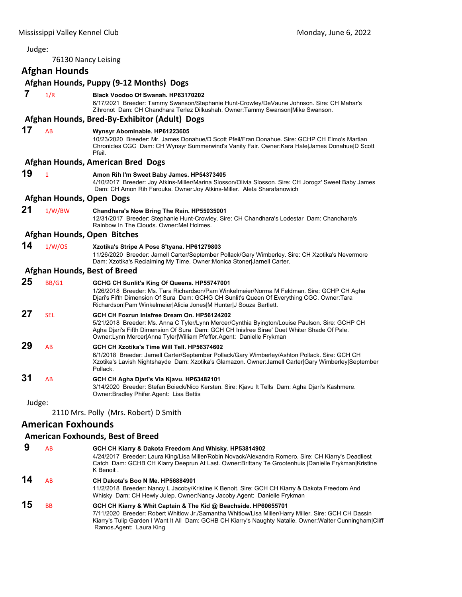<span id="page-9-0"></span>

| Judge: |                           |                                                                                                                                                                                                                                                                                                                        |
|--------|---------------------------|------------------------------------------------------------------------------------------------------------------------------------------------------------------------------------------------------------------------------------------------------------------------------------------------------------------------|
|        |                           | 76130 Nancy Leising                                                                                                                                                                                                                                                                                                    |
|        | <b>Afghan Hounds</b>      |                                                                                                                                                                                                                                                                                                                        |
|        |                           | Afghan Hounds, Puppy (9-12 Months) Dogs                                                                                                                                                                                                                                                                                |
| 7      | 1/R                       | Black Voodoo Of Swanah, HP63170202<br>6/17/2021 Breeder: Tammy Swanson/Stephanie Hunt-Crowley/DeVaune Johnson. Sire: CH Mahar's<br>Zihronot Dam: CH Chandhara Terlez Dilkushah. Owner:Tammy Swanson Mike Swanson.                                                                                                      |
|        |                           | Afghan Hounds, Bred-By-Exhibitor (Adult) Dogs                                                                                                                                                                                                                                                                          |
| 17     | AB                        | Wynsyr Abominable. HP61223605<br>10/23/2020 Breeder: Mr. James Donahue/D Scott Pfeil/Fran Donahue. Sire: GCHP CH Elmo's Martian<br>Chronicles CGC Dam: CH Wynsyr Summerwind's Vanity Fair. Owner:Kara Hale James Donahue D Scott<br>Pfeil.                                                                             |
|        |                           | Afghan Hounds, American Bred Dogs                                                                                                                                                                                                                                                                                      |
| 19     | $\mathbf{1}$              | Amon Rih I'm Sweet Baby James. HP54373405<br>4/10/2017 Breeder: Joy Atkins-Miller/Marina Slosson/Olivia Slosson. Sire: CH Jorogz' Sweet Baby James<br>Dam: CH Amon Rih Farouka. Owner: Joy Atkins-Miller. Aleta Sharafanowich                                                                                          |
|        | Afghan Hounds, Open Dogs  |                                                                                                                                                                                                                                                                                                                        |
| 21     | 1/W/BW                    | Chandhara's Now Bring The Rain. HP55035001<br>12/31/2017 Breeder: Stephanie Hunt-Crowley. Sire: CH Chandhara's Lodestar Dam: Chandhara's<br>Rainbow In The Clouds, Owner: Mel Holmes,                                                                                                                                  |
|        |                           | <b>Afghan Hounds, Open Bitches</b>                                                                                                                                                                                                                                                                                     |
| 14     | 1/W/OS                    | Xzotika's Stripe A Pose S'tyana. HP61279803<br>11/26/2020 Breeder: Jarnell Carter/September Pollack/Gary Wimberley. Sire: CH Xzotika's Nevermore<br>Dam: Xzotika's Reclaiming My Time. Owner: Monica Stoner Jarnell Carter.                                                                                            |
|        |                           | <b>Afghan Hounds, Best of Breed</b>                                                                                                                                                                                                                                                                                    |
| 25     | BB/G1                     | GCHG CH Sunlit's King Of Queens. HP55747001<br>1/26/2018 Breeder: Ms. Tara Richardson/Pam Winkelmeier/Norma M Feldman. Sire: GCHP CH Agha<br>Djari's Fifth Dimension Of Sura Dam: GCHG CH Sunlit's Queen Of Everything CGC. Owner:Tara<br>Richardson Pam Winkelmeier Alicia Jones M Hunter J Souza Bartlett.           |
| 27     | <b>SEL</b>                | GCH CH Foxrun Inisfree Dream On. HP56124202<br>5/21/2018 Breeder: Ms. Anna C Tyler/Lynn Mercer/Cynthia Byington/Louise Paulson. Sire: GCHP CH<br>Agha Djari's Fifth Dimension Of Sura Dam: GCH CH Inisfree Sirae' Duet Whiter Shade Of Pale.<br>Owner: Lynn Mercer Anna Tyler William Pfeffer. Agent: Danielle Frykman |
| 29     | AB                        | GCH CH Xzotika's Time Will Tell. HP56374602<br>6/1/2018 Breeder: Jarnell Carter/September Pollack/Gary Wimberley/Ashton Pollack. Sire: GCH CH<br>Xzotika's Lavish Nightshayde Dam: Xzotika's Glamazon. Owner:Jarnell Carter Gary Wimberley September<br>Pollack.                                                       |
| 31     | AB                        | GCH CH Agha Djari's Via Kjavu. HP63482101<br>3/14/2020 Breeder: Stefan Boieck/Nico Kersten. Sire: Kjavu It Tells Dam: Agha Djari's Kashmere.<br>Owner: Bradley Phifer. Agent: Lisa Bettis                                                                                                                              |
| Judge: |                           |                                                                                                                                                                                                                                                                                                                        |
|        |                           | 2110 Mrs. Polly (Mrs. Robert) D Smith                                                                                                                                                                                                                                                                                  |
|        | <b>American Foxhounds</b> |                                                                                                                                                                                                                                                                                                                        |
|        |                           | <b>American Foxhounds, Best of Breed</b>                                                                                                                                                                                                                                                                               |

 **9** AB **GCH CH Kiarry & Dakota Freedom And Whisky. HP53814902** 4/24/2017 Breeder: Laura King/Lisa Miller/Robin Novack/Alexandra Romero. Sire: CH Kiarry's Deadliest Catch Dam: GCHB CH Kiarry Deeprun At Last. Owner:Brittany Te Grootenhuis |Danielle Frykman|Kristine K Benoit . **14** AB **CH Dakota's Boo N Me. HP56884901** 11/2/2018 Breeder: Nancy L Jacoby/Kristine K Benoit. Sire: GCH CH Kiarry & Dakota Freedom And Whisky Dam: CH Hewly Julep. Owner:Nancy Jacoby.Agent: Danielle Frykman **15** BB **GCH CH Kiarry & Whit Captain & The Kid @ Beachside. HP60655701** 7/11/2020 Breeder: Robert Whitlow Jr./Samantha Whitlow/Lisa Miller/Harry Miller. Sire: GCH CH Dassin Kiarry's Tulip Garden I Want It All Dam: GCHB CH Kiarry's Naughty Natalie. Owner:Walter Cunningham|Cliff Ramos.Agent: Laura King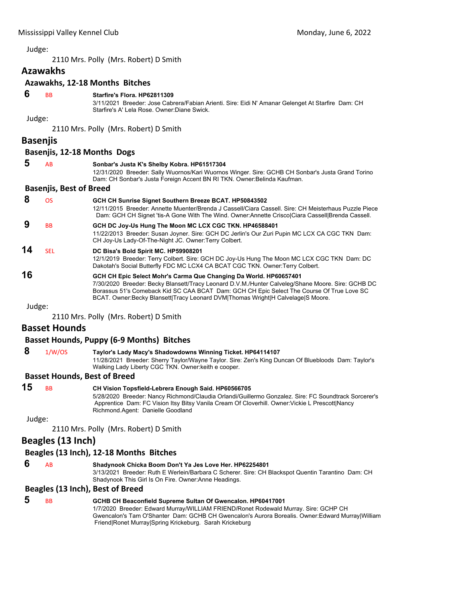2110 Mrs. Polly (Mrs. Robert) D Smith

# **Azawakhs**

# **Azawakhs, 12‐18 Months Bitches**

 **6** BB **Starfire's Flora. HP62811309**

3/11/2021 Breeder: Jose Cabrera/Fabian Arienti. Sire: Eidi N' Amanar Gelenget At Starfire Dam: CH Starfire's A' Lela Rose. Owner:Diane Swick.

#### Judge:

2110 Mrs. Polly (Mrs. Robert) D Smith

## **Basenjis**

#### **Basenjis, 12‐18 Months Dogs**

| 5  | AB                             | Sonbar's Justa K's Shelby Kobra. HP61517304<br>12/31/2020 Breeder: Sally Wuornos/Kari Wuornos Winger. Sire: GCHB CH Sonbar's Justa Grand Torino<br>Dam: CH Sonbar's Justa Foreign Accent BN RI TKN. Owner: Belinda Kaufman.                                                                                                                            |
|----|--------------------------------|--------------------------------------------------------------------------------------------------------------------------------------------------------------------------------------------------------------------------------------------------------------------------------------------------------------------------------------------------------|
|    | <b>Basenjis, Best of Breed</b> |                                                                                                                                                                                                                                                                                                                                                        |
| 8  | <b>OS</b>                      | GCH CH Sunrise Signet Southern Breeze BCAT. HP50843502<br>12/11/2015 Breeder: Annette Muenter/Brenda J Cassell/Ciara Cassell, Sire: CH Meisterhaus Puzzle Piece<br>Dam: GCH CH Signet 'tis-A Gone With The Wind. Owner:Annette CriscolCiara Cassell Brenda Cassell.                                                                                    |
|    | <b>BB</b>                      | GCH DC Joy-Us Hung The Moon MC LCX CGC TKN. HP46588401<br>11/22/2013 Breeder: Susan Joyner. Sire: GCH DC Jerlin's Our Zuri Pupin MC LCX CA CGC TKN Dam:<br>CH Joy-Us Lady-Of-The-Night JC. Owner:Terry Colbert.                                                                                                                                        |
| 14 | <b>SEL</b>                     | DC Bisa's Bold Spirit MC. HP59908201<br>12/1/2019 Breeder: Terry Colbert. Sire: GCH DC Joy-Us Hung The Moon MC LCX CGC TKN Dam: DC<br>Dakotah's Social Butterfly FDC MC LCX4 CA BCAT CGC TKN. Owner: Terry Colbert.                                                                                                                                    |
| 16 |                                | GCH CH Epic Select Mohr's Carma Que Changing Da World. HP60657401<br>7/30/2020 Breeder: Becky Blansett/Tracy Leonard D.V.M./Hunter Calveleg/Shane Moore. Sire: GCHB DC<br>Borassus 51's Comeback Kid SC CAA BCAT Dam: GCH CH Epic Select The Course Of True Love SC<br>BCAT. Owner:Becky Blansett Tracy Leonard DVM Thomas Wright H Calvelage S Moore. |

Judge:

2110 Mrs. Polly (Mrs. Robert) D Smith

# **Basset Hounds**

# **Basset Hounds, Puppy (6‐9 Months) Bitches**

 **8** 1/W/OS **Taylor's Lady Macy's Shadowdowns Winning Ticket. HP64114107** 11/28/2021 Breeder: Sherry Taylor/Wayne Taylor. Sire: Zen's King Duncan Of Bluebloods Dam: Taylor's Walking Lady Liberty CGC TKN. Owner:keith e cooper.

# **Basset Hounds, Best of Breed**

| 15 | <b>BB</b> | CH Vision Topsfield-Lebrera Enough Said. HP60566705                                                                                  |
|----|-----------|--------------------------------------------------------------------------------------------------------------------------------------|
|    |           | 5/28/2020 Breeder: Nancy Richmond/Claudia Orlandi/Guillermo Gonzalez. Sire: FC Soundtrack Sorcerer's                                 |
|    |           | Apprentice Dam: FC Vision Itsy Bitsy Vanila Cream Of Cloverhill. Owner: Vickie L Prescott Nancy<br>Richmond Agent: Danielle Goodland |
|    |           |                                                                                                                                      |

Judge:

2110 Mrs. Polly (Mrs. Robert) D Smith

# **Beagles (13 Inch)**

#### **Beagles (13 Inch), 12‐18 Months Bitches**

 **6** AB **Shadynook Chicka Boom Don't Ya Jes Love Her. HP62254801** 3/13/2021 Breeder: Ruth E Werlein/Barbara C Scherer. Sire: CH Blackspot Quentin Tarantino Dam: CH Shadynook This Girl Is On Fire. Owner:Anne Headings.

#### **Beagles (13 Inch), Best of Breed**

 **5** BB **GCHB CH Beaconfield Supreme Sultan Of Gwencalon. HP60417001** 1/7/2020 Breeder: Edward Murray/WILLIAM FRIEND/Ronet Rodewald Murray. Sire: GCHP CH Gwencalon's Tam O'Shanter Dam: GCHB CH Gwencalon's Aurora Borealis. Owner:Edward Murray|William Friend|Ronet Murray|Spring Krickeburg. Sarah Krickeburg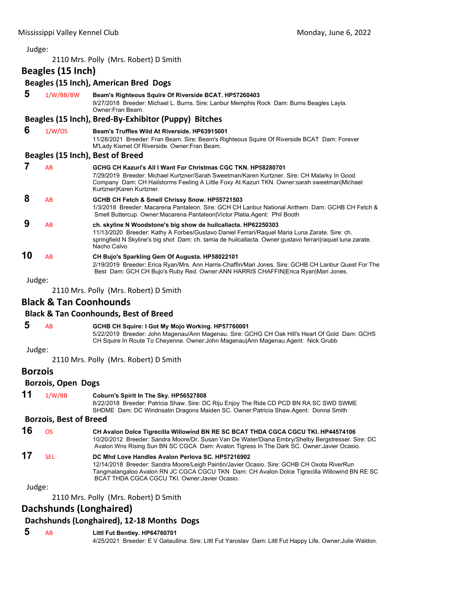2110 Mrs. Polly (Mrs. Robert) D Smith

**Beagles (15 Inch)**

# **Beagles (15 Inch), American Bred Dogs**

| 5  | 1/W/BB/BW | Beam's Righteous Squire Of Riverside BCAT. HP57260403<br>9/27/2018 Breeder: Michael L. Burns. Sire: Lanbur Memphis Rock Dam: Burns Beagles Layla.<br>Owner: Fran Beam.                                                                                                                        |
|----|-----------|-----------------------------------------------------------------------------------------------------------------------------------------------------------------------------------------------------------------------------------------------------------------------------------------------|
|    |           | Beagles (15 Inch), Bred-By-Exhibitor (Puppy) Bitches                                                                                                                                                                                                                                          |
| 6  | 1/W/OS    | Beam's Truffles Wild At Riverside, HP63915001<br>11/28/2021 Breeder: Fran Beam. Sire: Beam's Righteous Squire Of Riverside BCAT Dam: Forever<br>M'Lady Kismet Of Riverside. Owner: Fran Beam.                                                                                                 |
|    |           | Beagles (15 Inch), Best of Breed                                                                                                                                                                                                                                                              |
| 7  | AB        | GCHG CH Kazuri's All I Want For Christmas CGC TKN, HP58280701<br>7/29/2019 Breeder: Michael Kurtzner/Sarah Sweetman/Karen Kurtzner. Sire: CH Malarky In Good<br>Company Dam: CH Hailstorms Feeling A Little Foxy At Kazuri TKN. Owner:sarah sweetman Michael<br>Kurtzner Karen Kurtzner.      |
| 8  | AB        | GCHB CH Fetch & Smell Chrissy Snow. HP55721503<br>1/3/2018 Breeder: Macarena Pantaleon, Sire: GCH CH Lanbur National Anthem Dam: GCHB CH Fetch &<br>Smell Buttercup. Owner: Macarena Pantaleon Victor Platia Agent: Phil Booth                                                                |
| 9  | AB        | ch. skyline N Woodstone's big show de huilcallacta. HP62250303<br>11/13/2020 Breeder: Kathy A Forbes/Gustavo Daniel Ferrari/Raquel Maria Luna Zarate. Sire: ch.<br>springfield N Skyline's big shot Dam: ch. tamia de huilcallacta. Owner: gustavo ferrari raquel luna zarate.<br>Nacho Calvo |
| 10 | AB        | CH Bujo's Sparkling Gem Of Augusta. HP58022101<br>2/19/2019 Breeder: Erica Ryan/Mrs. Ann Harris-Chaffin/Mari Jones. Sire: GCHB CH Lanbur Quest For The<br>Best Dam: GCH CH Bujo's Ruby Red. Owner: ANN HARRIS CHAFFIN Erica Ryan Mari Jones.                                                  |

Judge:

2110 Mrs. Polly (Mrs. Robert) D Smith

# **Black & Tan Coonhounds**

# **Black & Tan Coonhounds, Best of Breed**

|  |  |  | GCHB CH Squire: I Got My Mojo Working. HP57760001 |
|--|--|--|---------------------------------------------------|
|--|--|--|---------------------------------------------------|

5/22/2019 Breeder: John Magenau/Ann Magenau. Sire: GCHG CH Oak Hill's Heart Of Gold Dam: GCHS CH Squire In Route To Cheyenne. Owner:John Magenau|Ann Magenau.Agent: Nick Grubb

#### Judge:

2110 Mrs. Polly (Mrs. Robert) D Smith

#### **Borzois**

#### **Borzois, Open Dogs**

| 11                            | 1/W/BB | Coburn's Spirit In The Sky. HP56527808                                                  |
|-------------------------------|--------|-----------------------------------------------------------------------------------------|
|                               |        | 8/22/2018 Breeder: Patricia Shaw. Sire: DC Riju Enjoy The Ride CD PCD BN RA SC SWD SWME |
|                               |        | SHDME Dam: DC Windnsatin Dragons Maiden SC. Owner: Patricia Shaw Agent: Donna Smith     |
| <b>Borzois, Best of Breed</b> |        |                                                                                         |

#### **16** OS **CH Avalon Dolce Tigrecilla Willowind BN RE SC BCAT THDA CGCA CGCU TKI. HP44574106** 10/20/2012 Breeder: Sandra Moore/Dr. Susan Van De Water/Diana Embry/Shelby Bergstresser. Sire: DC Avalon Wns Rising Sun BN SC CGCA Dam: Avalon Tigress In The Dark SC. Owner:Javier Ocasio.

**17** SEL **DC Mhd Love Handles Avalon Perlova SC. HP57216902** 12/14/2018 Breeder: Sandra Moore/Leigh Paintin/Javier Ocasio. Sire: GCHB CH Oxota RiverRun Tangmalangaloo Avalon RN JC CGCA CGCU TKN Dam: CH Avalon Dolce Tigrecilla Willowind BN RE SC BCAT THDA CGCA CGCU TKI. Owner:Javier Ocasio.

Judge:

2110 Mrs. Polly (Mrs. Robert) D Smith

# **Dachshunds (Longhaired)**

#### **Dachshunds (Longhaired), 12‐18 Months Dogs**

# **5** AB **Littl Fut Bentley. HP64760701**

4/25/2021 Breeder: E V Gataullina. Sire: Littl Fut Yaroslav Dam: Littl Fut Happy Life. Owner:Julie Waldon.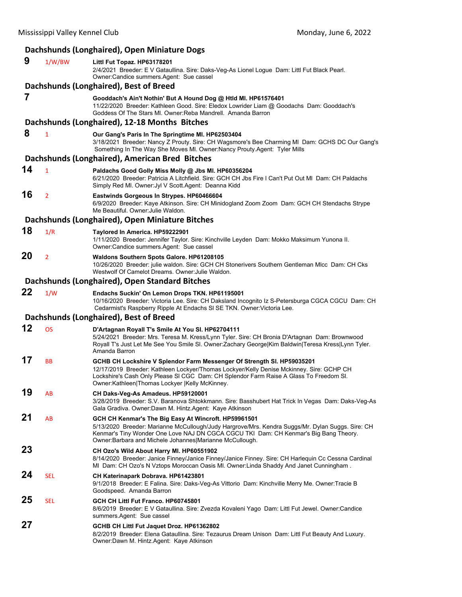# **Dachshunds (Longhaired), Open Miniature Dogs**

| 9  | 1/W/BW         | Littl Fut Topaz. HP63178201<br>2/4/2021 Breeder: E V Gataullina. Sire: Daks-Veg-As Lionel Logue Dam: Littl Fut Black Pearl.<br>Owner: Candice summers. Agent: Sue cassel                                                                                                                                       |
|----|----------------|----------------------------------------------------------------------------------------------------------------------------------------------------------------------------------------------------------------------------------------------------------------------------------------------------------------|
|    |                | Dachshunds (Longhaired), Best of Breed                                                                                                                                                                                                                                                                         |
| 7  |                | Gooddach's Ain't Nothin' But A Hound Dog @ Htld MI. HP61576401<br>11/22/2020 Breeder: Kathleen Good. Sire: Eledox Lowrider Liam @ Goodachs Dam: Gooddach's<br>Goddess Of The Stars MI. Owner: Reba Mandrell. Amanda Barron                                                                                     |
|    |                | Dachshunds (Longhaired), 12-18 Months Bitches                                                                                                                                                                                                                                                                  |
| 8  | 1              | Our Gang's Paris In The Springtime MI. HP62503404<br>3/18/2021 Breeder: Nancy Z Prouty. Sire: CH Wagsmore's Bee Charming MI Dam: GCHS DC Our Gang's<br>Something In The Way She Moves MI. Owner: Nancy Prouty. Agent: Tyler Mills                                                                              |
|    |                | Dachshunds (Longhaired), American Bred Bitches                                                                                                                                                                                                                                                                 |
| 14 | 1              | Paldachs Good Golly Miss Molly @ Jbs MI. HP60356204<br>6/21/2020 Breeder: Patricia A Litchfield. Sire: GCH CH Jbs Fire I Can't Put Out MI Dam: CH Paldachs<br>Simply Red MI. Owner: Jyl V Scott. Agent: Deanna Kidd                                                                                            |
| 16 | $\overline{2}$ | Eastwinds Gorgeous In Strypes. HP60466604<br>6/9/2020 Breeder: Kaye Atkinson. Sire: CH Minidogland Zoom Zoom Dam: GCH CH Stendachs Strype<br>Me Beautiful. Owner: Julie Waldon.                                                                                                                                |
|    |                | Dachshunds (Longhaired), Open Miniature Bitches                                                                                                                                                                                                                                                                |
| 18 | 1/R            | Taylored In America. HP59222901<br>1/11/2020 Breeder: Jennifer Taylor. Sire: Kinchville Leyden Dam: Mokko Maksimum Yunona II.<br>Owner:Candice summers.Agent: Sue cassel                                                                                                                                       |
| 20 | $\overline{2}$ | Waldons Southern Spots Galore. HP61208105<br>10/26/2020 Breeder: julie waldon. Sire: GCH CH Stonerivers Southern Gentleman MIcc Dam: CH Cks<br>Westwolf Of Camelot Dreams, Owner: Julie Waldon,                                                                                                                |
|    |                | Dachshunds (Longhaired), Open Standard Bitches                                                                                                                                                                                                                                                                 |
| 22 | 1/W            | Endachs Suckin' On Lemon Drops TKN. HP61195001<br>10/16/2020 Breeder: Victoria Lee. Sire: CH Daksland Incognito Iz S-Petersburga CGCA CGCU Dam: CH<br>Cedarmist's Raspberry Ripple At Endachs SI SE TKN. Owner: Victoria Lee.                                                                                  |
|    |                | Dachshunds (Longhaired), Best of Breed                                                                                                                                                                                                                                                                         |
| 12 | <b>OS</b>      | D'Artagnan Royall T's Smile At You SI. HP62704111<br>5/24/2021 Breeder: Mrs. Teresa M. Kress/Lynn Tyler. Sire: CH Bronia D'Artagnan Dam: Brownwood<br>Royall T's Just Let Me See You Smile SI. Owner:Zachary George Kim Baldwin Teresa Kress Lynn Tyler.<br>Amanda Barron                                      |
| 17 | BB             | GCHB CH Lockshire V Splendor Farm Messenger Of Strength SI. HP59035201<br>12/17/2019 Breeder: Kathleen Lockyer/Thomas Lockyer/Kelly Denise Mckinney. Sire: GCHP CH<br>Lockshire's Cash Only Please SI CGC Dam: CH Splendor Farm Raise A Glass To Freedom SI.<br>Owner:Kathleen Thomas Lockyer  Kelly McKinney. |
| 19 | AB             | CH Daks-Veg-As Amadeus. HP59120001<br>3/28/2019 Breeder: S.V. Baranova Shtokkmann. Sire: Basshubert Hat Trick In Vegas Dam: Daks-Veg-As<br>Gala Gradiva. Owner:Dawn M. Hintz.Agent: Kaye Atkinson                                                                                                              |
| 21 | AB             | GCH CH Kenmar's The Big Easy At Wincroft. HP59961501<br>5/13/2020 Breeder: Marianne McCullough/Judy Hargrove/Mrs. Kendra Suggs/Mr. Dylan Suggs. Sire: CH<br>Kenmar's Tiny Wonder One Love NAJ DN CGCA CGCU TKI Dam: CH Kenmar's Big Bang Theory.<br>Owner: Barbara and Michele Johannes Marianne McCullough.   |
| 23 |                | CH Ozo's Wild About Harry MI. HP60551902<br>8/14/2020 Breeder: Janice Finney/Janice Finney/Janice Finney. Sire: CH Harlequin Cc Cessna Cardinal<br>MI Dam: CH Ozo's N Vztops Moroccan Oasis MI. Owner:Linda Shaddy And Janet Cunningham.                                                                       |
| 24 | <b>SEL</b>     | CH Katerinapark Dobrava. HP61423801<br>9/1/2018 Breeder: E Falina. Sire: Daks-Veg-As Vittorio Dam: Kinchville Merry Me. Owner: Tracie B<br>Goodspeed. Amanda Barron                                                                                                                                            |
| 25 | SEL            | GCH CH Littl Fut Franco. HP60745801<br>8/6/2019 Breeder: E V Gataullina. Sire: Zvezda Kovaleni Yago Dam: Littl Fut Jewel. Owner:Candice<br>summers.Agent: Sue cassel                                                                                                                                           |
| 27 |                | GCHB CH Littl Fut Jaquet Droz. HP61362802<br>8/2/2019 Breeder: Elena Gataullina. Sire: Tezaurus Dream Unison Dam: Littl Fut Beauty And Luxury.<br>Owner:Dawn M. Hintz.Agent: Kaye Atkinson                                                                                                                     |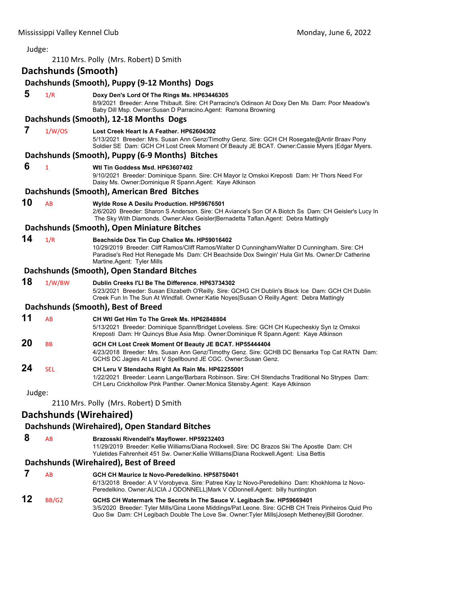| Judge: |                                       |                                                                                                                                                                                                                                                                                |  |  |  |
|--------|---------------------------------------|--------------------------------------------------------------------------------------------------------------------------------------------------------------------------------------------------------------------------------------------------------------------------------|--|--|--|
|        | 2110 Mrs. Polly (Mrs. Robert) D Smith |                                                                                                                                                                                                                                                                                |  |  |  |
|        | Dachshunds (Smooth)                   |                                                                                                                                                                                                                                                                                |  |  |  |
|        |                                       | Dachshunds (Smooth), Puppy (9-12 Months) Dogs                                                                                                                                                                                                                                  |  |  |  |
| 5      | 1/R                                   | Doxy Den's Lord Of The Rings Ms. HP63446305<br>8/9/2021 Breeder: Anne Thibault. Sire: CH Parracino's Odinson At Doxy Den Ms Dam: Poor Meadow's<br>Baby Dill Msp. Owner:Susan D Parracino.Agent: Ramona Browning                                                                |  |  |  |
|        |                                       | Dachshunds (Smooth), 12-18 Months Dogs                                                                                                                                                                                                                                         |  |  |  |
| 7      | 1/W/OS                                | Lost Creek Heart Is A Feather, HP62604302<br>5/13/2021 Breeder: Mrs. Susan Ann Genz/Timothy Genz. Sire: GCH CH Rosegate@Antir Braav Pony<br>Soldier SE Dam: GCH CH Lost Creek Moment Of Beauty JE BCAT. Owner:Cassie Myers   Edgar Myers.                                      |  |  |  |
|        |                                       | Dachshunds (Smooth), Puppy (6-9 Months) Bitches                                                                                                                                                                                                                                |  |  |  |
| 6      | $\mathbf{1}$                          | Wtl Tin Goddess Msd. HP63607402<br>9/10/2021 Breeder: Dominique Spann. Sire: CH Mayor Iz Omskoi Kreposti Dam: Hr Thors Need For<br>Daisy Ms. Owner: Dominique R Spann. Agent: Kaye Atkinson                                                                                    |  |  |  |
|        |                                       | Dachshunds (Smooth), American Bred Bitches                                                                                                                                                                                                                                     |  |  |  |
| 10     | AB                                    | Wylde Rose A Desilu Production. HP59676501<br>2/6/2020 Breeder: Sharon S Anderson. Sire: CH Aviance's Son Of A Biotch Ss Dam: CH Geisler's Lucy In<br>The Sky With Diamonds. Owner: Alex Geisler Bernadetta Taflan. Agent: Debra Mattingly                                     |  |  |  |
|        |                                       | Dachshunds (Smooth), Open Miniature Bitches                                                                                                                                                                                                                                    |  |  |  |
| 14     | 1/R                                   | Beachside Dox Tin Cup Chalice Ms. HP59016402<br>10/29/2019 Breeder: Cliff Ramos/Cliff Ramos/Walter D Cunningham/Walter D Cunningham. Sire: CH<br>Paradise's Red Hot Renegade Ms Dam: CH Beachside Dox Swingin' Hula Girl Ms. Owner: Dr Catherine<br>Martine Agent: Tyler Mills |  |  |  |
|        |                                       | Dachshunds (Smooth), Open Standard Bitches                                                                                                                                                                                                                                     |  |  |  |
| 18     | 1/W/BW                                | Dublin Creeks I'LI Be The Difference, HP63734302<br>5/23/2021 Breeder: Susan Elizabeth O'Reilly. Sire: GCHG CH Dublin's Black Ice Dam: GCH CH Dublin<br>Creek Fun In The Sun At Windfall. Owner:Katie Noyes Susan O Reilly.Agent: Debra Mattingly                              |  |  |  |
|        |                                       | Dachshunds (Smooth), Best of Breed                                                                                                                                                                                                                                             |  |  |  |
| 11     | AB                                    | CH Wtl Get Him To The Greek Ms. HP62848804<br>5/13/2021 Breeder: Dominique Spann/Bridget Loveless. Sire: GCH CH Kupecheskiy Syn Iz Omskoi<br>Kreposti Dam: Hr Quincys Blue Asia Msp. Owner:Dominique R Spann.Agent: Kaye Atkinson                                              |  |  |  |
| 20     | <b>BB</b>                             | GCH CH Lost Creek Moment Of Beauty JE BCAT. HP55444404<br>4/23/2018 Breeder: Mrs. Susan Ann Genz/Timothy Genz. Sire: GCHB DC Bensarka Top Cat RATN Dam:<br>GCHS DC Jagies At Last V Spellbound JE CGC. Owner: Susan Genz.                                                      |  |  |  |
| 24     | <b>SEL</b>                            | CH Leru V Stendachs Right As Rain Ms. HP62255001<br>1/22/2021 Breeder: Leann Lange/Barbara Robinson. Sire: CH Stendachs Traditional No Strypes Dam:<br>CH Leru Crickhollow Pink Panther. Owner: Monica Stensby. Agent: Kaye Atkinson                                           |  |  |  |
| Judge: |                                       |                                                                                                                                                                                                                                                                                |  |  |  |
|        |                                       | 2110 Mrs. Polly (Mrs. Robert) D Smith                                                                                                                                                                                                                                          |  |  |  |
|        | <b>Dachshunds (Wirehaired)</b>        |                                                                                                                                                                                                                                                                                |  |  |  |
|        |                                       | Dachshunds (Wirehaired), Open Standard Bitches                                                                                                                                                                                                                                 |  |  |  |
| 8      | AB                                    | Brazosski Rivendell's Mayflower. HP59232403                                                                                                                                                                                                                                    |  |  |  |

11/29/2019 Breeder: Kellie Williams/Diana Rockwell. Sire: DC Brazos Ski The Apostle Dam: CH Yuletides Fahrenheit 451 Sw. Owner:Kellie Williams|Diana Rockwell.Agent: Lisa Bettis

# **Dachshunds (Wirehaired), Best of Breed**

| 12 | A <sub>B</sub> | GCH CH Maurice Iz Novo-Peredelkino. HP58750401<br>6/13/2018 Breeder: A V Vorobyeva. Sire: Patree Kay Iz Novo-Peredelkino Dam: Khokhloma Iz Novo-<br>Peredelkino. Owner: ALICIA J ODONNELL Mark V ODonnell.Agent: billy huntington                                             |
|----|----------------|-------------------------------------------------------------------------------------------------------------------------------------------------------------------------------------------------------------------------------------------------------------------------------|
|    | BB/G2          | GCHS CH Watermark The Secrets In The Sauce V. Legibach Sw. HP59669401<br>3/5/2020 Breeder: Tyler Mills/Gina Leone Middings/Pat Leone. Sire: GCHB CH Treis Pinheiros Quid Pro<br>Quo Sw Dam: CH Legibach Double The Love Sw. Owner: Tyler Mills Joseph Metheney Bill Gorodner. |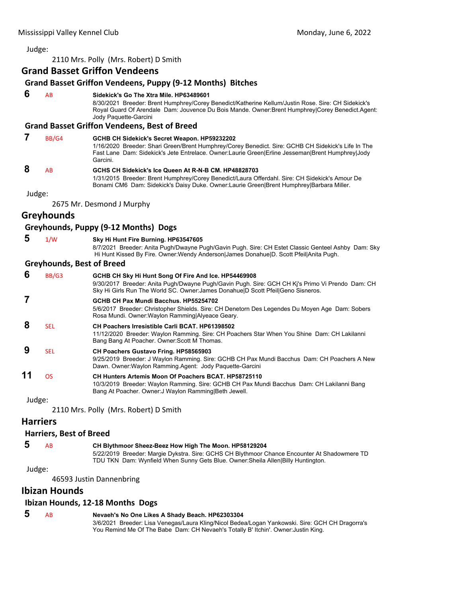2110 Mrs. Polly (Mrs. Robert) D Smith

# **Grand Basset Griffon Vendeens**

# **Grand Basset Griffon Vendeens, Puppy (9‐12 Months) Bitches**

 **6** AB **Sidekick's Go The Xtra Mile. HP63489601**

8/30/2021 Breeder: Brent Humphrey/Corey Benedict/Katherine Kellum/Justin Rose. Sire: CH Sidekick's Royal Guard Of Arendale Dam: Jouvence Du Bois Mande. Owner:Brent Humphrey|Corey Benedict.Agent: Jody Paquette-Garcini

# **Grand Basset Griffon Vendeens, Best of Breed**

| BB/G4 | GCHB CH Sidekick's Secret Weapon. HP59232202<br>1/16/2020 Breeder: Shari Green/Brent Humphrey/Corey Benedict. Sire: GCHB CH Sidekick's Life In The<br>Fast Lane Dam: Sidekick's Jete Entrelace. Owner:Laurie Green Erline Jesseman Brent Humphrey Jody<br>Garcini. |
|-------|--------------------------------------------------------------------------------------------------------------------------------------------------------------------------------------------------------------------------------------------------------------------|
| AR    | GCHS CH Sidekick's Ice Queen At R-N-B CM. HP48828703                                                                                                                                                                                                               |

1/31/2015 Breeder: Brent Humphrey/Corey Benedict/Laura Offerdahl. Sire: CH Sidekick's Amour De Bonami CM6 Dam: Sidekick's Daisy Duke. Owner:Laurie Green|Brent Humphrey|Barbara Miller.

Judge:

2675 Mr. Desmond J Murphy

# **Greyhounds**

#### **Greyhounds, Puppy (9‐12 Months) Dogs**

| -5 | 1/W | Sky Hi Hunt Fire Burning. HP63547605 |
|----|-----|--------------------------------------|
|    |     |                                      |

8/7/2021 Breeder: Anita Pugh/Dwayne Pugh/Gavin Pugh. Sire: CH Estet Classic Genteel Ashby Dam: Sky Hi Hunt Kissed By Fire. Owner:Wendy Anderson|James Donahue|D. Scott Pfeil|Anita Pugh.

#### **Greyhounds, Best of Breed**

| 6         | BB/G3      | GCHB CH Sky Hi Hunt Song Of Fire And Ice. HP54469908<br>9/30/2017 Breeder: Anita Pugh/Dwayne Pugh/Gavin Pugh. Sire: GCH CH Ki's Primo Vi Prendo Dam: CH<br>Sky Hi Girls Run The World SC. Owner: James Donahue D Scott Pfeil Geno Sisneros. |
|-----------|------------|---------------------------------------------------------------------------------------------------------------------------------------------------------------------------------------------------------------------------------------------|
|           |            | GCHB CH Pax Mundi Bacchus, HP55254702<br>5/6/2017 Breeder: Christopher Shields. Sire: CH Denetorn Des Legendes Du Moyen Age Dam: Sobers<br>Rosa Mundi. Owner: Waylon Ramming Alyeace Geary.                                                 |
| 8         | <b>SEL</b> | <b>CH Poachers Irresistible Carli BCAT, HP61398502</b><br>11/12/2020 Breeder: Waylon Ramming. Sire: CH Poachers Star When You Shine Dam: CH Lakilanni<br>Bang Bang At Poacher. Owner: Scott M Thomas.                                       |
| 9         | <b>SEL</b> | <b>CH Poachers Gustavo Fring. HP58565903</b><br>9/25/2019 Breeder: J Waylon Ramming. Sire: GCHB CH Pax Mundi Bacchus Dam: CH Poachers A New<br>Dawn. Owner: Waylon Ramming Agent: Jody Paquette-Garcini                                     |
| 11        | OS         | CH Hunters Artemis Moon Of Poachers BCAT, HP58725110<br>10/3/2019 Breeder: Waylon Ramming. Sire: GCHB CH Pax Mundi Bacchus Dam: CH Lakilanni Bang<br>Bang At Poacher. Owner: J Waylon Ramming Beth Jewell.                                  |
| $lllldal$ |            |                                                                                                                                                                                                                                             |

Judge:

2110 Mrs. Polly (Mrs. Robert) D Smith

#### **Harriers**

#### **Harriers, Best of Breed**

 **5** AB **CH Blythmoor Sheez-Beez How High The Moon. HP58129204**

5/22/2019 Breeder: Margie Dykstra. Sire: GCHS CH Blythmoor Chance Encounter At Shadowmere TD TDU TKN Dam: Wynfield When Sunny Gets Blue. Owner:Sheila Allen|Billy Huntington.

#### Judge:

46593 Justin Dannenbring

# **Ibizan Hounds**

#### **Ibizan Hounds, 12‐18 Months Dogs**

 **5** AB **Nevaeh's No One Likes A Shady Beach. HP62303304**

3/6/2021 Breeder: Lisa Venegas/Laura Kling/Nicol Bedea/Logan Yankowski. Sire: GCH CH Dragorra's You Remind Me Of The Babe Dam: CH Nevaeh's Totally B' Itchin'. Owner: Justin King.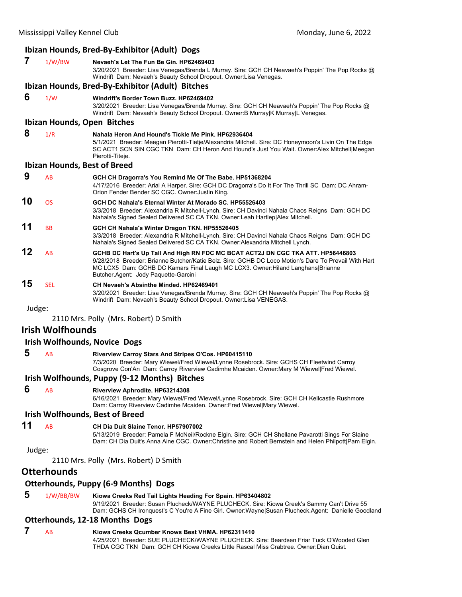## **Ibizan Hounds, Bred‐By‐Exhibitor (Adult) Dogs**

# **7** 1/W/BW **Nevaeh's Let The Fun Be Gin. HP62469403** 3/20/2021 Breeder: Lisa Venegas/Brenda L Murray. Sire: GCH CH Neavaeh's Poppin' The Pop Rocks @ Windrift Dam: Nevaeh's Beauty School Dropout. Owner:Lisa Venegas. **Ibizan Hounds, Bred‐By‐Exhibitor (Adult) Bitches 6** 1/W **Windrift's Border Town Buzz. HP62469402**

3/20/2021 Breeder: Lisa Venegas/Brenda Murray. Sire: GCH CH Neavaeh's Poppin' The Pop Rocks @ Windrift Dam: Nevaeh's Beauty School Dropout. Owner:B Murray|K Murray|L Venegas.

# **Ibizan Hounds, Open Bitches**

 **8** 1/R **Nahala Heron And Hound's Tickle Me Pink. HP62936404** 5/1/2021 Breeder: Meegan Pierotti-Tietje/Alexandria Mitchell. Sire: DC Honeymoon's Livin On The Edge SC ACT1 SCN SIN CGC TKN Dam: CH Heron And Hound's Just You Wait. Owner:Alex Mitchell|Meegan Pierotti-Titeje.

#### **Ibizan Hounds, Best of Breed**

| 9  | AB             | GCH CH Dragorra's You Remind Me Of The Babe. HP51368204<br>4/17/2016 Breeder: Arial A Harper. Sire: GCH DC Dragorra's Do It For The Thrill SC Dam: DC Ahram-<br>Orion Fender Bender SC CGC. Owner: Justin King.                                                                                                    |
|----|----------------|--------------------------------------------------------------------------------------------------------------------------------------------------------------------------------------------------------------------------------------------------------------------------------------------------------------------|
| 10 | <b>OS</b>      | GCH DC Nahala's Eternal Winter At Morado SC, HP55526403<br>3/3/2018 Breeder: Alexandria R Mitchell-Lynch. Sire: CH Davinci Nahala Chaos Reigns Dam: GCH DC<br>Nahala's Signed Sealed Delivered SC CA TKN. Owner: Leah Hartlep Alex Mitchell.                                                                       |
| 11 | <b>BB</b>      | GCH CH Nahala's Winter Dragon TKN. HP55526405<br>3/3/2018 Breeder: Alexandria R Mitchell-Lynch. Sire: CH Davinci Nahala Chaos Reigns Dam: GCH DC<br>Nahala's Signed Sealed Delivered SC CA TKN. Owner: Alexandria Mitchell Lynch.                                                                                  |
| 12 | A <sub>R</sub> | GCHB DC Hart's Up Tall And High RN FDC MC BCAT ACT2J DN CGC TKA ATT. HP56446803<br>9/28/2018 Breeder: Brianne Butcher/Katie Belz, Sire: GCHB DC Loco Motion's Dare To Prevail With Hart<br>MC LCX5 Dam: GCHB DC Kamars Final Laugh MC LCX3. Owner: Hiland Langhans Brianne<br>Butcher Agent: Jody Paquette-Garcini |
| 15 | <b>SEL</b>     | CH Nevaeh's Absinthe Minded. HP62469401<br>3/20/2021 Breeder: Lisa Venegas/Brenda Murray. Sire: GCH CH Neavaeh's Poppin' The Pop Rocks @<br>Windrift Dam: Nevaeh's Beauty School Dropout. Owner: Lisa VENEGAS.                                                                                                     |

Judge:

2110 Mrs. Polly (Mrs. Robert) D Smith

# **Irish Wolfhounds**

#### **Irish Wolfhounds, Novice Dogs**

 **5** AB **Riverview Carroy Stars And Stripes O'Cos. HP60415110** 7/3/2020 Breeder: Mary Wiewel/Fred Wiewel/Lynne Rosebrock. Sire: GCHS CH Fleetwind Carroy Cosgrove Con'An Dam: Carroy Riverview Cadimhe Mcaiden. Owner:Mary M Wiewel|Fred Wiewel.

#### **Irish Wolfhounds, Puppy (9‐12 Months) Bitches**

#### **6** AB **Riverview Aphrodite. HP63214308**

6/16/2021 Breeder: Mary Wiewel/Fred Wiewel/Lynne Rosebrock. Sire: GCH CH Kellcastle Rushmore Dam: Carroy Riverview Cadimhe Mcaiden. Owner:Fred Wiewel|Mary Wiewel.

# **Irish Wolfhounds, Best of Breed**

**11** AB **CH Dia Duit Slaine Tenor. HP57907002**

5/13/2019 Breeder: Pamela F McNeil/Rockne Elgin. Sire: GCH CH Shellane Pavarotti Sings For Slaine Dam: CH Dia Duit's Anna Aine CGC. Owner:Christine and Robert Bernstein and Helen Philpott|Pam Elgin.

Judge:

2110 Mrs. Polly (Mrs. Robert) D Smith

# **Otterhounds**

# **Otterhounds, Puppy (6‐9 Months) Dogs**

# **5** 1/W/BB/BW **Kiowa Creeks Red Tail Lights Heading For Spain. HP63404802**

9/19/2021 Breeder: Susan Plucheck/WAYNE PLUCHECK. Sire: Kiowa Creek's Sammy Can't Drive 55 Dam: GCHS CH Ironquest's C You're A Fine Girl. Owner:Wayne|Susan Plucheck.Agent: Danielle Goodland

# **Otterhounds, 12‐18 Months Dogs**

# **7** AB **Kiowa Creeks Qcumber Knows Best VHMA. HP62311410**

4/25/2021 Breeder: SUE PLUCHECK/WAYNE PLUCHECK. Sire: Beardsen Friar Tuck O'Wooded Glen THDA CGC TKN Dam: GCH CH Kiowa Creeks Little Rascal Miss Crabtree. Owner:Dian Quist.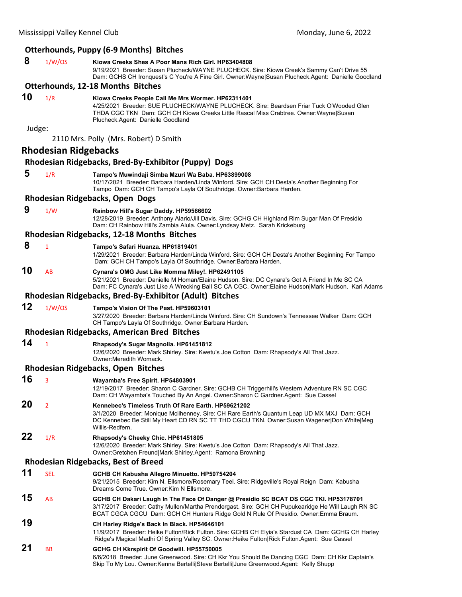|        |                             | <b>Otterhounds, Puppy (6-9 Months) Bitches</b>                                                                                                                                                                                                                                    |
|--------|-----------------------------|-----------------------------------------------------------------------------------------------------------------------------------------------------------------------------------------------------------------------------------------------------------------------------------|
|        |                             |                                                                                                                                                                                                                                                                                   |
| 8      | 1/W/OS                      | Kiowa Creeks Shes A Poor Mans Rich Girl, HP63404808<br>9/19/2021 Breeder: Susan Plucheck/WAYNE PLUCHECK. Sire: Kiowa Creek's Sammy Can't Drive 55<br>Dam: GCHS CH Ironquest's C You're A Fine Girl. Owner:Wayne Susan Plucheck.Agent: Danielle Goodland                           |
|        |                             | <b>Otterhounds, 12-18 Months Bitches</b>                                                                                                                                                                                                                                          |
| 10     | 1/R                         | Kiowa Creeks People Call Me Mrs Wormer. HP62311401<br>4/25/2021 Breeder: SUE PLUCHECK/WAYNE PLUCHECK, Sire: Beardsen Friar Tuck O'Wooded Glen<br>THDA CGC TKN Dam: GCH CH Kiowa Creeks Little Rascal Miss Crabtree. Owner:Wayne Susan<br>Plucheck.Agent: Danielle Goodland        |
| Judge: |                             |                                                                                                                                                                                                                                                                                   |
|        |                             | 2110 Mrs. Polly (Mrs. Robert) D Smith                                                                                                                                                                                                                                             |
|        | <b>Rhodesian Ridgebacks</b> |                                                                                                                                                                                                                                                                                   |
|        |                             | Rhodesian Ridgebacks, Bred-By-Exhibitor (Puppy) Dogs                                                                                                                                                                                                                              |
| 5      | 1/R                         | Tampo's Muwindaji Simba Mzuri Wa Baba. HP63899008<br>10/17/2021 Breeder: Barbara Harden/Linda Winford. Sire: GCH CH Desta's Another Beginning For<br>Tampo Dam: GCH CH Tampo's Layla Of Southridge. Owner:Barbara Harden.                                                         |
|        |                             | Rhodesian Ridgebacks, Open Dogs                                                                                                                                                                                                                                                   |
| 9      | 1/W                         | Rainbow Hill's Sugar Daddy. HP59566602                                                                                                                                                                                                                                            |
|        |                             | 12/28/2019 Breeder: Anthony Alario/Jill Davis. Sire: GCHG CH Highland Rim Sugar Man Of Presidio<br>Dam: CH Rainbow Hill's Zambia Alula. Owner: Lyndsay Metz. Sarah Krickeburg                                                                                                     |
|        |                             | Rhodesian Ridgebacks, 12-18 Months Bitches                                                                                                                                                                                                                                        |
| 8      | 1                           | Tampo's Safari Huanza. HP61819401<br>1/29/2021 Breeder: Barbara Harden/Linda Winford. Sire: GCH CH Desta's Another Beginning For Tampo<br>Dam: GCH CH Tampo's Layla Of Southridge. Owner: Barbara Harden.                                                                         |
| 10     | AB                          | Cynara's OMG Just Like Momma Miley!. HP62491105<br>5/21/2021 Breeder: Danielle M Homan/Elaine Hudson. Sire: DC Cynara's Got A Friend In Me SC CA<br>Dam: FC Cynara's Just Like A Wrecking Ball SC CA CGC. Owner:Elaine Hudson Mark Hudson. Kari Adams                             |
|        |                             | Rhodesian Ridgebacks, Bred-By-Exhibitor (Adult) Bitches                                                                                                                                                                                                                           |
| 12     | 1/W/OS                      | Tampo's Vision Of The Past. HP59603101<br>3/27/2020 Breeder: Barbara Harden/Linda Winford. Sire: CH Sundown's Tennessee Walker Dam: GCH<br>CH Tampo's Layla Of Southridge. Owner: Barbara Harden.                                                                                 |
|        |                             | <b>Rhodesian Ridgebacks, American Bred Bitches</b>                                                                                                                                                                                                                                |
| 14     | $\mathbf{1}$                | Rhapsody's Sugar Magnolia. HP61451812<br>12/6/2020 Breeder: Mark Shirley. Sire: Kwetu's Joe Cotton Dam: Rhapsody's All That Jazz.<br>Owner: Meredith Womack.                                                                                                                      |
|        |                             | <b>Rhodesian Ridgebacks, Open Bitches</b>                                                                                                                                                                                                                                         |
| 16     | $\mathbf{3}$                | Wayamba's Free Spirit. HP54803901<br>12/19/2017 Breeder: Sharon C Gardner. Sire: GCHB CH Triggerhill's Western Adventure RN SC CGC<br>Dam: CH Wayamba's Touched By An Angel. Owner: Sharon C Gardner Agent: Sue Cassel                                                            |
| 20     | $\overline{2}$              | Kennebec's Timeless Truth Of Rare Earth, HP59621202<br>3/1/2020 Breeder: Monique Mcilhenney. Sire: CH Rare Earth's Quantum Leap UD MX MXJ Dam: GCH<br>DC Kennebec Be Still My Heart CD RN SC TT THD CGCU TKN. Owner:Susan Wagener Don White Meg<br>Willis-Redfern.                |
| 22     | 1/R                         | Rhapsody's Cheeky Chic. HP61451805<br>12/6/2020 Breeder: Mark Shirley. Sire: Kwetu's Joe Cotton Dam: Rhapsody's All That Jazz.<br>Owner: Gretchen Freund Mark Shirley.Agent: Ramona Browning                                                                                      |
|        |                             | <b>Rhodesian Ridgebacks, Best of Breed</b>                                                                                                                                                                                                                                        |
| 11     | <b>SEL</b>                  | GCHB CH Kabusha Allegro Minuetto. HP50754204                                                                                                                                                                                                                                      |
|        |                             | 9/21/2015 Breeder: Kim N. Ellsmore/Rosemary Teel. Sire: Ridgeville's Royal Reign Dam: Kabusha<br>Dreams Come True. Owner: Kim N Ellsmore.                                                                                                                                         |
| 15     | AB                          | GCHB CH Dakari Laugh In The Face Of Danger @ Presidio SC BCAT DS CGC TKI. HP53178701<br>3/17/2017 Breeder: Cathy Mullen/Martha Prendergast. Sire: GCH CH Pupukearidge He Will Laugh RN SC<br>BCAT CGCA CGCU Dam: GCH CH Hunters Ridge Gold N Rule Of Presidio. Owner: Emma Braum. |
| 19     |                             | CH Harley Ridge's Back In Black. HP54646101<br>11/9/2017 Breeder: Heike Fulton/Rick Fulton. Sire: GCHB CH Elyia's Stardust CA Dam: GCHG CH Harley<br>Ridge's Magical Madhi Of Spring Valley SC. Owner: Heike Fulton Rick Fulton. Agent: Sue Cassel                                |
| 21     | BB                          | GCHG CH Kkrspirit Of Goodwill. HP55750005<br>6/6/2018 Breeder: June Greenwood. Sire: CH Kkr You Should Be Dancing CGC Dam: CH Kkr Captain's<br>Skip To My Lou. Owner:Kenna Bertelli Steve Bertelli June Greenwood.Agent: Kelly Shupp                                              |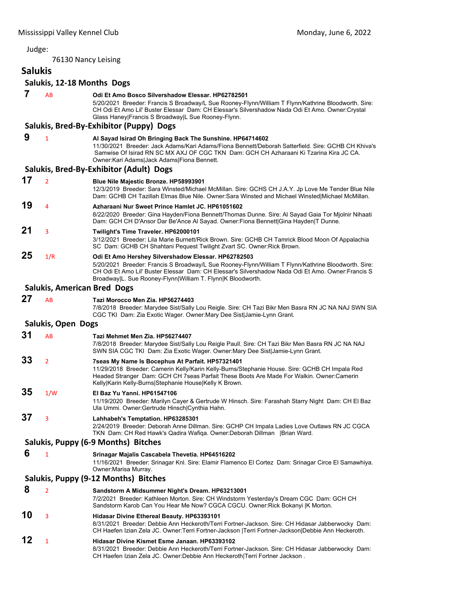76130 Nancy Leising

# **Salukis**

| 7  | AB                        | Odi Et Amo Bosco Silvershadow Elessar, HP62782501<br>5/20/2021 Breeder: Francis S Broadway/L Sue Rooney-Flynn/William T Flynn/Kathrine Bloodworth. Sire:<br>CH Odi Et Amo Lil' Buster Elessar Dam: CH Elessar's Silvershadow Nada Odi Et Amo. Owner: Crystal<br>Glass Haney Francis S Broadway L Sue Rooney-Flynn.              |
|----|---------------------------|---------------------------------------------------------------------------------------------------------------------------------------------------------------------------------------------------------------------------------------------------------------------------------------------------------------------------------|
|    |                           | Salukis, Bred-By-Exhibitor (Puppy) Dogs                                                                                                                                                                                                                                                                                         |
| 9  | $\mathbf{1}$              | Al Sayad Isirad Oh Bringing Back The Sunshine. HP64714602<br>11/30/2021 Breeder: Jack Adams/Kari Adams/Fiona Bennett/Deborah Satterfield. Sire: GCHB CH Khiva's<br>Samwise Of Isirad RN SC MX AXJ OF CGC TKN Dam: GCH CH Azharaani Ki Tzarina Kira JC CA.<br>Owner: Kari Adams Jack Adams Fiona Bennett.                        |
|    |                           | Salukis, Bred-By-Exhibitor (Adult) Dogs                                                                                                                                                                                                                                                                                         |
| 17 | $\overline{2}$            | <b>Blue Nile Majestic Bronze. HP58993901</b><br>12/3/2019 Breeder: Sara Winsted/Michael McMillan. Sire: GCHS CH J.A.Y. Jp Love Me Tender Blue Nile<br>Dam: GCHB CH Tazillah Elmas Blue Nile. Owner:Sara Winsted and Michael Winsted Michael McMillan.                                                                           |
| 19 | 4                         | Azharaani Nur Sweet Prince Hamlet JC, HP61051602<br>8/22/2020 Breeder: Gina Hayden/Fiona Bennett/Thomas Dunne. Sire: Al Sayad Gaia Tor Mjolnir Nihaati<br>Dam: GCH CH D'Ansor Dar Be'Ance Al Sayad. Owner: Fiona Bennett Gina Hayden T Dunne.                                                                                   |
| 21 | 3                         | Twilight's Time Traveler. HP62000101<br>3/12/2021 Breeder: Lila Marie Burnett/Rick Brown. Sire: GCHB CH Tamrick Blood Moon Of Appalachia<br>SC Dam: GCHB CH Shahtani Pequest Twilight Zvart SC. Owner: Rick Brown.                                                                                                              |
| 25 | 1/R                       | Odi Et Amo Hershey Silvershadow Elessar. HP62782503<br>5/20/2021 Breeder: Francis S Broadway/L Sue Rooney-Flynn/William T Flynn/Kathrine Bloodworth. Sire:<br>CH Odi Et Amo Lil' Buster Elessar Dam: CH Elessar's Silvershadow Nada Odi Et Amo. Owner: Francis S<br>Broadway L. Sue Rooney-Flynn William T. Flynn K Bloodworth. |
|    |                           | <b>Salukis, American Bred Dogs</b>                                                                                                                                                                                                                                                                                              |
| 27 | AB                        | Tazi Morocco Men Zia. HP56274403<br>7/8/2018 Breeder: Marydee Sist/Sally Lou Reigle. Sire: CH Tazi Bikr Men Basra RN JC NA NAJ SWN SIA<br>CGC TKI Dam: Zia Exotic Wager. Owner: Mary Dee Sist Jamie-Lynn Grant.                                                                                                                 |
|    | <b>Salukis, Open Dogs</b> |                                                                                                                                                                                                                                                                                                                                 |
| 31 | AB                        | Tazi Mehmet Men Zia. HP56274407<br>7/8/2018 Breeder: Marydee Sist/Sally Lou Reigle Paull. Sire: CH Tazi Bikr Men Basra RN JC NA NAJ<br>SWN SIA CGC TKI Dam: Zia Exotic Wager. Owner: Mary Dee Sist Jamie-Lynn Grant.                                                                                                            |
| 33 | $\overline{2}$            | 7seas My Name Is Bocephus At Parfait. HP57321401<br>11/29/2018 Breeder: Camerin Kelly/Karin Kelly-Burns/Stephanie House. Sire: GCHB CH Impala Red<br>Headed Stranger Dam: GCH CH 7seas Parfait These Boots Are Made For Walkin. Owner:Camerin<br>Kelly Karin Kelly-Burns Stephanie House Kelly K Brown.                         |
| 35 | 1/W                       | El Baz Yu Yanni, HP61547106<br>11/19/2020 Breeder: Marilyn Cayer & Gertrude W Hinsch. Sire: Farashah Starry Night Dam: CH El Baz<br>Ula Ummi. Owner: Gertrude Hinsch Cynthia Hahn.                                                                                                                                              |
| 37 | 3                         | Lahhabeh's Temptation. HP63285301<br>2/24/2019 Breeder: Deborah Anne Dillman. Sire: GCHP CH Impala Ladies Love Outlaws RN JC CGCA<br>TKN Dam: CH Red Hawk's Qadira Wafiqa. Owner:Deborah Dillman   Brian Ward.                                                                                                                  |
|    |                           | Salukis, Puppy (6-9 Months) Bitches                                                                                                                                                                                                                                                                                             |
| 6  | $\mathbf{1}$              | Srinagar Majalis Cascabela Thevetia. HP64516202<br>11/16/2021 Breeder: Srinagar Knl. Sire: Elamir Flamenco El Cortez Dam: Srinagar Circe El Samawhiya.<br>Owner: Marisa Murray.                                                                                                                                                 |
|    |                           | Salukis, Puppy (9-12 Months) Bitches                                                                                                                                                                                                                                                                                            |
| 8  | $\overline{2}$            | Sandstorm A Midsummer Night's Dream. HP63213001<br>7/2/2021 Breeder: Kathleen Morton. Sire: CH Windstorm Yesterday's Dream CGC Dam: GCH CH<br>Sandstorm Karob Can You Hear Me Now? CGCA CGCU. Owner: Rick Bokanyi  K Morton.                                                                                                    |
| 10 | 3                         | Hidasar Divine Ethereal Beauty. HP63393101<br>8/31/2021 Breeder: Debbie Ann Heckeroth/Terri Fortner-Jackson. Sire: CH Hidasar Jabberwocky Dam:<br>CH Haefen Izian Zela JC. Owner: Terri Fortner-Jackson   Terri Fortner-Jackson  Debbie Ann Heckeroth.                                                                          |
| 12 | 1                         | Hidasar Divine Kismet Esme Janaan. HP63393102<br>8/31/2021 Breeder: Debbie Ann Heckeroth/Terri Fortner-Jackson. Sire: CH Hidasar Jabberwocky Dam:<br>CH Haefen Izian Zela JC. Owner:Debbie Ann Heckeroth Terri Fortner Jackson.                                                                                                 |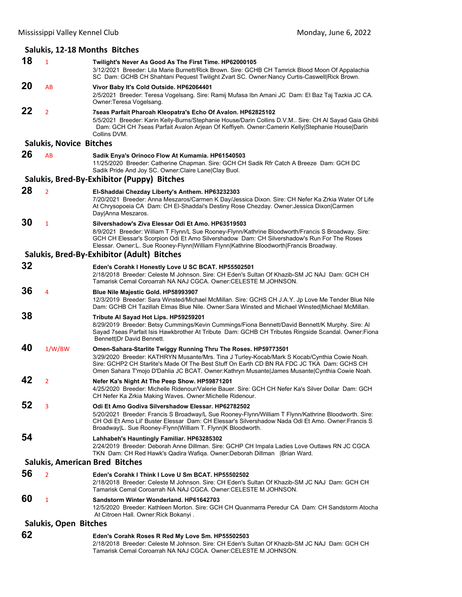|    | Salukis, 12-18 Months Bitches  |                                                                                                                                                                                                                                                                                                                                                              |  |  |
|----|--------------------------------|--------------------------------------------------------------------------------------------------------------------------------------------------------------------------------------------------------------------------------------------------------------------------------------------------------------------------------------------------------------|--|--|
| 18 | $\mathbf{1}$                   | Twilight's Never As Good As The First Time. HP62000105<br>3/12/2021 Breeder: Lila Marie Burnett/Rick Brown. Sire: GCHB CH Tamrick Blood Moon Of Appalachia<br>SC Dam: GCHB CH Shahtani Pequest Twilight Zvart SC. Owner:Nancy Curtis-Caswell Rick Brown.                                                                                                     |  |  |
| 20 | AB                             | Vivor Baby It's Cold Outside. HP62064401<br>2/5/2021 Breeder: Teresa Vogelsang. Sire: Ramij Mufasa Ibn Amani JC Dam: El Baz Taj Tazkia JC CA.<br>Owner:Teresa Vogelsang.                                                                                                                                                                                     |  |  |
| 22 | $\overline{2}$                 | 7seas Parfait Pharoah Kleopatra's Echo Of Avalon. HP62825102<br>5/5/2021 Breeder: Karin Kelly-Burns/Stephanie House/Darin Collins D.V.M., Sire: CH Al Sayad Gaia Ghibli<br>Dam: GCH CH 7seas Parfait Avalon Arjean Of Keffiyeh. Owner:Camerin Kelly Stephanie House Darin<br>Collins DVM.                                                                    |  |  |
|    | <b>Salukis, Novice Bitches</b> |                                                                                                                                                                                                                                                                                                                                                              |  |  |
| 26 | AB                             | Sadik Enya's Orinoco Flow At Kumamia. HP61540503<br>11/25/2020 Breeder: Catherine Chapman. Sire: GCH CH Sadik Rfr Catch A Breeze Dam: GCH DC<br>Sadik Pride And Joy SC. Owner: Claire Lane Clay Buol.                                                                                                                                                        |  |  |
|    |                                | Salukis, Bred-By-Exhibitor (Puppy) Bitches                                                                                                                                                                                                                                                                                                                   |  |  |
| 28 | $\overline{2}$                 | El-Shaddai Chezday Liberty's Anthem. HP63232303<br>7/20/2021 Breeder: Anna Meszaros/Carmen K Day/Jessica Dixon. Sire: CH Nefer Ka Zrkia Water Of Life<br>At Chrysopoeia CA Dam: CH El-Shaddai's Destiny Rose Chezday. Owner: Jessica Dixon Carmen<br>Day Anna Meszaros.                                                                                      |  |  |
| 30 | $\mathbf{1}$                   | Silvershadow's Ziva Elessar Odi Et Amo, HP63519503<br>8/9/2021 Breeder: William T Flynn/L Sue Rooney-Flynn/Kathrine Bloodworth/Francis S Broadway. Sire:<br>GCH CH Elessar's Scorpion Odi Et Amo Silvershadow Dam: CH Silvershadow's Run For The Roses<br>Elessar. Owner:L. Sue Rooney-Flynn William Flynn Kathrine Bloodworth Francis Broadway.             |  |  |
|    |                                | Salukis, Bred-By-Exhibitor (Adult) Bitches                                                                                                                                                                                                                                                                                                                   |  |  |
| 32 |                                | Eden's Corahk I Honestly Love U SC BCAT. HP55502501<br>2/18/2018 Breeder: Celeste M Johnson. Sire: CH Eden's Sultan Of Khazib-SM JC NAJ Dam: GCH CH<br>Tamarisk Cemal Coroarrah NA NAJ CGCA. Owner:CELESTE M JOHNSON.                                                                                                                                        |  |  |
| 36 | 4                              | <b>Blue Nile Majestic Gold. HP58993907</b><br>12/3/2019 Breeder: Sara Winsted/Michael McMillan. Sire: GCHS CH J.A.Y. Jp Love Me Tender Blue Nile<br>Dam: GCHB CH Tazillah Elmas Blue Nile. Owner:Sara Winsted and Michael Winsted Michael McMillan.                                                                                                          |  |  |
| 38 |                                | Tribute Al Sayad Hot Lips. HP59259201<br>8/29/2019 Breeder: Betsy Cummings/Kevin Cummings/Fiona Bennett/David Bennett/K Murphy. Sire: Al<br>Sayad 7seas Parfait Isis Hawkbrother At Tribute Dam: GCHB CH Tributes Ringside Scandal. Owner: Fiona<br>Bennett Dr David Bennett.                                                                                |  |  |
| 40 | 1/W/BW                         | Omen-Sahara-Starlite Twiggy Running Thru The Roses. HP59773501<br>3/29/2020 Breeder: KATHRYN Musante/Mrs. Tina J Turley-Kocab/Mark S Kocab/Cynthia Cowie Noah.<br>Sire: GCHP2 CH Starlite's Made Of The Best Stuff On Earth CD BN RA FDC JC TKA Dam: GCHS CH<br>Omen Sahara T'mojo D'Dahlia JC BCAT. Owner:Kathryn Musante James Musante Cynthia Cowie Noah. |  |  |
| 42 | 2                              | Nefer Ka's Night At The Peep Show. HP59871201<br>4/25/2020 Breeder: Michelle Ridenour/Valerie Bauer. Sire: GCH CH Nefer Ka's Silver Dollar Dam: GCH<br>CH Nefer Ka Zrkia Making Waves. Owner:Michelle Ridenour.                                                                                                                                              |  |  |
| 52 | 3                              | Odi Et Amo Godiva Silvershadow Elessar. HP62782502<br>5/20/2021 Breeder: Francis S Broadway/L Sue Rooney-Flynn/William T Flynn/Kathrine Bloodworth. Sire:<br>CH Odi Et Amo Lil' Buster Elessar Dam: CH Elessar's Silvershadow Nada Odi Et Amo. Owner: Francis S<br>Broadway L. Sue Rooney-Flynn William T. Flynn K Bloodworth.                               |  |  |
| 54 |                                | Lahhabeh's Hauntingly Familiar. HP63285302<br>2/24/2019 Breeder: Deborah Anne Dillman. Sire: GCHP CH Impala Ladies Love Outlaws RN JC CGCA<br>TKN Dam: CH Red Hawk's Qadira Wafiqa. Owner:Deborah Dillman   Brian Ward.                                                                                                                                      |  |  |
|    |                                | <b>Salukis, American Bred Bitches</b>                                                                                                                                                                                                                                                                                                                        |  |  |
| 56 | $\overline{2}$                 | Eden's Corahk I Think I Love U Sm BCAT. HP55502502<br>2/18/2018 Breeder: Celeste M Johnson. Sire: CH Eden's Sultan Of Khazib-SM JC NAJ Dam: GCH CH<br>Tamarisk Cemal Coroarrah NA NAJ CGCA. Owner: CELESTE M JOHNSON.                                                                                                                                        |  |  |
| 60 | 1                              | Sandstorm Winter Wonderland. HP61642703<br>12/5/2020 Breeder: Kathleen Morton. Sire: GCH CH Quanmarra Peredur CA Dam: CH Sandstorm Atocha<br>At Citroen Hall. Owner: Rick Bokanyi.                                                                                                                                                                           |  |  |
|    | <b>Salukis, Open Bitches</b>   |                                                                                                                                                                                                                                                                                                                                                              |  |  |
| 62 |                                | Eden's Corahk Roses R Red My Love Sm. HP55502503<br>rale Outlets Of Khemik OM, IO MA L Daves OOL OU                                                                                                                                                                                                                                                          |  |  |

2/18/2018 Breeder: Celeste M Johnson. Sire: CH Eden's Sultan Of Khazib-SM JC NAJ Dam: GCH CH Tamarisk Cemal Coroarrah NA NAJ CGCA. Owner:CELESTE M JOHNSON.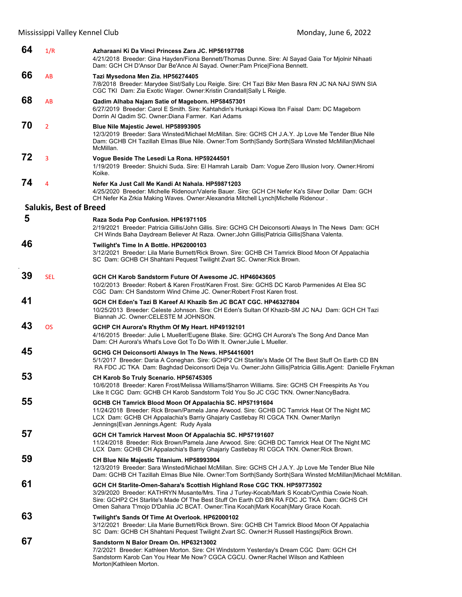| 64 | 1/R                           | Azharaani Ki Da Vinci Princess Zara JC. HP56197708<br>4/21/2018 Breeder: Gina Hayden/Fiona Bennett/Thomas Dunne. Sire: Al Sayad Gaia Tor Mjolnir Nihaati<br>Dam: GCH CH D'Ansor Dar Be'Ance Al Sayad. Owner: Pam Price Fiona Bennett.                                                                                                                         |
|----|-------------------------------|---------------------------------------------------------------------------------------------------------------------------------------------------------------------------------------------------------------------------------------------------------------------------------------------------------------------------------------------------------------|
| 66 | AB                            | Tazi Mysedona Men Zia. HP56274405<br>7/8/2018 Breeder: Marydee Sist/Sally Lou Reigle. Sire: CH Tazi Bikr Men Basra RN JC NA NAJ SWN SIA<br>CGC TKI Dam: Zia Exotic Wager. Owner: Kristin Crandall Sally L Reigle.                                                                                                                                             |
| 68 | AB                            | Qadim Alhaba Najam Satie of Mageborn. HP58457301<br>6/27/2019 Breeder: Carol E Smith. Sire: Kahtahdin's Hunkapi Kiowa Ibn Faisal Dam: DC Mageborn<br>Dorrin Al Qadim SC. Owner: Diana Farmer. Kari Adams                                                                                                                                                      |
| 70 | $\overline{2}$                | Blue Nile Majestic Jewel. HP58993905<br>12/3/2019 Breeder: Sara Winsted/Michael McMillan. Sire: GCHS CH J.A.Y. Jp Love Me Tender Blue Nile<br>Dam: GCHB CH Tazillah Elmas Blue Nile. Owner: Tom Sorth Sandy Sorth Sara Winsted McMillan Michael<br>McMillan.                                                                                                  |
| 72 | 3                             | Vogue Beside The Lesedi La Rona. HP59244501<br>1/19/2019 Breeder: Shuichi Suda. Sire: El Hamrah Laraib Dam: Vogue Zero Illusion Ivory. Owner: Hiromi<br>Koike.                                                                                                                                                                                                |
| 74 | $\overline{4}$                | Nefer Ka Just Call Me Kandi At Nahala, HP59871203<br>4/25/2020 Breeder: Michelle Ridenour/Valerie Bauer. Sire: GCH CH Nefer Ka's Silver Dollar Dam: GCH<br>CH Nefer Ka Zrkia Making Waves. Owner: Alexandria Mitchell Lynch Michelle Ridenour.                                                                                                                |
|    | <b>Salukis, Best of Breed</b> |                                                                                                                                                                                                                                                                                                                                                               |
| 5  |                               | Raza Soda Pop Confusion. HP61971105<br>2/19/2021 Breeder: Patricia Gillis/John Gillis. Sire: GCHG CH Deiconsorti Always In The News Dam: GCH<br>CH Winds Baha Daydream Believer At Raza. Owner: John Gillis   Patricia Gillis   Shana Valenta.                                                                                                                |
| 46 |                               | Twilight's Time In A Bottle. HP62000103<br>3/12/2021 Breeder: Lila Marie Burnett/Rick Brown. Sire: GCHB CH Tamrick Blood Moon Of Appalachia<br>SC Dam: GCHB CH Shahtani Pequest Twilight Zvart SC. Owner: Rick Brown.                                                                                                                                         |
| 39 | <b>SEL</b>                    | GCH CH Karob Sandstorm Future Of Awesome JC. HP46043605<br>10/2/2013 Breeder: Robert & Karen Frost/Karen Frost. Sire: GCHS DC Karob Parmenides At Elea SC<br>CGC Dam: CH Sandstorm Wind Chime JC, Owner: Robert Frost Karen frost,                                                                                                                            |
| 41 |                               | GCH CH Eden's Tazi B Kareef Al Khazib Sm JC BCAT CGC. HP46327804<br>10/25/2013 Breeder: Celeste Johnson. Sire: CH Eden's Sultan Of Khazib-SM JC NAJ Dam: GCH CH Tazi<br>Biannah JC. Owner: CELESTE M JOHNSON.                                                                                                                                                 |
| 43 | <b>OS</b>                     | GCHP CH Aurora's Rhythm Of My Heart. HP49192101<br>4/16/2015 Breeder: Julie L Mueller/Eugene Blake. Sire: GCHG CH Aurora's The Song And Dance Man<br>Dam: CH Aurora's What's Love Got To Do With It. Owner: Julie L Mueller.                                                                                                                                  |
| 45 |                               | GCHG CH Deiconsorti Always In The News. HP54416001<br>5/1/2017 Breeder: Daria A Coneghan. Sire: GCHP2 CH Starlite's Made Of The Best Stuff On Earth CD BN<br>RA FDC JC TKA Dam: Baghdad Deiconsorti Deja Vu. Owner: John Gillis Patricia Gillis.Agent: Danielle Frykman                                                                                       |
| 53 |                               | CH Karob So Truly Scenario. HP56745305<br>10/6/2018 Breeder: Karen Frost/Melissa Williams/Sharron Williams. Sire: GCHS CH Freespirits As You<br>Like It CGC Dam: GCHB CH Karob Sandstorm Told You So JC CGC TKN. Owner: NancyBadra.                                                                                                                           |
| 55 |                               | GCHB CH Tamrick Blood Moon Of Appalachia SC. HP57191604<br>11/24/2018 Breeder: Rick Brown/Pamela Jane Arwood. Sire: GCHB DC Tamrick Heat Of The Night MC<br>LCX Dam: GCHB CH Appalachia's Barriy Ghajariy Castlebay RI CGCA TKN. Owner: Marilyn<br>Jennings Evan Jennings.Agent: Rudy Ayala                                                                   |
| 57 |                               | GCH CH Tamrick Harvest Moon Of Appalachia SC. HP57191607<br>11/24/2018 Breeder: Rick Brown/Pamela Jane Arwood. Sire: GCHB DC Tamrick Heat Of The Night MC<br>LCX Dam: GCHB CH Appalachia's Barriy Ghajariy Castlebay RI CGCA TKN. Owner: Rick Brown.                                                                                                          |
| 59 |                               | CH Blue Nile Majestic Titanium. HP58993904<br>12/3/2019 Breeder: Sara Winsted/Michael McMillan. Sire: GCHS CH J.A.Y. Jp Love Me Tender Blue Nile<br>Dam: GCHB CH Tazillah Elmas Blue Nile. Owner: Tom Sorth Sandy Sorth Sara Winsted McMillan   Michael McMillan.                                                                                             |
| 61 |                               | GCH CH Starlite-Omen-Sahara's Scottish Highland Rose CGC TKN. HP59773502<br>3/29/2020 Breeder: KATHRYN Musante/Mrs. Tina J Turley-Kocab/Mark S Kocab/Cynthia Cowie Noah.<br>Sire: GCHP2 CH Starlite's Made Of The Best Stuff On Earth CD BN RA FDC JC TKA Dam: GCHS CH<br>Omen Sahara T'mojo D'Dahlia JC BCAT. Owner: Tina Kocah Mark Kocah Mary Grace Kocah. |
| 63 |                               | Twilight's Sands Of Time At Overlook. HP62000102<br>3/12/2021 Breeder: Lila Marie Burnett/Rick Brown. Sire: GCHB CH Tamrick Blood Moon Of Appalachia<br>SC Dam: GCHB CH Shahtani Pequest Twilight Zvart SC. Owner: H Russell Hastings Rick Brown.                                                                                                             |
| 67 |                               | Sandstorm N Balor Dream On. HP63213002<br>7/2/2021 Breeder: Kathleen Morton. Sire: CH Windstorm Yesterday's Dream CGC Dam: GCH CH<br>Sandstorm Karob Can You Hear Me Now? CGCA CGCU. Owner: Rachel Wilson and Kathleen<br>Morton Kathleen Morton.                                                                                                             |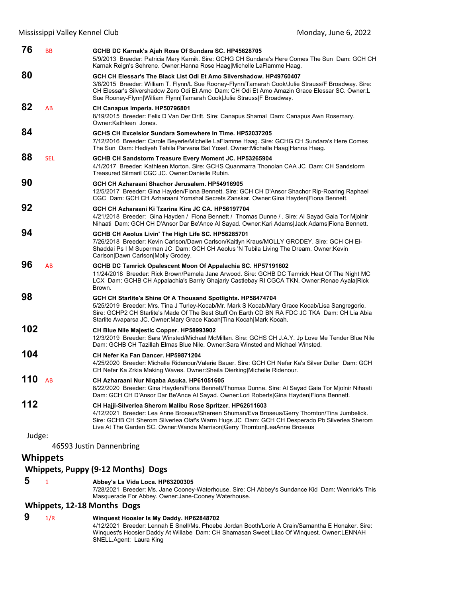| 76     | BB              | GCHB DC Karnak's Ajah Rose Of Sundara SC. HP45628705<br>5/9/2013 Breeder: Patricia Mary Karnik. Sire: GCHG CH Sundara's Here Comes The Sun Dam: GCH CH<br>Karnak Reign's Sehrene. Owner:Hanna Rose Haag Michelle LaFlamme Haag.                                                                                                                     |
|--------|-----------------|-----------------------------------------------------------------------------------------------------------------------------------------------------------------------------------------------------------------------------------------------------------------------------------------------------------------------------------------------------|
| 80     |                 | GCH CH Elessar's The Black List Odi Et Amo Silvershadow. HP49760407<br>3/8/2015 Breeder: William T. Flynn/L Sue Rooney-Flynn/Tamarah Cook/Julie Strauss/F Broadway. Sire:<br>CH Elessar's Silvershadow Zero Odi Et Amo Dam: CH Odi Et Amo Amazin Grace Elessar SC. Owner:L<br>Sue Rooney-Flynn William Flynn Tamarah Cook Julie Strauss F Broadway. |
| 82     | AB              | CH Canapus Imperia. HP50796801<br>8/19/2015 Breeder: Felix D Van Der Drift. Sire: Canapus Shamal Dam: Canapus Awn Rosemary.<br>Owner:Kathleen Jones.                                                                                                                                                                                                |
| 84     |                 | GCHS CH Excelsior Sundara Somewhere In Time, HP52037205<br>7/12/2016 Breeder: Carole Beyerle/Michelle LaFlamme Haag. Sire: GCHG CH Sundara's Here Comes<br>The Sun Dam: Hediyeh Tehila Parvana Bat Yosef. Owner: Michelle Haag Hanna Haag.                                                                                                          |
| 88     | <b>SEL</b>      | GCHB CH Sandstorm Treasure Every Moment JC. HP53265904<br>4/1/2017 Breeder: Kathleen Morton. Sire: GCHS Quanmarra Thonolan CAA JC Dam: CH Sandstorm<br>Treasured Silmaril CGC JC. Owner:Danielle Rubin.                                                                                                                                             |
| 90     |                 | GCH CH Azharaani Shachor Jerusalem. HP54916905<br>12/5/2017 Breeder: Gina Hayden/Fiona Bennett. Sire: GCH CH D'Ansor Shachor Rip-Roaring Raphael<br>CGC Dam: GCH CH Azharaani Yomshal Secrets Zanskar. Owner: Gina Hayden Fiona Bennett.                                                                                                            |
| 92     |                 | GCH CH Azharaani Ki Tzarina Kira JC CA. HP56197704<br>4/21/2018 Breeder: Gina Hayden / Fiona Bennett / Thomas Dunne / Sire: Al Sayad Gaia Tor Mjolnir<br>Nihaati Dam: GCH CH D'Ansor Dar Be'Ance Al Sayad. Owner:Kari Adams Jack Adams Fiona Bennett.                                                                                               |
| 94     |                 | GCHB CH Aeolus Livin' The High Life SC. HP56285701<br>7/26/2018 Breeder: Kevin Carlson/Dawn Carlson/Kaitlyn Kraus/MOLLY GRODEY. Sire: GCH CH El-<br>Shaddai Ps I M Superman JC Dam: GCH CH Aeolus 'N Tubila Living The Dream. Owner: Kevin<br>Carlson Dawn Carlson Molly Grodey.                                                                    |
| 96     | AB              | GCHB DC Tamrick Opalescent Moon Of Appalachia SC. HP57191602<br>11/24/2018 Breeder: Rick Brown/Pamela Jane Arwood. Sire: GCHB DC Tamrick Heat Of The Night MC<br>LCX Dam: GCHB CH Appalachia's Barriy Ghajariy Castlebay RI CGCA TKN. Owner:Renae Ayala Rick<br>Brown.                                                                              |
| 98     |                 | GCH CH Starlite's Shine Of A Thousand Spotlights. HP58474704<br>5/25/2019 Breeder: Mrs. Tina J Turley-Kocab/Mr. Mark S Kocab/Mary Grace Kocab/Lisa Sangregorio.<br>Sire: GCHP2 CH Starlite's Made Of The Best Stuff On Earth CD BN RA FDC JC TKA Dam: CH Lia Abia<br>Starlite Avaparsa JC. Owner:Mary Grace Kacah Tina Kocah Mark Kocah.            |
| 102    |                 | CH Blue Nile Majestic Copper. HP58993902<br>12/3/2019 Breeder: Sara Winsted/Michael McMillan. Sire: GCHS CH J.A.Y. Jp Love Me Tender Blue Nile<br>Dam: GCHB CH Tazillah Elmas Blue Nile. Owner: Sara Winsted and Michael Winsted.                                                                                                                   |
| 104    |                 | CH Nefer Ka Fan Dancer, HP59871204<br>4/25/2020 Breeder: Michelle Ridenour/Valerie Bauer. Sire: GCH CH Nefer Ka's Silver Dollar Dam: GCH<br>CH Nefer Ka Zrkia Making Waves. Owner: Sheila Dierking Michelle Ridenour.                                                                                                                               |
| 110    | AB              | CH Azharaani Nur Nigaba Asuka. HP61051605<br>8/22/2020 Breeder: Gina Hayden/Fiona Bennett/Thomas Dunne. Sire: Al Sayad Gaia Tor Mjolnir Nihaati<br>Dam: GCH CH D'Ansor Dar Be'Ance Al Sayad. Owner:Lori Roberts Gina Hayden Fiona Bennett.                                                                                                          |
| 112    |                 | CH Hajji-Silverlea Sherom Malibu Rose Spritzer. HP62611603<br>4/12/2021 Breeder: Lea Anne Broseus/Shereen Shuman/Eva Broseus/Gerry Thornton/Tina Jumbelick.<br>Sire: GCHB CH Sherom Silverlea Olaf's Warm Hugs JC Dam: GCH CH Desperado Pb Silverlea Sherom<br>Live At The Garden SC. Owner: Wanda Marrison Gerry Thornton LeaAnne Broseus          |
| Judge: |                 | 46593 Justin Dannenbring                                                                                                                                                                                                                                                                                                                            |
|        | <b>Whippets</b> |                                                                                                                                                                                                                                                                                                                                                     |
|        |                 | <b>Whippets, Puppy (9-12 Months) Dogs</b>                                                                                                                                                                                                                                                                                                           |
| 5      | 1               | Abbey's La Vida Loca. HP63200305<br>7/28/2021 Breeder: Ms. Jane Cooney-Waterhouse. Sire: CH Abbey's Sundance Kid Dam: Wenrick's This<br>Masquerade For Abbey. Owner: Jane-Cooney Waterhouse.                                                                                                                                                        |
|        |                 | <b>Whippets, 12-18 Months Dogs</b>                                                                                                                                                                                                                                                                                                                  |
| 9      | 1/R             | Winquest Hoosier Is My Daddy. HP62848702                                                                                                                                                                                                                                                                                                            |

4/12/2021 Breeder: Lennah E Snell/Ms. Phoebe Jordan Booth/Lorie A Crain/Samantha E Honaker. Sire: Winquest's Hoosier Daddy At Willabe Dam: CH Shamasan Sweet Lilac Of Winquest. Owner:LENNAH SNELL.Agent: Laura King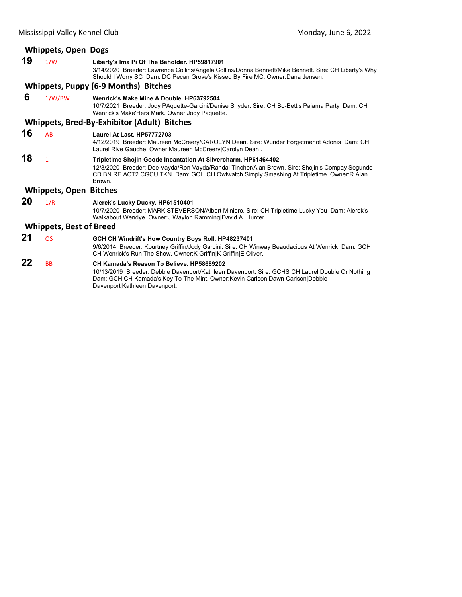# **Whippets, Open Dogs 19** 1/W **Liberty's Ima Pi Of The Beholder. HP59817901** 3/14/2020 Breeder: Lawrence Collins/Angela Collins/Donna Bennett/Mike Bennett. Sire: CH Liberty's Why Should I Worry SC Dam: DC Pecan Grove's Kissed By Fire MC. Owner:Dana Jensen. **Whippets, Puppy (6‐9 Months) Bitches 6** 1/W/BW **Wenrick's Make Mine A Double. HP63792504** 10/7/2021 Breeder: Jody PAquette-Garcini/Denise Snyder. Sire: CH Bo-Bett's Pajama Party Dam: CH Wenrick's Make'Hers Mark. Owner:Jody Paquette. **Whippets, Bred‐By‐Exhibitor (Adult) Bitches 16** AB **Laurel At Last. HP57772703** 4/12/2019 Breeder: Maureen McCreery/CAROLYN Dean. Sire: Wunder Forgetmenot Adonis Dam: CH Laurel Rive Gauche. Owner:Maureen McCreery|Carolyn Dean . **18** <sup>1</sup> **Tripletime Shojin Goode Incantation At Silvercharm. HP61464402** 12/3/2020 Breeder: Dee Vayda/Ron Vayda/Randal Tincher/Alan Brown. Sire: Shojin's Compay Segundo CD BN RE ACT2 CGCU TKN Dam: GCH CH Owlwatch Simply Smashing At Tripletime. Owner:R Alan Brown. **Whippets, Open Bitches 20** 1/R **Alerek's Lucky Ducky. HP61510401** 10/7/2020 Breeder: MARK STEVERSON/Albert Miniero. Sire: CH Tripletime Lucky You Dam: Alerek's Walkabout Wendye. Owner:J Waylon Ramming|David A. Hunter. **Whippets, Best of Breed**

**21** OS **GCH CH Windrift's How Country Boys Roll. HP48237401** 9/6/2014 Breeder: Kourtney Griffin/Jody Garcini. Sire: CH Winway Beaudacious At Wenrick Dam: GCH CH Wenrick's Run The Show. Owner:K Griffin|K Griffin|E Oliver.

**22** BB **CH Kamada's Reason To Believe. HP58689202**

10/13/2019 Breeder: Debbie Davenport/Kathleen Davenport. Sire: GCHS CH Laurel Double Or Nothing Dam: GCH CH Kamada's Key To The Mint. Owner:Kevin Carlson|Dawn Carlson|Debbie Davenport|Kathleen Davenport.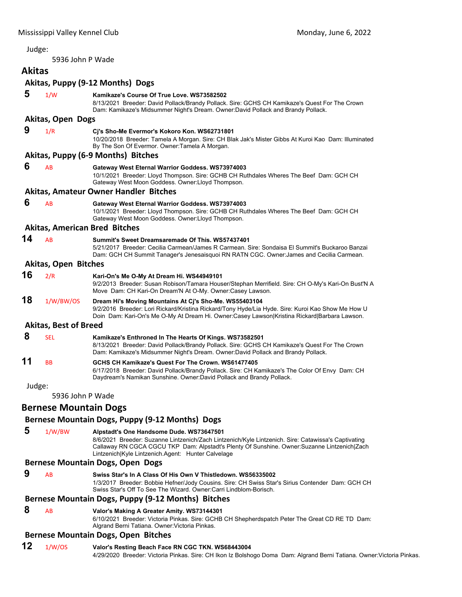<span id="page-22-0"></span>5936 John P Wade

# **Akitas**

# **Akitas, Puppy (9‐12 Months) Dogs**

|        |                              | ANILAS, FUPPY (3-12 NIOHLIIS) DORS                                                                                                                                                                                                                                                                   |
|--------|------------------------------|------------------------------------------------------------------------------------------------------------------------------------------------------------------------------------------------------------------------------------------------------------------------------------------------------|
| 5      | 1/W                          | Kamikaze's Course Of True Love. WS73582502<br>8/13/2021 Breeder: David Pollack/Brandy Pollack. Sire: GCHS CH Kamikaze's Quest For The Crown<br>Dam: Kamikaze's Midsummer Night's Dream. Owner:David Pollack and Brandy Pollack.                                                                      |
|        | <b>Akitas, Open Dogs</b>     |                                                                                                                                                                                                                                                                                                      |
| 9      | 1/R                          | Cj's Sho-Me Evermor's Kokoro Kon. WS62731801<br>10/20/2018  Breeder: Tamela A Morgan. Sire: CH Blak Jak's Mister Gibbs At Kuroi Kao  Dam: Illuminated<br>By The Son Of Evermor. Owner: Tamela A Morgan.                                                                                              |
|        |                              | Akitas, Puppy (6-9 Months) Bitches                                                                                                                                                                                                                                                                   |
| 6      | AB                           | Gateway West Eternal Warrior Goddess. WS73974003<br>10/1/2021 Breeder: Lloyd Thompson. Sire: GCHB CH Ruthdales Wheres The Beef Dam: GCH CH<br>Gateway West Moon Goddess. Owner: Lloyd Thompson.                                                                                                      |
|        |                              | Akitas, Amateur Owner Handler Bitches                                                                                                                                                                                                                                                                |
| 6      | AB                           | Gateway West Eternal Warrior Goddess. WS73974003<br>10/1/2021 Breeder: Lloyd Thompson. Sire: GCHB CH Ruthdales Wheres The Beef Dam: GCH CH<br>Gateway West Moon Goddess. Owner: Lloyd Thompson.                                                                                                      |
|        |                              | <b>Akitas, American Bred Bitches</b>                                                                                                                                                                                                                                                                 |
| 14     | AB                           | Summit's Sweet Dreamsaremade Of This. WS57437401<br>5/21/2017 Breeder: Cecilia Carmean/James R Carmean. Sire: Sondaisa El Summit's Buckaroo Banzai<br>Dam: GCH CH Summit Tanager's Jenesaisquoi RN RATN CGC. Owner: James and Cecilia Carmean.                                                       |
|        | <b>Akitas, Open Bitches</b>  |                                                                                                                                                                                                                                                                                                      |
| 16     | 2/R                          | Kari-On's Me O-My At Dream Hi. WS44949101<br>9/2/2013 Breeder: Susan Robison/Tamara Houser/Stephan Merrifield. Sire: CH O-My's Kari-On Bust'N A<br>Move Dam: CH Kari-On Dream'N At O-My. Owner:Casey Lawson.                                                                                         |
| 18     | 1/W/BW/OS                    | Dream Hi's Moving Mountains At Cj's Sho-Me. WS55403104<br>9/2/2016 Breeder: Lori Rickard/Kristina Rickard/Tony Hyde/Lia Hyde. Sire: Kuroi Kao Show Me How U<br>Doin Dam: Kari-On's Me O-My At Dream Hi. Owner:Casey Lawson Kristina Rickard Barbara Lawson.                                          |
|        | <b>Akitas, Best of Breed</b> |                                                                                                                                                                                                                                                                                                      |
| 8      | <b>SEL</b>                   | Kamikaze's Enthroned In The Hearts Of Kings. WS73582501<br>8/13/2021 Breeder: David Pollack/Brandy Pollack. Sire: GCHS CH Kamikaze's Quest For The Crown<br>Dam: Kamikaze's Midsummer Night's Dream. Owner:David Pollack and Brandy Pollack.                                                         |
| 11     | <b>BB</b>                    | GCHS CH Kamikaze's Quest For The Crown. WS61477405<br>6/17/2018 Breeder: David Pollack/Brandy Pollack. Sire: CH Kamikaze's The Color Of Envy Dam: CH<br>Daydream's Namikan Sunshine. Owner: David Pollack and Brandy Pollack.                                                                        |
| Judge: |                              |                                                                                                                                                                                                                                                                                                      |
|        | 5936 John P Wade             |                                                                                                                                                                                                                                                                                                      |
|        | <b>Bernese Mountain Dogs</b> |                                                                                                                                                                                                                                                                                                      |
|        |                              | Bernese Mountain Dogs, Puppy (9-12 Months) Dogs                                                                                                                                                                                                                                                      |
| 5      | 1/W/BW                       | Alpstadt's One Handsome Dude. WS73647501<br>8/6/2021 Breeder: Suzanne Lintzenich/Zach Lintzenich/Kyle Lintzenich. Sire: Catawissa's Captivating<br>Callaway RN CGCA CGCU TKP Dam: Alpstadt's Plenty Of Sunshine. Owner:Suzanne Lintzenich Zach<br>Lintzenich Kyle Lintzenich.Agent: Hunter Calvelage |
|        |                              | <b>Bernese Mountain Dogs, Open Dogs</b>                                                                                                                                                                                                                                                              |
| 9      | AB                           | Swiss Star's In A Class Of His Own V Thistledown, WS56335002<br>1/3/2017 Breeder: Bobbie Hefner/Jody Cousins. Sire: CH Swiss Star's Sirius Contender Dam: GCH CH<br>Swiss Star's Off To See The Wizard. Owner: Carri Lindblom-Borisch.                                                               |

# **Bernese Mountain Dogs, Puppy (9‐12 Months) Bitches**

 **8** AB **Valor's Making A Greater Amity. WS73144301**

6/10/2021 Breeder: Victoria Pinkas. Sire: GCHB CH Shepherdspatch Peter The Great CD RE TD Dam: Algrand Berni Tatiana. Owner:Victoria Pinkas.

# **Bernese Mountain Dogs, Open Bitches**

# **12** 1/W/OS **Valor's Resting Beach Face RN CGC TKN. WS68443004**

4/29/2020 Breeder: Victoria Pinkas. Sire: CH Ikon Iz Bolshogo Doma Dam: Algrand Berni Tatiana. Owner:Victoria Pinkas.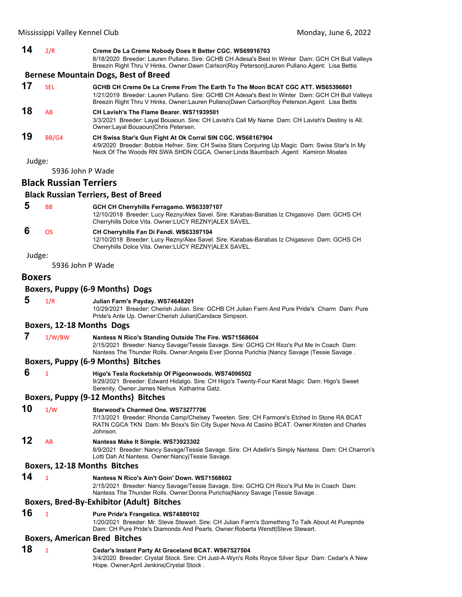| Mississippi Valley Kennel Club |                               |                                                                                                                                                                                                                                                                                    | Monday, June 6, 2022 |
|--------------------------------|-------------------------------|------------------------------------------------------------------------------------------------------------------------------------------------------------------------------------------------------------------------------------------------------------------------------------|----------------------|
| 14                             | 2/R                           | Creme De La Creme Nobody Does It Better CGC. WS69916703<br>8/18/2020 Breeder: Lauren Pullano. Sire: GCHB CH Adesa's Best In Winter Dam: GCH CH Bull Valleys<br>Breezin Right Thru V Hinks. Owner:Dawn Carlson Roy Peterson Lauren Pullano.Agent: Lisa Bettis                       |                      |
|                                |                               | <b>Bernese Mountain Dogs, Best of Breed</b>                                                                                                                                                                                                                                        |                      |
| 17                             | <b>SEL</b>                    | GCHB CH Creme De La Creme From The Earth To The Moon BCAT CGC ATT, WS65396601<br>1/21/2019 Breeder: Lauren Pullano. Sire: GCHB CH Adesa's Best In Winter Dam: GCH CH Bull Valleys<br>Breezin Right Thru V Hinks. Owner:Lauren Pullano Dawn Carlson Roy Peterson.Agent: Lisa Bettis |                      |
| 18                             | AB                            | CH Lavish's The Flame Bearer, WS71939501<br>3/3/2021 Breeder: Layal Bouaoun. Sire: CH Lavish's Call My Name Dam: CH Lavish's Destiny Is All.<br>Owner: Layal Bouaoun Chris Petersen.                                                                                               |                      |
| 19                             | BB/G4                         | CH Swiss Star's Gun Fight At Ok Corral SIN CGC. WS68167904<br>4/9/2020 Breeder: Bobbie Hefner. Sire: CH Swiss Stars Conjuring Up Magic Dam: Swiss Star's In My<br>Neck Of The Woods RN SWA SHDN CGCA. Owner:Linda Baumbach Agent: Kamiron Moates                                   |                      |
| Judge:                         |                               |                                                                                                                                                                                                                                                                                    |                      |
|                                |                               | 5936 John P Wade                                                                                                                                                                                                                                                                   |                      |
|                                | <b>Black Russian Terriers</b> |                                                                                                                                                                                                                                                                                    |                      |
|                                |                               | <b>Black Russian Terriers, Best of Breed</b>                                                                                                                                                                                                                                       |                      |
| 5                              | <b>BB</b>                     | GCH CH Cherryhills Ferragamo. WS63397107<br>12/10/2018 Breeder: Lucy Rezny/Alex Savel. Sire: Karabas-Barabas Iz Chigasovo Dam: GCHS CH<br>Cherryhills Dolce Vita. Owner: LUCY REZNY ALEX SAVEL.                                                                                    |                      |
| 6                              | <b>OS</b>                     | CH Cherryhills Fan Di Fendi. WS63397104<br>12/10/2018 Breeder: Lucy Rezny/Alex Savel. Sire: Karabas-Barabas Iz Chigasovo Dam: GCHS CH<br>Cherryhills Dolce Vita. Owner: LUCY REZNY ALEX SAVEL.                                                                                     |                      |
| Judge:                         |                               |                                                                                                                                                                                                                                                                                    |                      |
|                                |                               | 5936 John P Wade                                                                                                                                                                                                                                                                   |                      |

#### **Boxers**

#### **Boxers, Puppy (6‐9 Months) Dogs**

 **5** 1/R **Julian Farm's Payday. WS74648201**

10/29/2021 Breeder: Cherish Julian. Sire: GCHB CH Julian Farm And Pure Pride's Charm Dam: Pure Pride's Ante Up. Owner:Cherish Julian|Candace Simpson.

#### **Boxers, 12‐18 Months Dogs**

 **7** 1/W/BW **Nantess N Rico's Standing Outside The Fire. WS71568604**

2/15/2021 Breeder: Nancy Savage/Tessie Savage. Sire: GCHG CH Rico's Put Me In Coach Dam: Nantess The Thunder Rolls. Owner:Angela Ever |Donna Purichia |Nancy Savage |Tessie Savage .

#### **Boxers, Puppy (6‐9 Months) Bitches**

 **6** <sup>1</sup> **Higo's Tesla Rocketship Of Pigeonwoods. WS74096502**

9/29/2021 Breeder: Edward Hidalgo. Sire: CH Higo's Twenty-Four Karat Magic Dam: Higo's Sweet Serenity. Owner:James Niehus Katharina Gatz.

#### **Boxers, Puppy (9‐12 Months) Bitches**

**10** 1/W **Starwood's Charmed One. WS73277706**

7/13/2021 Breeder: Rhonda Camp/Chelsey Tweeten. Sire: CH Farmore's Etched In Stone RA BCAT RATN CGCA TKN Dam: Mv Boxx's Sin City Super Nova At Casino BCAT. Owner:Kristen and Charles Johnson.

**12** AB **Nantess Make It Simple. WS73923302**

8/9/2021 Breeder: Nancy Savage/Tessie Savage. Sire: CH Adellin's Simply Nantess Dam: CH Charron's Lotti Dah At Nantess. Owner:Nancy|Tessie Savage.

## **Boxers, 12‐18 Months Bitches**

# **14** <sup>1</sup> **Nantess N Rico's Ain't Goin' Down. WS71568602**

2/15/2021 Breeder: Nancy Savage/Tessie Savage. Sire: GCHG CH Rico's Put Me In Coach Dam: Nantess The Thunder Rolls. Owner:Donna Purichia|Nancy Savage |Tessie Savage .

# **Boxers, Bred‐By‐Exhibitor (Adult) Bitches**

**16** <sup>1</sup> **Pure Pride's Frangelica. WS74880102**

1/20/2021 Breeder: Mr. Steve Stewart. Sire: CH Julian Farm's Something To Talk About At Purepride Dam: CH Pure Pride's Diamonds And Pearls. Owner:Roberta Wendt|Steve Stewart.

# **Boxers, American Bred Bitches**

# **18** <sup>1</sup> **Cedar's Instant Party At Graceland BCAT. WS67527504**

3/4/2020 Breeder: Crystal Stock. Sire: CH Just-A-Wyn's Rolls Royce Silver Spur Dam: Cedar's A New Hope. Owner:April Jenkins|Crystal Stock .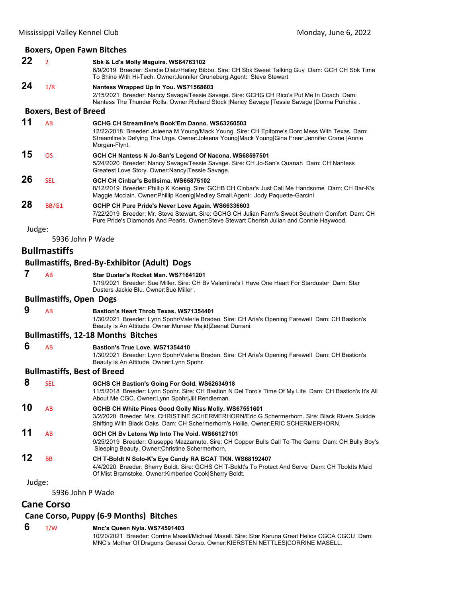# **Boxers, Open Fawn Bitches**

|        |                                    | <b>DUXETS, OPEN FAWIL DILLIES</b>                                                                                                                                                                                                                                  |
|--------|------------------------------------|--------------------------------------------------------------------------------------------------------------------------------------------------------------------------------------------------------------------------------------------------------------------|
| 22     | $\overline{2}$                     | Sbk & Ld's Molly Maguire. WS64763102<br>6/9/2019 Breeder: Sandie Dietz/Hailey Bibbo. Sire: CH Sbk Sweet Talking Guy Dam: GCH CH Sbk Time<br>To Shine With Hi-Tech. Owner: Jennifer Gruneberg. Agent: Steve Stewart                                                 |
| 24     | 1/R                                | Nantess Wrapped Up In You. WS71568603<br>2/15/2021 Breeder: Nancy Savage/Tessie Savage. Sire: GCHG CH Rico's Put Me In Coach Dam:<br>Nantess The Thunder Rolls. Owner: Richard Stock   Nancy Savage   Tessie Savage   Donna Purichia.                              |
|        | <b>Boxers, Best of Breed</b>       |                                                                                                                                                                                                                                                                    |
| 11     | AB                                 | GCHG CH Streamline's Book'Em Danno. WS63260503<br>12/22/2018 Breeder: Joleena M Young/Mack Young. Sire: CH Epitome's Dont Mess With Texas Dam:<br>Streamline's Defying The Urge. Owner: Joleena Young Mack Young Gina Freer Jennifer Crane  Annie<br>Morgan-Flynt. |
| 15     | <b>OS</b>                          | GCH CH Nantess N Jo-San's Legend Of Nacona. WS68597501<br>5/24/2020 Breeder: Nancy Savage/Tessie Savage. Sire: CH Jo-San's Quanah Dam: CH Nantess<br>Greatest Love Story. Owner: Nancy   Tessie Savage.                                                            |
| 26     | <b>SEL</b>                         | GCH CH Cinbar's Bellisima. WS65875102<br>8/12/2019 Breeder: Phillip K Koenig. Sire: GCHB CH Cinbar's Just Call Me Handsome Dam: CH Bar-K's<br>Maggie Mcclain. Owner: Phillip Koenig Medley Small.Agent: Jody Paquette-Garcini                                      |
| 28     | BB/G1                              | GCHP CH Pure Pride's Never Love Again. WS66336603<br>7/22/2019 Breeder: Mr. Steve Stewart. Sire: GCHG CH Julian Farm's Sweet Southern Comfort Dam: CH<br>Pure Pride's Diamonds And Pearls. Owner: Steve Stewart Cherish Julian and Connie Haywood.                 |
| Judge: |                                    | 5936 John P Wade                                                                                                                                                                                                                                                   |
|        | <b>Bullmastiffs</b>                |                                                                                                                                                                                                                                                                    |
|        |                                    | <b>Bullmastiffs, Bred-By-Exhibitor (Adult) Dogs</b>                                                                                                                                                                                                                |
| 7      |                                    |                                                                                                                                                                                                                                                                    |
|        | AB                                 | Star Duster's Rocket Man. WS71641201<br>1/19/2021 Breeder: Sue Miller. Sire: CH By Valentine's I Have One Heart For Starduster Dam: Star<br>Dusters Jackie Blu. Owner Sue Miller.                                                                                  |
|        | <b>Bullmastiffs, Open Dogs</b>     |                                                                                                                                                                                                                                                                    |
| 9      | AB                                 | <b>Bastion's Heart Throb Texas, WS71354401</b><br>1/30/2021 Breeder: Lynn Spohr/Valerie Braden. Sire: CH Aria's Opening Farewell Dam: CH Bastion's<br>Beauty Is An Attitude. Owner: Muneer Majid Zeenat Durrani.                                                   |
|        |                                    | <b>Bullmastiffs, 12-18 Months Bitches</b>                                                                                                                                                                                                                          |
| 6      | AB                                 | Bastion's True Love, WS71354410<br>1/30/2021 Breeder: Lynn Spohr/Valerie Braden. Sire: CH Aria's Opening Farewell Dam: CH Bastion's<br>Beauty Is An Attitude. Owner: Lynn Spohr.                                                                                   |
|        | <b>Bullmastiffs, Best of Breed</b> |                                                                                                                                                                                                                                                                    |
| 8      | <b>SEL</b>                         | GCHS CH Bastion's Going For Gold. WS62634918<br>11/5/2018 Breeder: Lynn Spohr. Sire: CH Bastion N Del Toro's Time Of My Life Dam: CH Bastion's It's All<br>About Me CGC. Owner: Lynn Spohr Jill Rendleman.                                                         |
| 10     | AB                                 | GCHB CH White Pines Good Golly Miss Molly. WS67551601<br>3/2/2020 Breeder: Mrs. CHRISTINE SCHERMERHORN/Eric G Schermerhorn. Sire: Black Rivers Suicide<br>Shifting With Black Oaks Dam: CH Schermerhorn's Hollie. Owner: ERIC SCHERMERHORN.                        |
| 11     | AB                                 | GCH CH Bv Letons Wp Into The Void. WS66127101<br>9/25/2019 Breeder: Giuseppe Mazzamuto. Sire: CH Copper Bulls Call To The Game Dam: CH Bully Boy's<br>Sleeping Beauty. Owner: Christine Schermerhorn.                                                              |
| 12     | ВB                                 | CH T-Boldt N Solo-K's Eye Candy RA BCAT TKN. WS68192407<br>4/4/2020 Breeder: Sherry Boldt. Sire: GCHS CH T-Boldt's To Protect And Serve Dam: CH Tboldts Maid<br>Of Mist Bramstoke. Owner: Kimberlee Cook Sherry Boldt.                                             |
| Judge: |                                    |                                                                                                                                                                                                                                                                    |
|        |                                    | 5936 John P Wade                                                                                                                                                                                                                                                   |

# **Cane Corso**

# **Cane Corso, Puppy (6‐9 Months) Bitches**

# **6** 1/W **Mnc's Queen Nyla. WS74591403**

10/20/2021 Breeder: Corrine Masell/Michael Masell. Sire: Star Karuna Great Helios CGCA CGCU Dam: MNC's Mother Of Dragons Gerassi Corso. Owner:KIERSTEN NETTLES|CORRINE MASELL.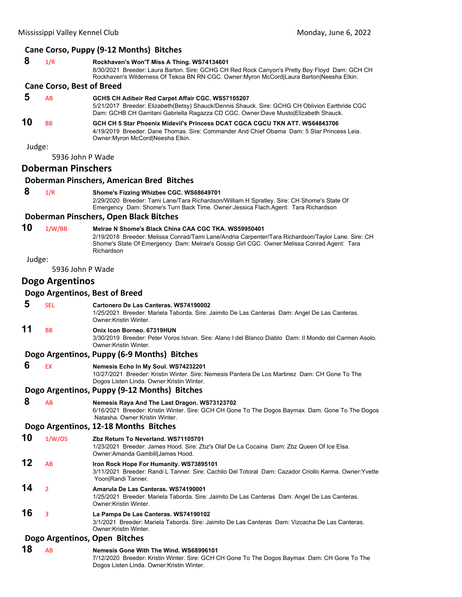# **Cane Corso, Puppy (9‐12 Months) Bitches**

| 8      | 1/R                              | Rockhaven's Won'T Miss A Thing. WS74134601<br>8/30/2021 Breeder: Laura Barton. Sire: GCHG CH Red Rock Canyon's Pretty Boy Floyd Dam: GCH CH<br>Rockhaven's Wilderness Of Tekoa BN RN CGC. Owner:Myron McCord Laura Barton Neesha Elkin.                                |  |
|--------|----------------------------------|------------------------------------------------------------------------------------------------------------------------------------------------------------------------------------------------------------------------------------------------------------------------|--|
|        | <b>Cane Corso, Best of Breed</b> |                                                                                                                                                                                                                                                                        |  |
| 5      | AB                               | GCHS CH Adibeir Red Carpet Affair CGC. WS57105207<br>5/21/2017 Breeder: Elizabeth(Betsy) Shauck/Dennis Shauck. Sire: GCHG CH Oblivion Earthride CGC<br>Dam: GCHB CH Garritani Gabriella Ragazza CD CGC. Owner:Dave Musto Elizabeth Shauck.                             |  |
| 10     | <b>BB</b>                        | GCH CH 5 Star Phoenix Midevil's Princess DCAT CGCA CGCU TKN ATT. WS64843706<br>4/19/2019 Breeder: Dane Thomas, Sire: Commander And Chief Obama Dam: 5 Star Princess Leia.<br>Owner: Myron McCord Neesha Elkin.                                                         |  |
| Judge: |                                  |                                                                                                                                                                                                                                                                        |  |
|        | 5936 John P Wade                 |                                                                                                                                                                                                                                                                        |  |
|        | <b>Doberman Pinschers</b>        |                                                                                                                                                                                                                                                                        |  |
|        |                                  | Doberman Pinschers, American Bred Bitches                                                                                                                                                                                                                              |  |
| 8      | 1/R                              | Shome's Fizzing Whizbee CGC. WS68649701<br>2/29/2020 Breeder: Tami Lane/Tara Richardson/William H Spratley. Sire: CH Shome's State Of<br>Emergency Dam: Shome's Turn Back Time. Owner: Jessica Flach.Agent: Tara Richardson                                            |  |
|        |                                  | Doberman Pinschers, Open Black Bitches                                                                                                                                                                                                                                 |  |
| 10     | 1/W/BB                           | Melrae N Shome's Black China CAA CGC TKA. WS59950401<br>2/19/2018 Breeder: Melissa Conrad/Tami Lane/Andria Carpenter/Tara Richardson/Taylor Lane. Sire: CH<br>Shome's State Of Emergency Dam: Melrae's Gossip Girl CGC. Owner:Melissa Conrad.Agent: Tara<br>Richardson |  |
| Judge: |                                  |                                                                                                                                                                                                                                                                        |  |
|        | 5936 John P Wade                 |                                                                                                                                                                                                                                                                        |  |
|        | Dogo Argentinos                  |                                                                                                                                                                                                                                                                        |  |
|        |                                  | Dogo Argentinos, Best of Breed                                                                                                                                                                                                                                         |  |
| 5      | <b>SEL</b>                       | Cartonero De Las Canteras, WS74190002<br>1/25/2021 Breeder: Mariela Taborda. Sire: Jaimito De Las Canteras Dam: Angel De Las Canteras.<br>Owner: Kristin Winter.                                                                                                       |  |
| 11     | <b>BB</b>                        | Onix Icon Borneo, 67319HUN<br>3/30/2019 Breeder: Peter Voros Istvan. Sire: Alano I del Blanco Diablo Dam: Il Mondo del Carmen Asolo.<br>Owner: Kristin Winter.                                                                                                         |  |
|        |                                  | Dogo Argentinos, Puppy (6-9 Months) Bitches                                                                                                                                                                                                                            |  |
| 6      | <b>EX</b>                        | Nemesis Echo In My Soul. WS74232201<br>10/27/2021 Breeder: Kristin Winter. Sire: Nemesis Pantera De Los Martinez Dam: CH Gone To The<br>Dogos Listen Linda. Owner: Kristin Winter.                                                                                     |  |
|        |                                  | Dogo Argentinos, Puppy (9-12 Months) Bitches                                                                                                                                                                                                                           |  |
| 8      | AB                               | Nemesis Raya And The Last Dragon. WS73123702<br>6/16/2021 Breeder: Kristin Winter. Sire: GCH CH Gone To The Dogos Baymax Dam: Gone To The Dogos<br>Natasha, Owner: Kristin Winter.                                                                                     |  |
|        |                                  | Dogo Argentinos, 12-18 Months Bitches                                                                                                                                                                                                                                  |  |
| 10     | 1/W/OS                           | Zbz Return To Neverland, WS71105701<br>1/23/2021 Breeder: James Hood. Sire: Zbz's Olaf De La Cocaina Dam: Zbz Queen Of Ice Elsa.<br>Owner: Amanda Gambill James Hood.                                                                                                  |  |
| 12     | AB                               | Iron Rock Hope For Humanity. WS73895101<br>3/11/2021 Breeder: Randi L Tanner. Sire: Cachilo Del Totoral Dam: Cazador Criollo Karma. Owner:Yvette<br>Yoon Randi Tanner.                                                                                                 |  |
| 14     | $\overline{2}$                   | Amarula De Las Canteras. WS74190001<br>1/25/2021 Breeder: Mariela Taborda. Sire: Jaimito De Las Canteras Dam: Angel De Las Canteras.<br>Owner: Kristin Winter.                                                                                                         |  |
| 16     | 3                                | La Pampa De Las Canteras. WS74190102<br>3/1/2021 Breeder: Mariela Taborda. Sire: Jaimito De Las Canteras Dam: Vizcacha De Las Canteras.<br>Owner: Kristin Winter.                                                                                                      |  |
|        | Dogo Argentinos, Open Bitches    |                                                                                                                                                                                                                                                                        |  |
| 18     | AB                               | Nemesis Gone With The Wind. WS68996101<br>7/12/2020 Breeder: Kristin Winter. Sire: GCH CH Gone To The Dogos Baymax Dam: CH Gone To The                                                                                                                                 |  |

Dogos Listen Linda. Owner:Kristin Winter.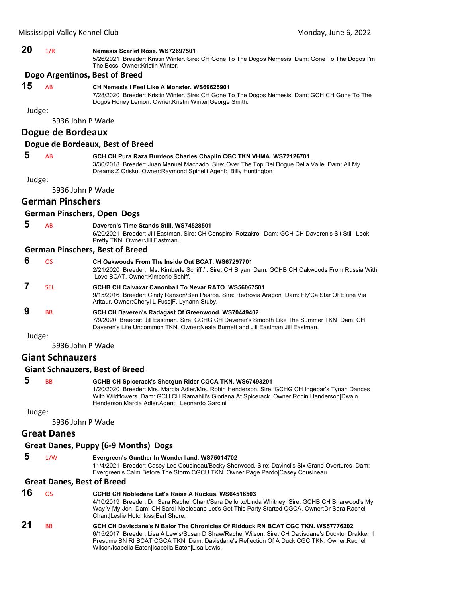# **20** 1/R **Nemesis Scarlet Rose. WS72697501**

5/26/2021 Breeder: Kristin Winter. Sire: CH Gone To The Dogos Nemesis Dam: Gone To The Dogos I'm The Boss. Owner:Kristin Winter.

#### **Dogo Argentinos, Best of Breed**

# **15** AB **CH Nemesis I Feel Like A Monster. WS69625901**

7/28/2020 Breeder: Kristin Winter. Sire: CH Gone To The Dogos Nemesis Dam: GCH CH Gone To The Dogos Honey Lemon. Owner:Kristin Winter|George Smith.

Judge:

5936 John P Wade

# **Dogue de Bordeaux**

#### **Dogue de Bordeaux, Best of Breed**

 **5** AB **GCH CH Pura Raza Burdeos Charles Chaplin CGC TKN VHMA. WS72126701** 3/30/2018 Breeder: Juan Manuel Machado. Sire: Over The Top Dei Dogue Della Valle Dam: All My Dreams Z Orisku. Owner:Raymond Spinelli.Agent: Billy Huntington

Judge:

5936 John P Wade

# **German Pinschers**

#### **German Pinschers, Open Dogs**

 **5** AB **Daveren's Time Stands Still. WS74528501** 6/20/2021 Breeder: Jill Eastman. Sire: CH Conspirol Rotzakroi Dam: GCH CH Daveren's Sit Still Look

Pretty TKN. Owner:Jill Eastman.

#### **German Pinschers, Best of Breed**

| 6 | ΩS                   | CH Oakwoods From The Inside Out BCAT, WS67297701<br>2/21/2020 Breeder: Ms. Kimberle Schiff / . Sire: CH Bryan Dam: GCHB CH Oakwoods From Russia With<br>Love BCAT, Owner:Kimberle Schiff,                                              |
|---|----------------------|----------------------------------------------------------------------------------------------------------------------------------------------------------------------------------------------------------------------------------------|
|   | <b>SFI</b>           | GCHB CH Calvaxar Canonball To Nevar RATO, WS56067501<br>9/15/2016 Breeder: Cindy Ranson/Ben Pearce. Sire: Redrovia Aragon Dam: Fly'Ca Star Of Elune Via<br>Aritaur. Owner: Cheryl L Fuss F. Lynann Stuby.                              |
| 9 | <b>B<sub>B</sub></b> | GCH CH Daveren's Radagast Of Greenwood. WS70449402<br>7/9/2020 Breeder: Jill Eastman, Sire: GCHG CH Daveren's Smooth Like The Summer TKN Dam: CH<br>Daveren's Life Uncommon TKN. Owner: Neala Burnett and Jill Eastman   Jill Eastman. |

Judge:

5936 John P Wade

# **Giant Schnauzers**

#### **Giant Schnauzers, Best of Breed**

| -5 | <b>BB</b> | GCHB CH Spicerack's Shotgun Rider CGCA TKN. WS67493201                                          |
|----|-----------|-------------------------------------------------------------------------------------------------|
|    |           | 1/20/2020 Breeder: Mrs. Marcia Adler/Mrs. Robin Henderson. Sire: GCHG CH Ingebar's Tynan Dances |
|    |           | With Wildflowers Dam: GCH CH Ramahill's Gloriana At Spicerack. Owner: Robin Henderson Dwain     |
|    |           | HendersonlMarcia Adler Agent: Leonardo Garcini                                                  |

Judge:

5936 John P Wade

# **Great Danes**

#### **Great Danes, Puppy (6‐9 Months) Dogs**

# **5** 1/W **Evergreen's Gunther In Wonderlland. WS75014702**

11/4/2021 Breeder: Casey Lee Cousineau/Becky Sherwood. Sire: Davinci's Six Grand Overtures Dam: Evergreen's Calm Before The Storm CGCU TKN. Owner:Page Pardo|Casey Cousineau.

#### **Great Danes, Best of Breed**

| 16 | OS.                  | GCHB CH Nobledane Let's Raise A Ruckus, WS64516503<br>4/10/2019 Breeder: Dr. Sara Rachel Chant/Sara Dellorto/Linda Whitney. Sire: GCHB CH Briarwood's My<br>Way V My-Jon Dam: CH Sardi Nobledane Let's Get This Party Started CGCA. Owner: Dr Sara Rachel<br>Chant Leslie Hotchkiss Earl Shore.                                        |
|----|----------------------|----------------------------------------------------------------------------------------------------------------------------------------------------------------------------------------------------------------------------------------------------------------------------------------------------------------------------------------|
| 21 | <b>B<sub>B</sub></b> | GCH CH Davisdane's N Balor The Chronicles Of Ridduck RN BCAT CGC TKN, WS57776202<br>6/15/2017 Breeder: Lisa A Lewis/Susan D Shaw/Rachel Wilson, Sire: CH Davisdane's Ducktor Drakken I<br>Presume BN RI BCAT CGCA TKN Dam: Davisdane's Reflection Of A Duck CGC TKN. Owner: Rachel<br>Wilson/Isabella EatonlIsabella EatonlLisa Lewis. |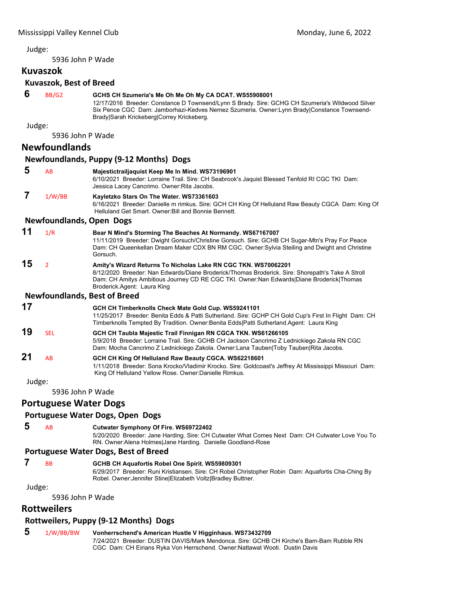5936 John P Wade

#### **Kuvaszok**

### **Kuvaszok, Best of Breed 6** BB/G2 **GCHS CH Szumeria's Me Oh Me Oh My CA DCAT. WS55908001** 12/17/2016 Breeder: Constance D Townsend/Lynn S Brady. Sire: GCHG CH Szumeria's Wildwood Silver Six Pence CGC Dam: Jamborhazi-Kedves Nemez Szumeria. Owner:Lynn Brady|Constance Townsend-Brady|Sarah Krickeberg|Correy Krickeberg. Judge: 5936 John P Wade **Newfoundlands Newfoundlands, Puppy (9‐12 Months) Dogs 5** AB **Majestictrailjaquist Keep Me In Mind. WS73196901** 6/10/2021 Breeder: Lorraine Trail. Sire: CH Seabrook's Jaquist Blessed Tenfold RI CGC TKI Dam: Jessica Lacey Cancrimo. Owner:Rita Jacobs.  **7** 1/W/BB **Kayletzko Stars On The Water. WS73361603** 6/16/2021 Breeder: Danielle m rimkus. Sire: GCH CH King Of Helluland Raw Beauty CGCA Dam: King Of Helluland Get Smart. Owner:Bill and Bonnie Bennett. **Newfoundlands, Open Dogs 11** 1/R **Bear N Mind's Storming The Beaches At Normandy. WS67167007** 11/11/2019 Breeder: Dwight Gorsuch/Christine Gorsuch. Sire: GCHB CH Sugar-Mtn's Pray For Peace Dam: CH Queenkellan Dream Maker CDX BN RM CGC. Owner:Sylvia Steiling and Dwight and Christine Gorsuch. **15** <sup>2</sup> **Amity's Wizard Returns To Nicholas Lake RN CGC TKN. WS70062201** 8/12/2020 Breeder: Nan Edwards/Diane Broderick/Thomas Broderick. Sire: Shorepath's Take A Stroll Dam: CH Amitys Ambitious Journey CD RE CGC TKI. Owner:Nan Edwards|Diane Broderick|Thomas Broderick.Agent: Laura King **Newfoundlands, Best of Breed 17 GCH CH Timberknolls Check Mate Gold Cup. WS59241101** 11/25/2017 Breeder: Benita Edds & Patti Sutherland. Sire: GCHP CH Gold Cup's First In Flight Dam: CH Timberknolls Tempted By Tradition. Owner:Benita Edds|Patti Sutherland.Agent: Laura King **19** SEL **GCH CH Taubla Majestic Trail Finnigan RN CGCA TKN. WS61266105** 5/9/2018 Breeder: Lorraine Trail. Sire: GCHB CH Jackson Cancrimo Z Lednickiego Zakola RN CGC Dam: Mocha Cancrimo Z Lednickiego Zakola. Owner:Lana Tauben|Toby Tauben|Rita Jacobs. **21** AB **GCH CH King Of Helluland Raw Beauty CGCA. WS62218601** 1/11/2018 Breeder: Sona Krocko/Vladimir Krocko. Sire: Goldcoast's Jeffrey At Mississippi Missouri Dam: King Of Helluland Yellow Rose. Owner:Danielle Rimkus. Judge:

5936 John P Wade

# **Portuguese Water Dogs**

#### **Portuguese Water Dogs, Open Dogs**

# **5** AB **Cutwater Symphony Of Fire. WS69722402**

5/20/2020 Breeder: Jane Harding. Sire: CH Cutwater What Comes Next Dam: CH Cutwater Love You To RN. Owner:Alena Holmes|Jane Harding. Danielle Goodland-Rose

# **Portuguese Water Dogs, Best of Breed**

# **7** BB **GCHB CH Aquafortis Robel One Spirit. WS59809301**

6/29/2017 Breeder: Runi Kristiansen. Sire: CH Robel Christopher Robin Dam: Aquafortis Cha-Ching By Robel. Owner:Jennifer Stine|Elizabeth Voltz|Bradley Buttner.

Judge:

5936 John P Wade

# **Rottweilers**

# **Rottweilers, Puppy (9‐12 Months) Dogs**

# **5** 1/W/BB/BW **Vonherrschend's American Hustle V Higginhaus. WS73432709**

7/24/2021 Breeder: DUSTIN DAVIS/Mark Mendonca. Sire: GCHB CH Kirche's Bam-Bam Rubble RN CGC Dam: CH Eirians Ryka Von Herrschend. Owner:Nattawat Wooti. Dustin Davis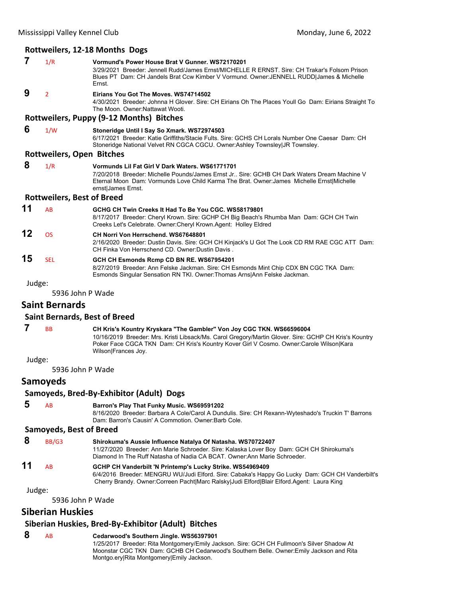#### **Rottweilers, 12‐18 Months Dogs**

- **7** 1/R **Vormund's Power House Brat V Gunner. WS72170201** 3/29/2021 Breeder: Jennell Rudd/James Ernst/MICHELLE R ERNST. Sire: CH Trakar's Folsom Prison Blues PT Dam: CH Jandels Brat Ccw Kimber V Vormund. Owner:JENNELL RUDD|James & Michelle Ernst.  **9** <sup>2</sup> **Eirians You Got The Moves. WS74714502** 4/30/2021 Breeder: Johnna H Glover. Sire: CH Eirians Oh The Places Youll Go Dam: Eirians Straight To The Moon. Owner:Nattawat Wooti. **Rottweilers, Puppy (9‐12 Months) Bitches 6** 1/W **Stoneridge Until I Say So Xmark. WS72974503** 6/17/2021 Breeder: Katie Griffiths/Stacie Fults. Sire: GCHS CH Lorals Number One Caesar Dam: CH Stoneridge National Velvet RN CGCA CGCU. Owner:Ashley Townsley|JR Townsley. **Rottweilers, Open Bitches 8** 1/R **Vormunds Lil Fat Girl V Dark Waters. WS61771701** 7/20/2018 Breeder: Michelle Pounds/James Ernst Jr.. Sire: GCHB CH Dark Waters Dream Machine V Eternal Moon Dam: Vormunds Love Child Karma The Brat. Owner:James Michelle Ernst|Michelle ernst|James Ernst. **Rottweilers, Best of Breed 11** AB **GCHG CH Twin Creeks It Had To Be You CGC. WS58179801** 8/17/2017 Breeder: Cheryl Krown. Sire: GCHP CH Big Beach's Rhumba Man Dam: GCH CH Twin Creeks Let's Celebrate. Owner:Cheryl Krown.Agent: Holley Eldred **12** OS **CH Norri Von Herrschend. WS67648801** 2/16/2020 Breeder: Dustin Davis. Sire: GCH CH Kinjack's U Got The Look CD RM RAE CGC ATT Dam: CH Finka Von Herrschend CD. Owner:Dustin Davis . **15** SEL **GCH CH Esmonds Rcmp CD BN RE. WS67954201** 8/27/2019 Breeder: Ann Felske Jackman. Sire: CH Esmonds Mint Chip CDX BN CGC TKA Dam: Esmonds Singular Sensation RN TKI. Owner:Thomas Arns|Ann Felske Jackman. Judge: 5936 John P Wade **Saint Bernards Saint Bernards, Best of Breed 7** BB **CH Kris's Kountry Kryskara "The Gambler" Von Joy CGC TKN. WS66596004** 10/16/2019 Breeder: Mrs. Kristi Libsack/Ms. Carol Gregory/Martin Glover. Sire: GCHP CH Kris's Kountry Poker Face CGCA TKN Dam: CH Kris's Kountry Kover Girl V Cosmo. Owner:Carole Wilson|Kara Wilson|Frances Joy. Judge: 5936 John P Wade **Samoyeds Samoyeds, Bred‐By‐Exhibitor (Adult) Dogs 5** AB **Barron's Play That Funky Music. WS69591202** 8/16/2020 Breeder: Barbara A Cole/Carol A Dundulis. Sire: CH Rexann-Wyteshado's Truckin T' Barrons Dam: Barron's Causin' A Commotion. Owner:Barb Cole. **Samoyeds, Best of Breed 8** BB/G3 **Shirokuma's Aussie Influence Natalya Of Natasha. WS70722407** 11/27/2020 Breeder: Ann Marie Schroeder. Sire: Kalaska Lover Boy Dam: GCH CH Shirokuma's Diamond In The Ruff Natasha of Nadia CA BCAT. Owner:Ann Marie Schroeder.
- **11** AB **GCHP CH Vanderbilt 'N Printemp's Lucky Strike. WS54969409** 6/4/2016 Breeder: MENGRU WU/Judi Elford. Sire: Cabaka's Happy Go Lucky Dam: GCH CH Vanderbilt's Cherry Brandy. Owner:Correen Pacht|Marc Ralsky|Judi Elford|Blair Elford.Agent: Laura King

Judge:

5936 John P Wade

# **Siberian Huskies**

#### **Siberian Huskies, Bred‐By‐Exhibitor (Adult) Bitches**

#### **8** AB **Cedarwood's Southern Jingle. WS56397901**

1/25/2017 Breeder: Rita Montgomery/Emily Jackson. Sire: GCH CH Fullmoon's Silver Shadow At Moonstar CGC TKN Dam: GCHB CH Cedarwood's Southern Belle. Owner:Emily Jackson and Rita Montgo.ery|Rita Montgomery|Emily Jackson.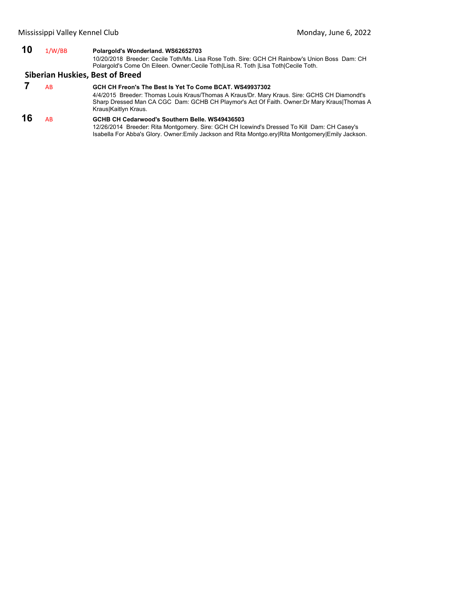# **10** 1/W/BB **Polargold's Wonderland. WS62652703**

10/20/2018 Breeder: Cecile Toth/Ms. Lisa Rose Toth. Sire: GCH CH Rainbow's Union Boss Dam: CH Polargold's Come On Eileen. Owner:Cecile Toth|Lisa R. Toth |Lisa Toth|Cecile Toth.

# **Siberian Huskies, Best of Breed**

## **7** AB **GCH CH Freon's The Best Is Yet To Come BCAT. WS49937302** 4/4/2015 Breeder: Thomas Louis Kraus/Thomas A Kraus/Dr. Mary Kraus. Sire: GCHS CH Diamondt's Sharp Dressed Man CA CGC Dam: GCHB CH Playmor's Act Of Faith. Owner:Dr Mary Kraus|Thomas A Kraus|Kaitlyn Kraus.

**16** AB **GCHB CH Cedarwood's Southern Belle. WS49436503** 12/26/2014 Breeder: Rita Montgomery. Sire: GCH CH Icewind's Dressed To Kill Dam: CH Casey's Isabella For Abba's Glory. Owner:Emily Jackson and Rita Montgo.ery|Rita Montgomery|Emily Jackson.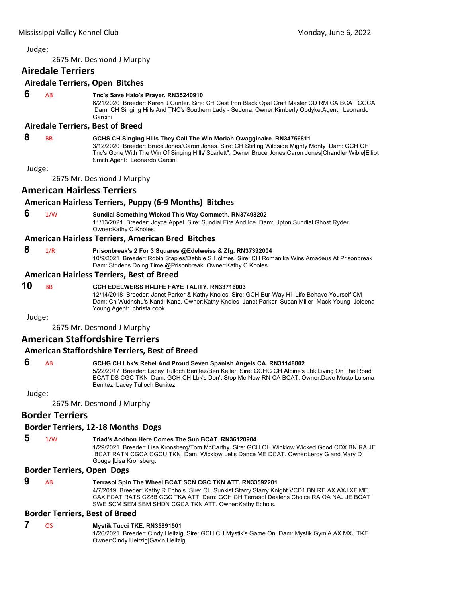<span id="page-30-0"></span>2675 Mr. Desmond J Murphy

# **Airedale Terriers**

## **Airedale Terriers, Open Bitches**

# **6** AB **Tnc's Save Halo's Prayer. RN35240910**

6/21/2020 Breeder: Karen J Gunter. Sire: CH Cast Iron Black Opal Craft Master CD RM CA BCAT CGCA Dam: CH Singing Hills And TNC's Southern Lady - Sedona. Owner:Kimberly Opdyke.Agent: Leonardo Garcini

#### **Airedale Terriers, Best of Breed**

#### **8** BB **GCHS CH Singing Hills They Call The Win Moriah Owagginaire. RN34756811**

3/12/2020 Breeder: Bruce Jones/Caron Jones. Sire: CH Stirling Wildside Mighty Monty Dam: GCH CH Tnc's Gone With The Win Of Singing Hills"Scarlett". Owner:Bruce Jones|Caron Jones|Chandler Wible|Elliot Smith.Agent: Leonardo Garcini

Judge:

2675 Mr. Desmond J Murphy

# **American Hairless Terriers**

# **American Hairless Terriers, Puppy (6‐9 Months) Bitches**

#### **6** 1/W **Sundial Something Wicked This Way Commeth. RN37498202** 11/13/2021 Breeder: Joyce Appel. Sire: Sundial Fire And Ice Dam: Upton Sundial Ghost Ryder. Owner:Kathy C Knoles.

#### **American Hairless Terriers, American Bred Bitches**

## **8** 1/R **Prisonbreak's 2 For 3 Squares @Edelweiss & Zfg. RN37392004**

10/9/2021 Breeder: Robin Staples/Debbie S Holmes. Sire: CH Romanika Wins Amadeus At Prisonbreak Dam: Strider's Doing Time @Prisonbreak. Owner:Kathy C Knoles.

#### **American Hairless Terriers, Best of Breed**

# **10** BB **GCH EDELWEISS HI-LIFE FAYE TALITY. RN33716003**

12/14/2018 Breeder: Janet Parker & Kathy Knoles. Sire: GCH Bur-Way Hi- Life Behave Yourself CM Dam: Ch Wudnshu's Kandi Kane. Owner:Kathy Knoles Janet Parker Susan Miller Mack Young Joleena Young.Agent: christa cook

Judge:

2675 Mr. Desmond J Murphy

# **American Staffordshire Terriers**

# **American Staffordshire Terriers, Best of Breed**

# **6** AB **GCHG CH Lbk's Rebel And Proud Seven Spanish Angels CA. RN31148802**

5/22/2017 Breeder: Lacey Tulloch Benitez/Ben Keller. Sire: GCHG CH Alpine's Lbk Living On The Road BCAT DS CGC TKN Dam: GCH CH Lbk's Don't Stop Me Now RN CA BCAT. Owner:Dave Musto|Luisma Benitez |Lacey Tulloch Benitez.

Judge:

#### 2675 Mr. Desmond J Murphy

# **Border Terriers**

#### **Border Terriers, 12‐18 Months Dogs**

 **5** 1/W **Triad's Aodhon Here Comes The Sun BCAT. RN36120904**

1/29/2021 Breeder: Lisa Kronsberg/Tom McCarthy. Sire: GCH CH Wicklow Wicked Good CDX BN RA JE BCAT RATN CGCA CGCU TKN Dam: Wicklow Let's Dance ME DCAT. Owner:Leroy G and Mary D Gouge |Lisa Kronsberg.

#### **Border Terriers, Open Dogs**

# **9** AB **Terrasol Spin The Wheel BCAT SCN CGC TKN ATT. RN33592201**

4/7/2019 Breeder: Kathy R Echols. Sire: CH Sunkist Starry Starry Knight VCD1 BN RE AX AXJ XF ME CAX FCAT RATS CZ8B CGC TKA ATT Dam: GCH CH Terrasol Dealer's Choice RA OA NAJ JE BCAT SWE SCM SEM SBM SHDN CGCA TKN ATT. Owner:Kathy Echols.

#### **Border Terriers, Best of Breed**

#### **7** OS **Mystik Tucci TKE. RN35891501**

1/26/2021 Breeder: Cindy Heitzig. Sire: GCH CH Mystik's Game On Dam: Mystik Gym'A AX MXJ TKE. Owner:Cindy Heitzig|Gavin Heitzig.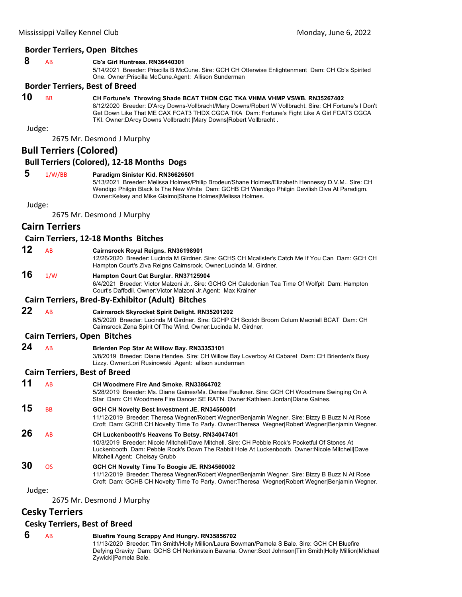# **Border Terriers, Open Bitches**

# **8** AB **Cb's Girl Huntress. RN36440301**

5/14/2021 Breeder: Priscilla B McCune. Sire: GCH CH Otterwise Enlightenment Dam: CH Cb's Spirited One. Owner:Priscilla McCune.Agent: Allison Sunderman

# **Border Terriers, Best of Breed**

**10** BB **CH Fortune's Throwing Shade BCAT THDN CGC TKA VHMA VHMP VSWB. RN35267402**

8/12/2020 Breeder: D'Arcy Downs-Vollbracht/Mary Downs/Robert W Vollbracht. Sire: CH Fortune's I Don't Get Down Like That ME CAX FCAT3 THDX CGCA TKA Dam: Fortune's Fight Like A Girl FCAT3 CGCA TKI. Owner:DArcy Downs Vollbracht |Mary Downs|Robert Vollbracht .

Judge:

2675 Mr. Desmond J Murphy

# **Bull Terriers (Colored)**

# **Bull Terriers (Colored), 12‐18 Months Dogs**

# **5** 1/W/BB **Paradigm Sinister Kid. RN36626501**

5/13/2021 Breeder: Melissa Holmes/Philip Brodeur/Shane Holmes/Elizabeth Hennessy D.V.M.. Sire: CH Wendigo Philgin Black Is The New White Dam: GCHB CH Wendigo Philgin Devilish Diva At Paradigm. Owner:Kelsey and Mike Giaimo|Shane Holmes|Melissa Holmes.

Judge:

2675 Mr. Desmond J Murphy

# **Cairn Terriers**

#### **Cairn Terriers, 12‐18 Months Bitches**

**12** AB **Cairnsrock Royal Reigns. RN36198901**

12/26/2020 Breeder: Lucinda M Girdner. Sire: GCHS CH Mcalister's Catch Me If You Can Dam: GCH CH Hampton Court's Ziva Reigns Cairnsrock. Owner:Lucinda M. Girdner.

# **16** 1/W **Hampton Court Cat Burglar. RN37125904**

6/4/2021 Breeder: Victor Malzoni Jr.. Sire: GCHG CH Caledonian Tea Time Of Wolfpit Dam: Hampton Court's Daffodil. Owner:Victor Malzoni Jr.Agent: Max Krainer

#### **Cairn Terriers, Bred‐By‐Exhibitor (Adult) Bitches**

**22** AB **Cairnsrock Skyrocket Spirit Delight. RN35201202**

6/5/2020 Breeder: Lucinda M Girdner. Sire: GCHP CH Scotch Broom Colum Macniall BCAT Dam: CH Cairnsrock Zena Spirit Of The Wind. Owner:Lucinda M. Girdner.

#### **Cairn Terriers, Open Bitches**

**24** AB **Brierden Pop Star At Willow Bay. RN33353101**

3/8/2019 Breeder: Diane Hendee. Sire: CH Willow Bay Loverboy At Cabaret Dam: CH Brierden's Busy Lizzy. Owner:Lori Rusinowski .Agent: allison sunderman

#### **Cairn Terriers, Best of Breed**

| 11                 | AB        | <b>CH Woodmere Fire And Smoke, RN33864702</b><br>5/28/2019 Breeder: Ms. Diane Gaines/Ms. Denise Faulkner. Sire: GCH CH Woodmere Swinging On A<br>Star Dam: CH Woodmere Fire Dancer SE RATN. Owner: Kathleen Jordan Diane Gaines.                                                    |
|--------------------|-----------|-------------------------------------------------------------------------------------------------------------------------------------------------------------------------------------------------------------------------------------------------------------------------------------|
| 15                 | <b>BB</b> | GCH CH Novelty Best Investment JE. RN34560001<br>11/12/2019 Breeder: Theresa Wegner/Robert Wegner/Benjamin Wegner. Sire: Bizzy B Buzz N At Rose<br>Croft Dam: GCHB CH Novelty Time To Party. Owner: Theresa Wegner Robert Wegner Benjamin Wegner.                                   |
| 26                 | AB        | CH Luckenbooth's Heavens To Betsy. RN34047401<br>10/3/2019 Breeder: Nicole Mitchell/Dave Mitchell, Sire: CH Pebble Rock's Pocketful Of Stones At<br>Luckenbooth Dam: Pebble Rock's Down The Rabbit Hole At Luckenbooth. Owner:Nicole Mitchell Dave<br>Mitchell Agent: Chelsay Grubb |
| 30                 | <b>OS</b> | GCH CH Novelty Time To Boogie JE. RN34560002<br>11/12/2019 Breeder: Theresa Wegner/Robert Wegner/Benjamin Wegner, Sire: Bizzy B Buzz N At Rose<br>Croft Dam: GCHB CH Novelty Time To Party. Owner: Theresa Wegner Robert Wegner Benjamin Wegner.                                    |
| المتحاط والمستندان |           |                                                                                                                                                                                                                                                                                     |

Judge:

2675 Mr. Desmond J Murphy

# **Cesky Terriers**

#### **Cesky Terriers, Best of Breed**

#### **6** AB **Bluefire Young Scrappy And Hungry. RN35856702**

11/13/2020 Breeder: Tim Smith/Holly Million/Laura Bowman/Pamela S Bale. Sire: GCH CH Bluefire Defying Gravity Dam: GCHS CH Norkinstein Bavaria. Owner:Scot Johnson|Tim Smith|Holly Million|Michael Zywicki|Pamela Bale.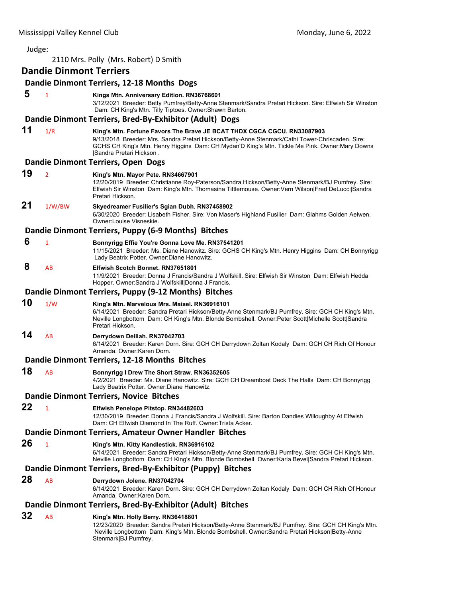| Judge:                                |                                |                                                                                                                                                                                                                                                                                                          |  |
|---------------------------------------|--------------------------------|----------------------------------------------------------------------------------------------------------------------------------------------------------------------------------------------------------------------------------------------------------------------------------------------------------|--|
| 2110 Mrs. Polly (Mrs. Robert) D Smith |                                |                                                                                                                                                                                                                                                                                                          |  |
|                                       | <b>Dandie Dinmont Terriers</b> |                                                                                                                                                                                                                                                                                                          |  |
|                                       |                                | Dandie Dinmont Terriers, 12-18 Months Dogs                                                                                                                                                                                                                                                               |  |
| 5                                     | $\mathbf{1}$                   | Kings Mtn. Anniversary Edition. RN36768601<br>3/12/2021 Breeder: Betty Pumfrey/Betty-Anne Stenmark/Sandra Pretari Hickson. Sire: Elfwish Sir Winston<br>Dam: CH King's Mtn. Tilly Tiptoes. Owner: Shawn Barton.                                                                                          |  |
|                                       |                                | Dandie Dinmont Terriers, Bred-By-Exhibitor (Adult) Dogs                                                                                                                                                                                                                                                  |  |
| 11                                    | 1/R                            | King's Mtn. Fortune Favors The Brave JE BCAT THDX CGCA CGCU. RN33087903<br>9/13/2018 Breeder: Mrs. Sandra Pretari Hickson/Betty-Anne Stenmark/Cathi Tower-Chriscaden. Sire:<br>GCHS CH King's Mtn. Henry Higgins Dam: CH Mydan'D King's Mtn. Tickle Me Pink. Owner:Mary Downs<br>Sandra Pretari Hickson. |  |
|                                       |                                | Dandie Dinmont Terriers, Open Dogs                                                                                                                                                                                                                                                                       |  |
| 19                                    | $\overline{2}$                 | King's Mtn. Mayor Pete. RN34667901<br>12/20/2019 Breeder: Christianne Roy-Paterson/Sandra Hickson/Betty-Anne Stenmark/BJ Pumfrey. Sire:<br>Elfwish Sir Winston Dam: King's Mtn. Thomasina Tittlemouse. Owner: Vern Wilson Fred DeLucci Sandra<br>Pretari Hickson.                                        |  |
| 21                                    | 1/W/BW                         | Skyedreamer Fusilier's Sgian Dubh. RN37458902<br>6/30/2020 Breeder: Lisabeth Fisher. Sire: Von Maser's Highland Fusilier Dam: Glahms Golden Aelwen.<br>Owner: Louise Visneskie.                                                                                                                          |  |
|                                       |                                | Dandie Dinmont Terriers, Puppy (6-9 Months) Bitches                                                                                                                                                                                                                                                      |  |
| 6                                     | $\mathbf{1}$                   | Bonnyrigg Effie You're Gonna Love Me. RN37541201<br>11/15/2021 Breeder: Ms. Diane Hanowitz. Sire: GCHS CH King's Mtn. Henry Higgins Dam: CH Bonnyrigg<br>Lady Beatrix Potter. Owner: Diane Hanowitz.                                                                                                     |  |
| 8                                     | AB                             | Elfwish Scotch Bonnet, RN37651801<br>11/9/2021 Breeder: Donna J Francis/Sandra J Wolfskill. Sire: Elfwish Sir Winston Dam: Elfwish Hedda<br>Hopper. Owner: Sandra J Wolfskill Donna J Francis.                                                                                                           |  |
|                                       |                                | Dandie Dinmont Terriers, Puppy (9-12 Months) Bitches                                                                                                                                                                                                                                                     |  |
| 10                                    | 1/W                            | King's Mtn. Marvelous Mrs. Maisel. RN36916101<br>6/14/2021 Breeder: Sandra Pretari Hickson/Betty-Anne Stenmark/BJ Pumfrey. Sire: GCH CH King's Mtn.<br>Neville Longbottom Dam: CH King's Mtn. Blonde Bombshell. Owner:Peter Scott Michelle Scott Sandra<br>Pretari Hickson.                              |  |
| 14                                    | AB                             | Derrydown Delilah. RN37042703<br>6/14/2021 Breeder: Karen Dorn. Sire: GCH CH Derrydown Zoltan Kodaly Dam: GCH CH Rich Of Honour<br>Amanda. Owner: Karen Dorn.                                                                                                                                            |  |
|                                       |                                | Dandie Dinmont Terriers, 12-18 Months Bitches                                                                                                                                                                                                                                                            |  |
| 18                                    | AB                             | Bonnyrigg I Drew The Short Straw. RN36352605<br>4/2/2021 Breeder: Ms. Diane Hanowitz. Sire: GCH CH Dreamboat Deck The Halls Dam: CH Bonnyrigg<br>Lady Beatrix Potter. Owner: Diane Hanowitz.                                                                                                             |  |
|                                       |                                | Dandie Dinmont Terriers, Novice Bitches                                                                                                                                                                                                                                                                  |  |
| 22                                    | $\mathbf{1}$                   | Elfwish Penelope Pitstop. RN34482603<br>12/30/2019 Breeder: Donna J Francis/Sandra J Wolfskill. Sire: Barton Dandies Willoughby At Elfwish<br>Dam: CH Elfwish Diamond In The Ruff. Owner: Trista Acker.                                                                                                  |  |
|                                       |                                | Dandie Dinmont Terriers, Amateur Owner Handler Bitches                                                                                                                                                                                                                                                   |  |
| 26                                    | $\mathbf{1}$                   | King's Mtn. Kitty Kandlestick. RN36916102<br>6/14/2021 Breeder: Sandra Pretari Hickson/Betty-Anne Stenmark/BJ Pumfrey. Sire: GCH CH King's Mtn.<br>Neville Longbottom Dam: CH King's Mtn. Blonde Bombshell. Owner: Karla Bevel Sandra Pretari Hickson.                                                   |  |
|                                       |                                | Dandie Dinmont Terriers, Bred-By-Exhibitor (Puppy) Bitches                                                                                                                                                                                                                                               |  |
| 28                                    | AB                             | Derrydown Jolene. RN37042704<br>6/14/2021 Breeder: Karen Dorn. Sire: GCH CH Derrydown Zoltan Kodaly Dam: GCH CH Rich Of Honour<br>Amanda. Owner: Karen Dorn.                                                                                                                                             |  |
|                                       |                                | Dandie Dinmont Terriers, Bred-By-Exhibitor (Adult) Bitches                                                                                                                                                                                                                                               |  |
| 32                                    | AB                             | King's Mtn. Holly Berry. RN36418801<br>12/23/2020 Breeder: Sandra Pretari Hickson/Betty-Anne Stenmark/BJ Pumfrey. Sire: GCH CH King's Mtn.<br>Neville Longbottom Dam: King's Mtn. Blonde Bombshell. Owner:Sandra Pretari Hickson Betty-Anne<br>Stenmark   BJ Pumfrey.                                    |  |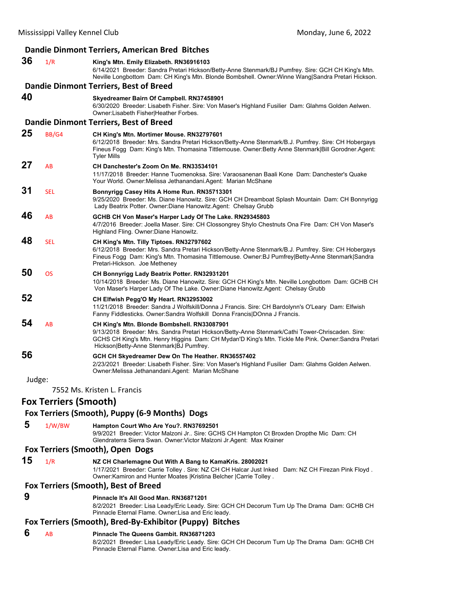|        |                              | Dandie Dinmont Terriers, American Bred Bitches                                                                                                                                                                                                                                                   |
|--------|------------------------------|--------------------------------------------------------------------------------------------------------------------------------------------------------------------------------------------------------------------------------------------------------------------------------------------------|
| 36     | 1/R                          | King's Mtn. Emily Elizabeth. RN36916103<br>6/14/2021 Breeder: Sandra Pretari Hickson/Betty-Anne Stenmark/BJ Pumfrey. Sire: GCH CH King's Mtn.<br>Neville Longbottom Dam: CH King's Mtn. Blonde Bombshell. Owner:Winne Wang Sandra Pretari Hickson.                                               |
|        |                              | Dandie Dinmont Terriers, Best of Breed                                                                                                                                                                                                                                                           |
| 40     |                              | Skyedreamer Bairn Of Campbell. RN37458901<br>6/30/2020 Breeder: Lisabeth Fisher. Sire: Von Maser's Highland Fusilier Dam: Glahms Golden Aelwen.<br>Owner:Lisabeth Fisher Heather Forbes.                                                                                                         |
|        |                              | Dandie Dinmont Terriers, Best of Breed                                                                                                                                                                                                                                                           |
| 25     | BB/G4                        | CH King's Mtn. Mortimer Mouse. RN32797601<br>6/12/2018 Breeder: Mrs. Sandra Pretari Hickson/Betty-Anne Stenmark/B.J. Pumfrey. Sire: CH Hobergays<br>Fineus Fogg Dam: King's Mtn. Thomasina Tittlemouse. Owner: Betty Anne Stenmark Bill Gorodner. Agent:<br>Tyler Mills                          |
| 27     | AB                           | CH Danchester's Zoom On Me. RN33534101<br>11/17/2018 Breeder: Hanne Tuomenoksa. Sire: Varaosanenan Baali Kone Dam: Danchester's Quake<br>Your World. Owner: Melissa Jethanandani. Agent: Marian McShane                                                                                          |
| 31     | <b>SEL</b>                   | Bonnyrigg Casey Hits A Home Run. RN35713301<br>9/25/2020 Breeder: Ms. Diane Hanowitz. Sire: GCH CH Dreamboat Splash Mountain Dam: CH Bonnyrigg<br>Lady Beatrix Potter. Owner: Diane Hanowitz. Agent: Chelsay Grubb                                                                               |
| 46     | AB                           | GCHB CH Von Maser's Harper Lady Of The Lake. RN29345803<br>4/7/2016 Breeder: Joella Maser. Sire: CH Clossongrey Shylo Chestnuts Ona Fire Dam: CH Von Maser's<br>Highland Fling. Owner: Diane Hanowitz.                                                                                           |
| 48     | <b>SEL</b>                   | CH King's Mtn. Tilly Tiptoes. RN32797602<br>6/12/2018 Breeder: Mrs. Sandra Pretari Hickson/Betty-Anne Stenmark/B.J. Pumfrey. Sire: CH Hobergays<br>Fineus Fogg Dam: King's Mtn. Thomasina Tittlemouse. Owner:BJ Pumfrey Betty-Anne Stenmark Sandra<br>Pretari-Hickson. Joe Metheney              |
| 50     | <b>OS</b>                    | CH Bonnyrigg Lady Beatrix Potter. RN32931201<br>10/14/2018 Breeder: Ms. Diane Hanowitz. Sire: GCH CH King's Mtn. Neville Longbottom Dam: GCHB CH<br>Von Maser's Harper Lady Of The Lake. Owner:Diane Hanowitz.Agent: Chelsay Grubb                                                               |
| 52     |                              | CH Elfwish Pegg'O My Heart. RN32953002<br>11/21/2018 Breeder: Sandra J Wolfskill/Donna J Francis. Sire: CH Bardolynn's O'Leary Dam: Elfwish<br>Fanny Fiddlesticks. Owner: Sandra Wolfskill Donna Francis DOnna J Francis.                                                                        |
| 54     | AB                           | CH King's Mtn. Blonde Bombshell. RN33087901<br>9/13/2018 Breeder: Mrs. Sandra Pretari Hickson/Betty-Anne Stenmark/Cathi Tower-Chriscaden. Sire:<br>GCHS CH King's Mtn. Henry Higgins Dam: CH Mydan'D King's Mtn. Tickle Me Pink. Owner:Sandra Pretari<br>Hickson Betty-Anne Stenmark BJ Pumfrey. |
| 56     |                              | GCH CH Skyedreamer Dew On The Heather. RN36557402<br>2/23/2021 Breeder: Lisabeth Fisher. Sire: Von Maser's Highland Fusilier Dam: Glahms Golden Aelwen.<br>Owner: Melissa Jethanandani. Agent: Marian McShane                                                                                    |
| Judge: |                              |                                                                                                                                                                                                                                                                                                  |
|        |                              | 7552 Ms. Kristen L. Francis                                                                                                                                                                                                                                                                      |
|        | <b>Fox Terriers (Smooth)</b> |                                                                                                                                                                                                                                                                                                  |
|        |                              | Fox Terriers (Smooth), Puppy (6-9 Months) Dogs                                                                                                                                                                                                                                                   |
| 5      | 1/W/BW                       | Hampton Court Who Are You?. RN37692501<br>9/9/2021 Breeder: Victor Malzoni Jr Sire: GCHS CH Hampton Ct Broxden Dropthe Mic Dam: CH<br>Glendraterra Sierra Swan. Owner Victor Malzoni Jr. Agent: Max Krainer                                                                                      |
|        |                              | Fox Terriers (Smooth), Open Dogs                                                                                                                                                                                                                                                                 |
| 15     | 1/R                          | NZ CH Charlemagne Out With A Bang to KamaKris. 28002021<br>1/17/2021 Breeder: Carrie Tolley . Sire: NZ CH CH Halcar Just Inked Dam: NZ CH Firezan Pink Floyd.<br>Owner: Kamiron and Hunter Moates   Kristina Belcher   Carrie Tolley.                                                            |
|        |                              | Fox Terriers (Smooth), Best of Breed                                                                                                                                                                                                                                                             |
| 9      |                              | Pinnacle It's All Good Man. RN36871201<br>8/2/2021 Breeder: Lisa Leady/Eric Leady. Sire: GCH CH Decorum Turn Up The Drama Dam: GCHB CH<br>Pinnacle Eternal Flame. Owner: Lisa and Eric leady.                                                                                                    |
|        |                              | Fox Terriers (Smooth), Bred-By-Exhibitor (Puppy) Bitches                                                                                                                                                                                                                                         |
| 6      | AB                           | Pinnacle The Queens Gambit. RN36871203<br>8/2/2021 Breeder: Lisa Leady/Eric Leady. Sire: GCH CH Decorum Turn Up The Drama Dam: GCHB CH<br>Pinnacle Eternal Flame. Owner: Lisa and Eric leady.                                                                                                    |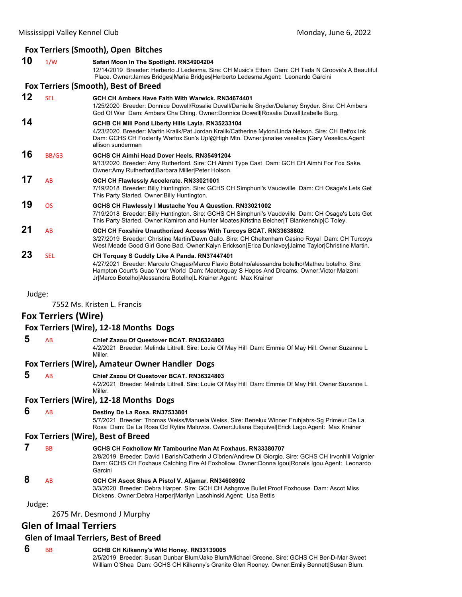|        |                            | Fox Terriers (Smooth), Open Bitches                                                                                                                                                                                                                                                                              |
|--------|----------------------------|------------------------------------------------------------------------------------------------------------------------------------------------------------------------------------------------------------------------------------------------------------------------------------------------------------------|
| 10     | 1/W                        | Safari Moon In The Spotlight. RN34904204<br>12/14/2019 Breeder: Herberto J Ledesma. Sire: CH Music's Ethan Dam: CH Tada N Groove's A Beautiful<br>Place. Owner: James Bridges Maria Bridges Herberto Ledesma.Agent: Leonardo Garcini                                                                             |
|        |                            | Fox Terriers (Smooth), Best of Breed                                                                                                                                                                                                                                                                             |
| 12     | <b>SEL</b>                 | GCH CH Ambers Have Faith With Warwick, RN34674401<br>1/25/2020 Breeder: Donnice Dowell/Rosalie Duvall/Danielle Snyder/Delaney Snyder. Sire: CH Ambers<br>God Of War Dam: Ambers Cha Ching. Owner:Donnice Dowell Rosalie Duvall Izabelle Burg.                                                                    |
| 14     |                            | GCHB CH Mill Pond Liberty Hills Layla. RN35233104<br>4/23/2020 Breeder: Martin Kralik/Pat Jordan Kralik/Catherine Myton/Linda Nelson. Sire: CH Belfox Ink<br>Dam: GCHS CH Foxterity Warfox Sun's Up!@High Mtn. Owner:janalee veselica  Gary Veselica.Agent:<br>allison sunderman                                 |
| 16     | BB/G3                      | GCHS CH Aimhi Head Dover Heels, RN35491204<br>9/13/2020 Breeder: Amy Rutherford. Sire: CH Aimhi Type Cast Dam: GCH CH Aimhi For Fox Sake.<br>Owner:Amy Rutherford Barbara Miller Peter Holson.                                                                                                                   |
| 17     | AB                         | GCH CH Flawlessly Accelerate. RN33021001<br>7/19/2018 Breeder: Billy Huntington. Sire: GCHS CH Simphuni's Vaudeville Dam: CH Osage's Lets Get<br>This Party Started. Owner: Billy Huntington.                                                                                                                    |
| 19     | <b>OS</b>                  | GCHS CH Flawlessly I Mustache You A Question. RN33021002<br>7/19/2018 Breeder: Billy Huntington. Sire: GCHS CH Simphuni's Vaudeville Dam: CH Osage's Lets Get<br>This Party Started. Owner: Kamiron and Hunter Moates   Kristina Belcher   T Blankenship   C Toley.                                              |
| 21     | AB                         | GCH CH Foxshire Unauthorized Access With Turcoys BCAT. RN33638802<br>3/27/2019 Breeder: Christine Martin/Dawn Gallo. Sire: CH Cheltenham Casino Royal Dam: CH Turcoys<br>West Meade Good Girl Gone Bad. Owner:Kalyn Erickson Erica Dunlavey Jaime Taylor Christine Martin.                                       |
| 23     | <b>SEL</b>                 | CH Torquay S Cuddly Like A Panda. RN37447401<br>4/27/2021 Breeder: Marcelo Chagas/Marco Flavio Botelho/alessandra botelho/Matheu botelho. Sire:<br>Hampton Court's Guac Your World Dam: Maetorquay S Hopes And Dreams. Owner: Victor Malzoni<br>Jr Marco Botelho Alessandra Botelho L Krainer Agent: Max Krainer |
| Judge: |                            | 7552 Ms. Kristen L. Francis                                                                                                                                                                                                                                                                                      |
|        | <b>Fox Terriers (Wire)</b> |                                                                                                                                                                                                                                                                                                                  |
|        |                            | Fox Terriers (Wire), 12-18 Months Dogs                                                                                                                                                                                                                                                                           |
| 5      | AB                         | Chief Zazou Of Questover BCAT. RN36324803<br>4/2/2021 Breeder: Melinda Littrell. Sire: Louie Of May Hill Dam: Emmie Of May Hill. Owner:Suzanne L<br>Miller.                                                                                                                                                      |
|        |                            | Fox Terriers (Wire), Amateur Owner Handler Dogs                                                                                                                                                                                                                                                                  |
| 5      | AB                         | <b>Chief Zazou Of Questover BCAT, RN36324803</b><br>4/2/2021 Breeder: Melinda Littrell. Sire: Louie Of May Hill Dam: Emmie Of May Hill. Owner:Suzanne L<br>Miller.                                                                                                                                               |
|        |                            | Fox Terriers (Wire), 12-18 Months Dogs                                                                                                                                                                                                                                                                           |
| 6      | AB                         | Destiny De La Rosa. RN37533801<br>5/7/2021 Breeder: Thomas Weiss/Manuela Weiss. Sire: Benelux Winner Fruhjahrs-Sg Primeur De La<br>Rosa Dam: De La Rosa Od Rytire Malovce. Owner: Juliana Esquivel Erick Lago. Agent: Max Krainer                                                                                |
|        |                            | Fox Terriers (Wire), Best of Breed                                                                                                                                                                                                                                                                               |
| 7      | BB                         | GCHS CH Foxhollow Mr Tambourine Man At Foxhaus. RN33380707<br>2/8/2019 Breeder: David I Barish/Catherin J O'brien/Andrew Di Giorgio. Sire: GCHS CH Irvonhill Voignier<br>Dam: GCHS CH Foxhaus Catching Fire At Foxhollow. Owner:Donna Igou Ronals Igou.Agent: Leonardo<br>Garcini                                |
| 8      | AB                         | GCH CH Ascot Shes A Pistol V. Aljamar. RN34608902<br>3/3/2020 Breeder: Debra Harper. Sire: GCH CH Ashgrove Bullet Proof Foxhouse Dam: Ascot Miss<br>Dickens. Owner: Debra Harper Marilyn Laschinski. Agent: Lisa Bettis                                                                                          |

2675 Mr. Desmond J Murphy

# **Glen of Imaal Terriers**

# **Glen of Imaal Terriers, Best of Breed**

 **6** BB **GCHB CH Kilkenny's Wild Honey. RN33139005**

2/5/2019 Breeder: Susan Dunbar Blum/Jake Blum/Michael Greene. Sire: GCHS CH Ber-D-Mar Sweet William O'Shea Dam: GCHS CH Kilkenny's Granite Glen Rooney. Owner:Emily Bennett|Susan Blum.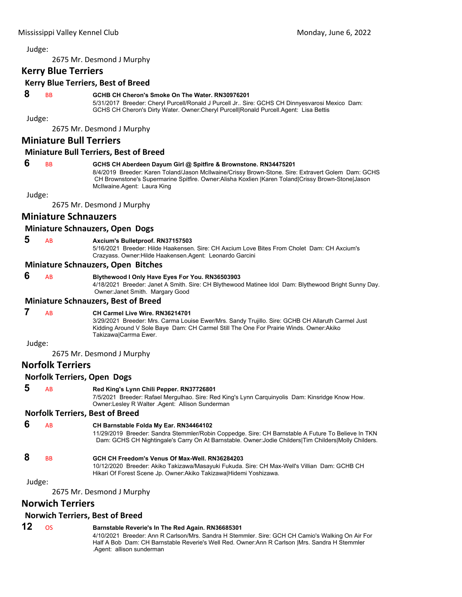2675 Mr. Desmond J Murphy

# **Kerry Blue Terriers**

# **Kerry Blue Terriers, Best of Breed**

#### **8** BB **GCHB CH Cheron's Smoke On The Water. RN30976201**

5/31/2017 Breeder: Cheryl Purcell/Ronald J Purcell Jr.. Sire: GCHS CH Dinnyesvarosi Mexico Dam: GCHS CH Cheron's Dirty Water. Owner:Cheryl Purcell|Ronald Purcell.Agent: Lisa Bettis

Judge:

2675 Mr. Desmond J Murphy

# **Miniature Bull Terriers**

#### **Miniature Bull Terriers, Best of Breed**

#### **6** BB **GCHS CH Aberdeen Dayum Girl @ Spitfire & Brownstone. RN34475201**

8/4/2019 Breeder: Karen Toland/Jason McIlwaine/Crissy Brown-Stone. Sire: Extravert Golem Dam: GCHS CH Brownstone's Supermarine Spitfire. Owner:Alisha Koxlien |Karen Toland|Crissy Brown-Stone|Jason McIlwaine.Agent: Laura King

Judge:

2675 Mr. Desmond J Murphy

# **Miniature Schnauzers**

#### **Miniature Schnauzers, Open Dogs**

 **5** AB **Axcium's Bulletproof. RN37157503**

5/16/2021 Breeder: Hilde Haakensen. Sire: CH Axcium Love Bites From Cholet Dam: CH Axcium's Crazyass. Owner:Hilde Haakensen.Agent: Leonardo Garcini

#### **Miniature Schnauzers, Open Bitches**

# **6** AB **Blythewood I Only Have Eyes For You. RN36503903**

4/18/2021 Breeder: Janet A Smith. Sire: CH Blythewood Matinee Idol Dam: Blythewood Bright Sunny Day. Owner:Janet Smith. Margary Good

## **Miniature Schnauzers, Best of Breed**

# **7** AB **CH Carmel Live Wire. RN36214701**

3/29/2021 Breeder: Mrs. Carma Louise Ewer/Mrs. Sandy Trujillo. Sire: GCHB CH Allaruth Carmel Just Kidding Around V Sole Baye Dam: CH Carmel Still The One For Prairie Winds. Owner:Akiko Takizawa|Carrma Ewer.

Judge:

2675 Mr. Desmond J Murphy

# **Norfolk Terriers**

#### **Norfolk Terriers, Open Dogs**

# **5** AB **Red King's Lynn Chili Pepper. RN37726801**

7/5/2021 Breeder: Rafael Mergulhao. Sire: Red King's Lynn Carquinyolis Dam: Kinsridge Know How. Owner:Lesley R Walter .Agent: Allison Sunderman

#### **Norfolk Terriers, Best of Breed**

# **6** AB **CH Barnstable Folda My Ear. RN34464102**

11/29/2019 Breeder: Sandra Stemmler/Robin Coppedge. Sire: CH Barnstable A Future To Believe In TKN Dam: GCHS CH Nightingale's Carry On At Barnstable. Owner:Jodie Childers|Tim Childers|Molly Childers.

# **8** BB **GCH CH Freedom's Venus Of Max-Well. RN36284203**

10/12/2020 Breeder: Akiko Takizawa/Masayuki Fukuda. Sire: CH Max-Well's Villian Dam: GCHB CH Hikari Of Forest Scene Jp. Owner:Akiko Takizawa|Hidemi Yoshizawa.

#### Judge:

2675 Mr. Desmond J Murphy

# **Norwich Terriers**

#### **Norwich Terriers, Best of Breed**

# **12** OS **Barnstable Reverie's In The Red Again. RN36685301**

4/10/2021 Breeder: Ann R Carlson/Mrs. Sandra H Stemmler. Sire: GCH CH Camio's Walking On Air For Half A Bob Dam: CH Barnstable Reverie's Well Red. Owner:Ann R Carlson |Mrs. Sandra H Stemmler .Agent: allison sunderman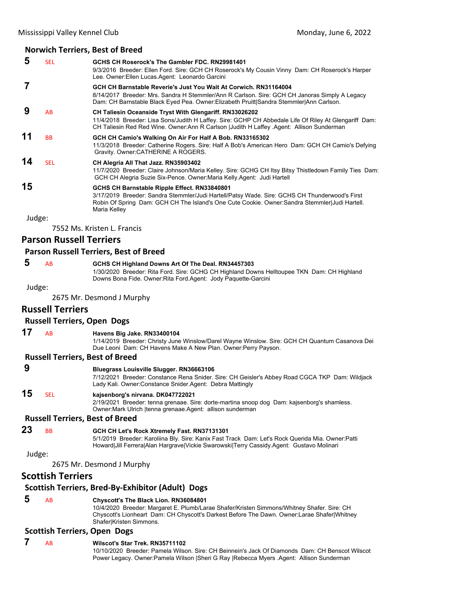#### **Norwich Terriers, Best of Breed**

| 5      | <b>SEL</b> | GCHS CH Roserock's The Gambler FDC, RN29981401                                                                                                                                                                  |
|--------|------------|-----------------------------------------------------------------------------------------------------------------------------------------------------------------------------------------------------------------|
|        |            | 9/3/2016 Breeder: Ellen Ford. Sire: GCH CH Roserock's My Cousin Vinny Dam: CH Roserock's Harper<br>Lee. Owner: Ellen Lucas. Agent: Leonardo Garcini                                                             |
|        |            | GCH CH Barnstable Reverie's Just You Wait At Corwich, RN31164004                                                                                                                                                |
|        |            | 8/14/2017 Breeder: Mrs. Sandra H Stemmler/Ann R Carlson. Sire: GCH CH Janoras Simply A Legacy<br>Dam: CH Barnstable Black Eyed Pea. Owner:Elizabeth Pruitt Sandra Stemmler Ann Carlson.                         |
| 9      | AB         | <b>CH Taliesin Oceanside Tryst With Glengariff. RN33026202</b>                                                                                                                                                  |
|        |            | 11/4/2018 Breeder: Lisa Sons/Judith H Laffey. Sire: GCHP CH Abbedale Life Of Riley At Glengariff Dam:<br>CH Taliesin Red Red Wine. Owner: Ann R Carlson   Judith H Laffey Agent: Allison Sunderman              |
| 11     | <b>BB</b>  | GCH CH Camio's Walking On Air For Half A Bob. RN33165302                                                                                                                                                        |
|        |            | 11/3/2018 Breeder: Catherine Rogers. Sire: Half A Bob's American Hero Dam: GCH CH Camio's Defying<br>Gravity. Owner: CATHERINE A ROGERS.                                                                        |
| 14     | <b>SEL</b> | CH Alegria All That Jazz. RN35903402                                                                                                                                                                            |
|        |            | 11/7/2020 Breeder: Claire Johnson/Maria Kelley. Sire: GCHG CH Itsy Bitsy Thistledown Family Ties Dam:<br>GCH CH Alegria Suzie Six-Pence. Owner:Maria Kelly.Agent: Judi Hartell                                  |
| 15     |            | GCHS CH Barnstable Ripple Effect. RN33840801                                                                                                                                                                    |
|        |            | 3/17/2019 Breeder: Sandra Stemmler/Judi Hartell/Patsy Wade. Sire: GCHS CH Thunderwood's First<br>Robin Of Spring Dam: GCH CH The Island's One Cute Cookie. Owner: Sandra Stemmler Judi Hartell.<br>Maria Kelley |
| Judge: |            |                                                                                                                                                                                                                 |
|        |            |                                                                                                                                                                                                                 |

7552 Ms. Kristen L. Francis

# **Parson Russell Terriers**

#### **Parson Russell Terriers, Best of Breed**

# **5** AB **GCHS CH Highland Downs Art Of The Deal. RN34457303**

1/30/2020 Breeder: Rita Ford. Sire: GCHG CH Highland Downs Helltoupee TKN Dam: CH Highland Downs Bona Fide. Owner:Rita Ford.Agent: Jody Paquette-Garcini

Judge:

2675 Mr. Desmond J Murphy

#### **Russell Terriers**

#### **Russell Terriers, Open Dogs**

#### **17** AB **Havens Big Jake. RN33400104**

1/14/2019 Breeder: Christy June Winslow/Darel Wayne Winslow. Sire: GCH CH Quantum Casanova Dei Due Leoni Dam: CH Havens Make A New Plan. Owner:Perry Payson.

#### **Russell Terriers, Best of Breed**

| 9      |           | <b>Bluegrass Louisville Slugger, RN36663106</b><br>7/12/2021 Breeder: Constance Rena Snider. Sire: CH Geisler's Abbey Road CGCA TKP Dam: Wildjack<br>Lady Kali. Owner: Constance Snider. Agent: Debra Mattingly                              |
|--------|-----------|----------------------------------------------------------------------------------------------------------------------------------------------------------------------------------------------------------------------------------------------|
| 15     | SEL       | kajsenborg's nirvana. DK047722021<br>2/19/2021 Breeder: tenna grenaae. Sire: dorte-martina snoop dog Dam: kajsenborg's shamless.<br>Owner: Mark Ulrich   tenna grenaae. Agent: allison sunderman                                             |
|        |           | <b>Russell Terriers, Best of Breed</b>                                                                                                                                                                                                       |
| 23     | <b>BB</b> | GCH CH Let's Rock Xtremely Fast. RN37131301<br>5/1/2019 Breeder: Karoliina Bly. Sire: Kanix Fast Track Dam: Let's Rock Querida Mia. Owner: Patti<br>Howard Jill Ferrera Alan Hargrave Vickie Swarowski Terry Cassidy Agent: Gustavo Molinari |
| Judge: |           |                                                                                                                                                                                                                                              |

2675 Mr. Desmond J Murphy

# **Scottish Terriers**

# **Scottish Terriers, Bred‐By‐Exhibitor (Adult) Dogs**

# **5** AB **Chyscott's The Black Lion. RN36084801**

10/4/2020 Breeder: Margaret E. Plumb/Larae Shafer/Kristen Simmons/Whitney Shafer. Sire: CH Chyscott's Lionheart Dam: CH Chyscott's Darkest Before The Dawn. Owner:Larae Shafer|Whitney Shafer|Kristen Simmons.

# **Scottish Terriers, Open Dogs**

#### **7** AB **Wilscot's Star Trek. RN35711102** 10/10/2020 Breeder: Pamela Wilson. Sire: CH Beinnein's Jack Of Diamonds Dam: CH Benscot Wilscot Power Legacy. Owner:Pamela Wilson |Sheri G Ray |Rebecca Myers .Agent: Allison Sunderman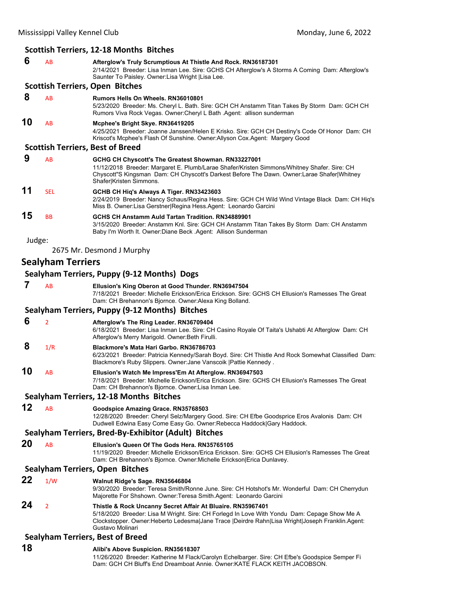|        |                                         | <b>Scottish Terriers, 12-18 Months Bitches</b>                                                                                                                                                                                                                                     |  |
|--------|-----------------------------------------|------------------------------------------------------------------------------------------------------------------------------------------------------------------------------------------------------------------------------------------------------------------------------------|--|
| 6      | AB                                      | Afterglow's Truly Scrumptious At Thistle And Rock. RN36187301<br>2/14/2021 Breeder: Lisa Inman Lee. Sire: GCHS CH Afterglow's A Storms A Coming Dam: Afterglow's<br>Saunter To Paisley. Owner: Lisa Wright   Lisa Lee.                                                             |  |
|        |                                         | <b>Scottish Terriers, Open Bitches</b>                                                                                                                                                                                                                                             |  |
| 8      | AB                                      | <b>Rumors Hells On Wheels, RN36010801</b><br>5/23/2020 Breeder: Ms. Cheryl L. Bath. Sire: GCH CH Anstamm Titan Takes By Storm Dam: GCH CH<br>Rumors Viva Rock Vegas. Owner: Cheryl L Bath . Agent: allison sunderman                                                               |  |
| 10     | AB                                      | Mcphee's Bright Skye. RN36419205<br>4/25/2021 Breeder: Joanne Janssen/Helen E Krisko. Sire: GCH CH Destiny's Code Of Honor Dam: CH<br>Kriscot's Mcphee's Flash Of Sunshine. Owner:Allyson Cox.Agent: Margery Good                                                                  |  |
|        |                                         | <b>Scottish Terriers, Best of Breed</b>                                                                                                                                                                                                                                            |  |
| 9      | AB                                      | GCHG CH Chyscott's The Greatest Showman. RN33227001<br>11/12/2018 Breeder: Margaret E. Plumb/Larae Shafer/Kristen Simmons/Whitney Shafer. Sire: CH<br>Chyscott"S Kingsman Dam: CH Chyscott's Darkest Before The Dawn. Owner:Larae Shafer Whitney<br>Shafer Kristen Simmons.        |  |
| 11     | <b>SEL</b>                              | GCHB CH Hig's Always A Tiger. RN33423603<br>2/24/2019 Breeder: Nancy Schaus/Regina Hess. Sire: GCH CH Wild Wind Vintage Black Dam: CH Hiq's<br>Miss B. Owner: Lisa Gerstner Regina Hess Agent: Leonardo Garcini                                                                    |  |
| 15     | <b>BB</b>                               | GCHS CH Anstamm Auld Tartan Tradition. RN34889901<br>3/15/2020 Breeder: Anstamm Knl. Sire: GCH CH Anstamm Titan Takes By Storm Dam: CH Anstamm<br>Baby I'm Worth It. Owner:Diane Beck .Agent: Allison Sunderman                                                                    |  |
| Judge: |                                         |                                                                                                                                                                                                                                                                                    |  |
|        |                                         | 2675 Mr. Desmond J Murphy                                                                                                                                                                                                                                                          |  |
|        | <b>Sealyham Terriers</b>                |                                                                                                                                                                                                                                                                                    |  |
|        |                                         | Sealyham Terriers, Puppy (9-12 Months) Dogs                                                                                                                                                                                                                                        |  |
| 7      | AB                                      | Ellusion's King Oberon at Good Thunder. RN36947504<br>7/18/2021 Breeder: Michelle Erickson/Erica Erickson. Sire: GCHS CH Ellusion's Ramesses The Great<br>Dam: CH Brehannon's Bjornce. Owner: Alexa King Bolland.                                                                  |  |
|        |                                         | Sealyham Terriers, Puppy (9-12 Months) Bitches                                                                                                                                                                                                                                     |  |
| 6      | 2                                       | Afterglow's The Ring Leader. RN36709404<br>6/18/2021 Breeder: Lisa Inman Lee. Sire: CH Casino Royale Of Taita's Ushabti At Afterglow Dam: CH<br>Afterglow's Merry Marigold. Owner: Beth Firulli.                                                                                   |  |
| 8      | 1/R                                     | Blackmore's Mata Hari Garbo. RN36786703<br>6/23/2021 Breeder: Patricia Kennedy/Sarah Boyd. Sire: CH Thistle And Rock Somewhat Classified Dam:<br>Blackmore's Ruby Slippers. Owner: Jane Vanscoik   Pattie Kennedy.                                                                 |  |
| 10     | AB                                      | Ellusion's Watch Me Impress'Em At Afterglow. RN36947503<br>7/18/2021 Breeder: Michelle Erickson/Erica Erickson. Sire: GCHS CH Ellusion's Ramesses The Great<br>Dam: CH Brehannon's Bjornce. Owner:Lisa Inman Lee.                                                                  |  |
|        |                                         | Sealyham Terriers, 12-18 Months Bitches                                                                                                                                                                                                                                            |  |
| 12     | AB                                      | Goodspice Amazing Grace. RN35768503<br>12/28/2020 Breeder: Cheryl Selz/Margery Good. Sire: CH Efbe Goodsprice Eros Avalonis Dam: CH<br>Dudwell Edwina Easy Come Easy Go. Owner:Rebecca Haddock Gary Haddock.                                                                       |  |
|        |                                         | Sealyham Terriers, Bred-By-Exhibitor (Adult) Bitches                                                                                                                                                                                                                               |  |
| 20     | AB                                      | Ellusion's Queen Of The Gods Hera, RN35765105<br>11/19/2020 Breeder: Michelle Erickson/Erica Erickson. Sire: GCHS CH Ellusion's Ramesses The Great<br>Dam: CH Brehannon's Bjornce. Owner: Michelle Erickson Erica Dunlavey.                                                        |  |
|        |                                         | <b>Sealyham Terriers, Open Bitches</b>                                                                                                                                                                                                                                             |  |
| 22     | 1/W                                     | Walnut Ridge's Sage. RN35646804<br>9/30/2020 Breeder: Teresa Smith/Ronne June. Sire: CH Hotshot's Mr. Wonderful Dam: CH Cherrydun<br>Majorette For Shshown. Owner:Teresa Smith.Agent: Leonardo Garcini                                                                             |  |
| 24     | $\overline{2}$                          | Thistle & Rock Uncanny Secret Affair At Bluaire. RN35967401<br>5/18/2020 Breeder: Lisa M Wright. Sire: CH Forlegd In Love With Yondu Dam: Cepage Show Me A<br>Clockstopper. Owner: Heberto Ledesma Jane Trace  Deirdre Rahn Lisa Wright Joseph Franklin Agent:<br>Gustavo Molinari |  |
|        | <b>Sealyham Terriers, Best of Breed</b> |                                                                                                                                                                                                                                                                                    |  |
| 18     |                                         | Alibi's Above Suspicion. RN35618307<br>11/26/2020 Breeder: Katherine M Flack/Carolyn Echelbarger. Sire: CH Efbe's Goodspice Semper Fi<br>Dam: GCH CH Bluff's End Dreamboat Annie. Owner:KATE FLACK KEITH JACOBSON.                                                                 |  |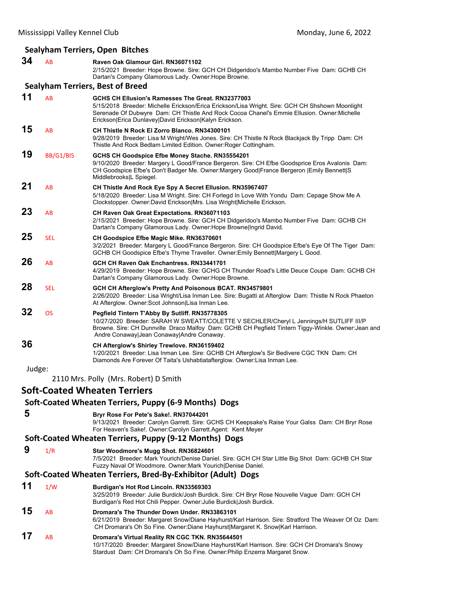# **Sealyham Terriers, Open Bitches**

|        |            | Searynam Terriers, Open Bitches                                                                                                                                                                                                                                                                              |
|--------|------------|--------------------------------------------------------------------------------------------------------------------------------------------------------------------------------------------------------------------------------------------------------------------------------------------------------------|
| 34     | AB         | Raven Oak Glamour Girl. RN36071102<br>2/15/2021 Breeder: Hope Browne. Sire: GCH CH Didgeridoo's Mambo Number Five Dam: GCHB CH<br>Dartan's Company Glamorous Lady. Owner: Hope Browne.                                                                                                                       |
|        |            | <b>Sealyham Terriers, Best of Breed</b>                                                                                                                                                                                                                                                                      |
| 11     | AB         | GCHS CH Ellusion's Ramesses The Great. RN32377003<br>5/15/2018 Breeder: Michelle Erickson/Erica Erickson/Lisa Wright. Sire: GCH CH Shshown Moonlight<br>Serenade Of Dubwyre Dam: CH Thistle And Rock Cocoa Chanel's Emmie Ellusion. Owner:Michelle<br>Erickson Erica Dunlavey David Erickson Kalyn Erickson. |
| 15     | AB         | <b>CH Thistle N Rock El Zorro Blanco, RN34300101</b><br>9/28/2019 Breeder: Lisa M Wright/Wes Jones. Sire: CH Thistle N Rock Blackjack By Tripp Dam: CH<br>Thistle And Rock Bedlam Limited Edition. Owner: Roger Cottingham.                                                                                  |
| 19     | BB/G1/BIS  | GCHS CH Goodspice Efbe Money Stache. RN35554201<br>9/10/2020 Breeder: Margery L Good/France Bergeron. Sire: CH Efbe Goodsprice Eros Avalonis Dam:<br>CH Goodspice Efbe's Don't Badger Me. Owner: Margery Good France Bergeron  Emily Bennett S<br>Middlebrooks L Spiegel.                                    |
| 21     | AB         | CH Thistle And Rock Eye Spy A Secret Ellusion. RN35967407<br>5/18/2020 Breeder: Lisa M Wright. Sire: CH Forlegd In Love With Yondu Dam: Cepage Show Me A<br>Clockstopper. Owner:David Erickson Mrs. Lisa Wright Michelle Erickson.                                                                           |
| 23     | AB         | CH Raven Oak Great Expectations. RN36071103<br>2/15/2021 Breeder: Hope Browne. Sire: GCH CH Didgeridoo's Mambo Number Five Dam: GCHB CH<br>Dartan's Company Glamorous Lady. Owner: Hope Browne Ingrid David.                                                                                                 |
| 25     | <b>SEL</b> | CH Goodspice Efbe Magic Mike. RN36370601<br>3/2/2021 Breeder: Margery L Good/France Bergeron. Sire: CH Goodspice Efbe's Eye Of The Tiger Dam:<br>GCHB CH Goodspice Efbe's Thyme Traveller. Owner: Emily Bennett Margery L Good.                                                                              |
| 26     | AB         | GCH CH Raven Oak Enchantress. RN33441701<br>4/29/2019 Breeder: Hope Browne. Sire: GCHG CH Thunder Road's Little Deuce Coupe Dam: GCHB CH<br>Dartan's Company Glamorous Lady. Owner: Hope Browne.                                                                                                             |
| 28     | <b>SEL</b> | GCH CH Afterglow's Pretty And Poisonous BCAT. RN34579801<br>2/26/2020 Breeder: Lisa Wright/Lisa Inman Lee. Sire: Bugatti at Afterglow Dam: Thistle N Rock Phaeton<br>At Afterglow. Owner: Scot Johnson Lisa Inman Lee.                                                                                       |
| 32     | <b>OS</b>  | Pegfield Tintern T'Abby By Sutliff. RN35778305<br>10/27/2020 Breeder: SARAH W SWEATT/COLETTE V SECHLER/Cheryl L Jennings/H SUTLIFF III/P<br>Browne. Sire: CH Dunnville Draco Malfoy Dam: GCHB CH Pegfield Tintern Tiggy-Winkle. Owner: Jean and<br>Andre Conaway Jean Conaway Andre Conaway.                 |
| 36     |            | CH Afterglow's Shirley Trewlove. RN36159402<br>1/20/2021 Breeder: Lisa Inman Lee. Sire: GCHB CH Afterglow's Sir Bedivere CGC TKN Dam: CH<br>Diamonds Are Forever Of Taita's Ushabtiatafterglow. Owner: Lisa Inman Lee.                                                                                       |
| Judge: |            | 2110 Mrs. Polly (Mrs. Robert) D Smith                                                                                                                                                                                                                                                                        |
|        |            | <b>Soft-Coated Wheaten Terriers</b>                                                                                                                                                                                                                                                                          |
|        |            | Soft-Coated Wheaten Terriers, Puppy (6-9 Months) Dogs                                                                                                                                                                                                                                                        |
| 5      |            | Bryr Rose For Pete's Sake!. RN37044201<br>9/13/2021 Breeder: Carolyn Garrett. Sire: GCHS CH Keepsake's Raise Your Galss Dam: CH Bryr Rose<br>For Heaven's Sake!. Owner:Carolyn Garrett.Agent: Kent Meyer                                                                                                     |
|        |            | Soft-Coated Wheaten Terriers, Puppy (9-12 Months) Dogs                                                                                                                                                                                                                                                       |
| 9      | 1/R        | Star Woodmore's Mugg Shot. RN36824601<br>7/5/2021 Breeder: Mark Yourich/Denise Daniel. Sire: GCH CH Star Little Big Shot Dam: GCHB CH Star<br>Fuzzy Naval Of Woodmore. Owner: Mark Yourich   Denise Daniel.                                                                                                  |
|        |            | Soft-Coated Wheaten Terriers, Bred-By-Exhibitor (Adult) Dogs                                                                                                                                                                                                                                                 |
| 11     | 1/W        | Burdigan's Hot Rod Lincoln. RN33569303<br>3/25/2019 Breeder: Julie Burdick/Josh Burdick. Sire: CH Bryr Rose Nouvelle Vague Dam: GCH CH<br>Burdigan's Red Hot Chili Pepper. Owner: Julie Burdick  Josh Burdick.                                                                                               |
| 4 E    |            |                                                                                                                                                                                                                                                                                                              |

- **15** AB **Dromara's The Thunder Down Under. RN33863101**
- 6/21/2019 Breeder: Margaret Snow/Diane Hayhurst/Karl Harrison. Sire: Stratford The Weaver Of Oz Dam: CH Dromara's Oh So Fine. Owner:Diane Hayhurst|Margaret K. Snow|Karl Harrison. **17** AB **Dromara's Virtual Reality RN CGC TKN. RN35644501**
	- 10/17/2020 Breeder: Margaret Snow/Diane Hayhurst/Karl Harrison. Sire: GCH CH Dromara's Snowy Stardust Dam: CH Dromara's Oh So Fine. Owner:Philip Enzerra Margaret Snow.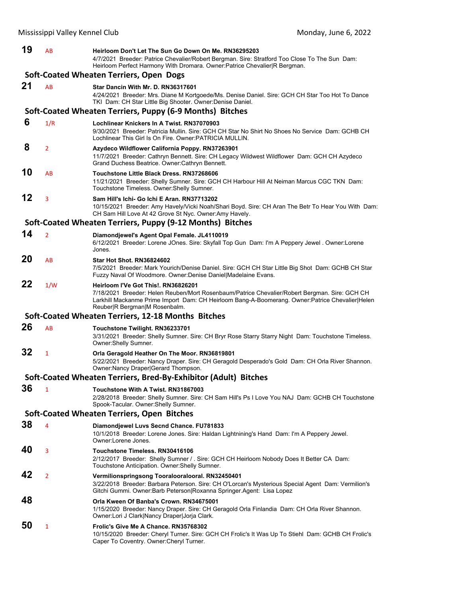| 19 | AB             | Heirloom Don't Let The Sun Go Down On Me. RN36295203<br>4/7/2021 Breeder: Patrice Chevalier/Robert Bergman. Sire: Stratford Too Close To The Sun Dam:<br>Heirloom Perfect Harmony With Dromara. Owner: Patrice Chevalier   R Bergman.                                     |
|----|----------------|---------------------------------------------------------------------------------------------------------------------------------------------------------------------------------------------------------------------------------------------------------------------------|
|    |                | Soft-Coated Wheaten Terriers, Open Dogs                                                                                                                                                                                                                                   |
| 21 | <b>AB</b>      | Star Dancin With Mr. D. RN36317601<br>4/24/2021 Breeder: Mrs. Diane M Kortgoede/Ms. Denise Daniel. Sire: GCH CH Star Too Hot To Dance<br>TKI Dam: CH Star Little Big Shooter. Owner: Denise Daniel.                                                                       |
|    |                | Soft-Coated Wheaten Terriers, Puppy (6-9 Months) Bitches                                                                                                                                                                                                                  |
| 6  | 1/R            | Lochlinear Knickers In A Twist, RN37070903<br>9/30/2021 Breeder: Patricia Mullin. Sire: GCH CH Star No Shirt No Shoes No Service Dam: GCHB CH<br>Lochlinear This Girl Is On Fire, Owner: PATRICIA MULLIN.                                                                 |
| 8  | $\overline{2}$ | Azydeco Wildflower California Poppy. RN37263901<br>11/7/2021 Breeder: Cathryn Bennett. Sire: CH Legacy Wildwest Wildflower Dam: GCH CH Azydeco<br>Grand Duchess Beatrice. Owner: Cathryn Bennett.                                                                         |
| 10 | AB             | Touchstone Little Black Dress. RN37268606<br>11/21/2021 Breeder: Shelly Sumner. Sire: GCH CH Harbour Hill At Neiman Marcus CGC TKN Dam:<br>Touchstone Timeless. Owner: Shelly Sumner.                                                                                     |
| 12 | 3              | Sam Hill's Ichi- Go Ichi E Aran. RN37713202<br>10/15/2021 Breeder: Amy Havely/Vicki Noah/Shari Boyd. Sire: CH Aran The Betr To Hear You With Dam:<br>CH Sam Hill Love At 42 Grove St Nyc. Owner: Amy Havely.                                                              |
|    |                | Soft-Coated Wheaten Terriers, Puppy (9-12 Months) Bitches                                                                                                                                                                                                                 |
| 14 | $\overline{2}$ | Diamondjewel's Agent Opal Female. JL4110019<br>6/12/2021 Breeder: Lorene JOnes. Sire: Skyfall Top Gun Dam: I'm A Peppery Jewel . Owner: Lorene<br>Jones.                                                                                                                  |
| 20 | AB             | <b>Star Hot Shot, RN36824602</b><br>7/5/2021 Breeder: Mark Yourich/Denise Daniel. Sire: GCH CH Star Little Big Shot Dam: GCHB CH Star<br>Fuzzy Naval Of Woodmore. Owner:Denise Daniel Madelaine Evans.                                                                    |
| 22 | 1/W            | Heirloom I'Ve Got This!. RN36826201<br>7/18/2021 Breeder: Helen Reuben/Mort Rosenbaum/Patrice Chevalier/Robert Bergman. Sire: GCH CH<br>Larkhill Mackanme Prime Import Dam: CH Heirloom Bang-A-Boomerang. Owner: Patrice Chevalier Helen<br>Reuber R Bergman M Rosenbalm. |
|    |                | Soft-Coated Wheaten Terriers, 12-18 Months Bitches                                                                                                                                                                                                                        |
| 26 | <b>AB</b>      | Touchstone Twilight. RN36233701<br>3/31/2021 Breeder: Shelly Sumner. Sire: CH Bryr Rose Starry Starry Night Dam: Touchstone Timeless.<br>Owner: Shelly Sumner.                                                                                                            |
| 32 | $\mathbf{1}$   | Orla Geragold Heather On The Moor. RN36819801<br>5/22/2021 Breeder: Nancy Draper. Sire: CH Geragold Desperado's Gold Dam: CH Orla River Shannon.<br>Owner: Nancy Draper Gerard Thompson.                                                                                  |
|    |                | Soft-Coated Wheaten Terriers, Bred-By-Exhibitor (Adult) Bitches                                                                                                                                                                                                           |
| 36 | $\mathbf{1}$   | Touchstone With A Twist. RN31867003<br>2/28/2018 Breeder: Shelly Sumner. Sire: CH Sam Hill's Ps I Love You NAJ Dam: GCHB CH Touchstone<br>Spook-Tacular. Owner: Shelly Sumner.                                                                                            |
|    |                | Soft-Coated Wheaten Terriers, Open Bitches                                                                                                                                                                                                                                |
| 38 | 4              | Diamondjewel Luvs Secnd Chance. FU781833<br>10/1/2018 Breeder: Lorene Jones. Sire: Haldan Lightnining's Hand Dam: I'm A Peppery Jewel.<br>Owner:Lorene Jones.                                                                                                             |
| 40 | 3              | Touchstone Timeless. RN30416106<br>2/12/2017 Breeder: Shelly Sumner / . Sire: GCH CH Heirloom Nobody Does It Better CA Dam:<br>Touchstone Anticipation. Owner: Shelly Sumner.                                                                                             |
| 42 | $\overline{2}$ | Vermilionspringsong Tooralooralooral. RN32450401<br>3/22/2018 Breeder: Barbara Peterson. Sire: CH O'Lorcan's Mysterious Special Agent Dam: Vermilion's<br>Gitchi Gummi. Owner:Barb Peterson Roxanna Springer.Agent: Lisa Lopez                                            |
| 48 |                | Orla Kween Of Banba's Crown, RN34675001<br>1/15/2020 Breeder: Nancy Draper. Sire: CH Geragold Orla Finlandia Dam: CH Orla River Shannon.<br>Owner:Lori J Clark Nancy Draper Jorja Clark.                                                                                  |
| 50 | 1              | Frolic's Give Me A Chance, RN35768302<br>10/15/2020 Breeder: Cheryl Turner. Sire: GCH CH Frolic's It Was Up To Stiehl Dam: GCHB CH Frolic's<br>Caper To Coventry. Owner: Cheryl Turner.                                                                                   |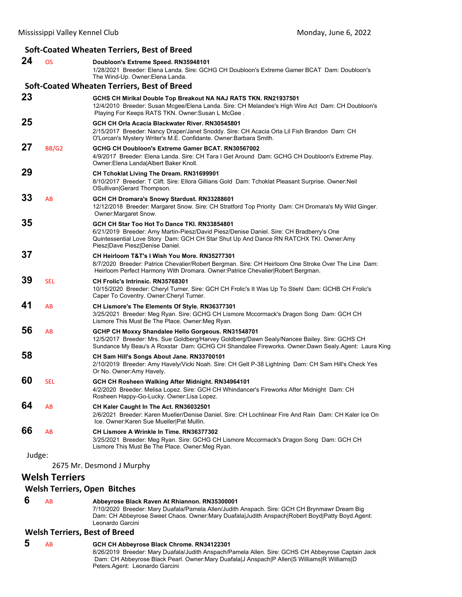#### Mississippi Valley Kennel Club **Mississippi Valley Kennel Club Mississippi Valley Kennel Club Monday**, June 6, 2022 **Soft‐Coated Wheaten Terriers, Best of Breed 24** OS **Doubloon's Extreme Speed. RN35948101** 1/28/2021 Breeder: Elena Landa. Sire: GCHG CH Doubloon's Extreme Gamer BCAT Dam: Doubloon's The Wind-Up. Owner:Elena Landa. **Soft‐Coated Wheaten Terriers, Best of Breed 23 GCHS CH Mirikal Double Top Breakout NA NAJ RATS TKN. RN21937501** 12/4/2010 Breeder: Susan Mcgee/Elena Landa. Sire: CH Melandee's High Wire Act Dam: CH Doubloon's Playing For Keeps RATS TKN. Owner:Susan L McGee . **25 GCH CH Orla Acacia Blackwater River. RN30545801** 2/15/2017 Breeder: Nancy Draper/Janet Snoddy. Sire: CH Acacia Orla Lil Fish Brandon Dam: CH O'Lorcan's Mystery Writer's M.E. Confidante. Owner:Barbara Smith. **27** BB/G2 **GCHG CH Doubloon's Extreme Gamer BCAT. RN30567002** 4/9/2017 Breeder: Elena Landa. Sire: CH Tara I Get Around Dam: GCHG CH Doubloon's Extreme Play. Owner:Elena Landa|Albert Baker Knoll. **29 CH Tchoklat Living The Dream. RN31699901** 8/10/2017 Breeder: T Clift. Sire: Ellora Gillians Gold Dam: Tchoklat Pleasant Surprise. Owner:Neil OSullivan|Gerard Thompson. **33** AB **GCH CH Dromara's Snowy Stardust. RN33288601** 12/12/2018 Breeder: Margaret Snow. Sire: CH Stratford Top Priority Dam: CH Dromara's My Wild Ginger. Owner:Margaret Snow. **35 GCH CH Star Too Hot To Dance TKI. RN33854801** 6/21/2019 Breeder: Amy Martin-Piesz/David Piesz/Denise Daniel. Sire: CH Bradberry's One Quintessential Love Story Dam: GCH CH Star Shut Up And Dance RN RATCHX TKI. Owner:Amy Piesz|Dave Piesz|Denise Daniel. **37 CH Heirloom T&T's I Wish You More. RN35277301** 8/7/2020 Breeder: Patrice Chevalier/Robert Bergman. Sire: CH Heirloom One Stroke Over The Line Dam: Heirloom Perfect Harmony With Dromara. Owner:Patrice Chevalier|Robert Bergman. **39** SEL **CH Frolic's Intrinsic. RN35768301** 10/15/2020 Breeder: Cheryl Turner. Sire: GCH CH Frolic's It Was Up To Stiehl Dam: GCHB CH Frolic's Caper To Coventry. Owner:Cheryl Turner. **41** AB **CH Lismore's The Elements Of Style. RN36377301** 3/25/2021 Breeder: Meg Ryan. Sire: GCHG CH Lismore Mccormack's Dragon Song Dam: GCH CH Lismore This Must Be The Place. Owner:Meg Ryan. **56** AB **GCHP CH Moxxy Shandalee Hello Gorgeous. RN31548701** 12/5/2017 Breeder: Mrs. Sue Goldberg/Harvey Goldberg/Dawn Sealy/Nancee Bailey. Sire: GCHS CH Sundance My Beau's A Roxstar Dam: GCHG CH Shandalee Fireworks. Owner:Dawn Sealy.Agent: Laura King **58 CH Sam Hill's Songs About Jane. RN33700101** 2/10/2019 Breeder: Amy Havely/Vicki Noah. Sire: CH Gelt P-38 Lightning Dam: CH Sam Hill's Check Yes Or No. Owner:Amy Havely. **60** SEL **GCH CH Rosheen Walking After Midnight. RN34964101** 4/2/2020 Breeder: Melisa Lopez. Sire: GCH CH Whindancer's Fireworks After Midnight Dam: CH Rosheen Happy-Go-Lucky. Owner:Lisa Lopez. **64** AB **CH Kaler Caught In The Act. RN36032501** 2/6/2021 Breeder: Karen Mueller/Denise Daniel. Sire: CH Lochlinear Fire And Rain Dam: CH Kaler Ice On Ice. Owner:Karen Sue Mueller|Pat Mullin. **66** AB **CH Lismore A Wrinkle In Time. RN36377302** 3/25/2021 Breeder: Meg Ryan. Sire: GCHG CH Lismore Mccormack's Dragon Song Dam: GCH CH Lismore This Must Be The Place. Owner:Meg Ryan. Judge: 2675 Mr. Desmond J Murphy **Welsh Terriers**

#### **Welsh Terriers, Open Bitches**

 **6** AB **Abbeyrose Black Raven At Rhiannon. RN35300001**

7/10/2020 Breeder: Mary Duafala/Pamela Allen/Judith Anspach. Sire: GCH CH Brynmawr Dream Big Dam: CH Abbeyrose Sweet Chaos. Owner:Mary Duafala|Judith Anspach|Robert Boyd|Patty Boyd.Agent: Leonardo Garcini

#### **Welsh Terriers, Best of Breed**

 **5** AB **GCH CH Abbeyrose Black Chrome. RN34122301** 8/26/2019 Breeder: Mary Duafala/Judith Anspach/Pamela Allen. Sire: GCHS CH Abbeyrose Captain Jack Dam: CH Abbeyrose Black Pearl. Owner:Mary Duafala|J Anspach|P Allen|S Williams|R Williams|D Peters.Agent: Leonardo Garcini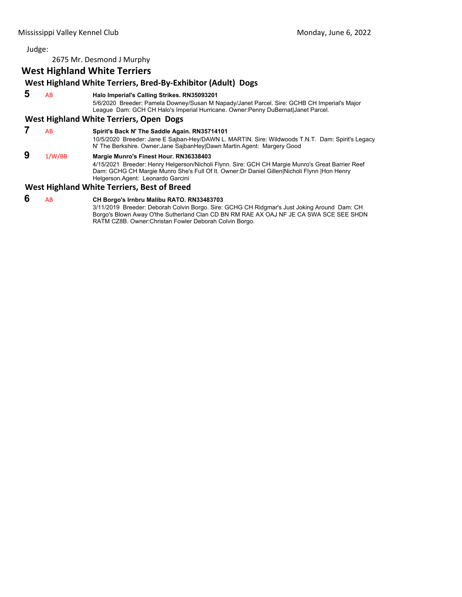2675 Mr. Desmond J Murphy

# **West Highland White Terriers**

# **West Highland White Terriers, Bred‐By‐Exhibitor (Adult) Dogs**

 **5** AB **Halo Imperial's Calling Strikes. RN35093201**

5/6/2020 Breeder: Pamela Downey/Susan M Napady/Janet Parcel. Sire: GCHB CH Imperial's Major League Dam: GCH CH Halo's Imperial Hurricane. Owner:Penny DuBernat|Janet Parcel.

#### **West Highland White Terriers, Open Dogs**

 **7** AB **Spirit's Back N' The Saddle Again. RN35714101** 10/5/2020 Breeder: Jane E Sajban-Hey/DAWN L. MARTIN. Sire: Wildwoods T.N.T. Dam: Spirit's Legacy N' The Berkshire. Owner:Jane SajbanHey|Dawn Martin.Agent: Margery Good  **9** 1/W/BB **Margie Munro's Finest Hour. RN36338403** 4/15/2021 Breeder: Henry Helgerson/Nicholi Flynn. Sire: GCH CH Margie Munro's Great Barrier Reef Dam: GCHG CH Margie Munro She's Full Of It. Owner:Dr Daniel Gillen|Nicholi Flynn |Hon Henry Helgerson.Agent: Leonardo Garcini

# **West Highland White Terriers, Best of Breed**

# **6** AB **CH Borgo's Irnbru Malibu RATO. RN33483703**

3/11/2019 Breeder: Deborah Colvin Borgo. Sire: GCHG CH Ridgmar's Just Joking Around Dam: CH Borgo's Blown Away O'the Sutherland Clan CD BN RM RAE AX OAJ NF JE CA SWA SCE SEE SHDN RATM CZ8B. Owner:Christan Fowler Deborah Colvin Borgo.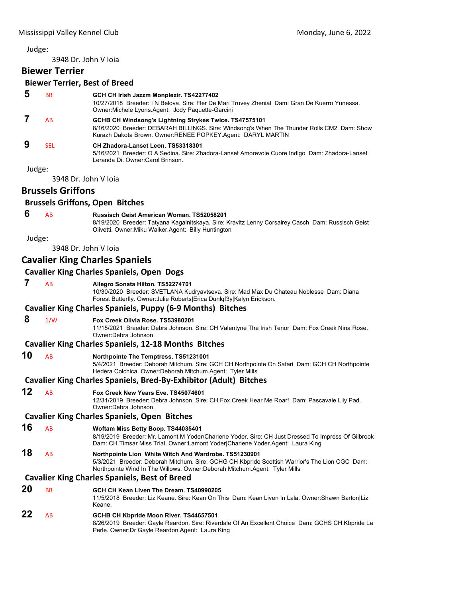<span id="page-42-0"></span>3948 Dr. John V Ioia

# **Biewer Terrier**

# **Biewer Terrier, Best of Breed**

| 5      | <b>BB</b>            | GCH CH Irish Jazzm Monplezir. TS42277402<br>10/27/2018 Breeder: I N Belova. Sire: Fler De Mari Truvey Zhenial Dam: Gran De Kuerro Yunessa.<br>Owner: Michele Lyons. Agent: Jody Paguette-Garcini                      |
|--------|----------------------|-----------------------------------------------------------------------------------------------------------------------------------------------------------------------------------------------------------------------|
|        | AB                   | GCHB CH Windsong's Lightning Strykes Twice. TS47575101<br>8/16/2020 Breeder: DEBARAH BILLINGS. Sire: Windsong's When The Thunder Rolls CM2 Dam: Show<br>Kurazh Dakota Brown. Owner: RENEE POPKEY. Agent: DARYL MARTIN |
| 9      | <b>SEL</b>           | CH Zhadora-Lanset Leon. TS53318301<br>5/16/2021 Breeder: O A Sedina. Sire: Zhadora-Lanset Amorevole Cuore Indigo Dam: Zhadora-Lanset<br>Leranda Di. Owner:Carol Brinson.                                              |
| Judge: |                      |                                                                                                                                                                                                                       |
|        | 3948 Dr. John V Ioja |                                                                                                                                                                                                                       |

# **Brussels Griffons**

#### **Brussels Griffons, Open Bitches**

## **6** AB **Russisch Geist American Woman. TS52058201**

8/19/2020 Breeder: Tatyana Kagalnitskaya. Sire: Kravitz Lenny Corsairey Casch Dam: Russisch Geist Olivetti. Owner:Miku Walker.Agent: Billy Huntington

Judge:

3948 Dr. John V Ioia

# **Cavalier King Charles Spaniels**

# **Cavalier King Charles Spaniels, Open Dogs**

 **7** AB **Allegro Sonata Hilton. TS52274701**

10/30/2020 Breeder: SVETLANA Kudryavtseva. Sire: Mad Max Du Chateau Noblesse Dam: Diana Forest Butterfly. Owner:Julie Roberts|Erica Dunlqf3y|Kalyn Erickson.

#### **Cavalier King Charles Spaniels, Puppy (6‐9 Months) Bitches**

 **8** 1/W **Fox Creek Olivia Rose. TS53980201**

11/15/2021 Breeder: Debra Johnson. Sire: CH Valentyne The Irish Tenor Dam: Fox Creek Nina Rose. Owner:Debra Johnson.

#### **Cavalier King Charles Spaniels, 12‐18 Months Bitches**

**10** AB **Northpointe The Temptress. TS51231001**

5/4/2021 Breeder: Deborah Mitchum. Sire: GCH CH Northpointe On Safari Dam: GCH CH Northpointe Hedera Colchica. Owner:Deborah Mitchum.Agent: Tyler Mills

#### **Cavalier King Charles Spaniels, Bred‐By‐Exhibitor (Adult) Bitches**

# **12** AB **Fox Creek New Years Eve. TS45074601**

12/31/2019 Breeder: Debra Johnson. Sire: CH Fox Creek Hear Me Roar! Dam: Pascavale Lily Pad. Owner:Debra Johnson.

#### **Cavalier King Charles Spaniels, Open Bitches**

# **16** AB **Woftam Miss Betty Boop. TS44035401**

8/19/2019 Breeder: Mr. Lamont M Yoder/Charlene Yoder. Sire: CH Just Dressed To Impress Of Gilbrook Dam: CH Timsar Miss Trial. Owner:Lamont Yoder|Charlene Yoder.Agent: Laura King

**18** AB **Northpointe Lion White Witch And Wardrobe. TS51230901** 5/3/2021 Breeder: Deborah Mitchum. Sire: GCHG CH Kbpride Scottish Warrior's The Lion CGC Dam: Northpointe Wind In The Willows. Owner:Deborah Mitchum.Agent: Tyler Mills

#### **Cavalier King Charles Spaniels, Best of Breed**

**20** BB **GCH CH Kean Liven The Dream. TS40990205** 11/5/2018 Breeder: Liz Keane. Sire: Kean On This Dam: Kean Liven In Lala. Owner:Shawn Barton|Liz Keane. **22** AB **GCHB CH Kbpride Moon River. TS44657501** 8/26/2019 Breeder: Gayle Reardon. Sire: Riverdale Of An Excellent Choice Dam: GCHS CH Kbpride La Perle. Owner:Dr Gayle Reardon.Agent: Laura King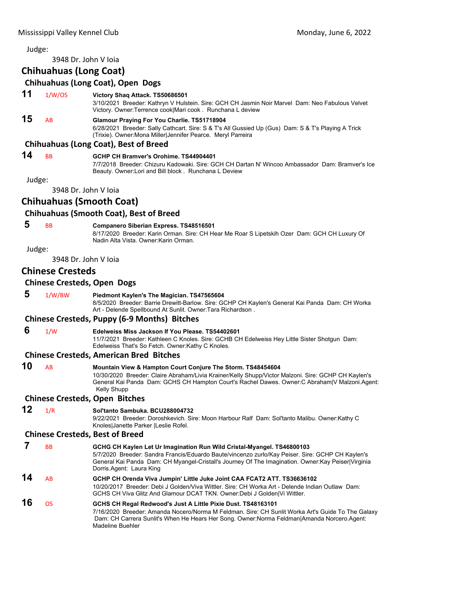# 3948 Dr. John V Ioia **Chihuahuas (Long Coat) Chihuahuas (Long Coat), Open Dogs 11** 1/W/OS **Victory Shaq Attack. TS50686501** 3/10/2021 Breeder: Kathryn V Hulstein. Sire: GCH CH Jasmin Noir Marvel Dam: Neo Fabulous Velvet Victory. Owner:Terrence cook|Mari cook . Runchana L deview **15** AB **Glamour Praying For You Charlie. TS51718904** 6/28/2021 Breeder: Sally Cathcart. Sire: S & T's All Gussied Up (Gus) Dam: S & T's Playing A Trick (Trixie). Owner:Mona Miller|Jennifer Pearce. Meryl Parreira **Chihuahuas (Long Coat), Best of Breed 14** BB **GCHP CH Bramver's Orohime. TS44904401** 7/7/2018 Breeder: Chizuru Kadowaki. Sire: GCH CH Dartan N' Wincoo Ambassador Dam: Bramver's Ice Beauty. Owner:Lori and Bill block . Runchana L Deview Judge: 3948 Dr. John V Ioia **Chihuahuas (Smooth Coat) Chihuahuas (Smooth Coat), Best of Breed 5** BB **Companero Siberian Express. TS48516501** 8/17/2020 Breeder: Karin Orman. Sire: CH Hear Me Roar S Lipetskih Ozer Dam: GCH CH Luxury Of Nadin Alta Vista. Owner:Karin Orman. Judge: 3948 Dr. John V Ioia **Chinese Cresteds Chinese Cresteds, Open Dogs 5** 1/W/BW **Piedmont Kaylen's The Magician. TS47565604** 8/5/2020 Breeder: Barrie Drewitt-Barlow. Sire: GCHP CH Kaylen's General Kai Panda Dam: CH Worka Art - Delende Spellbound At Sunlit. Owner:Tara Richardson . **Chinese Cresteds, Puppy (6‐9 Months) Bitches 6** 1/W **Edelweiss Miss Jackson If You Please. TS54402601** 11/7/2021 Breeder: Kathleen C Knoles. Sire: GCHB CH Edelweiss Hey Little Sister Shotgun Dam: Edelweiss That's So Fetch. Owner:Kathy C Knoles. **Chinese Cresteds, American Bred Bitches 10** AB **Mountain View & Hampton Court Conjure The Storm. TS48454604** 10/30/2020 Breeder: Claire Abraham/Livia Krainer/Kelly Shupp/Victor Malzoni. Sire: GCHP CH Kaylen's General Kai Panda Dam: GCHS CH Hampton Court's Rachel Dawes. Owner:C Abraham|V Malzoni.Agent: Kelly Shupp **Chinese Cresteds, Open Bitches 12** 1/R **Sol'tanto Sambuka. BCU288004732** 9/22/2021 Breeder: Doroshkevich. Sire: Moon Harbour Ralf Dam: Sol'tanto Malibu. Owner:Kathy C Knoles|Janette Parker |Leslie Rofel. **Chinese Cresteds, Best of Breed 7** BB **GCHG CH Kaylen Let Ur Imagination Run Wild Cristal-Myangel. TS46800103** 5/7/2020 Breeder: Sandra Francis/Eduardo Baute/vincenzo zurlo/Kay Peiser. Sire: GCHP CH Kaylen's General Kai Panda Dam: CH Myangel-Cristall's Journey Of The Imagination. Owner:Kay Peiser|Virginia Dorris.Agent: Laura King **14** AB **GCHP CH Orenda Viva Jumpin' Little Juke Joint CAA FCAT2 ATT. TS36636102** 10/20/2017 Breeder: Debi J Golden/Viva Wittler. Sire: CH Worka Art - Delende Indian Outlaw Dam: GCHS CH Viva Glitz And Glamour DCAT TKN. Owner:Debi J Golden|Vi Wittler. **16** OS **GCHS CH Regal Redwood's Just A Little Pixie Dust. TS48163101** 7/16/2020 Breeder: Amanda Nocero/Norma M Feldman. Sire: CH Sunlit Worka Art's Guide To The Galaxy Dam: CH Carrera Sunlit's When He Hears Her Song. Owner:Norma Feldman|Amanda Norcero.Agent: Madeline Buehler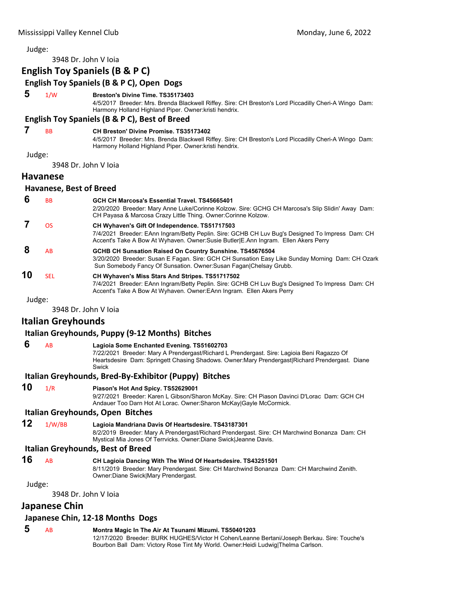3948 Dr. John V Ioia

# **English Toy Spaniels (B & P C) English Toy Spaniels (B & P C), Open Dogs 5** 1/W **Breston's Divine Time. TS35173403** 4/5/2017 Breeder: Mrs. Brenda Blackwell Riffey. Sire: CH Breston's Lord Piccadilly Cheri-A Wingo Dam: Harmony Holland Highland Piper. Owner:kristi hendrix. **English Toy Spaniels (B & P C), Best of Breed 7** BB **CH Breston' Divine Promise. TS35173402** 4/5/2017 Breeder: Mrs. Brenda Blackwell Riffey. Sire: CH Breston's Lord Piccadilly Cheri-A Wingo Dam: Harmony Holland Highland Piper. Owner:kristi hendrix. Judge: 3948 Dr. John V Ioia **Havanese Havanese, Best of Breed 6** BB **GCH CH Marcosa's Essential Travel. TS45665401** 2/20/2020 Breeder: Mary Anne Luke/Corinne Kolzow. Sire: GCHG CH Marcosa's Slip Slidin' Away Dam: CH Payasa & Marcosa Crazy Little Thing. Owner:Corinne Kolzow.  **7** OS **CH Wyhaven's Gift Of Independence. TS51717503** 7/4/2021 Breeder: EAnn Ingram/Betty Peplin. Sire: GCHB CH Luv Bug's Designed To Impress Dam: CH Accent's Take A Bow At Wyhaven. Owner:Susie Butler|E.Ann Ingram. Ellen Akers Perry  **8** AB **GCHB CH Sunsation Raised On Country Sunshine. TS45676504** 3/20/2020 Breeder: Susan E Fagan. Sire: GCH CH Sunsation Easy Like Sunday Morning Dam: CH Ozark Sun Somebody Fancy Of Sunsation. Owner:Susan Fagan|Chelsay Grubb. **10** SEL **CH Wyhaven's Miss Stars And Stripes. TS51717502** 7/4/2021 Breeder: EAnn Ingram/Betty Peplin. Sire: GCHB CH Luv Bug's Designed To Impress Dam: CH Accent's Take A Bow At Wyhaven. Owner:EAnn Ingram. Ellen Akers Perry Judge: 3948 Dr. John V Ioia **Italian Greyhounds Italian Greyhounds, Puppy (9‐12 Months) Bitches 6** AB **Lagioia Some Enchanted Evening. TS51602703** 7/22/2021 Breeder: Mary A Prendergast/Richard L Prendergast. Sire: Lagioia Beni Ragazzo Of Heartsdesire Dam: Springett Chasing Shadows. Owner:Mary Prendergast|Richard Prendergast. Diane Swick **Italian Greyhounds, Bred‐By‐Exhibitor (Puppy) Bitches 10** 1/R **Piason's Hot And Spicy. TS52629001** 9/27/2021 Breeder: Karen L Gibson/Sharon McKay. Sire: CH Piason Davinci D'Lorac Dam: GCH CH Andauer Too Darn Hot At Lorac. Owner:Sharon McKay|Gayle McCormick. **Italian Greyhounds, Open Bitches 12** 1/W/BB **Lagioia Mandriana Davis Of Heartsdesire. TS43187301** 8/2/2019 Breeder: Mary A Prendergast/Richard Prendergast. Sire: CH Marchwind Bonanza Dam: CH Mystical Mia Jones Of Terrvicks. Owner:Diane Swick|Jeanne Davis. **Italian Greyhounds, Best of Breed 16** AB **CH Lagioia Dancing With The Wind Of Heartsdesire. TS43251501** 8/11/2019 Breeder: Mary Prendergast. Sire: CH Marchwind Bonanza Dam: CH Marchwind Zenith. Owner:Diane Swick|Mary Prendergast. Judge: 3948 Dr. John V Ioia **Japanese Chin**

#### **Japanese Chin, 12‐18 Months Dogs**

 **5** AB **Montra Magic In The Air At Tsunami Mizumi. TS50401203** 12/17/2020 Breeder: BURK HUGHES/Victor H Cohen/Leanne Bertani/Joseph Berkau. Sire: Touche's Bourbon Ball Dam: Victory Rose Tint My World. Owner:Heidi Ludwig|Thelma Carlson.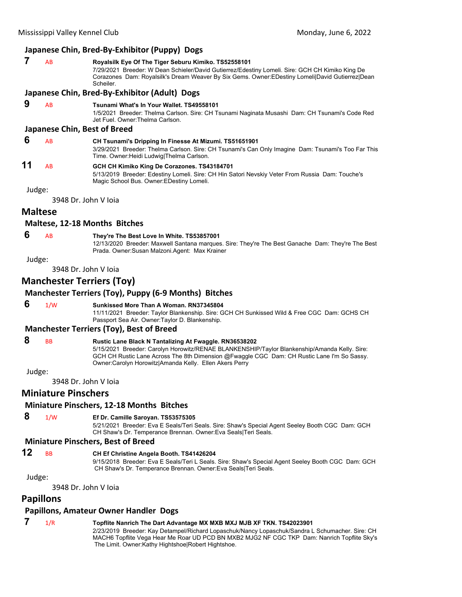## **Japanese Chin, Bred‐By‐Exhibitor (Puppy) Dogs**

# **7** AB **Royalsilk Eye Of The Tiger Seburu Kimiko. TS52558101**

7/29/2021 Breeder: W Dean Schieler/David Gutierrez/Edestiny Lomeli. Sire: GCH CH Kimiko King De Corazones Dam: Royalsilk's Dream Weaver By Six Gems. Owner:EDestiny Lomeli|David Gutierrez|Dean **Scheiler** 

#### **Japanese Chin, Bred‐By‐Exhibitor (Adult) Dogs**

 **9** AB **Tsunami What's In Your Wallet. TS49558101** 1/5/2021 Breeder: Thelma Carlson. Sire: CH Tsunami Naginata Musashi Dam: CH Tsunami's Code Red Jet Fuel. Owner:Thelma Carlson.

#### **Japanese Chin, Best of Breed**

 **6** AB **CH Tsunami's Dripping In Finesse At Mizumi. TS51651901** 3/29/2021 Breeder: Thelma Carlson. Sire: CH Tsunami's Can Only Imagine Dam: Tsunami's Too Far This Time. Owner:Heidi Ludwig|Thelma Carlson.

# **11** AB **GCH CH Kimiko King De Corazones. TS43184701**

5/13/2019 Breeder: Edestiny Lomeli. Sire: CH Hin Satori Nevskiy Veter From Russia Dam: Touche's Magic School Bus. Owner:EDestiny Lomeli.

Judge:

3948 Dr. John V Ioia

# **Maltese**

#### **Maltese, 12‐18 Months Bitches**

#### **6** AB **They're The Best Love In White. TS53857001**

12/13/2020 Breeder: Maxwell Santana marques. Sire: They're The Best Ganache Dam: They're The Best Prada. Owner:Susan Malzoni.Agent: Max Krainer

Judge:

3948 Dr. John V Ioia

# **Manchester Terriers (Toy)**

# **Manchester Terriers (Toy), Puppy (6‐9 Months) Bitches**

 **6** 1/W **Sunkissed More Than A Woman. RN37345804** 11/11/2021 Breeder: Taylor Blankenship. Sire: GCH CH Sunkissed Wild & Free CGC Dam: GCHS CH

Owner:Carolyn Horowitz|Amanda Kelly. Ellen Akers Perry

Passport Sea Air. Owner:Taylor D. Blankenship.

#### **Manchester Terriers (Toy), Best of Breed**

| 8 | <b>BB</b> | <b>Rustic Lane Black N Tantalizing At Fwaggle. RN36538202</b>                                |
|---|-----------|----------------------------------------------------------------------------------------------|
|   |           | 5/15/2021 Breeder: Carolyn Horowitz/RENAE BLANKENSHIP/Taylor Blankenship/Amanda Kelly. Sire: |
|   |           | GCH CH Rustic Lane Across The 8th Dimension @Fwaggle CGC Dam: CH Rustic Lane I'm So Sassy.   |

#### Judge:

3948 Dr. John V Ioia

# **Miniature Pinschers**

# **Miniature Pinschers, 12‐18 Months Bitches**

# **8** 1/W **Ef Dr. Camille Saroyan. TS53575305**

5/21/2021 Breeder: Eva E Seals/Teri Seals. Sire: Shaw's Special Agent Seeley Booth CGC Dam: GCH CH Shaw's Dr. Temperance Brennan. Owner:Eva Seals|Teri Seals.

#### **Miniature Pinschers, Best of Breed**

# **12** BB **CH Ef Christine Angela Booth. TS41426204**

9/15/2018 Breeder: Eva E Seals/Teri L Seals. Sire: Shaw's Special Agent Seeley Booth CGC Dam: GCH CH Shaw's Dr. Temperance Brennan. Owner:Eva Seals|Teri Seals.

Judge:

3948 Dr. John V Ioia

# **Papillons**

# **Papillons, Amateur Owner Handler Dogs**

# **7** 1/R **Topflite Nanrich The Dart Advantage MX MXB MXJ MJB XF TKN. TS42023901**

2/23/2019 Breeder: Kay Detampel/Richard Lopaschuk/Nancy Lopaschuk/Sandra L Schumacher. Sire: CH MACH6 Topflite Vega Hear Me Roar UD PCD BN MXB2 MJG2 NF CGC TKP Dam: Nanrich Topflite Sky's The Limit. Owner:Kathy Hightshoe|Robert Hightshoe.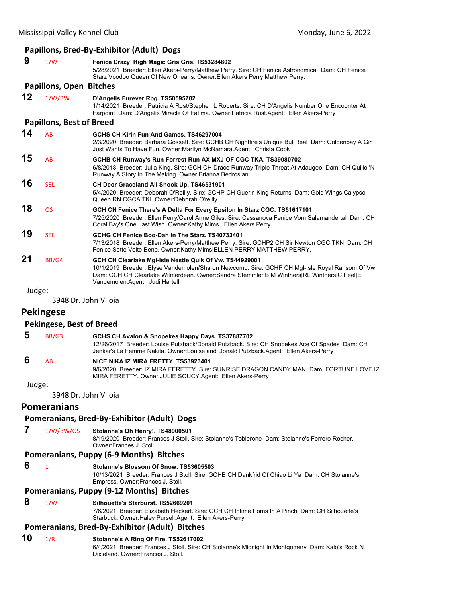#### **Papillons, Bred‐By‐Exhibitor (Adult) Dogs 9** 1/W **Fenice Crazy High Magic Gris Gris. TS53284802** 5/28/2021 Breeder: Ellen Akers-Perry/Matthew Perry. Sire: CH Fenice Astronomical Dam: CH Fenice Starz Voodoo Queen Of New Orleans. Owner:Ellen Akers Perry|Matthew Perry. **Papillons, Open Bitches 12** 1/W/BW **D'Angelis Furever Rbg. TS50595702** 1/14/2021 Breeder: Patricia A Rust/Stephen L Roberts. Sire: CH D'Angelis Number One Encounter At Farpoint Dam: D'Angelis Miracle Of Fatima. Owner:Patricia Rust.Agent: Ellen Akers-Perry **Papillons, Best of Breed 14** AB **GCHS CH Kirin Fun And Games. TS46297004** 2/3/2020 Breeder: Barbara Gossett. Sire: GCHB CH Nightfire's Unique But Real Dam: Goldenbay A Girl Just Wants To Have Fun. Owner:Marilyn McNamara.Agent: Christa Cook **15** AB **GCHB CH Runway's Run Forrest Run AX MXJ OF CGC TKA. TS39080702** 6/8/2018 Breeder: Julia King. Sire: GCH CH Draco Runway Triple Threat At Adaugeo Dam: CH Quillo 'N Runway A Story In The Making. Owner:Brianna Bedrosian . **16** SEL **CH Deor Graceland All Shook Up. TS46531901** 5/4/2020 Breeder: Deborah O'Reilly. Sire: GCHP CH Guerin King Returns Dam: Gold Wings Calypso Queen RN CGCA TKI. Owner:Deborah O'reilly. **18** OS **GCH CH Fenice There's A Delta For Every Epsilon In Starz CGC. TS51617101** 7/25/2020 Breeder: Ellen Perry/Carol Anne Giles. Sire: Cassanova Fenice Vom Salamandertal Dam: CH Coral Bay's One Last Wish. Owner:Kathy Mims. Ellen Akers Perry **19** SEL **GCHG CH Fenice Boo-Dah In The Starz. TS40733401** 7/13/2018 Breeder: Ellen Akers-Perry/Matthew Perry. Sire: GCHP2 CH Sir Newton CGC TKN Dam: CH Fenice Sette Volte Bene. Owner:Kathy Mims|ELLEN PERRY|MATTHEW PERRY. **21** BB/G4 **GCH CH Clearlake Mgl-Isle Nestle Quik Of Vw. TS44929001** 10/1/2019 Breeder: Elyse Vandemolen/Sharon Newcomb. Sire: GCHP CH Mgl-Isle Royal Ransom Of Vw Dam: GCH CH Clearlake Wilmerdean. Owner:Sandra Stemmler|B M Winthers|RL Winthers|C Peel|E Vandemolen.Agent: Judi Hartell

Judge:

3948 Dr. John V Ioia

#### **Pekingese**

#### **Pekingese, Best of Breed**

| -5 | BB/G3 | GCHS CH Avalon & Snopekes Happy Days. TS37887702                                             |
|----|-------|----------------------------------------------------------------------------------------------|
|    |       | 12/26/2017 Breeder: Louise Putzback/Donald Putzback. Sire: CH Snopekes Ace Of Spades Dam: CH |
|    |       | Jenkar's La Femme Nakita. Owner:Louise and Donald Putzback. Agent: Ellen Akers-Perry         |

# **6** AB **NICE NIKA IZ MIRA FRETTY. TS53923401**

9/6/2020 Breeder: IZ MIRA FERETTY. Sire: SUNRISE DRAGON CANDY MAN Dam: FORTUNE LOVE IZ MIRA FERETTY. Owner:JULIE SOUCY.Agent: Ellen Akers-Perry

Judge:

3948 Dr. John V Ioia

#### **Pomeranians**

# **Pomeranians, Bred‐By‐Exhibitor (Adult) Dogs**

 **7** 1/W/BW/OS **Stolanne's Oh Henry!. TS48900501**

8/19/2020 Breeder: Frances J Stoll. Sire: Stolanne's Toblerone Dam: Stolanne's Ferrero Rocher. Owner:Frances J. Stoll.

# **Pomeranians, Puppy (6‐9 Months) Bitches**

 **6** <sup>1</sup> **Stolanne's Blossom Of Snow. TS53605503**

10/13/2021 Breeder: Frances J Stoll. Sire: GCHB CH Dankfrid Of Chiao Li Ya Dam: CH Stolanne's Empress. Owner:Frances J. Stoll.

# **Pomeranians, Puppy (9‐12 Months) Bitches**

### **8** 1/W **Silhouette's Starburst. TS52669201**

7/6/2021 Breeder: Elizabeth Heckert. Sire: GCH CH Intime Poms In A Pinch Dam: CH Silhouette's Starbuck. Owner:Haley Pursell.Agent: Ellen Akers-Perry

# **Pomeranians, Bred‐By‐Exhibitor (Adult) Bitches**

**10** 1/R **Stolanne's A Ring Of Fire. TS52617002** 6/4/2021 Breeder: Frances J Stoll. Sire: CH Stolanne's Midnight In Montgomery Dam: Kalo's Rock N Dixieland. Owner:Frances J. Stoll.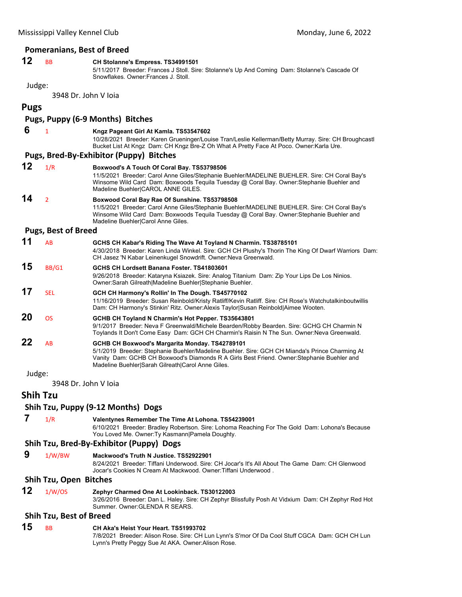#### **Pomeranians, Best of Breed**

# **12** BB **CH Stolanne's Empress. TS34991501**

5/11/2017 Breeder: Frances J Stoll. Sire: Stolanne's Up And Coming Dam: Stolanne's Cascade Of Snowflakes. Owner:Frances J. Stoll.

Judge:

3948 Dr. John V Ioia

**Pugs**

# **Pugs, Puppy (6‐9 Months) Bitches 6** <sup>1</sup> **Kngz Pageant Girl At Kamla. TS53547602** 10/28/2021 Breeder: Karen Grueninger/Louise Tran/Leslie Kellerman/Betty Murray. Sire: CH Broughcastl Bucket List At Kngz Dam: CH Kngz Bre-Z Oh What A Pretty Face At Poco. Owner:Karla Ure. **Pugs, Bred‐By‐Exhibitor (Puppy) Bitches 12** 1/R **Boxwood's A Touch Of Coral Bay. TS53798506**

11/5/2021 Breeder: Carol Anne Giles/Stephanie Buehler/MADELINE BUEHLER. Sire: CH Coral Bay's Winsome Wild Card Dam: Boxwoods Tequila Tuesday @ Coral Bay. Owner:Stephanie Buehler and Madeline Buehler|CAROL ANNE GILES. **14** <sup>2</sup> **Boxwood Coral Bay Rae Of Sunshine. TS53798508**

> 11/5/2021 Breeder: Carol Anne Giles/Stephanie Buehler/MADELINE BUEHLER. Sire: CH Coral Bay's Winsome Wild Card Dam: Boxwoods Tequila Tuesday @ Coral Bay. Owner:Stephanie Buehler and Madeline Buehler|Carol Anne Giles.

#### **Pugs, Best of Breed**

| 11 | <b>AB</b> | GCHS CH Kabar's Riding The Wave At Toyland N Charmin. TS38785101                                    |
|----|-----------|-----------------------------------------------------------------------------------------------------|
|    |           | 4/30/2018 Breeder: Karen Linda Winkel. Sire: GCH CH Plushy's Thorin The King Of Dwarf Warriors Dam: |
|    |           | CH Jasez 'N Kabar Leinenkugel Snowdrift. Owner:Neva Greenwald.                                      |
|    |           |                                                                                                     |

**15** BB/G1 **GCHS CH Lordsett Banana Foster. TS41803601**

9/26/2018 Breeder: Kataryna Ksiazek. Sire: Analog Titanium Dam: Zip Your Lips De Los Ninios. Owner:Sarah Gilreath|Madeline Buehler|Stephanie Buehler.

**17** SEL **GCH CH Harmony's Rollin' In The Dough. TS45770102** 11/16/2019 Breeder: Susan Reinbold/Kristy Ratliff/Kevin Ratliff. Sire: CH Rose's Watchutalkinboutwillis

Dam: CH Harmony's Stinkin' Ritz. Owner:Alexis Taylor|Susan Reinbold|Aimee Wooten.

**20** OS **GCHB CH Toyland N Charmin's Hot Pepper. TS35643801** 9/1/2017 Breeder: Neva F Greenwald/Michele Bearden/Robby Bearden. Sire: GCHG CH Charmin N

Toylands It Don't Come Easy Dam: GCH CH Charmin's Raisin N The Sun. Owner:Neva Greenwald.

**22** AB **GCHB CH Boxwood's Margarita Monday. TS42789101**

5/1/2019 Breeder: Stephanie Buehler/Madeline Buehler. Sire: GCH CH Mianda's Prince Charming At Vanity Dam: GCHB CH Boxwood's Diamonds R A Girls Best Friend. Owner:Stephanie Buehler and Madeline Buehler|Sarah Gilreath|Carol Anne Giles.

Judge:

3948 Dr. John V Ioia

**Shih Tzu**

# **Shih Tzu, Puppy (9‐12 Months) Dogs**

 **7** 1/R **Valentynes Remember The Time At Lohona. TS54239001** 6/10/2021 Breeder: Bradley Robertson. Sire: Lohoma Reaching For The Gold Dam: Lohona's Because You Loved Me. Owner: Ty Kasmann|Pamela Doughty.

#### **Shih Tzu, Bred‐By‐Exhibitor (Puppy) Dogs**

 **9** 1/W/BW **Mackwood's Truth N Justice. TS52922901**

8/24/2021 Breeder: Tiffani Underwood. Sire: CH Jocar's It's All About The Game Dam: CH Glenwood Jocar's Cookies N Cream At Mackwood. Owner:Tiffani Underwood .

#### **Shih Tzu, Open Bitches**

**12** 1/W/OS **Zephyr Charmed One At Lookinback. TS30122003** 3/26/2016 Breeder: Dan L. Haley. Sire: CH Zephyr Blissfully Posh At Vidxium Dam: CH Zephyr Red Hot Summer. Owner:GLENDA R SEARS.

#### **Shih Tzu, Best of Breed**

# **15** BB **CH Aka's Heist Your Heart. TS51993702**

7/8/2021 Breeder: Alison Rose. Sire: CH Lun Lynn's S'mor Of Da Cool Stuff CGCA Dam: GCH CH Lun Lynn's Pretty Peggy Sue At AKA. Owner:Alison Rose.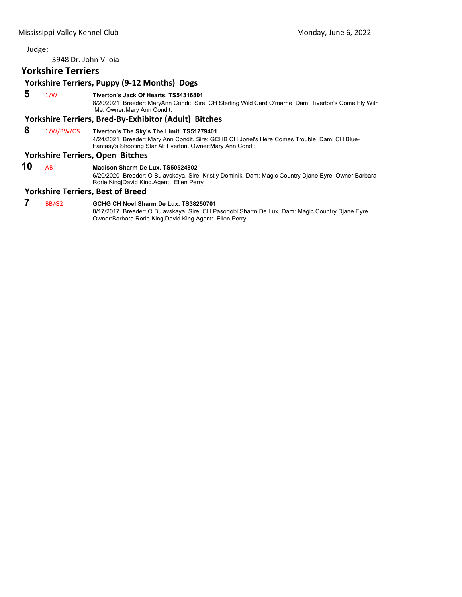3948 Dr. John V Ioia

# **Yorkshire Terriers**

# **Yorkshire Terriers, Puppy (9‐12 Months) Dogs**

 **5** 1/W **Tiverton's Jack Of Hearts. TS54316801**

8/20/2021 Breeder: MaryAnn Condit. Sire: CH Sterling Wild Card O'marne Dam: Tiverton's Come Fly With Me. Owner:Mary Ann Condit.

# **Yorkshire Terriers, Bred‐By‐Exhibitor (Adult) Bitches**

# **8** 1/W/BW/OS **Tiverton's The Sky's The Limit. TS51779401**

4/24/2021 Breeder: Mary Ann Condit. Sire: GCHB CH Jonel's Here Comes Trouble Dam: CH Blue-Fantasy's Shooting Star At Tiverton. Owner:Mary Ann Condit.

# **Yorkshire Terriers, Open Bitches**

**10** AB **Madison Sharm De Lux. TS50524802** 6/20/2020 Breeder: O Bulavskaya. Sire: Kristly Dominik Dam: Magic Country Djane Eyre. Owner:Barbara Rorie King|David King.Agent: Ellen Perry

#### **Yorkshire Terriers, Best of Breed**

 **7** BB/G2 **GCHG CH Noel Sharm De Lux. TS38250701**

8/17/2017 Breeder: O Bulavskaya. Sire: CH Pasodobl Sharm De Lux Dam: Magic Country Djane Eyre. Owner:Barbara Rorie King|David King.Agent: Ellen Perry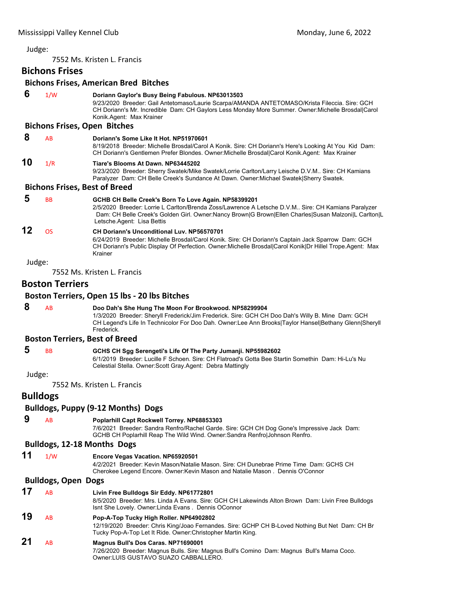<span id="page-49-0"></span>7552 Ms. Kristen L. Francis

# **Bichons Frises**

# **Bichons Frises, American Bred Bitches**

| 6      | 1/W                                  | Doriann Gaylor's Busy Being Fabulous. NP63013503<br>9/23/2020 Breeder: Gail Antetomaso/Laurie Scarpa/AMANDA ANTETOMASO/Krista Fileccia. Sire: GCH<br>CH Doriann's Mr. Incredible Dam: CH Gaylors Less Monday More Summer. Owner: Michelle Brosdal Carol<br>Konik.Agent: Max Krainer              |
|--------|--------------------------------------|--------------------------------------------------------------------------------------------------------------------------------------------------------------------------------------------------------------------------------------------------------------------------------------------------|
|        | <b>Bichons Frises, Open Bitches</b>  |                                                                                                                                                                                                                                                                                                  |
| 8      | AB                                   | Doriann's Some Like It Hot, NP51970601<br>8/19/2018 Breeder: Michelle Brosdal/Carol A Konik. Sire: CH Doriann's Here's Looking At You Kid Dam:<br>CH Doriann's Gentlemen Prefer Blondes. Owner: Michelle Brosdal Carol Konik. Agent: Max Krainer                                                 |
| 10     | 1/R                                  | Tiare's Blooms At Dawn. NP63445202<br>9/23/2020 Breeder: Sherry Swatek/Mike Swatek/Lorrie Carlton/Larry Leische D.V.M Sire: CH Kamians<br>Paralyzer Dam: CH Belle Creek's Sundance At Dawn. Owner: Michael Swatek Sherry Swatek.                                                                 |
|        | <b>Bichons Frises, Best of Breed</b> |                                                                                                                                                                                                                                                                                                  |
| 5      | BB                                   | GCHB CH Belle Creek's Born To Love Again. NP58399201<br>2/5/2020 Breeder: Lorrie L Carlton/Brenda Zoss/Lawrence A Letsche D.V.M Sire: CH Kamians Paralyzer<br>Dam: CH Belle Creek's Golden Girl. Owner:Nancy Brown G Brown Ellen Charles Susan Malzoni L Carlton L<br>Letsche Agent: Lisa Bettis |
| 12     | <b>OS</b>                            | <b>CH Doriann's Unconditional Luv. NP56570701</b><br>6/24/2019 Breeder: Michelle Brosdal/Carol Konik. Sire: CH Doriann's Captain Jack Sparrow Dam: GCH<br>CH Doriann's Public Display Of Perfection. Owner: Michelle Brosdal Carol Konik Dr Hillel Trope. Agent: Max<br>Krainer                  |
| Judge: |                                      |                                                                                                                                                                                                                                                                                                  |
|        |                                      | 7552 Ms. Kristen L. Francis                                                                                                                                                                                                                                                                      |
|        | <b>Boston Terriers</b>               |                                                                                                                                                                                                                                                                                                  |
|        |                                      | Boston Terriers, Open 15 lbs - 20 lbs Bitches                                                                                                                                                                                                                                                    |
| 8      | AB                                   | Doo Dah's She Hung The Moon For Brookwood. NP58299904<br>1/3/2020 Breeder: Sheryll Frederick/Jim Frederick. Sire: GCH CH Doo Dah's Willy B. Mine Dam: GCH<br>CH Legend's Life In Technicolor For Doo Dah. Owner:Lee Ann Brooks Taylor Hansel Bethany Glenn Sheryll<br>Frederick.                 |
|        |                                      | <b>Boston Terriers, Best of Breed</b>                                                                                                                                                                                                                                                            |
| 5      | <b>BB</b>                            | GCHS CH Sgg Serengeti's Life Of The Party Jumanji. NP55982602<br>6/1/2019 Breeder: Lucille F Schoen. Sire: CH Flatroad's Gotta Bee Startin Somethin Dam: Hi-Lu's Nu<br>Celestial Stella. Owner: Scott Gray. Agent: Debra Mattingly                                                               |
| Judge: |                                      |                                                                                                                                                                                                                                                                                                  |
|        |                                      | 7552 Ms. Kristen L. Francis                                                                                                                                                                                                                                                                      |
|        | <b>Bulldogs</b>                      |                                                                                                                                                                                                                                                                                                  |
|        |                                      | <b>Bulldogs, Puppy (9-12 Months) Dogs</b>                                                                                                                                                                                                                                                        |
| 9      | AB                                   | Poplarhill Capt Rockwell Torrey. NP68853303<br>7/6/2021 Breeder: Sandra Renfro/Rachel Garde. Sire: GCH CH Dog Gone's Impressive Jack Dam:<br>GCHB CH Poplarhill Reap The Wild Wind. Owner: Sandra Renfro Johnson Renfro.                                                                         |
|        |                                      | Bulldogs, 12-18 Months Dogs                                                                                                                                                                                                                                                                      |
| 11     | 1/W                                  | Encore Vegas Vacation. NP65920501<br>4/2/2021 Breeder: Kevin Mason/Natalie Mason. Sire: CH Dunebrae Prime Time Dam: GCHS CH<br>Cherokee Legend Encore. Owner: Kevin Mason and Natalie Mason. Dennis O'Connor                                                                                     |
|        | <b>Bulldogs, Open Dogs</b>           |                                                                                                                                                                                                                                                                                                  |
| 17     | AB                                   | Livin Free Bulldogs Sir Eddy. NP61772801<br>8/5/2020 Breeder: Mrs. Linda A Evans. Sire: GCH CH Lakewinds Alton Brown Dam: Livin Free Bulldogs<br>Isnt She Lovely. Owner: Linda Evans. Dennis OConnor                                                                                             |
| 19     | AB                                   | Pop-A-Top Tucky High Roller. NP64902802<br>12/19/2020 Breeder: Chris King/Joao Fernandes. Sire: GCHP CH B-Loved Nothing But Net Dam: CH Br<br>Tucky Pop-A-Top Let It Ride. Owner: Christopher Martin King.                                                                                       |
| 21     | AB                                   | Magnus Bull's Dos Caras. NP71690001<br>7/26/2020 Breeder: Magnus Bulls. Sire: Magnus Bull's Comino Dam: Magnus Bull's Mama Coco.<br>Owner:LUIS GUSTAVO SUAZO CABBALLERO.                                                                                                                         |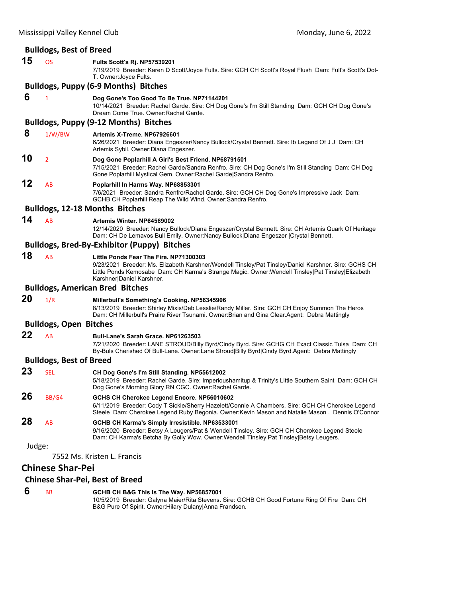|        | <b>Bulldogs, Best of Breed</b> |                                                                                                                                                                                                                                                                                  |
|--------|--------------------------------|----------------------------------------------------------------------------------------------------------------------------------------------------------------------------------------------------------------------------------------------------------------------------------|
| 15     | <b>OS</b>                      | Fults Scott's Rj. NP57539201<br>7/19/2019 Breeder: Karen D Scott/Joyce Fults. Sire: GCH CH Scott's Royal Flush Dam: Fult's Scott's Dot-<br>T. Owner: Joyce Fults.                                                                                                                |
|        |                                | <b>Bulldogs, Puppy (6-9 Months) Bitches</b>                                                                                                                                                                                                                                      |
| 6      | $\mathbf{1}$                   | Dog Gone's Too Good To Be True. NP71144201<br>10/14/2021 Breeder: Rachel Garde. Sire: CH Dog Gone's I'm Still Standing Dam: GCH CH Dog Gone's<br>Dream Come True. Owner: Rachel Garde.                                                                                           |
|        |                                | <b>Bulldogs, Puppy (9-12 Months) Bitches</b>                                                                                                                                                                                                                                     |
| 8      | 1/W/BW                         | Artemis X-Treme, NP67926601<br>6/26/2021 Breeder: Diana Engeszer/Nancy Bullock/Crystal Bennett. Sire: Ib Legend Of J J Dam: CH<br>Artemis Sybil. Owner: Diana Engeszer.                                                                                                          |
| 10     | $\overline{2}$                 | Dog Gone Poplarhill A Girl's Best Friend. NP68791501<br>7/15/2021 Breeder: Rachel Garde/Sandra Renfro. Sire: CH Dog Gone's I'm Still Standing Dam: CH Dog<br>Gone Poplarhill Mystical Gem. Owner: Rachel Garde Sandra Renfro.                                                    |
| 12     | AB                             | Poplarhill In Harms Way. NP68853301<br>7/6/2021 Breeder: Sandra Renfro/Rachel Garde. Sire: GCH CH Dog Gone's Impressive Jack Dam:<br>GCHB CH Poplarhill Reap The Wild Wind. Owner:Sandra Renfro.                                                                                 |
|        |                                | <b>Bulldogs, 12-18 Months Bitches</b>                                                                                                                                                                                                                                            |
| 14     | AB                             | Artemis Winter. NP64569002<br>12/14/2020 Breeder: Nancy Bullock/Diana Engeszer/Crystal Bennett. Sire: CH Artemis Quark Of Heritage<br>Dam: CH De Lemavos Bull Emily. Owner:Nancy Bullock   Diana Engeszer   Crystal Bennett.                                                     |
|        |                                | <b>Bulldogs, Bred-By-Exhibitor (Puppy) Bitches</b>                                                                                                                                                                                                                               |
| 18     | AB                             | Little Ponds Fear The Fire. NP71300303<br>9/23/2021 Breeder: Ms. Elizabeth Karshner/Wendell Tinsley/Pat Tinsley/Daniel Karshner. Sire: GCHS CH<br>Little Ponds Kemosabe Dam: CH Karma's Strange Magic. Owner: Wendell Tinsley Pat Tinsley Elizabeth<br>Karshner Daniel Karshner. |
|        |                                | <b>Bulldogs, American Bred Bitches</b>                                                                                                                                                                                                                                           |
| 20     | 1/R                            | Millerbull's Something's Cooking. NP56345906<br>8/13/2019 Breeder: Shirley Mixis/Deb Lesslie/Randy Miller. Sire: GCH CH Enjoy Summon The Heros<br>Dam: CH Millerbull's Praire River Tsunami. Owner: Brian and Gina Clear Agent: Debra Mattingly                                  |
|        | <b>Bulldogs, Open Bitches</b>  |                                                                                                                                                                                                                                                                                  |
| 22     | AB                             | Bull-Lane's Sarah Grace. NP61263503<br>7/21/2020 Breeder: LANE STROUD/Billy Byrd/Cindy Byrd. Sire: GCHG CH Exact Classic Tulsa Dam: CH<br>By-Buls Cherished Of Bull-Lane. Owner:Lane Stroud Billy Byrd Cindy Byrd.Agent: Debra Mattingly                                         |
|        | <b>Bulldogs, Best of Breed</b> |                                                                                                                                                                                                                                                                                  |
| 23     | <b>SEL</b>                     | CH Dog Gone's I'm Still Standing. NP55612002<br>5/18/2019 Breeder: Rachel Garde. Sire: Imperioushamitup & Trinity's Little Southern Saint Dam: GCH CH<br>Dog Gone's Morning Glory RN CGC. Owner: Rachel Garde.                                                                   |
| 26     | <b>BB/G4</b>                   | GCHS CH Cherokee Legend Encore. NP56010602<br>6/11/2019 Breeder: Cody T Sickle/Sherry Hazelett/Connie A Chambers. Sire: GCH CH Cherokee Legend<br>Steele Dam: Cherokee Legend Ruby Begonia. Owner: Kevin Mason and Natalie Mason. Dennis O'Connor                                |
| 28     | AB                             | GCHB CH Karma's Simply Irresistible. NP63533001<br>9/16/2020 Breeder: Betsy A Leugers/Pat & Wendell Tinsley. Sire: GCH CH Cherokee Legend Steele<br>Dam: CH Karma's Betcha By Golly Wow. Owner:Wendell Tinsley Pat Tinsley Betsy Leugers.                                        |
| Judge: |                                |                                                                                                                                                                                                                                                                                  |
|        |                                | 7552 Ms. Kristen L. Francis                                                                                                                                                                                                                                                      |
|        | <b>Chinese Shar-Pei</b>        |                                                                                                                                                                                                                                                                                  |
|        |                                | <b>Chinese Shar-Pei, Best of Breed</b>                                                                                                                                                                                                                                           |

 **6** BB **GCHB CH B&G This Is The Way. NP56857001** 10/5/2019 Breeder: Galyna Maier/Rita Stevens. Sire: GCHB CH Good Fortune Ring Of Fire Dam: CH B&G Pure Of Spirit. Owner:Hilary Dulany|Anna Frandsen.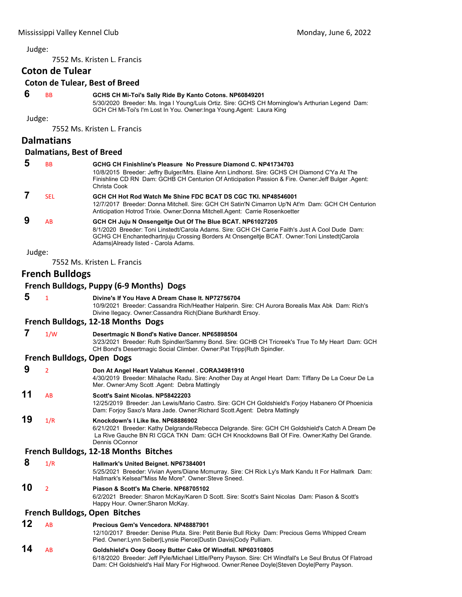7552 Ms. Kristen L. Francis

# **Coton de Tulear**

# **Coton de Tulear, Best of Breed**

# **6** BB **GCHS CH Mi-Toi's Sally Ride By Kanto Cotons. NP60849201**

5/30/2020 Breeder: Ms. Inga I Young/Luis Ortiz. Sire: GCHS CH Morninglow's Arthurian Legend Dam: GCH CH Mi-Toi's I'm Lost In You. Owner:Inga Young.Agent: Laura King

Judge:

7552 Ms. Kristen L. Francis

# **Dalmatians**

#### **Dalmatians, Best of Breed**

| 5      | <b>BB</b> | GCHG CH Finishline's Pleasure No Pressure Diamond C. NP41734703<br>10/8/2015 Breeder: Jeffry Bulger/Mrs. Elaine Ann Lindhorst. Sire: GCHS CH Diamond C'Ya At The<br>Finishline CD RN Dam: GCHB CH Centurion Of Anticipation Passion & Fire. Owner: Jeff Bulger Agent:<br>Christa Cook                 |
|--------|-----------|-------------------------------------------------------------------------------------------------------------------------------------------------------------------------------------------------------------------------------------------------------------------------------------------------------|
|        | SFI.      | GCH CH Hot Rod Watch Me Shine FDC BCAT DS CGC TKI. NP48546001<br>12/7/2017 Breeder: Donna Mitchell. Sire: GCH CH Satin'N Cimarron Up'N At'm Dam: GCH CH Centurion<br>Anticipation Hotrod Trixie. Owner: Donna Mitchell. Agent: Carrie Rosenkoetter                                                    |
| 9      | AB        | GCH CH Juju N Onsengeltje Out Of The Blue BCAT. NP61027205<br>8/1/2020 Breeder: Toni Linstedt/Carola Adams, Sire: GCH CH Carrie Faith's Just A Cool Dude Dam:<br>GCHG CH Enchantedhartnjuju Crossing Borders At Onsengeltje BCAT. Owner: Toni Linstedt Carola<br>Adams Already listed - Carola Adams. |
| Judge: |           |                                                                                                                                                                                                                                                                                                       |

7552 Ms. Kristen L. Francis

# **French Bulldogs**

#### **French Bulldogs, Puppy (6‐9 Months) Dogs**

| 5. | $\mathbf{1}$ |                                    | Divine's If You Have A Dream Chase It, NP72756704                                                |
|----|--------------|------------------------------------|--------------------------------------------------------------------------------------------------|
|    |              |                                    | 10/9/2021 Breeder: Cassandra Rich/Heather Halperin. Sire: CH Aurora Borealis Max Abk Dam: Rich's |
|    |              |                                    | Divine Ilegacy. Owner: Cassandra Rich Diane Burkhardt Ersoy.                                     |
|    |              | French Bulldogs, 12-18 Months Dogs |                                                                                                  |
|    | $4$ has      |                                    | Beceptives als N Benally Native Beneau, NBCE000E04                                               |

 **7** 1/W **Desertmagic N Bond's Native Dancer. NP65898504**

3/23/2021 Breeder: Ruth Spindler/Sammy Bond. Sire: GCHB CH Tricreek's True To My Heart Dam: GCH CH Bond's Desertmagic Social Climber. Owner:Pat Tripp|Ruth Spindler.

#### **French Bulldogs, Open Dogs**

|    | Don At Angel Heart Valahus Kennel . CORA34981910                                                                                                  |
|----|---------------------------------------------------------------------------------------------------------------------------------------------------|
|    | 4/30/2019 Breeder: Mihalache Radu. Sire: Another Day at Angel Heart Dam: Tiffany De La Coeur De La<br>Mer. Owner Amy Scott Agent: Debra Mattingly |
| 11 | Scott's Saint Nicolas, NP58422203                                                                                                                 |

12/25/2019 Breeder: Jan Lewis/Mario Castro. Sire: GCH CH Goldshield's Forjoy Habanero Of Phoenicia Dam: Forjoy Saxo's Mara Jade. Owner:Richard Scott.Agent: Debra Mattingly

# **19** 1/R **Knockdown's I Like Ike. NP68886902**

6/21/2021 Breeder: Kathy Delgrande/Rebecca Delgrande. Sire: GCH CH Goldshield's Catch A Dream De La Rive Gauche BN RI CGCA TKN Dam: GCH CH Knockdowns Ball Of Fire. Owner:Kathy Del Grande. Dennis OConnor

#### **French Bulldogs, 12‐18 Months Bitches**

 **8** 1/R **Hallmark's United Beignet. NP67384001** 5/25/2021 Breeder: Vivian Ayers/Diane Mcmurray. Sire: CH Rick Ly's Mark Kandu It For Hallmark Dam: Hallmark's Kelsea!"Miss Me More". Owner:Steve Sneed.

# **10** <sup>2</sup> **Piason & Scott's Ma Cherie. NP68705102**

6/2/2021 Breeder: Sharon McKay/Karen D Scott. Sire: Scott's Saint Nicolas Dam: Piason & Scott's Happy Hour. Owner:Sharon McKay.

# **French Bulldogs, Open Bitches**

# **12** AB **Precious Gem's Vencedora. NP48887901**

12/10/2017 Breeder: Denise Pluta. Sire: Petit Benie Bull Ricky Dam: Precious Gems Whipped Cream Pied. Owner:Lynn Seiber|Lynsie Pierce|Dustin Davis|Cody Pulliam.

#### **14** AB **Goldshield's Ooey Gooey Butter Cake Of Windfall. NP60310805** 6/18/2020 Breeder: Jeff Pyle/Michael Little/Perry Payson. Sire: CH Windfall's Le Seul Brutus Of Flatroad Dam: CH Goldshield's Hail Mary For Highwood. Owner:Renee Doyle|Steven Doyle|Perry Payson.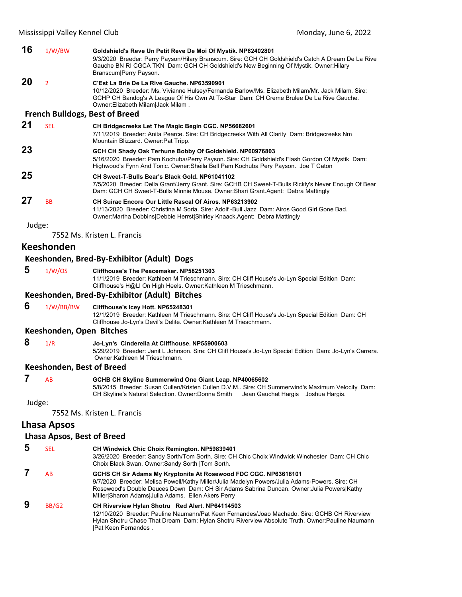| 16     | 1/W/BW         | Goldshield's Reve Un Petit Reve De Moi Of Mystik. NP62402801<br>9/3/2020 Breeder: Perry Payson/Hilary Branscum. Sire: GCH CH Goldshield's Catch A Dream De La Rive<br>Gauche BN RI CGCA TKN Dam: GCH CH Goldshield's New Beginning Of Mystik. Owner: Hilary<br>Branscum Perry Payson. |
|--------|----------------|---------------------------------------------------------------------------------------------------------------------------------------------------------------------------------------------------------------------------------------------------------------------------------------|
| 20     | $\overline{2}$ | C'Est La Brie De La Rive Gauche, NP63590901<br>10/12/2020 Breeder: Ms. Vivianne Hulsey/Fernanda Barlow/Ms. Elizabeth Milam/Mr. Jack Milam. Sire:<br>GCHP CH Bandog's A League Of His Own At Tx-Star Dam: CH Creme Brulee De La Rive Gauche.<br>Owner: Elizabeth Milam   Jack Milam.   |
|        |                | <b>French Bulldogs, Best of Breed</b>                                                                                                                                                                                                                                                 |
| 21     | <b>SEL</b>     | CH Bridgecreeks Let The Magic Begin CGC. NP56682601<br>7/11/2019 Breeder: Anita Pearce. Sire: CH Bridgecreeks With All Clarity Dam: Bridgecreeks Nm<br>Mountain Blizzard. Owner: Pat Tripp.                                                                                           |
| 23     |                | GCH CH Shady Oak Terhune Bobby Of Goldshield. NP60976803<br>5/16/2020 Breeder: Pam Kochuba/Perry Payson. Sire: CH Goldshield's Flash Gordon Of Mystik Dam:<br>Highwood's Fynn And Tonic. Owner: Sheila Bell Pam Kochuba Pery Payson. Joe T Caton                                      |
| 25     |                | CH Sweet-T-Bulls Bear's Black Gold, NP61041102<br>7/5/2020 Breeder: Della Grant/Jerry Grant. Sire: GCHB CH Sweet-T-Bulls Rickly's Never Enough Of Bear<br>Dam: GCH CH Sweet-T-Bulls Minnie Mouse. Owner: Shari Grant.Agent: Debra Mattingly                                           |
| 27     | <b>BB</b>      | <b>CH Suirac Encore Our Little Rascal Of Airos, NP63213902</b><br>11/13/2020 Breeder: Christina M Soria, Sire: Adolf -Bull Jazz Dam: Airos Good Girl Gone Bad.<br>Owner:Martha Dobbins Debbie Herrst Shirley Knaack.Agent: Debra Mattingly                                            |
| Judge: |                |                                                                                                                                                                                                                                                                                       |
|        |                | 7552 Ms. Kristen L. Francis                                                                                                                                                                                                                                                           |
|        |                |                                                                                                                                                                                                                                                                                       |

# **Keeshonden**

#### **Keeshonden, Bred‐By‐Exhibitor (Adult) Dogs**

 **5** 1/W/OS **Cliffhouse's The Peacemaker. NP58251303**

11/1/2019 Breeder: Kathleen M Trieschmann. Sire: CH Cliff House's Jo-Lyn Special Edition Dam: Cliffhouse's H@Ll On High Heels. Owner:Kathleen M Trieschmann.

#### **Keeshonden, Bred‐By‐Exhibitor (Adult) Bitches**

 **6** 1/W/BB/BW **Cliffhouse's Icey Hott. NP65248301** 12/1/2019 Breeder: Kathleen M Trieschmann. Sire: CH Cliff House's Jo-Lyn Special Edition Dam: CH

# Cliffhouse Jo-Lyn's Devil's Delite. Owner:Kathleen M Trieschmann.

- **Keeshonden, Open Bitches**
- **8** 1/R **Jo-Lyn's Cinderella At Cliffhouse. NP55900603**
	- 5/29/2019 Breeder: Janit L Johnson. Sire: CH Cliff House's Jo-Lyn Special Edition Dam: Jo-Lyn's Carrera. Owner:Kathleen M Trieschmann.

#### **Keeshonden, Best of Breed**

#### **7** AB **GCHB CH Skyline Summerwind One Giant Leap. NP40065602**

5/8/2015 Breeder: Susan Cullen/Kristen Cullen D.V.M.. Sire: CH Summerwind's Maximum Velocity Dam: CH Skyline's Natural Selection. Owner:Donna Smith Jean Gauchat Hargis Joshua Hargis.

Judge:

7552 Ms. Kristen L. Francis

#### **Lhasa Apsos**

#### **Lhasa Apsos, Best of Breed**

 **5** SEL **CH Windwick Chic Choix Remington. NP59839401** 3/26/2020 Breeder: Sandy Sorth/Tom Sorth. Sire: CH Chic Choix Windwick Winchester Dam: CH Chic Choix Black Swan. Owner:Sandy Sorth |Tom Sorth.  **7** AB **GCHS CH Sir Adams My Kryptonite At Rosewood FDC CGC. NP63618101** 9/7/2020 Breeder: Melisa Powell/Kathy Miller/Julia Madelyn Powers/Julia Adams-Powers. Sire: CH Rosewood's Double Deuces Down Dam: CH Sir Adams Sabrina Duncan. Owner:Julia Powers|Kathy MIller|Sharon Adams|Julia Adams. Ellen Akers Perry

# **9** BB/G2 **CH Riverview Hylan Shotru Red Alert. NP64114503**

12/10/2020 Breeder: Pauline Naumann/Pat Keen Fernandes/Joao Machado. Sire: GCHB CH Riverview Hylan Shotru Chase That Dream Dam: Hylan Shotru Riverview Absolute Truth. Owner:Pauline Naumann |Pat Keen Fernandes .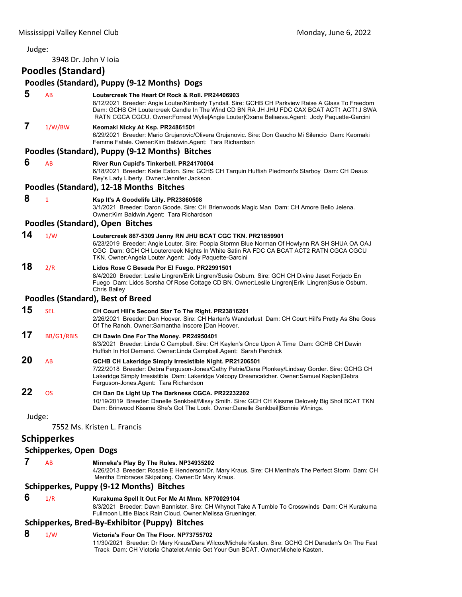3948 Dr. John V Ioia

# **Poodles (Standard)**

|        |                               | Poodles (Standard), Puppy (9-12 Months) Dogs                                                                                                                                                                                                                                                                                                         |
|--------|-------------------------------|------------------------------------------------------------------------------------------------------------------------------------------------------------------------------------------------------------------------------------------------------------------------------------------------------------------------------------------------------|
| 5      | AB                            | Loutercreek The Heart Of Rock & Roll. PR24406903<br>8/12/2021 Breeder: Angie Louter/Kimberly Tyndall. Sire: GCHB CH Parkview Raise A Glass To Freedom<br>Dam: GCHS CH Loutercreek Candle In The Wind CD BN RA JH JHU FDC CAX BCAT ACT1 ACT1J SWA<br>RATN CGCA CGCU. Owner: Forrest Wylie Angie Louter   Oxana Beliaeva. Agent: Jody Paquette-Garcini |
| 7      | 1/W/BW                        | Keomaki Nicky At Ksp. PR24861501<br>6/29/2021 Breeder: Mario Grujanovic/Olivera Grujanovic. Sire: Don Gaucho Mi Silencio Dam: Keomaki<br>Femme Fatale. Owner: Kim Baldwin. Agent: Tara Richardson                                                                                                                                                    |
|        |                               | Poodles (Standard), Puppy (9-12 Months) Bitches                                                                                                                                                                                                                                                                                                      |
| 6      | AB                            | River Run Cupid's Tinkerbell. PR24170004<br>6/18/2021 Breeder: Katie Eaton. Sire: GCHS CH Tarquin Huffish Piedmont's Starboy Dam: CH Deaux<br>Rey's Lady Liberty. Owner: Jennifer Jackson.                                                                                                                                                           |
|        |                               | Poodles (Standard), 12-18 Months Bitches                                                                                                                                                                                                                                                                                                             |
| 8      | $\mathbf{1}$                  | Ksp It's A Goodelife Lilly. PR23860508<br>3/1/2021 Breeder: Daron Goode. Sire: CH Brienwoods Magic Man Dam: CH Amore Bello Jelena.<br>Owner: Kim Baldwin. Agent: Tara Richardson                                                                                                                                                                     |
|        |                               | Poodles (Standard), Open Bitches                                                                                                                                                                                                                                                                                                                     |
| 14     | 1/W                           | Loutercreek 867-5309 Jenny RN JHU BCAT CGC TKN. PR21859901<br>6/23/2019 Breeder: Angie Louter. Sire: Poopla Stormn Blue Norman Of Howlynn RA SH SHUA OA OAJ<br>CGC Dam: GCH CH Loutercreek Nights In White Satin RA FDC CA BCAT ACT2 RATN CGCA CGCU<br>TKN. Owner: Angela Louter. Agent: Jody Paquette-Garcini                                       |
| 18     | 2/R                           | Lidos Rose C Besada Por El Fuego. PR22991501<br>8/4/2020 Breeder: Leslie Lingren/Erik Lingren/Susie Osburn. Sire: GCH CH Divine Jaset Forjado En<br>Fuego Dam: Lidos Sorsha Of Rose Cottage CD BN. Owner:Leslie Lingren Erik Lingren Susie Osburn.<br>Chris Bailey                                                                                   |
|        |                               | <b>Poodles (Standard), Best of Breed</b>                                                                                                                                                                                                                                                                                                             |
| 15     | <b>SEL</b>                    | CH Court Hill's Second Star To The Right. PR23816201<br>2/26/2021 Breeder: Dan Hoover. Sire: CH Harten's Wanderlust Dam: CH Court Hill's Pretty As She Goes<br>Of The Ranch. Owner: Samantha Inscore   Dan Hoover.                                                                                                                                   |
| 17     | BB/G1/RBIS                    | CH Dawin One For The Money. PR24950401<br>8/3/2021 Breeder: Linda C Campbell. Sire: CH Kaylen's Once Upon A Time Dam: GCHB CH Dawin<br>Huffish In Hot Demand. Owner: Linda Campbell. Agent: Sarah Perchick                                                                                                                                           |
| 20     | AB                            | GCHB CH Lakeridge Simply Irresistible Night. PR21206501<br>7/22/2018 Breeder: Debra Ferguson-Jones/Cathy Petrie/Dana Plonkey/Lindsay Gorder. Sire: GCHG CH<br>Lakeridge Simply Irresistible Dam: Lakeridge Valcopy Dreamcatcher. Owner:Samuel Kaplan Debra<br>Ferguson-Jones Agent: Tara Richardson                                                  |
| 22     | OS                            | CH Dan Ds Light Up The Darkness CGCA. PR22232202<br>10/19/2019 Breeder: Danelle Senkbeil/Missy Smith. Sire: GCH CH Kissme Delovely Big Shot BCAT TKN<br>Dam: Brinwood Kissme She's Got The Look. Owner:Danelle Senkbeil Bonnie Winings.                                                                                                              |
| Judge: |                               |                                                                                                                                                                                                                                                                                                                                                      |
|        |                               | 7552 Ms. Kristen L. Francis                                                                                                                                                                                                                                                                                                                          |
|        | <b>Schipperkes</b>            |                                                                                                                                                                                                                                                                                                                                                      |
|        | <b>Schipperkes, Open Dogs</b> |                                                                                                                                                                                                                                                                                                                                                      |

 **7** AB **Minneka's Play By The Rules. NP34935202**

4/26/2013 Breeder: Rosalie E Henderson/Dr. Mary Kraus. Sire: CH Mentha's The Perfect Storm Dam: CH Mentha Embraces Skipalong. Owner:Dr Mary Kraus.

## **Schipperkes, Puppy (9‐12 Months) Bitches**

# **6** 1/R **Kurakuma Spell It Out For Me At Mnm. NP70029104**

8/3/2021 Breeder: Dawn Bannister. Sire: CH Whynot Take A Tumble To Crosswinds Dam: CH Kurakuma Fullmoon Little Black Rain Cloud. Owner:Melissa Grueninger.

# **Schipperkes, Bred‐By‐Exhibitor (Puppy) Bitches**

# **8** 1/W **Victoria's Four On The Floor. NP73755702**

11/30/2021 Breeder: Dr Mary Kraus/Dara Wilcox/Michele Kasten. Sire: GCHG CH Daradan's On The Fast Track Dam: CH Victoria Chatelet Annie Get Your Gun BCAT. Owner:Michele Kasten.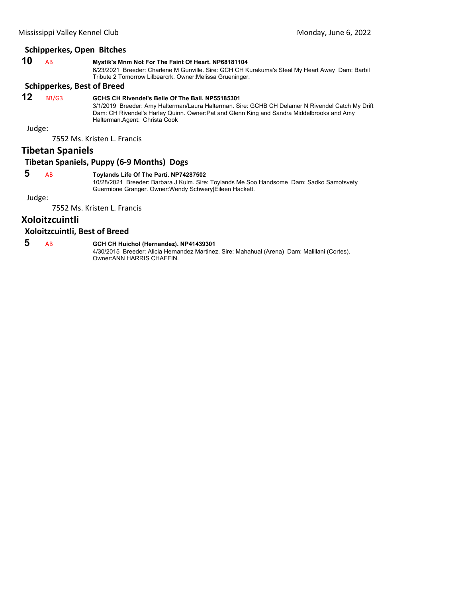| 10 | Mystik's Mnm Not For The Faint Of Heart. NP68181104                                             |
|----|-------------------------------------------------------------------------------------------------|
|    | 6/23/2021 Breeder: Charlene M Gunville. Sire: GCH CH Kurakuma's Steal My Heart Away Dam: Barbil |
|    | Tribute 2 Tomorrow Lilbearcrk. Owner: Melissa Grueninger.                                       |

# **Schipperkes, Best of Breed**

# **12** BB/G3 **GCHS CH Rivendel's Belle Of The Ball. NP55185301**

3/1/2019 Breeder: Amy Halterman/Laura Halterman. Sire: GCHB CH Delamer N Rivendel Catch My Drift Dam: CH Rivendel's Harley Quinn. Owner:Pat and Glenn King and Sandra Middelbrooks and Amy Halterman.Agent: Christa Cook

Judge:

7552 Ms. Kristen L. Francis

# **Tibetan Spaniels**

# **Tibetan Spaniels, Puppy (6‐9 Months) Dogs**

# **5** AB **Toylands Life Of The Parti. NP74287502**

10/28/2021 Breeder: Barbara J Kulm. Sire: Toylands Me Soo Handsome Dam: Sadko Samotsvety Guermione Granger. Owner:Wendy Schwery|Eileen Hackett.

Judge:

7552 Ms. Kristen L. Francis

# **Xoloitzcuintli**

## **Xoloitzcuintli, Best of Breed**

 **5** AB **GCH CH Huichol (Hernandez). NP41439301**

4/30/2015 Breeder: Alicia Hernandez Martinez. Sire: Mahahual (Arena) Dam: Malillani (Cortes). Owner:ANN HARRIS CHAFFIN.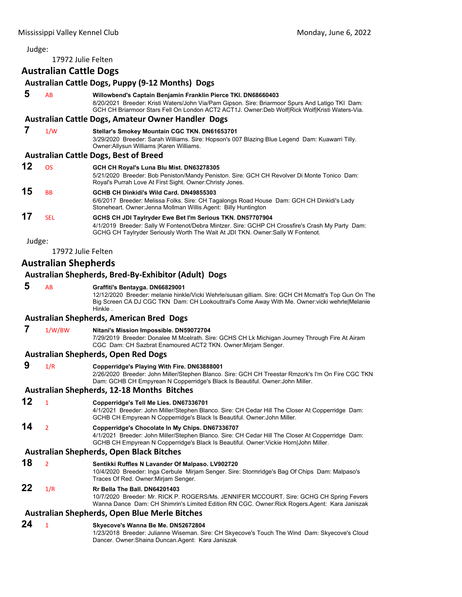17972 Julie Felten

# <span id="page-55-0"></span>**Australian Cattle Dogs Australian Cattle Dogs, Puppy (9‐12 Months) Dogs 5** AB **Willowbend's Captain Benjamin Franklin Pierce TKI. DN68660403** 8/20/2021 Breeder: Kristi Waters/John Via/Pam Gipson. Sire: Briarmoor Spurs And Latigo TKI Dam: GCH CH Briarmoor Stars Fell On London ACT2 ACT1J. Owner:Deb Wolf|Rick Wolf|Kristi Waters-Via. **Australian Cattle Dogs, Amateur Owner Handler Dogs 7** 1/W **Stellar's Smokey Mountain CGC TKN. DN61653701** 3/29/2020 Breeder: Sarah Williams. Sire: Hopson's 007 Blazing Blue Legend Dam: Kuawarri Tilly. Owner:Allysun Williams |Karen Williams. **Australian Cattle Dogs, Best of Breed 12** OS **GCH CH Royal's Luna Blu Mist. DN63278305** 5/21/2020 Breeder: Bob Peniston/Mandy Peniston. Sire: GCH CH Revolver Di Monte Tonico Dam: Royal's Purrah Love At First Sight. Owner:Christy Jones. **15** BB **GCHB CH Dinkidi's Wild Card. DN49855303** 6/6/2017 Breeder: Melissa Folks. Sire: CH Tagalongs Road House Dam: GCH CH Dinkidi's Lady Stoneheart. Owner:Jenna Mollman Willis.Agent: Billy Huntington **17** SEL **GCHS CH JDI Taylryder Ewe Bet I'm Serious TKN. DN57707904** 4/1/2019 Breeder: Sally W Fontenot/Debra Mintzer. Sire: GCHP CH Crossfire's Crash My Party Dam: GCHG CH Taylryder Seriously Worth The Wait At JDI TKN. Owner:Sally W Fontenot.

Judge:

17972 Julie Felten

# **Australian Shepherds**

#### **Australian Shepherds, Bred‐By‐Exhibitor (Adult) Dogs**

## **5** AB **Graffiti's Bentayga. DN66829001**

12/12/2020 Breeder: melanie hinkle/Vicki Wehrle/susan gilliam. Sire: GCH CH Mcmatt's Top Gun On The Big Screen CA DJ CGC TKN Dam: CH Lookouttrail's Come Away With Me. Owner:vicki wehrle|Melanie Hinkle .

#### **Australian Shepherds, American Bred Dogs**

#### **7** 1/W/BW **Nitani's Mission Impossible. DN59072704**

7/29/2019 Breeder: Donalee M Mcelrath. Sire: GCHS CH Lk Michigan Journey Through Fire At Airam CGC Dam: CH Sazbrat Enamoured ACT2 TKN. Owner:Mirjam Senger.

#### **Australian Shepherds, Open Red Dogs**

 **9** 1/R **Copperridge's Playing With Fire. DN63888001**

2/26/2020 Breeder: John Miller/Stephen Blanco. Sire: GCH CH Treestar Rmzcrk's I'm On Fire CGC TKN Dam: GCHB CH Empyrean N Copperridge's Black Is Beautiful. Owner:John Miller.

## **Australian Shepherds, 12‐18 Months Bitches**

**12** <sup>1</sup> **Copperridge's Tell Me Lies. DN67336701**

4/1/2021 Breeder: John Miller/Stephen Blanco. Sire: CH Cedar Hill The Closer At Copperridge Dam: GCHB CH Empyrean N Copperridge's Black Is Beautiful. Owner:John Miller.

# **14** <sup>2</sup> **Copperridge's Chocolate In My Chips. DN67336707**

4/1/2021 Breeder: John Miller/Stephen Blanco. Sire: CH Cedar Hill The Closer At Copperridge Dam: GCHB CH Empyrean N Copperridge's Black Is Beautiful. Owner:Vickie Horn|John Miller.

#### **Australian Shepherds, Open Black Bitches**

**18** <sup>2</sup> **Sentikki Ruffles N Lavander Of Malpaso. LV902720** 10/4/2020 Breeder: Inga Cerbule Mirjam Senger. Sire: Stormridge's Bag Of Chips Dam: Malpaso's Traces Of Red. Owner:Mirjam Senger.

#### **22** 1/R **Rr Bella The Ball. DN64201403**

10/7/2020 Breeder: Mr. RICK P. ROGERS/Ms. JENNIFER MCCOURT. Sire: GCHG CH Spring Fevers Wanna Dance Dam: CH Shimrin's Limited Edition RN CGC. Owner:Rick Rogers.Agent: Kara Janiszak

#### **Australian Shepherds, Open Blue Merle Bitches**

## **24** <sup>1</sup> **Skyecove's Wanna Be Me. DN52672804**

1/23/2018 Breeder: Julianne Wiseman. Sire: CH Skyecove's Touch The Wind Dam: Skyecove's Cloud Dancer. Owner:Shaina Duncan.Agent: Kara Janiszak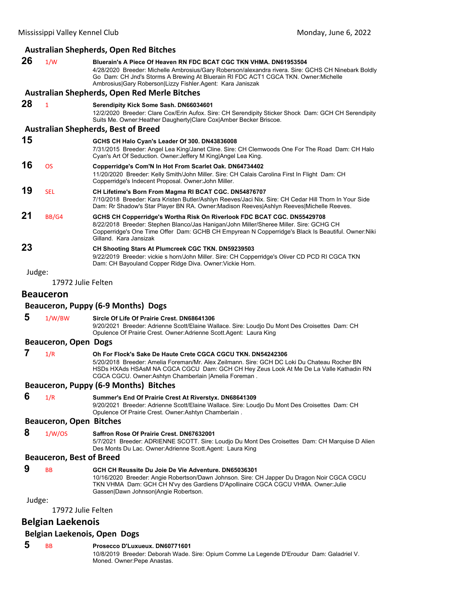|                          |                                 | <b>Australian Shepherds, Open Red Bitches</b>                                                                                                                                                                                                                                                                                 |
|--------------------------|---------------------------------|-------------------------------------------------------------------------------------------------------------------------------------------------------------------------------------------------------------------------------------------------------------------------------------------------------------------------------|
| 26                       | 1/W                             | Bluerain's A Piece Of Heaven RN FDC BCAT CGC TKN VHMA, DN61953504<br>4/28/2020 Breeder: Michelle Ambrosius/Gary Roberson/alexandra rivera. Sire: GCHS CH Ninebark Boldly<br>Go Dam: CH Jnd's Storms A Brewing At Bluerain RI FDC ACT1 CGCA TKN. Owner: Michelle<br>Ambrosius Gary Roberson Lizzy Fishler.Agent: Kara Janiszak |
|                          |                                 | Australian Shepherds, Open Red Merle Bitches                                                                                                                                                                                                                                                                                  |
| 28                       | $\mathbf{1}$                    | Serendipity Kick Some Sash. DN66034601<br>12/2/2020 Breeder: Clare Cox/Erin Aufox. Sire: CH Serendipity Sticker Shock Dam: GCH CH Serendipity<br>Suits Me. Owner: Heather Daugherty Clare Cox Amber Becker Briscoe.                                                                                                           |
|                          |                                 | <b>Australian Shepherds, Best of Breed</b>                                                                                                                                                                                                                                                                                    |
| 15                       |                                 | GCHS CH Halo Cyan's Leader Of 300. DN43836008<br>7/31/2015 Breeder: Angel Lea King/Janet Cline. Sire: CH Clemwoods One For The Road Dam: CH Halo<br>Cyan's Art Of Seduction. Owner: Jeffery M King Angel Lea King.                                                                                                            |
| 16                       | <b>OS</b>                       | Copperridge's Com'N In Hot From Scarlet Oak. DN64734402<br>11/20/2020 Breeder: Kelly Smith/John Miller. Sire: CH Calais Carolina First In Flight Dam: CH<br>Copperridge's Indecent Proposal. Owner: John Miller.                                                                                                              |
| 19                       | <b>SEL</b>                      | CH Lifetime's Born From Magma RI BCAT CGC. DN54876707<br>7/10/2018 Breeder: Kara Kristen Butler/Ashlyn Reeves/Jaci Nix. Sire: CH Cedar Hill Thorn In Your Side<br>Dam: Rr Shadow's Star Player BN RA. Owner:Madison Reeves Ashlyn Reeves Michelle Reeves.                                                                     |
| 21                       | BB/G4                           | GCHS CH Copperridge's Wortha Risk On Riverlook FDC BCAT CGC. DN55429708<br>8/22/2018 Breeder: Stephen Blanco/Jas Hanigan/John Miller/Sheree Miller. Sire: GCHG CH<br>Copperridge's One Time Offer Dam: GCHB CH Empyrean N Copperridge's Black Is Beautiful. Owner: Niki<br>Gilland. Kara Jansizak                             |
| 23                       |                                 | CH Shooting Stars At Plumcreek CGC TKN. DN59239503<br>9/22/2019 Breeder: vickie s horn/John Miller. Sire: CH Copperridge's Oliver CD PCD RI CGCA TKN<br>Dam: CH Bayouland Copper Ridge Diva. Owner: Vickie Horn.                                                                                                              |
| Judge:                   | 17972 Julie Felten              |                                                                                                                                                                                                                                                                                                                               |
|                          |                                 |                                                                                                                                                                                                                                                                                                                               |
|                          | <b>Beauceron</b>                |                                                                                                                                                                                                                                                                                                                               |
|                          |                                 | Beauceron, Puppy (6-9 Months) Dogs                                                                                                                                                                                                                                                                                            |
| 5                        | 1/W/BW                          | Sircle Of Life Of Prairie Crest, DN68641306<br>9/20/2021 Breeder: Adrienne Scott/Elaine Wallace. Sire: Loudjo Du Mont Des Croisettes Dam: CH<br>Opulence Of Prairie Crest. Owner: Adrienne Scott. Agent: Laura King                                                                                                           |
|                          | <b>Beauceron, Open Dogs</b>     |                                                                                                                                                                                                                                                                                                                               |
| 7                        | 1/R                             | Oh For Flock's Sake De Haute Crete CGCA CGCU TKN. DN54242306                                                                                                                                                                                                                                                                  |
|                          |                                 | 5/20/2018 Breeder: Amelia Foreman/Mr. Alex Zeilmann. Sire: GCH DC Loki Du Chateau Rocher BN<br>HSDs HXAds HSAsM NA CGCA CGCU Dam: GCH CH Hey Zeus Look At Me De La Valle Kathadin RN<br>CGCA CGCU. Owner: Ashtyn Chamberlain   Amelia Foreman.                                                                                |
|                          |                                 | Beauceron, Puppy (6-9 Months) Bitches                                                                                                                                                                                                                                                                                         |
| 6                        | 1/R                             | Summer's End Of Prairie Crest At Riverstyx. DN68641309<br>9/20/2021 Breeder: Adrienne Scott/Elaine Wallace. Sire: Loudjo Du Mont Des Croisettes Dam: CH<br>Opulence Of Prairie Crest. Owner: Ashtyn Chamberlain.                                                                                                              |
|                          | <b>Beauceron, Open Bitches</b>  |                                                                                                                                                                                                                                                                                                                               |
| 8                        | 1/W/OS                          | Saffron Rose Of Prairie Crest. DN67632001<br>5/7/2021 Breeder: ADRIENNE SCOTT. Sire: Loudjo Du Mont Des Croisettes Dam: CH Marquise D Alien<br>Des Monts Du Lac. Owner: Adrienne Scott. Agent: Laura King                                                                                                                     |
|                          | <b>Beauceron, Best of Breed</b> |                                                                                                                                                                                                                                                                                                                               |
| 9                        | BB                              | GCH CH Reussite Du Joie De Vie Adventure. DN65036301<br>10/16/2020 Breeder: Angie Robertson/Dawn Johnson. Sire: CH Japper Du Dragon Noir CGCA CGCU<br>TKN VHMA Dam: GCH CH N'vy des Gardiens D'Apollinaire CGCA CGCU VHMA. Owner: Julie<br>Gassen Dawn Johnson Angie Robertson.                                               |
| Judge:                   |                                 |                                                                                                                                                                                                                                                                                                                               |
|                          | 17972 Julie Felten              |                                                                                                                                                                                                                                                                                                                               |
| <b>Belgian Laekenois</b> |                                 |                                                                                                                                                                                                                                                                                                                               |
|                          |                                 | Belgian Laekenois, Open Dogs                                                                                                                                                                                                                                                                                                  |

 **5** BB **Prosecco D'Luxueux. DN60771601**

10/8/2019 Breeder: Deborah Wade. Sire: Opium Comme La Legende D'Eroudur Dam: Galadriel V. Moned. Owner:Pepe Anastas.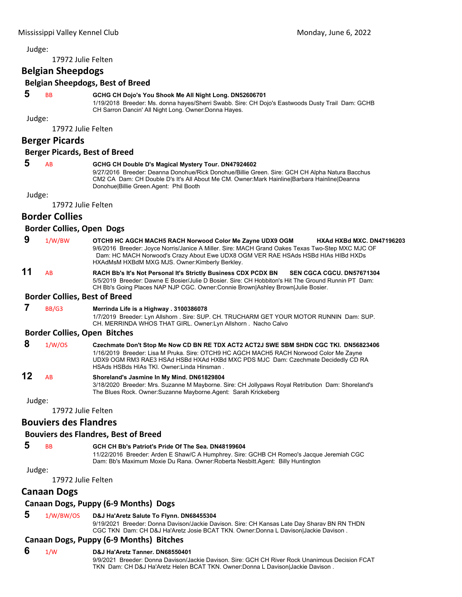17972 Julie Felten

# **Belgian Sheepdogs**

**Belgian Sheepdogs, Best of Breed**

# **5** BB **GCHG CH Dojo's You Shook Me All Night Long. DN52606701**

1/19/2018 Breeder: Ms. donna hayes/Sherri Swabb. Sire: CH Dojo's Eastwoods Dusty Trail Dam: GCHB CH Sarron Dancin' All Night Long. Owner:Donna Hayes.

Judge:

17972 Julie Felten

# **Berger Picards**

#### **Berger Picards, Best of Breed**

# **5** AB **GCHG CH Double D's Magical Mystery Tour. DN47924602**

9/27/2016 Breeder: Deanna Donohue/Rick Donohue/Billie Green. Sire: GCH CH Alpha Natura Bacchus CM2 CA Dam: CH Double D's It's All About Me CM. Owner:Mark Hainline|Barbara Hainline|Deanna Donohue|Billie Green.Agent: Phil Booth

Judge:

17972 Julie Felten

# **Border Collies**

#### **Border Collies, Open Dogs**

| OTCH9 HC AGCH MACH5 RACH Norwood Color Me Zayne UDX9 OGM<br>HXAd HXBd MXC, DN47196203            |  |
|--------------------------------------------------------------------------------------------------|--|
| 9/6/2016 Breeder: Joyce Norris/Janice A Miller. Sire: MACH Grand Oakes Texas Two-Step MXC MJC OF |  |
| Dam: HC MACH Norwood's Crazy About Ewe UDX8 OGM VER RAE HSAds HSBd HIAs HIBd HXDs                |  |
| HXAdMsM HXBdM MXG MJS. Owner:Kimberly Berkley.                                                   |  |
| 1/W/BW                                                                                           |  |

**11** AB **RACH Bb's It's Not Personal It's Strictly Business CDX PCDX BN SEN CGCA CGCU. DN57671304** 5/5/2019 Breeder: Dawne E Bosier/Julie D Bosier. Sire: CH Hobbiton's Hit The Ground Runnin PT Dam: CH Bb's Going Places NAP NJP CGC. Owner:Connie Brown|Ashley Brown|Julie Bosier.

#### **Border Collies, Best of Breed**

#### **7** BB/G3 **Merrinda Life is a Highway . 3100386078**

1/7/2019 Breeder: Lyn Allshorn . Sire: SUP. CH. TRUCHARM GET YOUR MOTOR RUNNIN Dam: SUP. CH. MERRINDA WHOS THAT GIRL. Owner:Lyn Allshorn . Nacho Calvo

#### **Border Collies, Open Bitches**

 **8** 1/W/OS **Czechmate Don't Stop Me Now CD BN RE TDX ACT2 ACT2J SWE SBM SHDN CGC TKI. DN56823406** 1/16/2019 Breeder: Lisa M Pruka. Sire: OTCH9 HC AGCH MACH5 RACH Norwood Color Me Zayne UDX9 OGM RM3 RAE3 HSAd HSBd HXAd HXBd MXC PDS MJC Dam: Czechmate Decidedly CD RA HSAds HSBds HIAs TKI. Owner:Linda Hinsman .

# **12** AB **Shoreland's Jasmine In My Mind. DN61829804**

3/18/2020 Breeder: Mrs. Suzanne M Mayborne. Sire: CH Jollypaws Royal Retribution Dam: Shoreland's The Blues Rock. Owner:Suzanne Mayborne.Agent: Sarah Krickeberg

Judge:

17972 Julie Felten

# **Bouviers des Flandres**

# **Bouviers des Flandres, Best of Breed**

Judge:

# **5** BB **GCH CH Bb's Patriot's Pride Of The Sea. DN48199604**

11/22/2016 Breeder: Arden E Shaw/C A Humphrey. Sire: GCHB CH Romeo's Jacque Jeremiah CGC Dam: Bb's Maximum Moxie Du Rana. Owner:Roberta Nesbitt.Agent: Billy Huntington

17972 Julie Felten

# **Canaan Dogs**

# **Canaan Dogs, Puppy (6‐9 Months) Dogs**

# **5** 1/W/BW/OS **D&J Ha'Aretz Salute To Flynn. DN68455304**

9/19/2021 Breeder: Donna Davison/Jackie Davison. Sire: CH Kansas Late Day Sharav BN RN THDN CGC TKN Dam: CH D&J Ha'Aretz Josie BCAT TKN. Owner:Donna L Davison|Jackie Davison .

# **Canaan Dogs, Puppy (6‐9 Months) Bitches**

# **6** 1/W **D&J Ha'Aretz Tanner. DN68550401**

9/9/2021 Breeder: Donna Davison/Jackie Davison. Sire: GCH CH River Rock Unanimous Decision FCAT TKN Dam: CH D&J Ha'Aretz Helen BCAT TKN. Owner:Donna L Davison|Jackie Davison .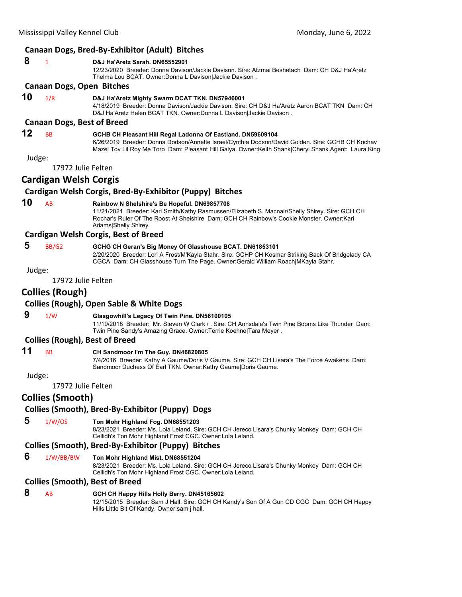# **Canaan Dogs, Bred‐By‐Exhibitor (Adult) Bitches**

|        |                                   | Canaan Dogs, Dieu-Dy-Lambitor (Audit) Ditties                                                                                                                                                                                                                           |
|--------|-----------------------------------|-------------------------------------------------------------------------------------------------------------------------------------------------------------------------------------------------------------------------------------------------------------------------|
| 8      | $\mathbf{1}$                      | D&J Ha'Aretz Sarah, DN65552901<br>12/23/2020 Breeder: Donna Davison/Jackie Davison. Sire: Atzmai Beshetach Dam: CH D&J Ha'Aretz<br>Thelma Lou BCAT. Owner:Donna L Davison Jackie Davison.                                                                               |
|        | Canaan Dogs, Open Bitches         |                                                                                                                                                                                                                                                                         |
| 10     | 1/R                               | D&J Ha'Aretz Mighty Swarm DCAT TKN. DN57946001<br>4/18/2019 Breeder: Donna Davison/Jackie Davison. Sire: CH D&J Ha'Aretz Aaron BCAT TKN Dam: CH<br>D&J Ha'Aretz Helen BCAT TKN. Owner:Donna L Davison Jackie Davison.                                                   |
|        | <b>Canaan Dogs, Best of Breed</b> |                                                                                                                                                                                                                                                                         |
| 12     | <b>BB</b>                         | GCHB CH Pleasant Hill Regal Ladonna Of Eastland. DN59609104<br>6/26/2019 Breeder: Donna Dodson/Annette Israel/Cynthia Dodson/David Golden. Sire: GCHB CH Kochav<br>Mazel Tov Lil Roy Me Toro Dam: Pleasant Hill Galya. Owner:Keith Shank Cheryl Shank.Agent: Laura King |
| Judge: |                                   |                                                                                                                                                                                                                                                                         |
|        | 17972 Julie Felten                |                                                                                                                                                                                                                                                                         |
|        | <b>Cardigan Welsh Corgis</b>      |                                                                                                                                                                                                                                                                         |
|        |                                   | Cardigan Welsh Corgis, Bred-By-Exhibitor (Puppy) Bitches                                                                                                                                                                                                                |
| 10     | AB                                | Rainbow N Shelshire's Be Hopeful. DN69857708<br>11/21/2021 Breeder: Kari Smith/Kathy Rasmussen/Elizabeth S. Macnair/Shelly Shirey. Sire: GCH CH<br>Rochar's Ruler Of The Roost At Shelshire Dam: GCH CH Rainbow's Cookie Monster. Owner: Kari<br>Adams Shelly Shirey.   |
|        |                                   | <b>Cardigan Welsh Corgis, Best of Breed</b>                                                                                                                                                                                                                             |
| 5      | <b>BB/G2</b>                      | GCHG CH Geran's Big Money Of Glasshouse BCAT. DN61853101<br>2/20/2020 Breeder: Lori A Frost/M'Kayla Stahr. Sire: GCHP CH Kosmar Striking Back Of Bridgelady CA<br>CGCA Dam: CH Glasshouse Turn The Page. Owner:Gerald William Roach MKayla Stahr.                       |
| Judge: |                                   |                                                                                                                                                                                                                                                                         |
|        | 17972 Julie Felten                |                                                                                                                                                                                                                                                                         |
|        | <b>Collies (Rough)</b>            |                                                                                                                                                                                                                                                                         |
|        |                                   | <b>Collies (Rough), Open Sable &amp; White Dogs</b>                                                                                                                                                                                                                     |
| 9      | 1/W                               | Glasgowhill's Legacy Of Twin Pine. DN56100105<br>11/19/2018 Breeder: Mr. Steven W Clark / . Sire: CH Annsdale's Twin Pine Booms Like Thunder Dam:<br>Twin Pine Sandy's Amazing Grace. Owner: Terrie Koehne Tara Meyer.                                                  |
|        |                                   | <b>Collies (Rough), Best of Breed</b>                                                                                                                                                                                                                                   |
| 11     | <b>BB</b>                         | CH Sandmoor I'm The Guy. DN46820805<br>7/4/2016 Breeder: Kathy A Gaume/Doris V Gaume. Sire: GCH CH Lisara's The Force Awakens Dam:<br>Sandmoor Duchess Of Earl TKN. Owner: Kathy Gaume Doris Gaume.                                                                     |
| Judge: |                                   |                                                                                                                                                                                                                                                                         |
|        | 17972 Julie Felten                |                                                                                                                                                                                                                                                                         |
|        | <b>Collies (Smooth)</b>           |                                                                                                                                                                                                                                                                         |
|        |                                   | Collies (Smooth), Bred-By-Exhibitor (Puppy) Dogs                                                                                                                                                                                                                        |
| 5      | 1/W/OS                            | Ton Mohr Highland Fog. DN68551203<br>8/23/2021 Breeder: Ms. Lola Leland. Sire: GCH CH Jereco Lisara's Chunky Monkey Dam: GCH CH<br>Ceilidh's Ton Mohr Highland Frost CGC. Owner:Lola Leland.                                                                            |
|        |                                   | Collies (Smooth), Bred-By-Exhibitor (Puppy) Bitches                                                                                                                                                                                                                     |
| 6      | 1/W/BB/BW                         | Ton Mohr Highland Mist. DN68551204<br>8/23/2021 Breeder: Ms. Lola Leland. Sire: GCH CH Jereco Lisara's Chunky Monkey Dam: GCH CH<br>Ceilidh's Ton Mohr Highland Frost CGC. Owner: Lola Leland.                                                                          |
|        |                                   | <b>Collies (Smooth), Best of Breed</b>                                                                                                                                                                                                                                  |
| 8      | AB                                | GCH CH Happy Hills Holly Berry. DN45165602<br>12/15/2015 Breeder: Sam J Hall. Sire: GCH CH Kandy's Son Of A Gun CD CGC Dam: GCH CH Happy<br>Hills Little Bit Of Kandy. Owner: sam j hall.                                                                               |
|        |                                   |                                                                                                                                                                                                                                                                         |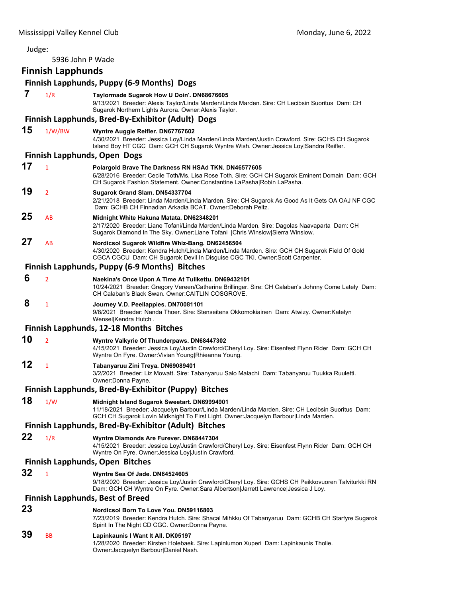## Judge: 5936 John P Wade **Finnish Lapphunds Finnish Lapphunds, Puppy (6‐9 Months) Dogs 7** 1/R **Taylormade Sugarok How U Doin'. DN68676605** 9/13/2021 Breeder: Alexis Taylor/Linda Marden/Linda Marden. Sire: CH Lecibsin Suoritus Dam: CH Sugarok Northern Lights Aurora. Owner:Alexis Taylor. **Finnish Lapphunds, Bred‐By‐Exhibitor (Adult) Dogs 15** 1/W/BW **Wyntre Auggie Reifler. DN67767602** 4/30/2021 Breeder: Jessica Loy/Linda Marden/Linda Marden/Justin Crawford. Sire: GCHS CH Sugarok Island Boy HT CGC Dam: GCH CH Sugarok Wyntre Wish. Owner:Jessica Loy|Sandra Reifler. **Finnish Lapphunds, Open Dogs 17** <sup>1</sup> **Polargold Brave The Darkness RN HSAd TKN. DN46577605** 6/28/2016 Breeder: Cecile Toth/Ms. Lisa Rose Toth. Sire: GCH CH Sugarok Eminent Domain Dam: GCH CH Sugarok Fashion Statement. Owner:Constantine LaPasha|Robin LaPasha. **19** <sup>2</sup> **Sugarok Grand Slam. DN54337704** 2/21/2018 Breeder: Linda Marden/Linda Marden. Sire: CH Sugarok As Good As It Gets OA OAJ NF CGC Dam: GCHB CH Finnadian Arkadia BCAT. Owner:Deborah Peltz. **25** AB **Midnight White Hakuna Matata. DN62348201** 2/17/2020 Breeder: Liane Tofani/Linda Marden/Linda Marden. Sire: Dagolas Naavaparta Dam: CH Sugarok Diamond In The Sky. Owner:Liane Tofani |Chris Winslow|Sierra Winslow. **27** AB **Nordicsol Sugarok Wildfire Whiz-Bang. DN62456504** 4/30/2020 Breeder: Kendra Hutch/Linda Marden/Linda Marden. Sire: GCH CH Sugarok Field Of Gold CGCA CGCU Dam: CH Sugarok Devil In Disguise CGC TKI. Owner:Scott Carpenter. **Finnish Lapphunds, Puppy (6‐9 Months) Bitches 6** <sup>2</sup> **Naekina's Once Upon A Time At Tulikettu. DN69432101** 10/24/2021 Breeder: Gregory Vereen/Catherine Brillinger. Sire: CH Calaban's Johnny Come Lately Dam: CH Calaban's Black Swan. Owner:CAITLIN COSGROVE.  **8** <sup>1</sup> **Journey V.D. Peellappies. DN70081101** 9/8/2021 Breeder: Nanda Thoer. Sire: Stenseitens Okkomokiainen Dam: Atwizy. Owner:Katelyn Wensel|Kendra Hutch . **Finnish Lapphunds, 12‐18 Months Bitches 10** <sup>2</sup> **Wyntre Valkyrie Of Thunderpaws. DN68447302** 4/15/2021 Breeder: Jessica Loy/Justin Crawford/Cheryl Loy. Sire: Eisenfest Flynn Rider Dam: GCH CH Wyntre On Fyre. Owner:Vivian Young|Rhieanna Young. **12** <sup>1</sup> **Tabanyaruu Zini Treya. DN69089401** 3/2/2021 Breeder: Liz Mowatt. Sire: Tabanyaruu Salo Malachi Dam: Tabanyaruu Tuukka Ruuletti. Owner:Donna Payne. **Finnish Lapphunds, Bred‐By‐Exhibitor (Puppy) Bitches 18** 1/W **Midnight Island Sugarok Sweetart. DN69994901** 11/18/2021 Breeder: Jacquelyn Barbour/Linda Marden/Linda Marden. Sire: CH Lecibsin Suoritus Dam: GCH CH Sugarok Lovin Midknight To First Light. Owner:Jacquelyn Barbour|Linda Marden. **Finnish Lapphunds, Bred‐By‐Exhibitor (Adult) Bitches 22** 1/R **Wyntre Diamonds Are Furever. DN68447304** 4/15/2021 Breeder: Jessica Loy/Justin Crawford/Cheryl Loy. Sire: Eisenfest Flynn Rider Dam: GCH CH Wyntre On Fyre. Owner:Jessica Loy|Justin Crawford. **Finnish Lapphunds, Open Bitches 32** <sup>1</sup> **Wyntre Sea Of Jade. DN64524605** 9/18/2020 Breeder: Jessica Loy/Justin Crawford/Cheryl Loy. Sire: GCHS CH Peikkovuoren Talviturkki RN Dam: GCH CH Wyntre On Fyre. Owner:Sara Albertson|Jarrett Lawrence|Jessica J Loy. **Finnish Lapphunds, Best of Breed 23 Nordicsol Born To Love You. DN59116803** 7/23/2019 Breeder: Kendra Hutch. Sire: Shacal Mihkku Of Tabanyaruu Dam: GCHB CH Starfyre Sugarok Spirit In The Night CD CGC. Owner:Donna Payne. **39** BB **Lapinkaunis I Want It All. DK05197** 1/28/2020 Breeder: Kirsten Holebaek. Sire: Lapinlumon Xuperi Dam: Lapinkaunis Tholie. Owner:Jacquelyn Barbour|Daniel Nash.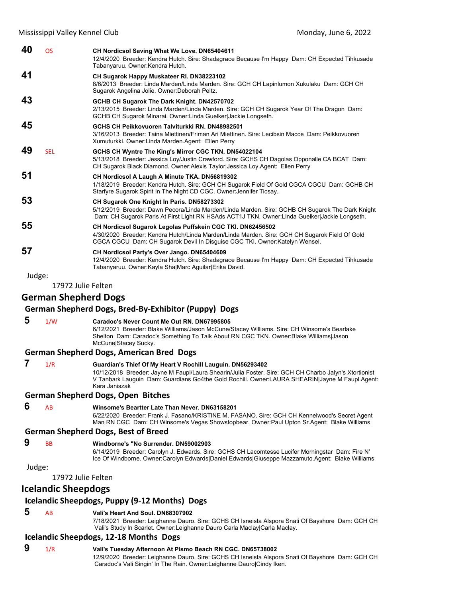| 40     | <b>OS</b>                   | CH Nordicsol Saving What We Love. DN65404611<br>12/4/2020 Breeder: Kendra Hutch. Sire: Shadagrace Because I'm Happy Dam: CH Expected Tihkusade<br>Tabanyaruu. Owner: Kendra Hutch.                                                                                                      |
|--------|-----------------------------|-----------------------------------------------------------------------------------------------------------------------------------------------------------------------------------------------------------------------------------------------------------------------------------------|
| 41     |                             | CH Sugarok Happy Muskateer RI. DN38223102<br>8/6/2013 Breeder: Linda Marden/Linda Marden. Sire: GCH CH Lapinlumon Xukulaku Dam: GCH CH<br>Sugarok Angelina Jolie. Owner: Deborah Peltz.                                                                                                 |
| 43     |                             | GCHB CH Sugarok The Dark Knight. DN42570702<br>2/13/2015 Breeder: Linda Marden/Linda Marden. Sire: GCH CH Sugarok Year Of The Dragon Dam:<br>GCHB CH Sugarok Minarai. Owner:Linda Guelker Jackie Longseth.                                                                              |
| 45     |                             | GCHS CH Peikkovuoren Talviturkki RN. DN48982501<br>3/16/2013 Breeder: Taina Miettinen/Friman Ari Miettinen. Sire: Lecibsin Macce Dam: Peikkovuoren<br>Xumuturkki. Owner: Linda Marden. Agent: Ellen Perry                                                                               |
| 49     | <b>SEL</b>                  | GCHS CH Wyntre The King's Mirror CGC TKN. DN54022104<br>5/13/2018 Breeder: Jessica Loy/Justin Crawford. Sire: GCHS CH Dagolas Opponalle CA BCAT Dam:<br>CH Sugarok Black Diamond. Owner:Alexis Taylor Jessica Loy.Agent: Ellen Perry                                                    |
| 51     |                             | CH Nordicsol A Laugh A Minute TKA. DN56819302<br>1/18/2019 Breeder: Kendra Hutch. Sire: GCH CH Sugarok Field Of Gold CGCA CGCU Dam: GCHB CH<br>Starfyre Sugarok Spirit In The Night CD CGC. Owner: Jennifer Ticsay.                                                                     |
| 53     |                             | CH Sugarok One Knight In Paris. DN58273302<br>5/12/2019 Breeder: Dawn Pecora/Linda Marden/Linda Marden. Sire: GCHB CH Sugarok The Dark Knight<br>Dam: CH Sugarok Paris At First Light RN HSAds ACT1J TKN. Owner: Linda Guelker Jackie Longseth.                                         |
| 55     |                             | CH Nordicsol Sugarok Legolas Puffskein CGC TKI. DN62456502<br>4/30/2020 Breeder: Kendra Hutch/Linda Marden/Linda Marden. Sire: GCH CH Sugarok Field Of Gold<br>CGCA CGCU Dam: CH Sugarok Devil In Disguise CGC TKI. Owner:Katelyn Wensel.                                               |
| 57     |                             | CH Nordicsol Party's Over Jango. DN65404609<br>12/4/2020 Breeder: Kendra Hutch. Sire: Shadagrace Because I'm Happy Dam: CH Expected Tihkusade<br>Tabanyaruu. Owner: Kayla Sha Marc Aguilar Erika David.                                                                                 |
| Judge: |                             |                                                                                                                                                                                                                                                                                         |
|        | 17972 Julie Felten          |                                                                                                                                                                                                                                                                                         |
|        | <b>German Shepherd Dogs</b> |                                                                                                                                                                                                                                                                                         |
|        |                             | German Shepherd Dogs, Bred-By-Exhibitor (Puppy) Dogs                                                                                                                                                                                                                                    |
| 5      | 1/W                         | Caradoc's Never Count Me Out RN. DN67995805<br>6/12/2021 Breeder: Blake Williams/Jason McCune/Stacey Williams. Sire: CH Winsome's Bearlake<br>Shelton Dam: Caradoc's Something To Talk About RN CGC TKN. Owner:Blake Williams Jason<br>McCune Stacey Sucky.                             |
|        |                             | <b>German Shepherd Dogs, American Bred Dogs</b>                                                                                                                                                                                                                                         |
| 7      | 1/R                         | Guardian's Thief Of My Heart V Rochill Lauguin. DN56293402<br>10/12/2018 Breeder: Jayne M Faupl/Laura Shearin/Julia Foster. Sire: GCH CH Charbo Jalyn's Xtortionist<br>V Tanbark Lauguin  Dam: Guardians Go4the Gold Rochill. Owner:LAURA SHEARIN Jayne M Faupl.Agent:<br>Kara Janiszak |
|        |                             | <b>German Shepherd Dogs, Open Bitches</b>                                                                                                                                                                                                                                               |
| 6      | AB                          | Winsome's Beartter Late Than Never. DN63158201<br>6/22/2020 Breeder: Frank J. Fasano/KRISTINE M. FASANO. Sire: GCH CH Kennelwood's Secret Agent<br>Man RN CGC Dam: CH Winsome's Vegas Showstopbear. Owner:Paul Upton Sr.Agent: Blake Williams                                           |
|        |                             | <b>German Shepherd Dogs, Best of Breed</b>                                                                                                                                                                                                                                              |
| 9      |                             |                                                                                                                                                                                                                                                                                         |
|        | BB                          | Windborne's "No Surrender, DN59002903<br>6/14/2019 Breeder: Carolyn J. Edwards. Sire: GCHS CH Lacomtesse Lucifer Morningstar Dam: Fire N'<br>Ice Of Windborne. Owner:Carolyn Edwards Daniel Edwards Giuseppe Mazzamuto.Agent: Blake Williams                                            |
| Judge: |                             |                                                                                                                                                                                                                                                                                         |
|        | 17972 Julie Felten          |                                                                                                                                                                                                                                                                                         |
|        | <b>Icelandic Sheepdogs</b>  |                                                                                                                                                                                                                                                                                         |
|        |                             | Icelandic Sheepdogs, Puppy (9-12 Months) Dogs                                                                                                                                                                                                                                           |
| 5      | AB                          | Vali's Heart And Soul, DN68307902<br>7/18/2021 Breeder: Leighanne Dauro. Sire: GCHS CH Isneista Alspora Snati Of Bayshore Dam: GCH CH<br>Vali's Study In Scarlet. Owner:Leighanne Dauro Carla Maclay Carla Maclay.                                                                      |

# **Icelandic Sheepdogs, 12‐18 Months Dogs**

# **9** 1/R **Vali's Tuesday Afternoon At Pismo Beach RN CGC. DN65738002**

12/9/2020 Breeder: Leighanne Dauro. Sire: GCHS CH Isneista Alspora Snati Of Bayshore Dam: GCH CH Caradoc's Vali Singin' In The Rain. Owner:Leighanne Dauro|Cindy Iken.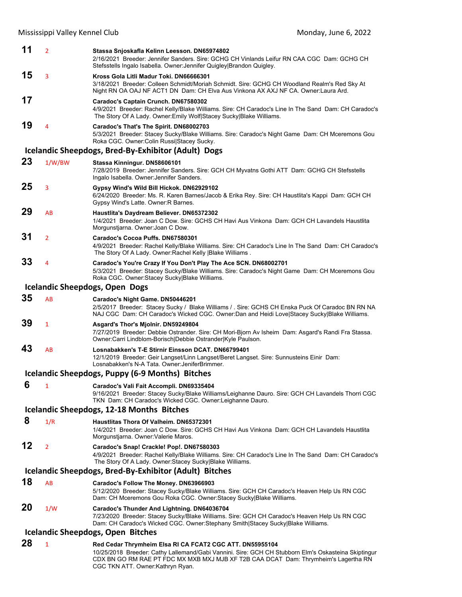| 11 | $\overline{2}$ | Stassa Snjoskafla Kelinn Leesson. DN65974802<br>2/16/2021 Breeder: Jennifer Sanders. Sire: GCHG CH Vinlands Leifur RN CAA CGC Dam: GCHG CH<br>Stefsstells Ingalo Isabella. Owner: Jennifer Quigley Brandon Quigley.                                    |
|----|----------------|--------------------------------------------------------------------------------------------------------------------------------------------------------------------------------------------------------------------------------------------------------|
| 15 | 3              | Kross Gola Litli Madur Toki. DN66666301<br>3/18/2021 Breeder: Colleen Schmidt/Moriah Schmidt. Sire: GCHG CH Woodland Realm's Red Sky At<br>Night RN OA OAJ NF ACT1 DN Dam: CH Elva Aus Vinkona AX AXJ NF CA. Owner:Laura Ard.                          |
| 17 |                | Caradoc's Captain Crunch. DN67580302<br>4/9/2021 Breeder: Rachel Kelly/Blake Williams. Sire: CH Caradoc's Line In The Sand Dam: CH Caradoc's<br>The Story Of A Lady. Owner: Emily Wolf Stacey Sucky Blake Williams.                                    |
| 19 | 4              | Caradoc's That's The Spirit. DN68002703<br>5/3/2021 Breeder: Stacey Sucky/Blake Williams. Sire: Caradoc's Night Game Dam: CH Mceremons Gou<br>Roka CGC. Owner: Colin Russi Stacey Sucky.                                                               |
|    |                | Icelandic Sheepdogs, Bred-By-Exhibitor (Adult) Dogs                                                                                                                                                                                                    |
| 23 | 1/W/BW         | Stassa Kinningur. DN58606101<br>7/28/2019 Breeder: Jennifer Sanders. Sire: GCH CH Myvatns Gothi ATT Dam: GCHG CH Stefsstells<br>Ingalo Isabella. Owner: Jennifer Sanders.                                                                              |
| 25 | 3              | Gypsy Wind's Wild Bill Hickok. DN62929102<br>6/24/2020 Breeder: Ms. R. Karen Barnes/Jacob & Erika Rey. Sire: CH Haustlita's Kappi Dam: GCH CH<br>Gypsy Wind's Latte. Owner: R Barnes.                                                                  |
| 29 | AB             | Haustlita's Daydream Believer. DN65372302<br>1/4/2021 Breeder: Joan C Dow. Sire: GCHS CH Havi Aus Vinkona Dam: GCH CH Lavandels Haustlita<br>Morgunstjarna. Owner Joan C Dow.                                                                          |
| 31 | $\overline{2}$ | Caradoc's Cocoa Puffs. DN67580301<br>4/9/2021 Breeder: Rachel Kelly/Blake Williams. Sire: CH Caradoc's Line In The Sand Dam: CH Caradoc's<br>The Story Of A Lady. Owner: Rachel Kelly   Blake Williams.                                                |
| 33 | 4              | Caradoc's You're Crazy If You Don't Play The Ace SCN. DN68002701<br>5/3/2021 Breeder: Stacey Sucky/Blake Williams. Sire: Caradoc's Night Game Dam: CH Mceremons Gou<br>Roka CGC. Owner:Stacey Sucky Blake Williams.                                    |
|    |                | <b>Icelandic Sheepdogs, Open Dogs</b>                                                                                                                                                                                                                  |
| 35 | AB             | Caradoc's Night Game. DN50446201<br>2/5/2017 Breeder: Stacey Sucky / Blake Williams / . Sire: GCHS CH Enska Puck Of Caradoc BN RN NA<br>NAJ CGC Dam: CH Caradoc's Wicked CGC. Owner:Dan and Heidi Love Stacey Sucky Blake Williams.                    |
| 39 | $\mathbf{1}$   | Asgard's Thor's Mjolnir. DN59249804<br>7/27/2019 Breeder: Debbie Ostrander. Sire: CH Mori-Bjorn Av Isheim Dam: Asgard's Randi Fra Stassa.<br>Owner:Carri Lindblom-Borisch Debbie Ostrander Kyle Paulson.                                               |
| 43 | AB             | Losnabakken's T-E Stirnir Einsson DCAT, DN66799401<br>12/1/2019 Breeder: Geir Langset/Linn Langset/Beret Langset. Sire: Sunnusteins Einir Dam:<br>Losnabakken's N-A Tata. Owner: JeniferBrimmer.                                                       |
|    |                | Icelandic Sheepdogs, Puppy (6-9 Months) Bitches                                                                                                                                                                                                        |
| 6  | $\mathbf{1}$   | Caradoc's Vali Fait Accompli. DN69335404<br>9/16/2021 Breeder: Stacey Sucky/Blake Williams/Leighanne Dauro. Sire: GCH CH Lavandels Thorri CGC<br>TKN Dam: CH Caradoc's Wicked CGC. Owner: Leighanne Dauro.                                             |
|    |                | Icelandic Sheepdogs, 12-18 Months Bitches                                                                                                                                                                                                              |
| 8  | 1/R            | Haustlitas Thora Of Valheim, DN65372301<br>1/4/2021 Breeder: Joan C Dow, Sire: GCHS CH Havi Aus Vinkona Dam: GCH CH Lavandels Haustlita<br>Morgunstjarna. Owner: Valerie Maros.                                                                        |
| 12 | $\overline{2}$ | Caradoc's Snap! Crackle! Pop!. DN67580303<br>4/9/2021 Breeder: Rachel Kelly/Blake Williams. Sire: CH Caradoc's Line In The Sand Dam: CH Caradoc's<br>The Story Of A Lady. Owner: Stacey Sucky Blake Williams.                                          |
|    |                | Icelandic Sheepdogs, Bred-By-Exhibitor (Adult) Bitches                                                                                                                                                                                                 |
| 18 | AB             | Caradoc's Follow The Money. DN63966903<br>5/12/2020 Breeder: Stacey Sucky/Blake Williams. Sire: GCH CH Caradoc's Heaven Help Us RN CGC<br>Dam: CH Mceremons Gou Roka CGC. Owner:Stacey Sucky Blake Williams.                                           |
| 20 | 1/W            | Caradoc's Thunder And Lightning. DN64036704<br>7/23/2020 Breeder: Stacey Sucky/Blake Williams. Sire: GCH CH Caradoc's Heaven Help Us RN CGC<br>Dam: CH Caradoc's Wicked CGC. Owner:Stephany Smith Stacey Sucky Blake Williams.                         |
|    |                | <b>Icelandic Sheepdogs, Open Bitches</b>                                                                                                                                                                                                               |
| 28 | $\mathbf{1}$   | Red Cedar Thrymheim Elsa RI CA FCAT2 CGC ATT. DN55955104<br>10/25/2018 Breeder: Cathy Lallemand/Gabi Vannini. Sire: GCH CH Stubborn Elm's Oskasteina Skiptingur<br>CDX BN GO RM RAE PT FDC MX MXB MXJ MJB XF T2B CAA DCAT Dam: Thrymheim's Lagertha RN |

CGC TKN ATT. Owner:Kathryn Ryan.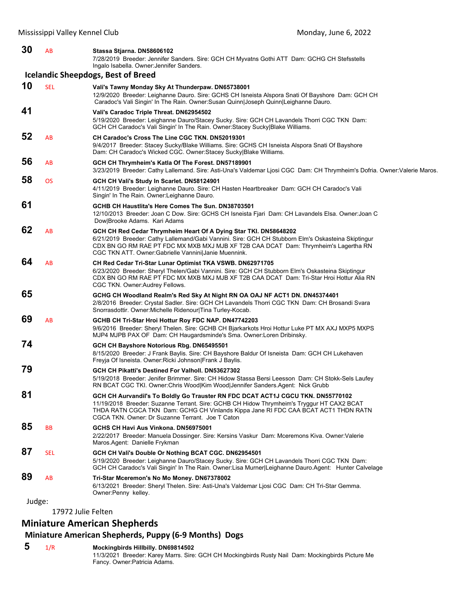| 30 | AB         | Stassa Stjarna. DN58606102<br>7/28/2019 Breeder: Jennifer Sanders. Sire: GCH CH Myvatns Gothi ATT Dam: GCHG CH Stefsstells<br>Ingalo Isabella. Owner: Jennifer Sanders.                                                                                                                                                |
|----|------------|------------------------------------------------------------------------------------------------------------------------------------------------------------------------------------------------------------------------------------------------------------------------------------------------------------------------|
|    |            | <b>Icelandic Sheepdogs, Best of Breed</b>                                                                                                                                                                                                                                                                              |
| 10 | <b>SEL</b> | Vali's Tawny Monday Sky At Thunderpaw. DN65738001<br>12/9/2020 Breeder: Leighanne Dauro. Sire: GCHS CH Isneista Alspora Snati Of Bayshore Dam: GCH CH<br>Caradoc's Vali Singin' In The Rain. Owner:Susan Quinn Joseph Quinn Leighanne Dauro.                                                                           |
| 41 |            | Vali's Caradoc Triple Threat. DN62954502<br>5/19/2020 Breeder: Leighanne Dauro/Stacey Sucky. Sire: GCH CH Lavandels Thorri CGC TKN Dam:<br>GCH CH Caradoc's Vali Singin' In The Rain. Owner: Stacey Sucky Blake Williams.                                                                                              |
| 52 | AB         | CH Caradoc's Cross The Line CGC TKN. DN52019301<br>9/4/2017 Breeder: Stacey Sucky/Blake Williams. Sire: GCHS CH Isneista Alspora Snati Of Bayshore<br>Dam: CH Caradoc's Wicked CGC. Owner: Stacey Sucky Blake Williams.                                                                                                |
| 56 | AB         | GCH CH Thrymheim's Katla Of The Forest. DN57189901<br>3/23/2019 Breeder: Cathy Lallemand. Sire: Asti-Una's Valdemar Ljosi CGC Dam: CH Thrymheim's Dofria. Owner: Valerie Maros.                                                                                                                                        |
| 58 | <b>OS</b>  | GCH CH Vali's Study In Scarlet. DN58124901<br>4/11/2019 Breeder: Leighanne Dauro. Sire: CH Hasten Heartbreaker Dam: GCH CH Caradoc's Vali<br>Singin' In The Rain. Owner: Leighanne Dauro.                                                                                                                              |
| 61 |            | GCHB CH Haustlita's Here Comes The Sun. DN38703501<br>12/10/2013 Breeder: Joan C Dow. Sire: GCHS CH Isneista Fjari Dam: CH Lavandels Elsa. Owner: Joan C<br>Dow Brooke Adams. Kari Adams                                                                                                                               |
| 62 | AB         | GCH CH Red Cedar Thrymheim Heart Of A Dying Star TKI. DN58648202<br>6/21/2019 Breeder: Cathy Lallemand/Gabi Vannini. Sire: GCH CH Stubborn Elm's Oskasteina Skiptingur<br>CDX BN GO RM RAE PT FDC MX MXB MXJ MJB XF T2B CAA DCAT Dam: Thrymheim's Lagertha RN<br>CGC TKN ATT. Owner: Gabrielle Vannini Janie Muennink. |
| 64 | AB         | CH Red Cedar Tri-Star Lunar Optimist TKA VSWB. DN62971705<br>6/23/2020 Breeder: Sheryl Thelen/Gabi Vannini. Sire: GCH CH Stubborn Elm's Oskasteina Skiptingur<br>CDX BN GO RM RAE PT FDC MX MXB MXJ MJB XF T2B CAA DCAT Dam: Tri-Star Hroi Hottur Alia RN<br>CGC TKN. Owner: Audrey Fellows.                           |
| 65 |            | GCHG CH Woodland Realm's Red Sky At Night RN OA OAJ NF ACT1 DN. DN45374401<br>2/8/2016 Breeder: Crystal Sadler. Sire: GCH CH Lavandels Thorri CGC TKN Dam: CH Brosandi Svara<br>Snorrasdottir. Owner: Michelle Ridenour Tina Turley-Kocab.                                                                             |
| 69 | AB         | GCHB CH Tri-Star Hroi Hottur Roy FDC NAP. DN47742203<br>9/6/2016 Breeder: Sheryl Thelen. Sire: GCHB CH Bjarkarkots Hroi Hottur Luke PT MX AXJ MXP5 MXPS<br>MJP4 MJPB PAX OF Dam: CH Haugardsminde's Sma. Owner: Loren Dribinsky.                                                                                       |
| 74 |            | GCH CH Bayshore Notorious Rbg. DN65495501<br>8/15/2020 Breeder: J Frank Baylis. Sire: CH Bayshore Baldur Of Isneista Dam: GCH CH Lukehaven<br>Freyja Of Isneista. Owner: Ricki Johnson Frank J Baylis.                                                                                                                 |
| 79 |            | GCH CH Pikatti's Destined For Valholl. DN53627302<br>5/19/2018 Breeder: Jenifer Brimmer. Sire: CH Hidow Stassa Bersi Leesson Dam: CH Stokk-Sels Laufey<br>RN BCAT CGC TKI. Owner: Chris Wood Kim Wood Jennifer Sanders. Agent: Nick Grubb                                                                              |
| 81 |            | GCH CH Aurvandil's To Boldly Go Trauster RN FDC DCAT ACT1J CGCU TKN. DN55770102<br>11/19/2018 Breeder: Suzanne Terrant. Sire: GCHB CH Hidow Thrymheim's Tryggur HT CAX2 BCAT<br>THDA RATN CGCA TKN Dam: GCHG CH Vinlands Kippa Jane RI FDC CAA BCAT ACT1 THDN RATN<br>CGCA TKN. Owner: Dr Suzanne Terrant. Joe T Caton |
| 85 | <b>BB</b>  | GCHS CH Havi Aus Vinkona. DN56975001<br>2/22/2017 Breeder: Manuela Dossinger. Sire: Kersins Vaskur Dam: Mceremons Kiva. Owner: Valerie<br>Maros Agent: Danielle Frykman                                                                                                                                                |
| 87 | <b>SEL</b> | GCH CH Vali's Double Or Nothing BCAT CGC. DN62954501<br>5/19/2020 Breeder: Leighanne Dauro/Stacey Sucky. Sire: GCH CH Lavandels Thorri CGC TKN Dam:<br>GCH CH Caradoc's Vali Singin' In The Rain. Owner: Lisa Murner Leighanne Dauro. Agent: Hunter Calvelage                                                          |
| 89 | AB         | Tri-Star Mceremon's No Mo Money. DN67378002<br>6/13/2021 Breeder: Sheryl Thelen. Sire: Asti-Una's Valdemar Ljosi CGC Dam: CH Tri-Star Gemma.<br>Owner: Penny kelley.                                                                                                                                                   |

17972 Julie Felten

# **Miniature American Shepherds**

# **Miniature American Shepherds, Puppy (6‐9 Months) Dogs**

# **5** 1/R **Mockingbirds Hillbilly. DN69814502**

11/3/2021 Breeder: Karey Marrs. Sire: GCH CH Mockingbirds Rusty Nail Dam: Mockingbirds Picture Me Fancy. Owner:Patricia Adams.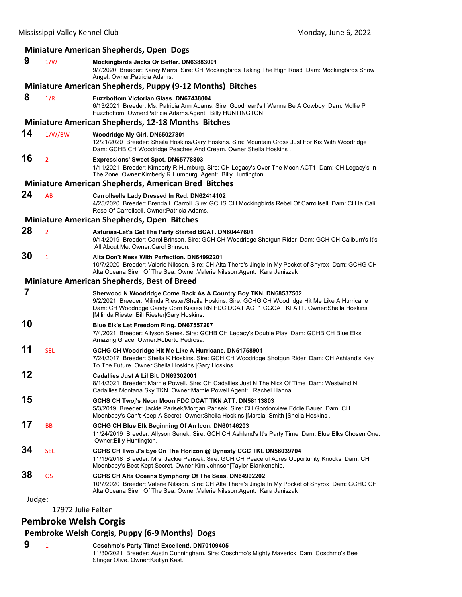| <b>Miniature American Shepherds, Open Dogs</b> |                    |                                                                                                                                                                                                                                                                                                                |  |  |  |
|------------------------------------------------|--------------------|----------------------------------------------------------------------------------------------------------------------------------------------------------------------------------------------------------------------------------------------------------------------------------------------------------------|--|--|--|
| 9                                              | 1/W                | Mockingbirds Jacks Or Better. DN63883001<br>9/7/2020 Breeder: Karey Marrs. Sire: CH Mockingbirds Taking The High Road Dam: Mockingbirds Snow<br>Angel. Owner: Patricia Adams.                                                                                                                                  |  |  |  |
|                                                |                    | Miniature American Shepherds, Puppy (9-12 Months) Bitches                                                                                                                                                                                                                                                      |  |  |  |
| 8                                              | 1/R                | <b>Fuzzbottom Victorian Glass, DN67438004</b><br>6/13/2021 Breeder: Ms. Patricia Ann Adams. Sire: Goodheart's I Wanna Be A Cowboy Dam: Mollie P<br>Fuzzbottom. Owner: Patricia Adams. Agent: Billy HUNTINGTON                                                                                                  |  |  |  |
|                                                |                    | <b>Miniature American Shepherds, 12-18 Months Bitches</b>                                                                                                                                                                                                                                                      |  |  |  |
| 14                                             | 1/W/BW             | Woodridge My Girl. DN65027801<br>12/21/2020 Breeder: Sheila Hoskins/Gary Hoskins. Sire: Mountain Cross Just For Kix With Woodridge<br>Dam: GCHB CH Woodridge Peaches And Cream. Owner: Sheila Hoskins.                                                                                                         |  |  |  |
| 16                                             | $\overline{2}$     | Expressions' Sweet Spot. DN65778803<br>1/11/2021 Breeder: Kimberly R Humburg. Sire: CH Legacy's Over The Moon ACT1 Dam: CH Legacy's In<br>The Zone. Owner:Kimberly R Humburg .Agent: Billy Huntington                                                                                                          |  |  |  |
|                                                |                    | <b>Miniature American Shepherds, American Bred Bitches</b>                                                                                                                                                                                                                                                     |  |  |  |
| 24                                             | AB                 | Carrollsells Lady Dressed In Red. DN62414102<br>4/25/2020 Breeder: Brenda L Carroll. Sire: GCHS CH Mockingbirds Rebel Of Carrollsell Dam: CH la.Cali<br>Rose Of Carrollsell. Owner: Patricia Adams.                                                                                                            |  |  |  |
|                                                |                    | <b>Miniature American Shepherds, Open Bitches</b>                                                                                                                                                                                                                                                              |  |  |  |
| 28                                             | $\overline{2}$     | Asturias-Let's Get The Party Started BCAT. DN60447601<br>9/14/2019 Breeder: Carol Brinson. Sire: GCH CH Woodridge Shotgun Rider Dam: GCH CH Caliburn's It's<br>All About Me. Owner: Carol Brinson.                                                                                                             |  |  |  |
| 30                                             | 1                  | Alta Don't Mess With Perfection. DN64992201<br>10/7/2020 Breeder: Valerie Nilsson. Sire: CH Alta There's Jingle In My Pocket of Shyrox Dam: GCHG CH<br>Alta Oceana Siren Of The Sea. Owner: Valerie Nilsson. Agent: Kara Janiszak                                                                              |  |  |  |
|                                                |                    | <b>Miniature American Shepherds, Best of Breed</b>                                                                                                                                                                                                                                                             |  |  |  |
| 7                                              |                    | Sherwood N Woodridge Come Back As A Country Boy TKN. DN68537502<br>9/2/2021 Breeder: Milinda Riester/Sheila Hoskins. Sire: GCHG CH Woodridge Hit Me Like A Hurricane<br>Dam: CH Woodridge Candy Corn Kisses RN FDC DCAT ACT1 CGCA TKI ATT. Owner:Sheila Hoskins<br> Milinda Riester Bill Riester Gary Hoskins. |  |  |  |
| 10                                             |                    | Blue Elk's Let Freedom Ring. DN67557207<br>7/4/2021 Breeder: Allyson Senek. Sire: GCHB CH Legacy's Double Play Dam: GCHB CH Blue Elks<br>Amazing Grace. Owner: Roberto Pedrosa.                                                                                                                                |  |  |  |
| 11                                             | <b>SEL</b>         | GCHG CH Woodridge Hit Me Like A Hurricane. DN51758901<br>7/24/2017 Breeder: Sheila K Hoskins. Sire: GCH CH Woodridge Shotgun Rider Dam: CH Ashland's Key<br>To The Future. Owner: Sheila Hoskins   Gary Hoskins.                                                                                               |  |  |  |
| 12                                             |                    | Cadallies Just A Lil Bit. DN69302001<br>8/14/2021 Breeder: Marnie Powell. Sire: CH Cadallies Just N The Nick Of Time Dam: Westwind N<br>Cadallies Montana Sky TKN. Owner: Marnie Powell. Agent: Rachel Hanna                                                                                                   |  |  |  |
| 15                                             |                    | GCHS CH Twoj's Neon Moon FDC DCAT TKN ATT. DN58113803<br>5/3/2019 Breeder: Jackie Parisek/Morgan Parisek. Sire: CH Gordonview Eddie Bauer Dam: CH<br>Moonbaby's Can't Keep A Secret. Owner: Sheila Hoskins   Marcia Smith   Sheila Hoskins.                                                                    |  |  |  |
| 17                                             | BB                 | GCHG CH Blue Elk Beginning Of An Icon. DN60146203<br>11/24/2019 Breeder: Allyson Senek. Sire: GCH CH Ashland's It's Party Time Dam: Blue Elks Chosen One.<br>Owner: Billy Huntington.                                                                                                                          |  |  |  |
| 34                                             | SEL                | GCHS CH Two J's Eye On The Horizon @ Dynasty CGC TKI. DN56039704<br>11/19/2018 Breeder: Mrs. Jackie Parisek. Sire: GCH CH Peaceful Acres Opportunity Knocks Dam: CH<br>Moonbaby's Best Kept Secret. Owner: Kim Johnson Taylor Blankenship.                                                                     |  |  |  |
| 38                                             | <b>OS</b>          | GCHS CH Alta Oceans Symphony Of The Seas. DN64992202<br>10/7/2020 Breeder: Valerie Nilsson. Sire: CH Alta There's Jingle In My Pocket of Shyrox Dam: GCHG CH<br>Alta Oceana Siren Of The Sea. Owner: Valerie Nilsson. Agent: Kara Janiszak                                                                     |  |  |  |
| Judge:                                         |                    |                                                                                                                                                                                                                                                                                                                |  |  |  |
|                                                | 17972 Julie Felten |                                                                                                                                                                                                                                                                                                                |  |  |  |

**Pembroke Welsh Corgis**

# **Pembroke Welsh Corgis, Puppy (6‐9 Months) Dogs**

 **9** <sup>1</sup> **Coschmo's Party Time! Excellent!. DN70109405** 11/30/2021 Breeder: Austin Cunningham. Sire: Coschmo's Mighty Maverick Dam: Coschmo's Bee Stinger Olive. Owner:Kaitlyn Kast.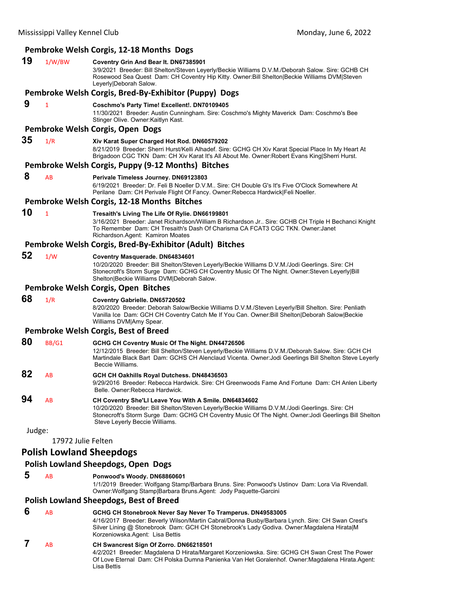# **Pembroke Welsh Corgis, 12‐18 Months Dogs**

| 19     | 1/W/BW                          | Coventry Grin And Bear It. DN67385901<br>3/9/2021 Breeder: Bill Shelton/Steven Leyerly/Beckie Williams D.V.M./Deborah Salow. Sire: GCHB CH<br>Rosewood Sea Quest Dam: CH Coventry Hip Kitty. Owner: Bill Shelton Beckie Williams DVM Steven<br>Leyerly Deborah Salow.                               |
|--------|---------------------------------|-----------------------------------------------------------------------------------------------------------------------------------------------------------------------------------------------------------------------------------------------------------------------------------------------------|
|        |                                 | Pembroke Welsh Corgis, Bred-By-Exhibitor (Puppy) Dogs                                                                                                                                                                                                                                               |
| 9      | 1                               | Coschmo's Party Time! Excellent!. DN70109405<br>11/30/2021 Breeder: Austin Cunningham. Sire: Coschmo's Mighty Maverick Dam: Coschmo's Bee<br>Stinger Olive. Owner Kaitlyn Kast.                                                                                                                     |
|        |                                 | Pembroke Welsh Corgis, Open Dogs                                                                                                                                                                                                                                                                    |
| 35     | 1/R                             | Xiv Karat Super Charged Hot Rod. DN60579202<br>8/21/2019 Breeder: Sherri Hurst/Kelli Alhadef. Sire: GCHG CH Xiv Karat Special Place In My Heart At<br>Brigadoon CGC TKN Dam: CH Xiv Karat It's All About Me. Owner: Robert Evans King Sherri Hurst.                                                 |
|        |                                 | Pembroke Welsh Corgis, Puppy (9-12 Months) Bitches                                                                                                                                                                                                                                                  |
| 8      | AB                              | Perivale Timeless Journey. DN69123803<br>6/19/2021 Breeder: Dr. Feli B Noeller D.V.M Sire: CH Double G's It's Five O'Clock Somewhere At<br>Perilane Dam: CH Perivale Flight Of Fancy. Owner: Rebecca Hardwick Feli Noeller.                                                                         |
|        |                                 | Pembroke Welsh Corgis, 12-18 Months Bitches                                                                                                                                                                                                                                                         |
| 10     | $\mathbf{1}$                    | Tresaith's Living The Life Of Rylie. DN66199801<br>3/16/2021 Breeder: Janet Richardson/William B Richardson Jr Sire: GCHB CH Triple H Bechanci Knight<br>To Remember Dam: CH Tresaith's Dash Of Charisma CA FCAT3 CGC TKN. Owner: Janet<br>Richardson.Agent: Kamiron Moates                         |
|        |                                 | Pembroke Welsh Corgis, Bred-By-Exhibitor (Adult) Bitches                                                                                                                                                                                                                                            |
| 52     | 1/W                             | Coventry Masquerade. DN64834601<br>10/20/2020 Breeder: Bill Shelton/Steven Leyerly/Beckie Williams D.V.M./Jodi Geerlings. Sire: CH<br>Stonecroft's Storm Surge Dam: GCHG CH Coventry Music Of The Night. Owner:Steven Leyerly Bill<br>Shelton Beckie Williams DVM Deborah Salow.                    |
|        |                                 | Pembroke Welsh Corgis, Open Bitches                                                                                                                                                                                                                                                                 |
| 68     | 1/R                             | Coventry Gabrielle. DN65720502<br>8/20/2020 Breeder: Deborah Salow/Beckie Williams D.V.M./Steven Leyerly/Bill Shelton. Sire: Penliath<br>Vanilla Ice Dam: GCH CH Coventry Catch Me If You Can. Owner: Bill Shelton Deborah Salow Beckie<br>Williams DVM Amy Spear.                                  |
|        |                                 | Pembroke Welsh Corgis, Best of Breed                                                                                                                                                                                                                                                                |
| 80     | BB/G1                           | GCHG CH Coventry Music Of The Night. DN44726506<br>12/12/2015 Breeder: Bill Shelton/Steven Leyerly/Beckie Williams D.V.M./Deborah Salow. Sire: GCH CH<br>Martindale Black Bart Dam: GCHS CH Alenclaud Vicenta. Owner: Jodi Geerlings Bill Shelton Steve Leyerly<br>Beccie Williams.                 |
| 82     | AB                              | GCH CH Oakhills Royal Dutchess. DN48436503<br>9/29/2016 Breeder: Rebecca Hardwick. Sire: CH Greenwoods Fame And Fortune Dam: CH Anlen Liberty<br>Belle. Owner:Rebecca Hardwick.                                                                                                                     |
| 94     | AB                              | CH Coventry She'Ll Leave You With A Smile. DN64834602<br>10/20/2020 Breeder: Bill Shelton/Steven Leyerly/Beckie Williams D.V.M./Jodi Geerlings. Sire: CH<br>Stonecroft's Storm Surge Dam: GCHG CH Coventry Music Of The Night. Owner: Jodi Geerlings Bill Shelton<br>Steve Leyerly Beccie Williams. |
| Judge: |                                 |                                                                                                                                                                                                                                                                                                     |
|        | 17972 Julie Felten              |                                                                                                                                                                                                                                                                                                     |
|        | <b>Polish Lowland Sheepdogs</b> |                                                                                                                                                                                                                                                                                                     |
|        |                                 | <b>Polish Lowland Sheepdogs, Open Dogs</b>                                                                                                                                                                                                                                                          |
| 5      | AB                              | Ponwood's Woody. DN68860601<br>1/1/2019 Breeder: Wolfgang Stamp/Barbara Bruns. Sire: Ponwood's Ustinov Dam: Lora Via Rivendall.<br>Owner: Wolfgang Stamp   Barbara Bruns. Agent: Jody Paquette-Garcini                                                                                              |
|        |                                 | <b>Polish Lowland Sheepdogs, Best of Breed</b>                                                                                                                                                                                                                                                      |
| 6      | AB                              | GCHG CH Stonebrook Never Say Never To Tramperus. DN49583005<br>4/16/2017 Breeder: Beverly Wilson/Martin Cabral/Donna Busby/Barbara Lynch. Sire: CH Swan Crest's                                                                                                                                     |

4/16/2017 Breeder: Beverly Wilson/Martin Cabral/Donna Busby/Barbara Lynch. Sire: CH Swan Crest's Silver Lining @ Stonebrook Dam: GCH CH Stonebrook's Lady Godiva. Owner:Magdalena Hirata|M Korzeniowska.Agent: Lisa Bettis

# **7** AB **CH Swancrest Sign Of Zorro. DN66218501**

4/2/2021 Breeder: Magdalena D Hirata/Margaret Korzeniowska. Sire: GCHG CH Swan Crest The Power Of Love Eternal Dam: CH Polska Dumna Panienka Van Het Goralenhof. Owner:Magdalena Hirata.Agent: Lisa Bettis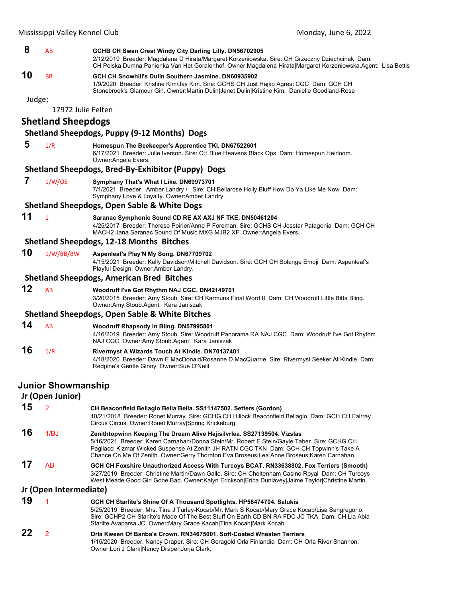# **8** AB **GCHB CH Swan Crest Windy City Darling Lilly. DN56702905** 2/12/2019 Breeder: Magdalena D Hirata/Margaret Korzeniowska. Sire: CH Grzeczny Dziechcinek Dam: CH Polska Dumna Panienka Van Het Goralenhof. Owner:Magdalena Hirata|Margaret Korzeniowska.Agent: Lisa Bettis **10** BB **GCH CH Snowhill's Dulin Southern Jasmine. DN60935902** 1/9/2020 Breeder: Kristine Kim/Jay Kim. Sire: GCHS CH Just Hajko Agrest CGC Dam: GCH CH Stonebrook's Glamour Girl. Owner:Martin Dulin|Janet Dulin|Kristine Kim. Danielle Goodland-Rose Judge: 17972 Julie Felten **Shetland Sheepdogs Shetland Sheepdogs, Puppy (9‐12 Months) Dogs 5** 1/R **Homespun The Beekeeper's Apprentice TKI. DN67522601** 6/17/2021 Breeder: Julie Iverson. Sire: CH Blue Heavens Black Ops Dam: Homespun Heirloom. Owner:Angela Evers. **Shetland Sheepdogs, Bred‐By‐Exhibitor (Puppy) Dogs 7** 1/W/OS **Symphany That's What I Like. DN69973701** 7/1/2021 Breeder: Amber Landry / . Sire: CH Bellarose Holly Bluff How Do Ya Like Me Now Dam: Symphany Love & Loyalty. Owner:Amber Landry. **Shetland Sheepdogs, Open Sable & White Dogs 11** <sup>1</sup> **Saranac Symphonic Sound CD RE AX AXJ NF TKE. DN50461204** 4/25/2017 Breeder: Therese Poirier/Anne P Foreman. Sire: GCHS CH Jesstar Patagonia Dam: GCH CH MACH2 Jana Saranac Sound Of Music MXG MJB2 XF. Owner:Angela Evers. **Shetland Sheepdogs, 12‐18 Months Bitches 10** 1/W/BB/BW **Aspenleaf's Play'N My Song. DN67709702** 4/15/2021 Breeder: Kelly Davidson/Mitchell Davidson. Sire: GCH CH Solange Emoji Dam: Aspenleaf's Playful Design. Owner:Amber Landry. **Shetland Sheepdogs, American Bred Bitches 12** AB **Woodruff I've Got Rhythm NAJ CGC. DN42149701** 3/20/2015 Breeder: Amy Stoub. Sire: CH Karmuns Final Word II Dam: CH Woodruff Little Bitta Bling. Owner:Amy Stoub.Agent: Kara Janiszak **Shetland Sheepdogs, Open Sable & White Bitches 14** AB **Woodruff Rhapsody In Bling. DN57995801** 4/16/2019 Breeder: Amy Stoub. Sire: Woodruff Panorama RA NAJ CGC Dam: Woodruff I've Got Rhythm NAJ CGC. Owner:Amy Stoub.Agent: Kara Janiszak **16** 1/R **Rivermyst A Wizards Touch At Kindle. DN70137401** 4/18/2020 Breeder: Dawn E MacDonald/Rosanne D MacQuarrie. Sire: Rivermyst Seeker At Kindle Dam: Redpine's Gentle Ginny. Owner:Sue O'Neill. **Junior Showmanship**

|    | Jr (Open Junior)       |                                                                                                                                                                                                                                                                                                                                                                 |
|----|------------------------|-----------------------------------------------------------------------------------------------------------------------------------------------------------------------------------------------------------------------------------------------------------------------------------------------------------------------------------------------------------------|
| 15 |                        | CH Beaconfield Bellagio Bella Bella. SS11147502. Setters (Gordon)<br>10/21/2018 Breeder: Ronet Murray, Sire: GCHG CH Hillock Beaconfield Bellagio Dam: GCH CH Fairray<br>Circus Circus. Owner: Ronet Murray Spring Krickeburg.                                                                                                                                  |
| 16 | 1/B <sub>0</sub>       | Zenithtopwinn Keeping The Dream Alive Hajisilvrlea. SS27139504. Vizslas<br>5/16/2021 Breeder: Karen Carnahan/Donna Stein/Mr. Robert E Stein/Gayle Taber. Sire: GCHG CH<br>Pagliacci Kizmar Wicked Suspense At Zenith JH RATN CGC TKN Dam: GCH CH Topwinn's Take A<br>Chance On Me Of Zenith. Owner: Gerry Thornton Eva Broseus Lea Anne Broseus Karen Carnahan. |
| 17 | AB                     | GCH CH Foxshire Unauthorized Access With Turcoys BCAT. RN33638802. Fox Terriers (Smooth)<br>3/27/2019 Breeder: Christine Martin/Dawn Gallo. Sire: CH Cheltenham Casino Royal Dam: CH Turcoys<br>West Meade Good Girl Gone Bad. Owner:Kalyn Erickson Erica Dunlavey Jaime Taylor Christine Martin.                                                               |
|    | Jr (Open Intermediate) |                                                                                                                                                                                                                                                                                                                                                                 |
| 19 |                        | GCH CH Starlite's Shine Of A Thousand Spotlights. HP58474704. Salukis<br>5/25/2019 Breeder: Mrs. Tina J Turley-Kocab/Mr. Mark S Kocab/Mary Grace Kocab/Lisa Sangregorio.<br>Sire: GCHP2 CH Starlite's Made Of The Best Stuff On Earth CD BN RA FDC JC TKA Dam: CH Lia Abia<br>Starlite Avaparsa JC. Owner: Mary Grace Kacah   Tina Kocah   Mark Kocah.          |
| 22 | 2                      | Orla Kween Of Banba's Crown, RN34675001, Soft-Coated Wheaten Terriers<br>1/15/2020 Breeder: Nancy Draper. Sire: CH Geragold Orla Finlandia Dam: CH Orla River Shannon.<br>Owner:Lori J Clark Nancy Draper Jorja Clark.                                                                                                                                          |